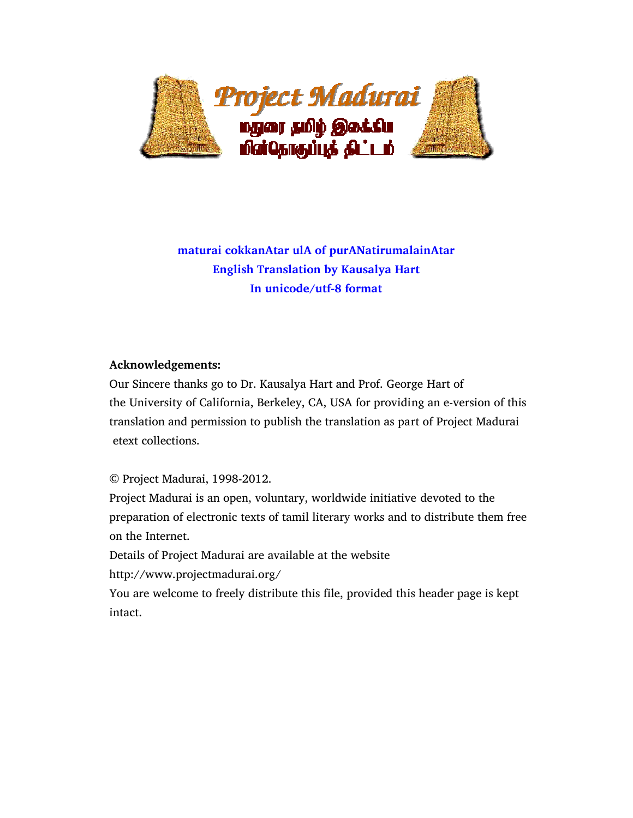

# **maturai cokkanAtar ulA of purANatirumalainAtar English Translation by Kausalya Hart In unicode/utf-8 format**

### **Acknowledgements:**

 Our Sincere thanks go to Dr. Kausalya Hart and Prof. George Hart of the University of California, Berkeley, CA, USA for providing an e-version of this translation and permission to publish the translation as part of Project Madurai etext collections.

© Project Madurai, 1998-2012.

 Project Madurai is an open, voluntary, worldwide initiative devoted to the preparation of electronic texts of tamil literary works and to distribute them free on the Internet.

Details of Project Madurai are available at the website

http://www.projectmadurai.org/

 You are welcome to freely distribute this file, provided this header page is kept intact.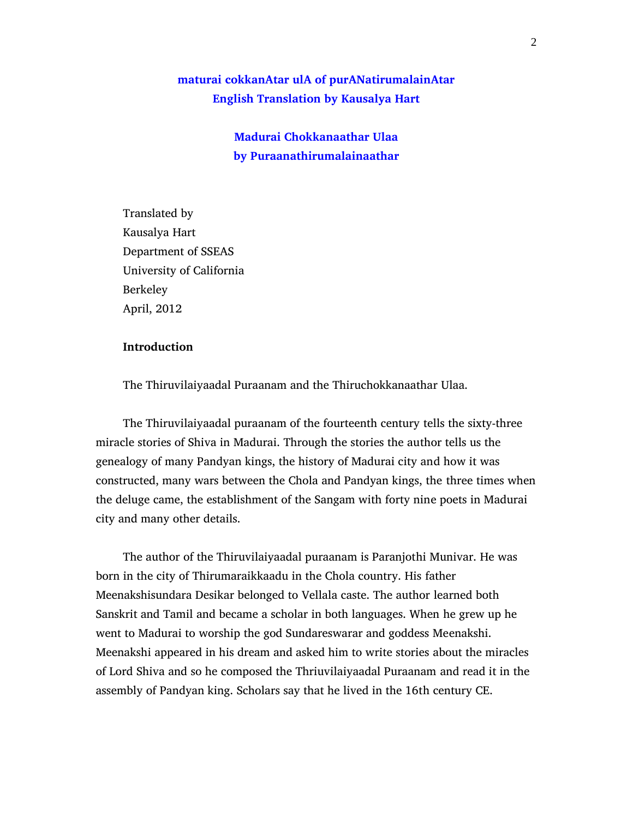## **maturai cokkanAtar ulA of purANatirumalainAtar English Translation by Kausalya Hart**

**Madurai Chokkanaathar Ulaa by Puraanathirumalainaathar** 

 Translated by Kausalya Hart Department of SSEAS University of California Berkeley April, 2012

### **Introduction**

The Thiruvilaiyaadal Puraanam and the Thiruchokkanaathar Ulaa.

 The Thiruvilaiyaadal puraanam of the fourteenth century tells the sixty-three miracle stories of Shiva in Madurai. Through the stories the author tells us the genealogy of many Pandyan kings, the history of Madurai city and how it was constructed, many wars between the Chola and Pandyan kings, the three times when the deluge came, the establishment of the Sangam with forty nine poets in Madurai city and many other details.

 The author of the Thiruvilaiyaadal puraanam is Paranjothi Munivar. He was born in the city of Thirumaraikkaadu in the Chola country. His father Meenakshisundara Desikar belonged to Vellala caste. The author learned both Sanskrit and Tamil and became a scholar in both languages. When he grew up he went to Madurai to worship the god Sundareswarar and goddess Meenakshi. Meenakshi appeared in his dream and asked him to write stories about the miracles of Lord Shiva and so he composed the Thriuvilaiyaadal Puraanam and read it in the assembly of Pandyan king. Scholars say that he lived in the 16th century CE.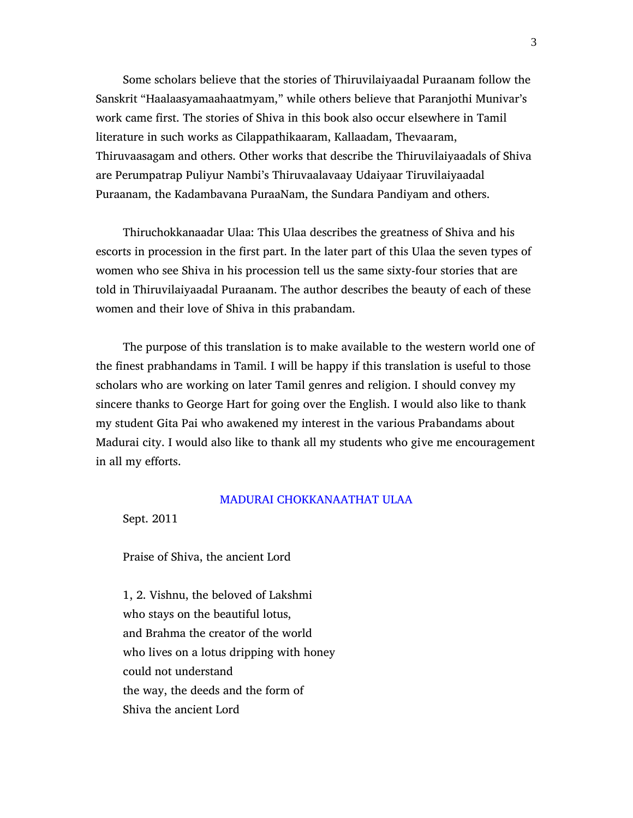Some scholars believe that the stories of Thiruvilaiyaadal Puraanam follow the Sanskrit "Haalaasyamaahaatmyam," while others believe that Paranjothi Munivar's work came first. The stories of Shiva in this book also occur elsewhere in Tamil literature in such works as Cilappathikaaram, Kallaadam, Thevaaram, Thiruvaasagam and others. Other works that describe the Thiruvilaiyaadals of Shiva are Perumpatrap Puliyur Nambi's Thiruvaalavaay Udaiyaar Tiruvilaiyaadal Puraanam, the Kadambavana PuraaNam, the Sundara Pandiyam and others.

 Thiruchokkanaadar Ulaa: This Ulaa describes the greatness of Shiva and his escorts in procession in the first part. In the later part of this Ulaa the seven types of women who see Shiva in his procession tell us the same sixty-four stories that are told in Thiruvilaiyaadal Puraanam. The author describes the beauty of each of these women and their love of Shiva in this prabandam.

 The purpose of this translation is to make available to the western world one of the finest prabhandams in Tamil. I will be happy if this translation is useful to those scholars who are working on later Tamil genres and religion. I should convey my sincere thanks to George Hart for going over the English. I would also like to thank my student Gita Pai who awakened my interest in the various Prabandams about Madurai city. I would also like to thank all my students who give me encouragement in all my efforts.

#### MADURAI CHOKKANAATHAT ULAA

Sept. 2011

Praise of Shiva, the ancient Lord

 1, 2. Vishnu, the beloved of Lakshmi who stays on the beautiful lotus, and Brahma the creator of the world who lives on a lotus dripping with honey could not understand the way, the deeds and the form of Shiva the ancient Lord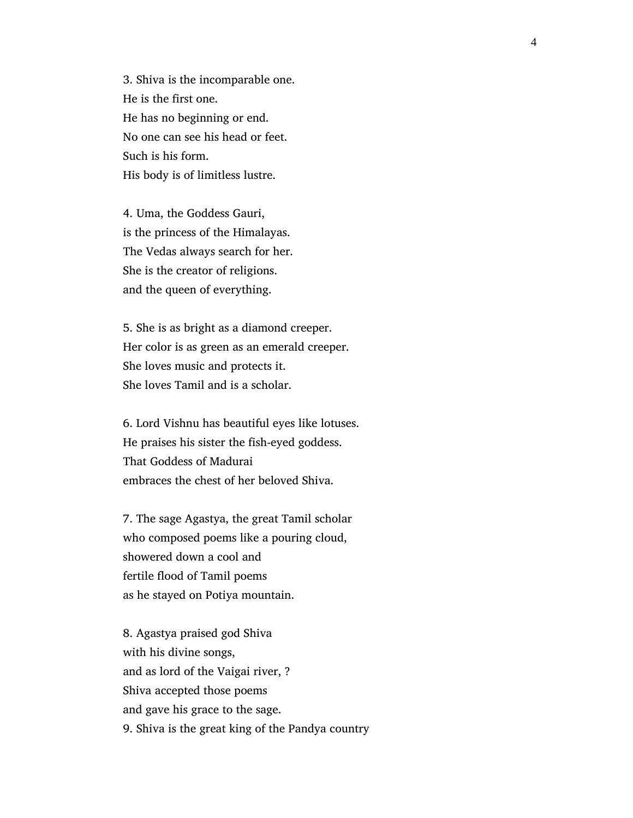3. Shiva is the incomparable one. He is the first one. He has no beginning or end. No one can see his head or feet. Such is his form. His body is of limitless lustre.

 4. Uma, the Goddess Gauri, is the princess of the Himalayas. The Vedas always search for her. She is the creator of religions. and the queen of everything.

 5. She is as bright as a diamond creeper. Her color is as green as an emerald creeper. She loves music and protects it. She loves Tamil and is a scholar.

 6. Lord Vishnu has beautiful eyes like lotuses. He praises his sister the fish-eyed goddess. That Goddess of Madurai embraces the chest of her beloved Shiva.

 7. The sage Agastya, the great Tamil scholar who composed poems like a pouring cloud, showered down a cool and fertile flood of Tamil poems as he stayed on Potiya mountain.

 8. Agastya praised god Shiva with his divine songs, and as lord of the Vaigai river, ? Shiva accepted those poems and gave his grace to the sage. 9. Shiva is the great king of the Pandya country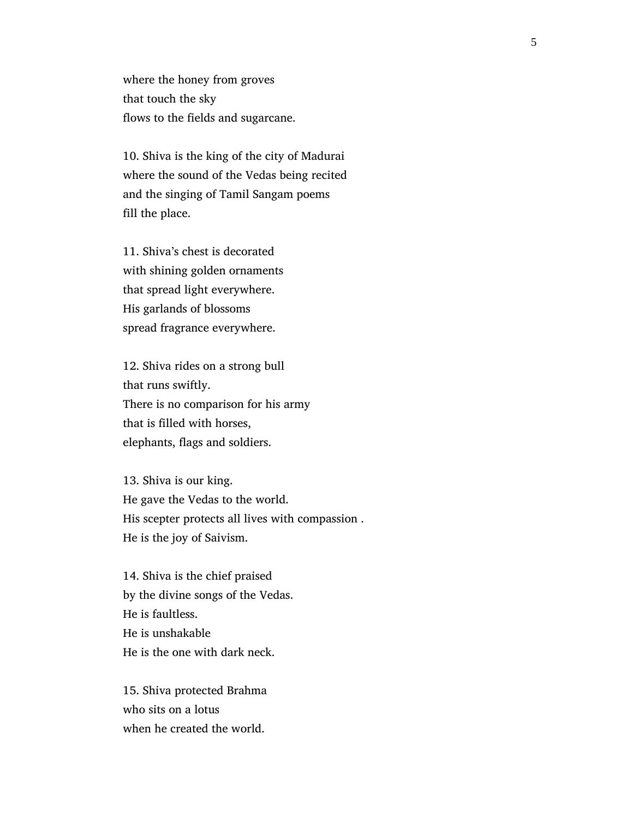where the honey from groves that touch the sky flows to the fields and sugarcane.

 10. Shiva is the king of the city of Madurai where the sound of the Vedas being recited and the singing of Tamil Sangam poems fill the place.

 11. Shiva's chest is decorated with shining golden ornaments that spread light everywhere. His garlands of blossoms spread fragrance everywhere.

 12. Shiva rides on a strong bull that runs swiftly. There is no comparison for his army that is filled with horses, elephants, flags and soldiers.

 13. Shiva is our king. He gave the Vedas to the world. His scepter protects all lives with compassion . He is the joy of Saivism.

 14. Shiva is the chief praised by the divine songs of the Vedas. He is faultless. He is unshakable He is the one with dark neck.

 15. Shiva protected Brahma who sits on a lotus when he created the world.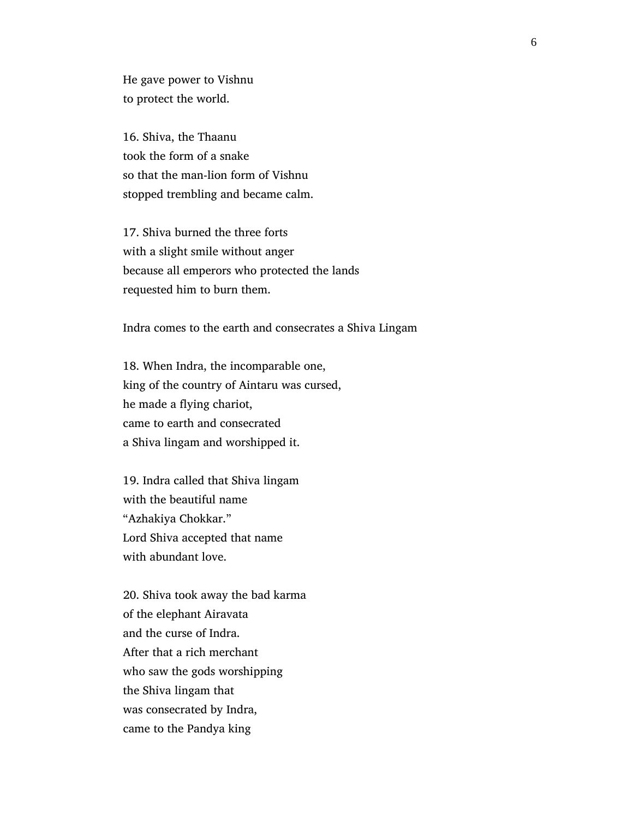He gave power to Vishnu to protect the world.

 16. Shiva, the Thaanu took the form of a snake so that the man-lion form of Vishnu stopped trembling and became calm.

 17. Shiva burned the three forts with a slight smile without anger because all emperors who protected the lands requested him to burn them.

Indra comes to the earth and consecrates a Shiva Lingam

 18. When Indra, the incomparable one, king of the country of Aintaru was cursed, he made a flying chariot, came to earth and consecrated a Shiva lingam and worshipped it.

 19. Indra called that Shiva lingam with the beautiful name "Azhakiya Chokkar." Lord Shiva accepted that name with abundant love.

 20. Shiva took away the bad karma of the elephant Airavata and the curse of Indra. After that a rich merchant who saw the gods worshipping the Shiva lingam that was consecrated by Indra, came to the Pandya king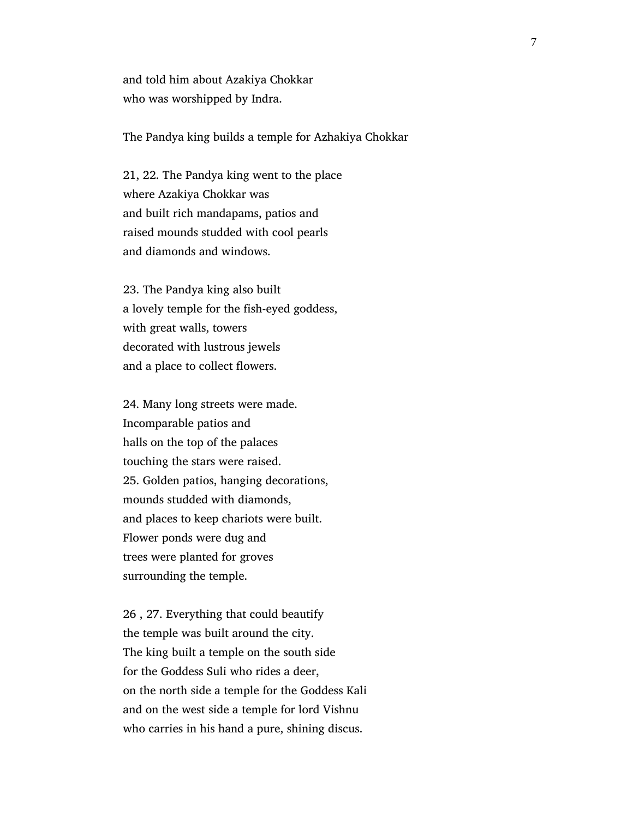and told him about Azakiya Chokkar who was worshipped by Indra.

The Pandya king builds a temple for Azhakiya Chokkar

 21, 22. The Pandya king went to the place where Azakiya Chokkar was and built rich mandapams, patios and raised mounds studded with cool pearls and diamonds and windows.

 23. The Pandya king also built a lovely temple for the fish-eyed goddess, with great walls, towers decorated with lustrous jewels and a place to collect flowers.

 24. Many long streets were made. Incomparable patios and halls on the top of the palaces touching the stars were raised. 25. Golden patios, hanging decorations, mounds studded with diamonds, and places to keep chariots were built. Flower ponds were dug and trees were planted for groves surrounding the temple.

 26 , 27. Everything that could beautify the temple was built around the city. The king built a temple on the south side for the Goddess Suli who rides a deer, on the north side a temple for the Goddess Kali and on the west side a temple for lord Vishnu who carries in his hand a pure, shining discus.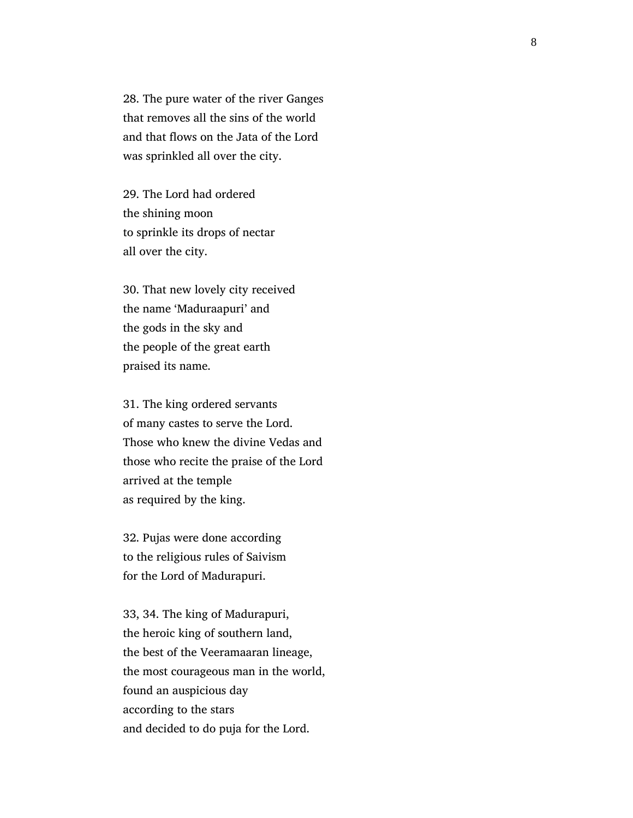28. The pure water of the river Ganges that removes all the sins of the world and that flows on the Jata of the Lord was sprinkled all over the city.

 29. The Lord had ordered the shining moon to sprinkle its drops of nectar all over the city.

 30. That new lovely city received the name 'Maduraapuri' and the gods in the sky and the people of the great earth praised its name.

 31. The king ordered servants of many castes to serve the Lord. Those who knew the divine Vedas and those who recite the praise of the Lord arrived at the temple as required by the king.

 32. Pujas were done according to the religious rules of Saivism for the Lord of Madurapuri.

 33, 34. The king of Madurapuri, the heroic king of southern land, the best of the Veeramaaran lineage, the most courageous man in the world, found an auspicious day according to the stars and decided to do puja for the Lord.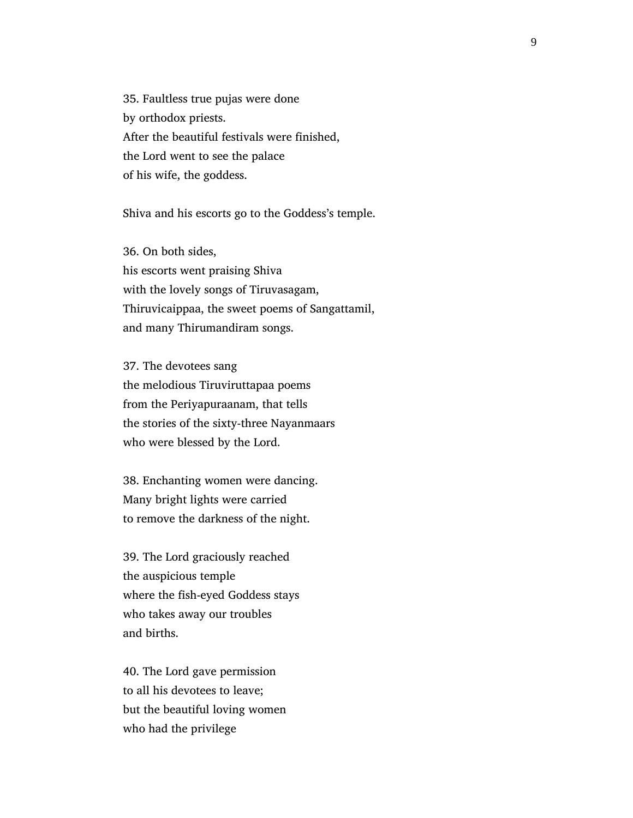35. Faultless true pujas were done by orthodox priests. After the beautiful festivals were finished, the Lord went to see the palace of his wife, the goddess.

Shiva and his escorts go to the Goddess's temple.

 36. On both sides, his escorts went praising Shiva with the lovely songs of Tiruvasagam, Thiruvicaippaa, the sweet poems of Sangattamil, and many Thirumandiram songs.

 37. The devotees sang the melodious Tiruviruttapaa poems from the Periyapuraanam, that tells the stories of the sixty-three Nayanmaars who were blessed by the Lord.

 38. Enchanting women were dancing. Many bright lights were carried to remove the darkness of the night.

 39. The Lord graciously reached the auspicious temple where the fish-eyed Goddess stays who takes away our troubles and births.

 40. The Lord gave permission to all his devotees to leave; but the beautiful loving women who had the privilege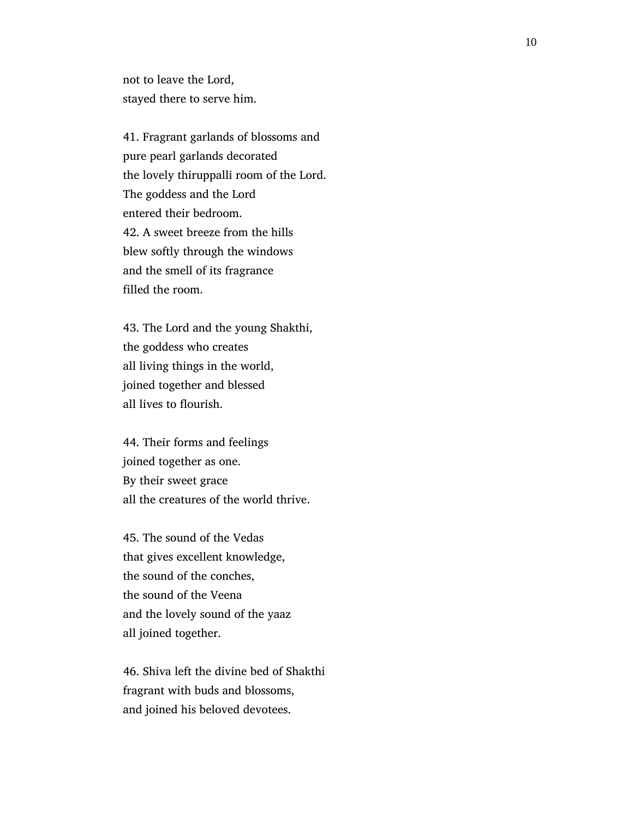not to leave the Lord, stayed there to serve him.

 41. Fragrant garlands of blossoms and pure pearl garlands decorated the lovely thiruppalli room of the Lord. The goddess and the Lord entered their bedroom. 42. A sweet breeze from the hills blew softly through the windows and the smell of its fragrance filled the room.

 43. The Lord and the young Shakthi, the goddess who creates all living things in the world, joined together and blessed all lives to flourish.

 44. Their forms and feelings joined together as one. By their sweet grace all the creatures of the world thrive.

 45. The sound of the Vedas that gives excellent knowledge, the sound of the conches, the sound of the Veena and the lovely sound of the yaaz all joined together.

 46. Shiva left the divine bed of Shakthi fragrant with buds and blossoms, and joined his beloved devotees.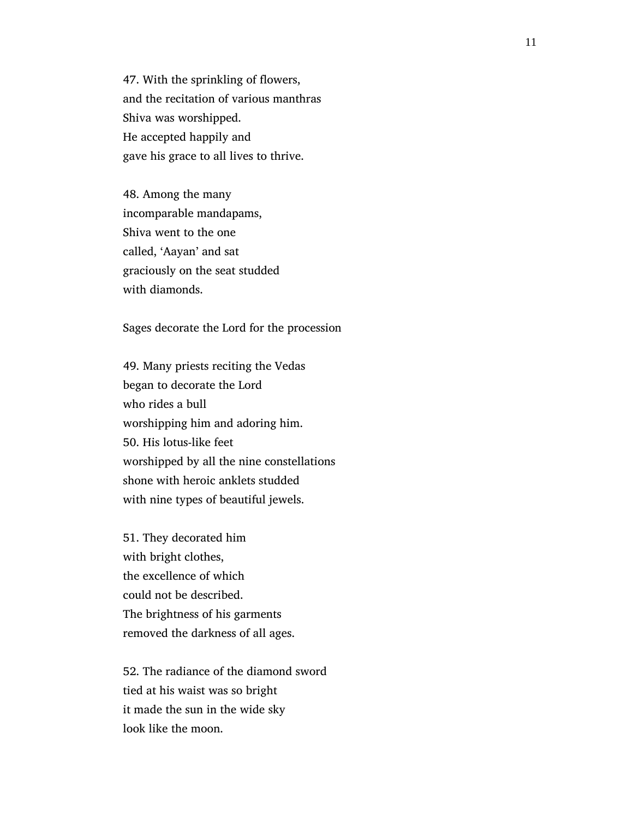47. With the sprinkling of flowers, and the recitation of various manthras Shiva was worshipped. He accepted happily and gave his grace to all lives to thrive.

 48. Among the many incomparable mandapams, Shiva went to the one called, 'Aayan' and sat graciously on the seat studded with diamonds.

Sages decorate the Lord for the procession

 49. Many priests reciting the Vedas began to decorate the Lord who rides a bull worshipping him and adoring him. 50. His lotus-like feet worshipped by all the nine constellations shone with heroic anklets studded with nine types of beautiful jewels.

 51. They decorated him with bright clothes, the excellence of which could not be described. The brightness of his garments removed the darkness of all ages.

 52. The radiance of the diamond sword tied at his waist was so bright it made the sun in the wide sky look like the moon.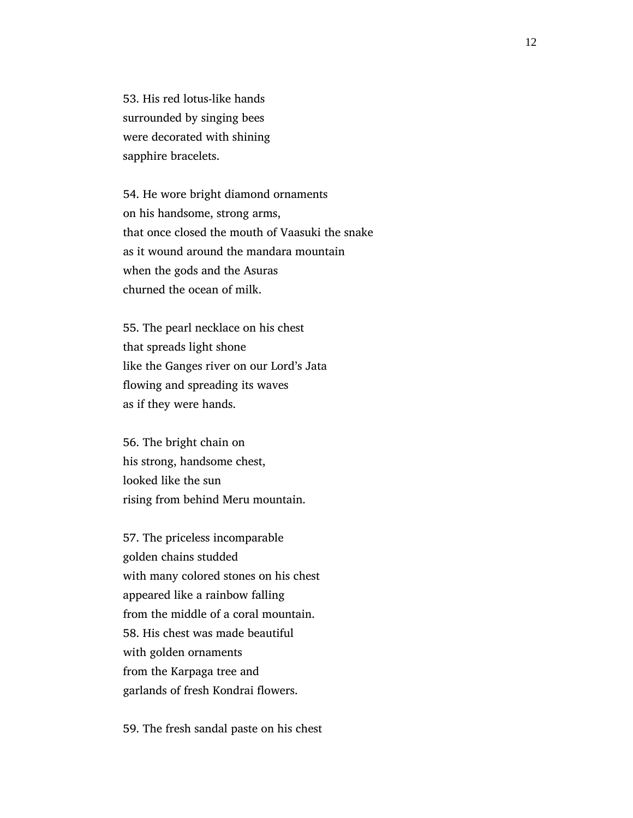53. His red lotus-like hands surrounded by singing bees were decorated with shining sapphire bracelets.

 54. He wore bright diamond ornaments on his handsome, strong arms, that once closed the mouth of Vaasuki the snake as it wound around the mandara mountain when the gods and the Asuras churned the ocean of milk.

 55. The pearl necklace on his chest that spreads light shone like the Ganges river on our Lord's Jata flowing and spreading its waves as if they were hands.

 56. The bright chain on his strong, handsome chest, looked like the sun rising from behind Meru mountain.

 57. The priceless incomparable golden chains studded with many colored stones on his chest appeared like a rainbow falling from the middle of a coral mountain. 58. His chest was made beautiful with golden ornaments from the Karpaga tree and garlands of fresh Kondrai flowers.

59. The fresh sandal paste on his chest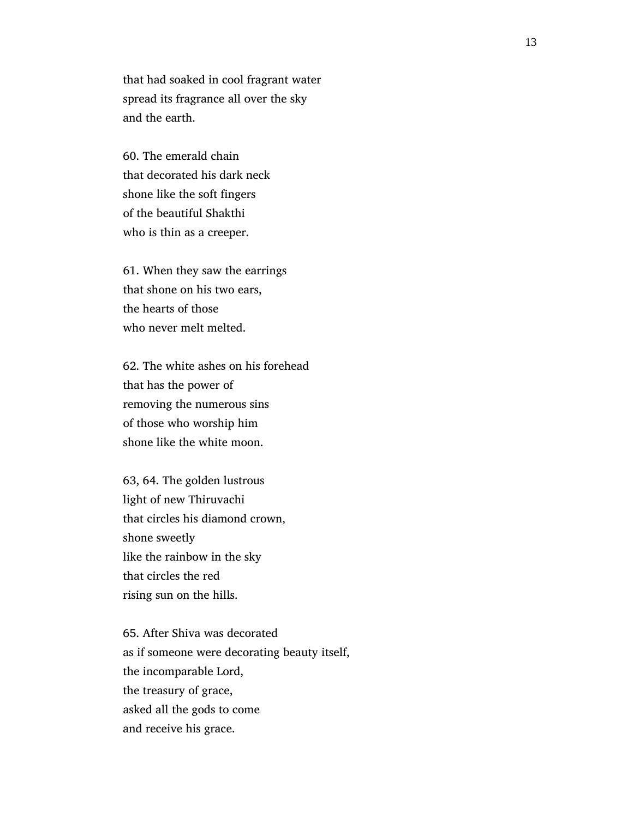that had soaked in cool fragrant water spread its fragrance all over the sky and the earth.

 60. The emerald chain that decorated his dark neck shone like the soft fingers of the beautiful Shakthi who is thin as a creeper.

 61. When they saw the earrings that shone on his two ears, the hearts of those who never melt melted.

 62. The white ashes on his forehead that has the power of removing the numerous sins of those who worship him shone like the white moon.

 63, 64. The golden lustrous light of new Thiruvachi that circles his diamond crown, shone sweetly like the rainbow in the sky that circles the red rising sun on the hills.

 65. After Shiva was decorated as if someone were decorating beauty itself, the incomparable Lord, the treasury of grace, asked all the gods to come and receive his grace.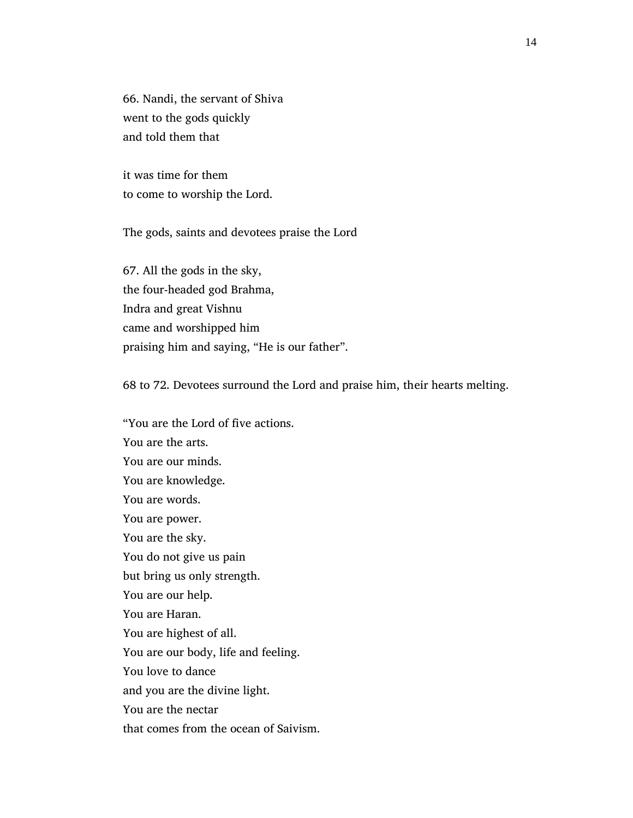66. Nandi, the servant of Shiva went to the gods quickly and told them that

 it was time for them to come to worship the Lord.

The gods, saints and devotees praise the Lord

 67. All the gods in the sky, the four-headed god Brahma, Indra and great Vishnu came and worshipped him praising him and saying, "He is our father".

68 to 72. Devotees surround the Lord and praise him, their hearts melting.

 "You are the Lord of five actions. You are the arts. You are our minds. You are knowledge. You are words. You are power. You are the sky. You do not give us pain but bring us only strength. You are our help. You are Haran. You are highest of all. You are our body, life and feeling. You love to dance and you are the divine light. You are the nectar that comes from the ocean of Saivism.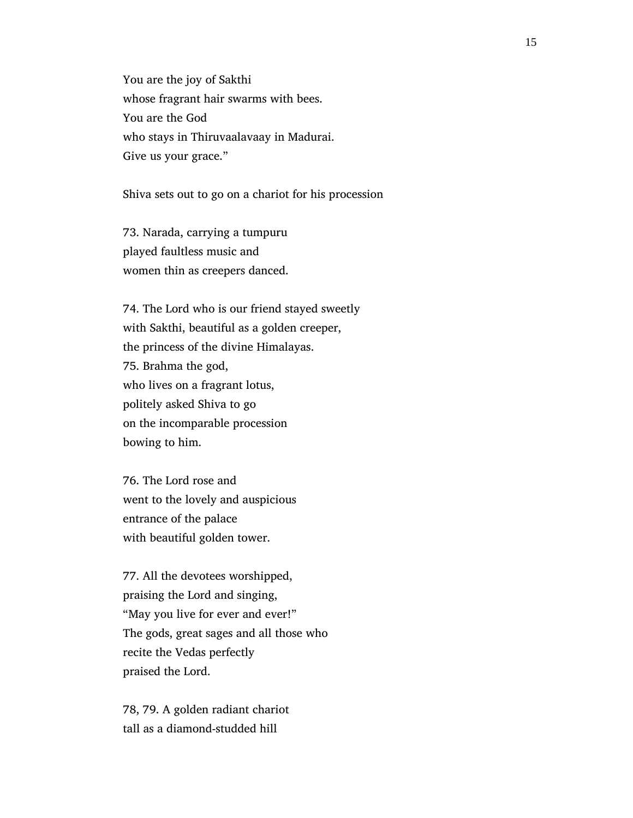You are the joy of Sakthi whose fragrant hair swarms with bees. You are the God who stays in Thiruvaalavaay in Madurai. Give us your grace."

Shiva sets out to go on a chariot for his procession

 73. Narada, carrying a tumpuru played faultless music and women thin as creepers danced.

 74. The Lord who is our friend stayed sweetly with Sakthi, beautiful as a golden creeper, the princess of the divine Himalayas. 75. Brahma the god, who lives on a fragrant lotus, politely asked Shiva to go on the incomparable procession bowing to him.

 76. The Lord rose and went to the lovely and auspicious entrance of the palace with beautiful golden tower.

 77. All the devotees worshipped, praising the Lord and singing, "May you live for ever and ever!" The gods, great sages and all those who recite the Vedas perfectly praised the Lord.

 78, 79. A golden radiant chariot tall as a diamond-studded hill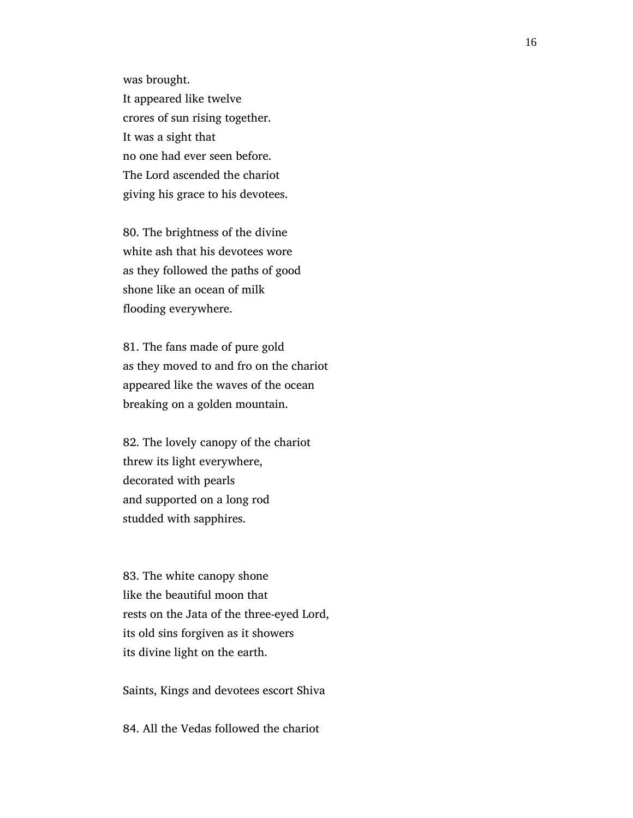was brought.

 It appeared like twelve crores of sun rising together. It was a sight that no one had ever seen before. The Lord ascended the chariot giving his grace to his devotees.

 80. The brightness of the divine white ash that his devotees wore as they followed the paths of good shone like an ocean of milk flooding everywhere.

 81. The fans made of pure gold as they moved to and fro on the chariot appeared like the waves of the ocean breaking on a golden mountain.

 82. The lovely canopy of the chariot threw its light everywhere, decorated with pearls and supported on a long rod studded with sapphires.

 83. The white canopy shone like the beautiful moon that rests on the Jata of the three-eyed Lord, its old sins forgiven as it showers its divine light on the earth.

Saints, Kings and devotees escort Shiva

84. All the Vedas followed the chariot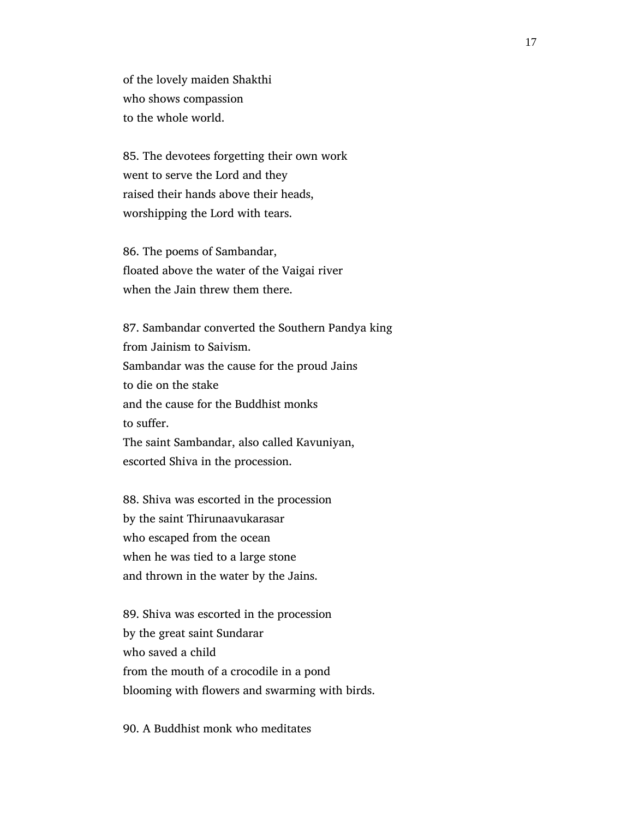of the lovely maiden Shakthi who shows compassion to the whole world.

 85. The devotees forgetting their own work went to serve the Lord and they raised their hands above their heads, worshipping the Lord with tears.

 86. The poems of Sambandar, floated above the water of the Vaigai river when the Jain threw them there.

 87. Sambandar converted the Southern Pandya king from Jainism to Saivism. Sambandar was the cause for the proud Jains to die on the stake and the cause for the Buddhist monks to suffer. The saint Sambandar, also called Kavuniyan, escorted Shiva in the procession.

 88. Shiva was escorted in the procession by the saint Thirunaavukarasar who escaped from the ocean when he was tied to a large stone and thrown in the water by the Jains.

 89. Shiva was escorted in the procession by the great saint Sundarar who saved a child from the mouth of a crocodile in a pond blooming with flowers and swarming with birds.

90. A Buddhist monk who meditates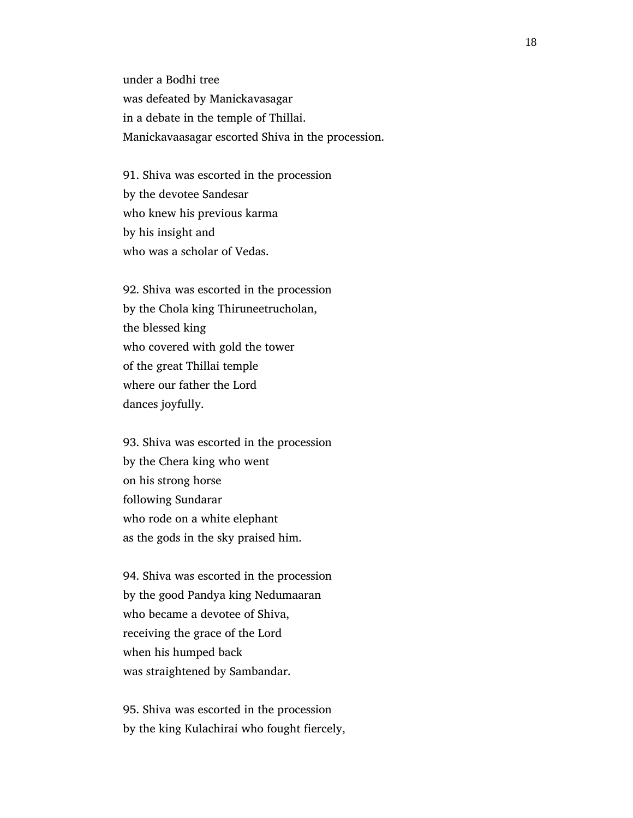under a Bodhi tree was defeated by Manickavasagar in a debate in the temple of Thillai. Manickavaasagar escorted Shiva in the procession.

 91. Shiva was escorted in the procession by the devotee Sandesar who knew his previous karma by his insight and who was a scholar of Vedas.

 92. Shiva was escorted in the procession by the Chola king Thiruneetrucholan, the blessed king who covered with gold the tower of the great Thillai temple where our father the Lord dances joyfully.

 93. Shiva was escorted in the procession by the Chera king who went on his strong horse following Sundarar who rode on a white elephant as the gods in the sky praised him.

 94. Shiva was escorted in the procession by the good Pandya king Nedumaaran who became a devotee of Shiva, receiving the grace of the Lord when his humped back was straightened by Sambandar.

 95. Shiva was escorted in the procession by the king Kulachirai who fought fiercely,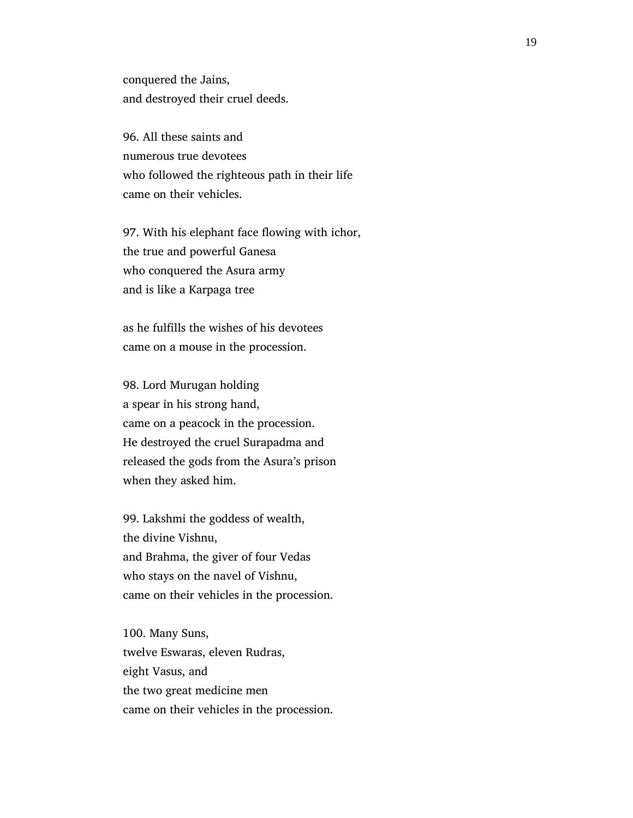conquered the Jains, and destroyed their cruel deeds.

 96. All these saints and numerous true devotees who followed the righteous path in their life came on their vehicles.

 97. With his elephant face flowing with ichor, the true and powerful Ganesa who conquered the Asura army and is like a Karpaga tree

 as he fulfills the wishes of his devotees came on a mouse in the procession.

 98. Lord Murugan holding a spear in his strong hand, came on a peacock in the procession. He destroyed the cruel Surapadma and released the gods from the Asura's prison when they asked him.

 99. Lakshmi the goddess of wealth, the divine Vishnu, and Brahma, the giver of four Vedas who stays on the navel of Vishnu, came on their vehicles in the procession.

 100. Many Suns, twelve Eswaras, eleven Rudras, eight Vasus, and the two great medicine men came on their vehicles in the procession.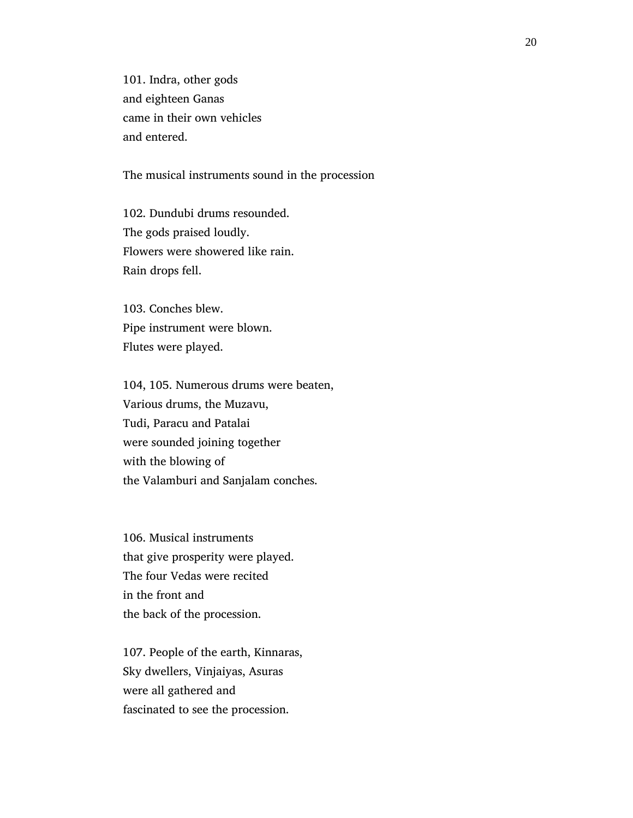101. Indra, other gods and eighteen Ganas came in their own vehicles and entered.

The musical instruments sound in the procession

 102. Dundubi drums resounded. The gods praised loudly. Flowers were showered like rain. Rain drops fell.

 103. Conches blew. Pipe instrument were blown. Flutes were played.

 104, 105. Numerous drums were beaten, Various drums, the Muzavu, Tudi, Paracu and Patalai were sounded joining together with the blowing of the Valamburi and Sanjalam conches.

 106. Musical instruments that give prosperity were played. The four Vedas were recited in the front and the back of the procession.

 107. People of the earth, Kinnaras, Sky dwellers, Vinjaiyas, Asuras were all gathered and fascinated to see the procession.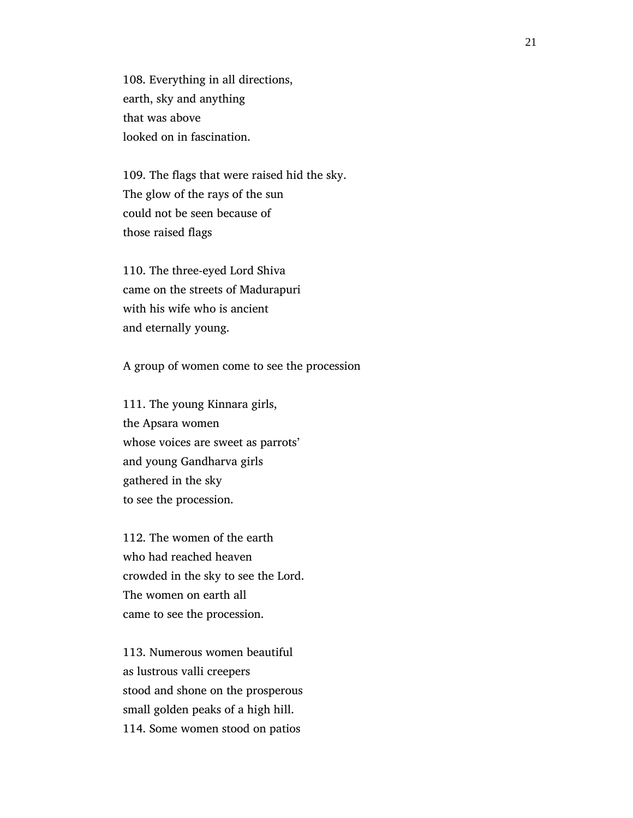108. Everything in all directions, earth, sky and anything that was above looked on in fascination.

 109. The flags that were raised hid the sky. The glow of the rays of the sun could not be seen because of those raised flags

 110. The three-eyed Lord Shiva came on the streets of Madurapuri with his wife who is ancient and eternally young.

A group of women come to see the procession

 111. The young Kinnara girls, the Apsara women whose voices are sweet as parrots' and young Gandharva girls gathered in the sky to see the procession.

 112. The women of the earth who had reached heaven crowded in the sky to see the Lord. The women on earth all came to see the procession.

 113. Numerous women beautiful as lustrous valli creepers stood and shone on the prosperous small golden peaks of a high hill. 114. Some women stood on patios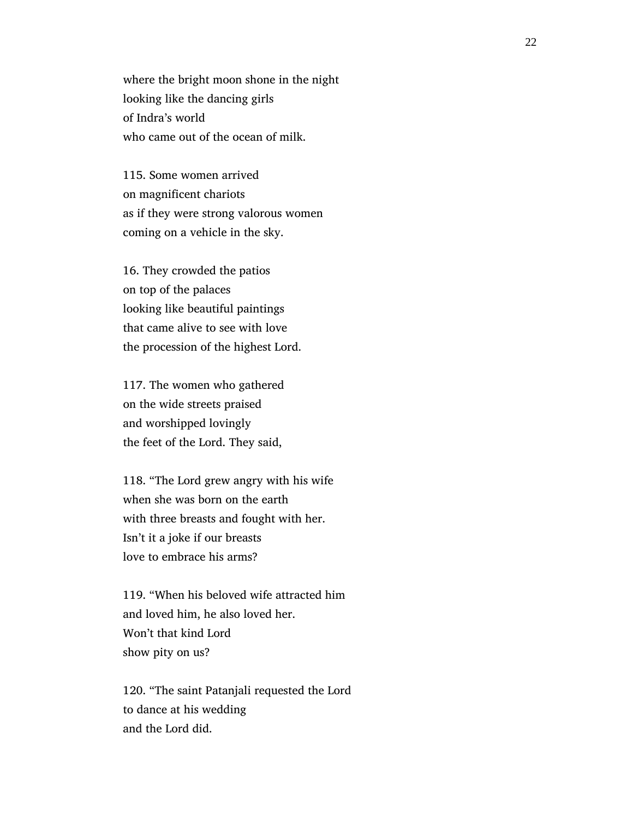where the bright moon shone in the night looking like the dancing girls of Indra's world who came out of the ocean of milk.

 115. Some women arrived on magnificent chariots as if they were strong valorous women coming on a vehicle in the sky.

 16. They crowded the patios on top of the palaces looking like beautiful paintings that came alive to see with love the procession of the highest Lord.

 117. The women who gathered on the wide streets praised and worshipped lovingly the feet of the Lord. They said,

 118. "The Lord grew angry with his wife when she was born on the earth with three breasts and fought with her. Isn't it a joke if our breasts love to embrace his arms?

 119. "When his beloved wife attracted him and loved him, he also loved her. Won't that kind Lord show pity on us?

 120. "The saint Patanjali requested the Lord to dance at his wedding and the Lord did.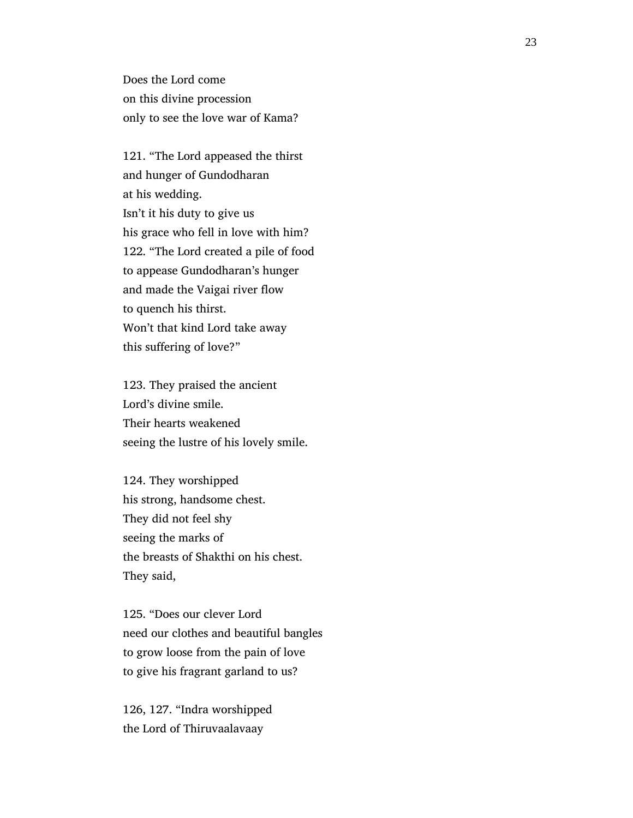Does the Lord come on this divine procession only to see the love war of Kama?

 121. "The Lord appeased the thirst and hunger of Gundodharan at his wedding. Isn't it his duty to give us his grace who fell in love with him? 122. "The Lord created a pile of food to appease Gundodharan's hunger and made the Vaigai river flow to quench his thirst. Won't that kind Lord take away this suffering of love?"

 123. They praised the ancient Lord's divine smile. Their hearts weakened seeing the lustre of his lovely smile.

 124. They worshipped his strong, handsome chest. They did not feel shy seeing the marks of the breasts of Shakthi on his chest. They said,

 125. "Does our clever Lord need our clothes and beautiful bangles to grow loose from the pain of love to give his fragrant garland to us?

 126, 127. "Indra worshipped the Lord of Thiruvaalavaay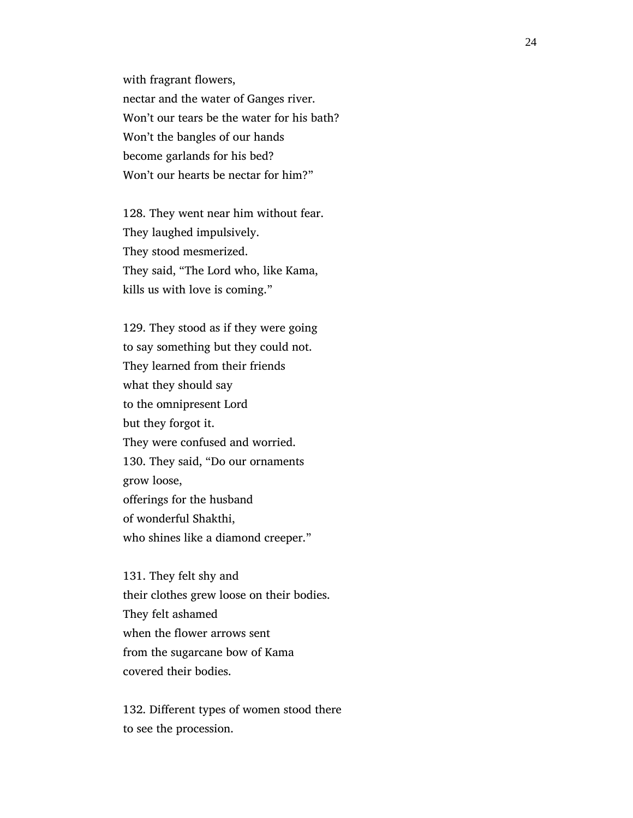with fragrant flowers, nectar and the water of Ganges river. Won't our tears be the water for his bath? Won't the bangles of our hands become garlands for his bed? Won't our hearts be nectar for him?"

 128. They went near him without fear. They laughed impulsively. They stood mesmerized. They said, "The Lord who, like Kama, kills us with love is coming."

 129. They stood as if they were going to say something but they could not. They learned from their friends what they should say to the omnipresent Lord but they forgot it. They were confused and worried. 130. They said, "Do our ornaments grow loose, offerings for the husband of wonderful Shakthi, who shines like a diamond creeper."

 131. They felt shy and their clothes grew loose on their bodies. They felt ashamed when the flower arrows sent from the sugarcane bow of Kama covered their bodies.

 132. Different types of women stood there to see the procession.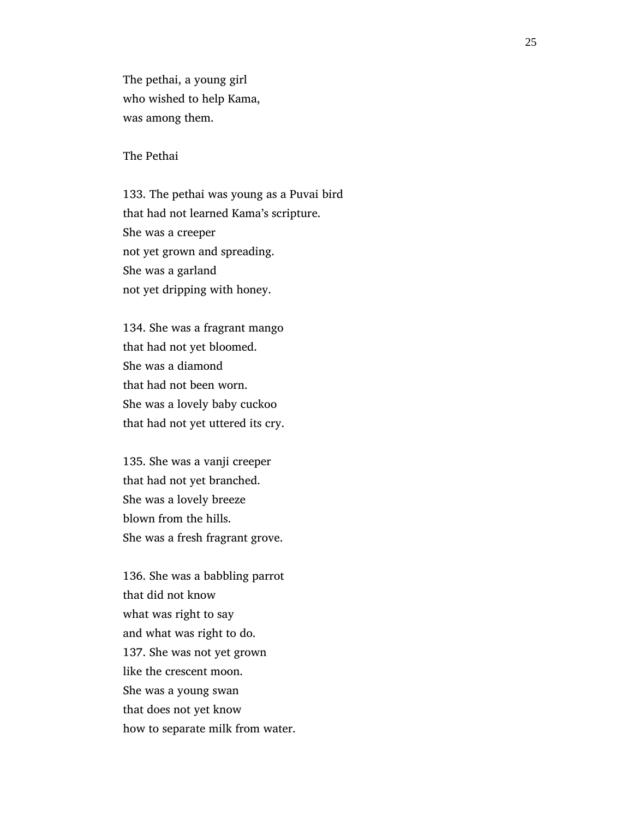The pethai, a young girl who wished to help Kama, was among them.

The Pethai

 133. The pethai was young as a Puvai bird that had not learned Kama's scripture. She was a creeper not yet grown and spreading. She was a garland not yet dripping with honey.

 134. She was a fragrant mango that had not yet bloomed. She was a diamond that had not been worn. She was a lovely baby cuckoo that had not yet uttered its cry.

 135. She was a vanji creeper that had not yet branched. She was a lovely breeze blown from the hills. She was a fresh fragrant grove.

 136. She was a babbling parrot that did not know what was right to say and what was right to do. 137. She was not yet grown like the crescent moon. She was a young swan that does not yet know how to separate milk from water.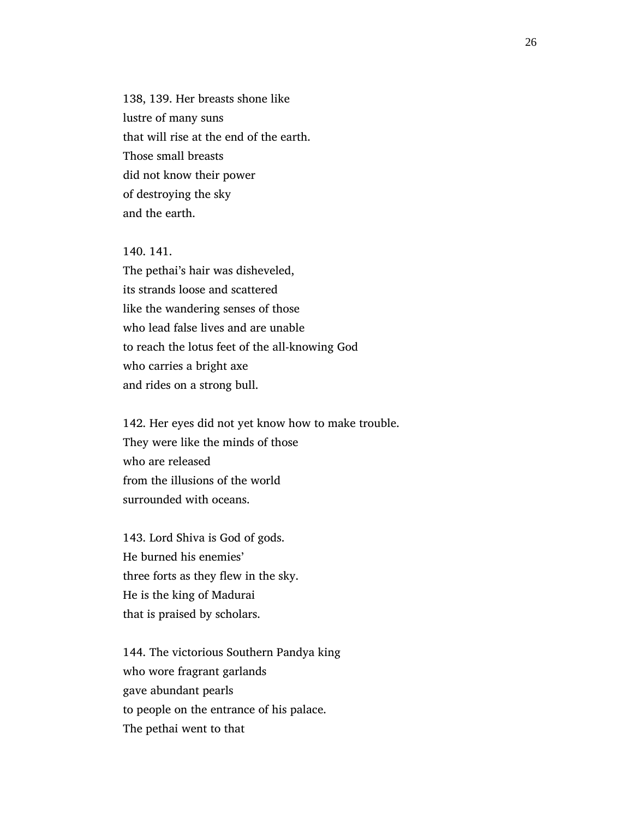138, 139. Her breasts shone like lustre of many suns that will rise at the end of the earth. Those small breasts did not know their power of destroying the sky and the earth.

 140. 141. The pethai's hair was disheveled, its strands loose and scattered like the wandering senses of those who lead false lives and are unable to reach the lotus feet of the all-knowing God who carries a bright axe and rides on a strong bull.

 142. Her eyes did not yet know how to make trouble. They were like the minds of those who are released from the illusions of the world surrounded with oceans.

 143. Lord Shiva is God of gods. He burned his enemies' three forts as they flew in the sky. He is the king of Madurai that is praised by scholars.

 144. The victorious Southern Pandya king who wore fragrant garlands gave abundant pearls to people on the entrance of his palace. The pethai went to that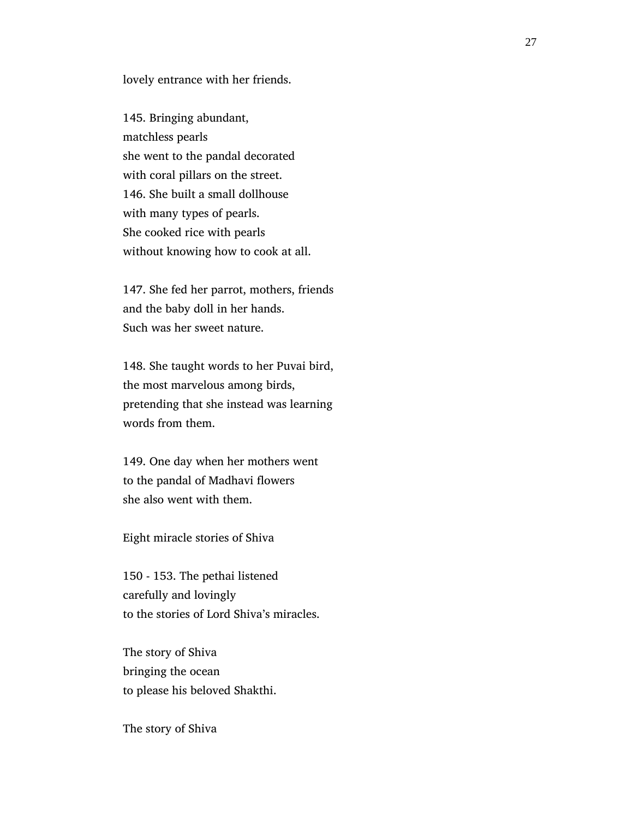lovely entrance with her friends.

 145. Bringing abundant, matchless pearls she went to the pandal decorated with coral pillars on the street. 146. She built a small dollhouse with many types of pearls. She cooked rice with pearls without knowing how to cook at all.

 147. She fed her parrot, mothers, friends and the baby doll in her hands. Such was her sweet nature.

 148. She taught words to her Puvai bird, the most marvelous among birds, pretending that she instead was learning words from them.

 149. One day when her mothers went to the pandal of Madhavi flowers she also went with them.

Eight miracle stories of Shiva

 150 - 153. The pethai listened carefully and lovingly to the stories of Lord Shiva's miracles.

 The story of Shiva bringing the ocean to please his beloved Shakthi.

The story of Shiva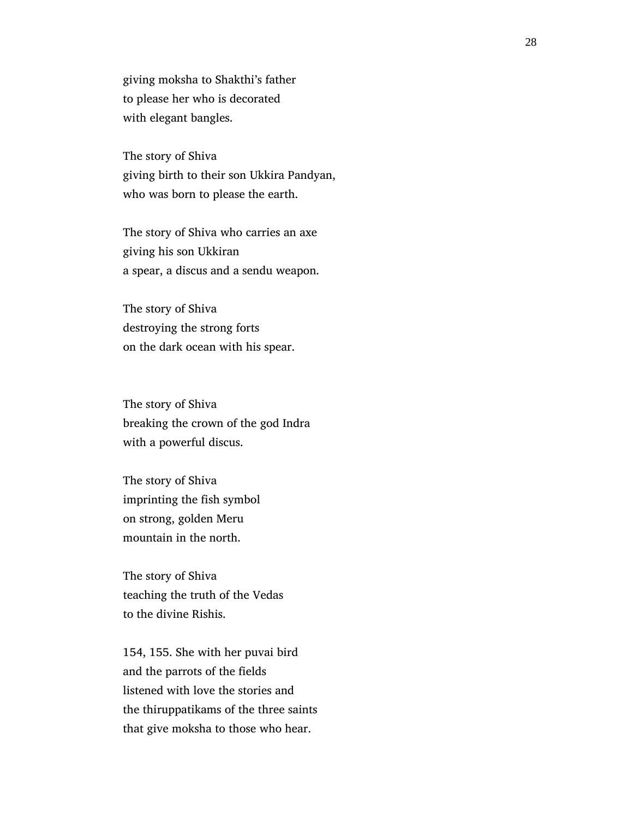giving moksha to Shakthi's father to please her who is decorated with elegant bangles.

 The story of Shiva giving birth to their son Ukkira Pandyan, who was born to please the earth.

 The story of Shiva who carries an axe giving his son Ukkiran a spear, a discus and a sendu weapon.

 The story of Shiva destroying the strong forts on the dark ocean with his spear.

 The story of Shiva breaking the crown of the god Indra with a powerful discus.

 The story of Shiva imprinting the fish symbol on strong, golden Meru mountain in the north.

 The story of Shiva teaching the truth of the Vedas to the divine Rishis.

 154, 155. She with her puvai bird and the parrots of the fields listened with love the stories and the thiruppatikams of the three saints that give moksha to those who hear.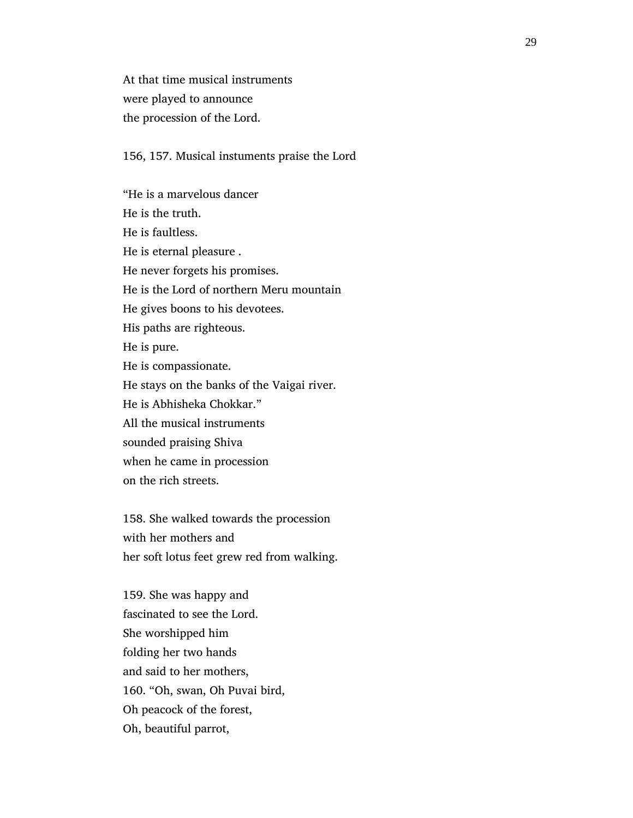At that time musical instruments were played to announce the procession of the Lord.

156, 157. Musical instuments praise the Lord

 "He is a marvelous dancer He is the truth. He is faultless. He is eternal pleasure . He never forgets his promises. He is the Lord of northern Meru mountain He gives boons to his devotees. His paths are righteous. He is pure. He is compassionate. He stays on the banks of the Vaigai river. He is Abhisheka Chokkar." All the musical instruments sounded praising Shiva when he came in procession on the rich streets.

 158. She walked towards the procession with her mothers and her soft lotus feet grew red from walking.

 159. She was happy and fascinated to see the Lord. She worshipped him folding her two hands and said to her mothers, 160. "Oh, swan, Oh Puvai bird, Oh peacock of the forest, Oh, beautiful parrot,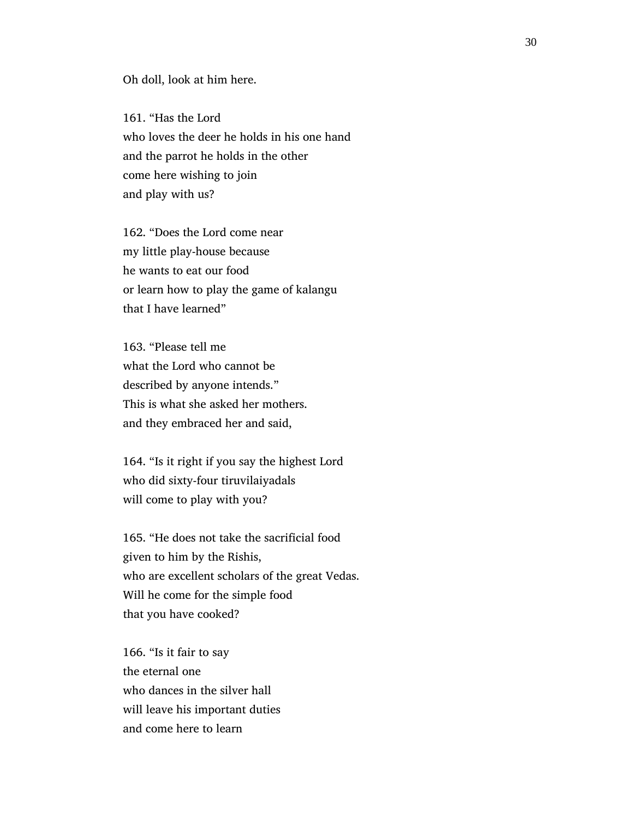Oh doll, look at him here.

 161. "Has the Lord who loves the deer he holds in his one hand and the parrot he holds in the other come here wishing to join and play with us?

 162. "Does the Lord come near my little play-house because he wants to eat our food or learn how to play the game of kalangu that I have learned"

 163. "Please tell me what the Lord who cannot be described by anyone intends." This is what she asked her mothers. and they embraced her and said,

 164. "Is it right if you say the highest Lord who did sixty-four tiruvilaiyadals will come to play with you?

 165. "He does not take the sacrificial food given to him by the Rishis, who are excellent scholars of the great Vedas. Will he come for the simple food that you have cooked?

 166. "Is it fair to say the eternal one who dances in the silver hall will leave his important duties and come here to learn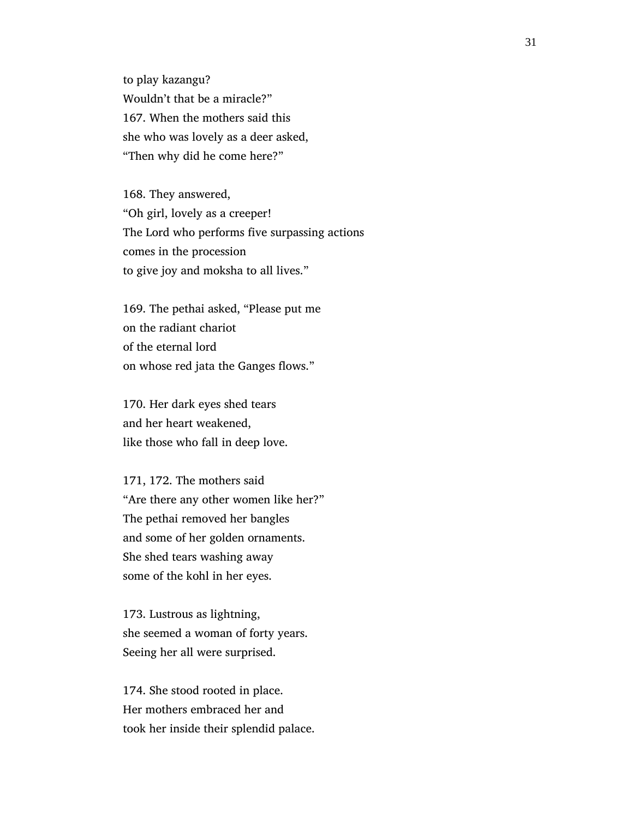to play kazangu? Wouldn't that be a miracle?" 167. When the mothers said this she who was lovely as a deer asked, "Then why did he come here?"

 168. They answered, "Oh girl, lovely as a creeper! The Lord who performs five surpassing actions comes in the procession to give joy and moksha to all lives."

 169. The pethai asked, "Please put me on the radiant chariot of the eternal lord on whose red jata the Ganges flows."

 170. Her dark eyes shed tears and her heart weakened, like those who fall in deep love.

 171, 172. The mothers said "Are there any other women like her?" The pethai removed her bangles and some of her golden ornaments. She shed tears washing away some of the kohl in her eyes.

 173. Lustrous as lightning, she seemed a woman of forty years. Seeing her all were surprised.

 174. She stood rooted in place. Her mothers embraced her and took her inside their splendid palace.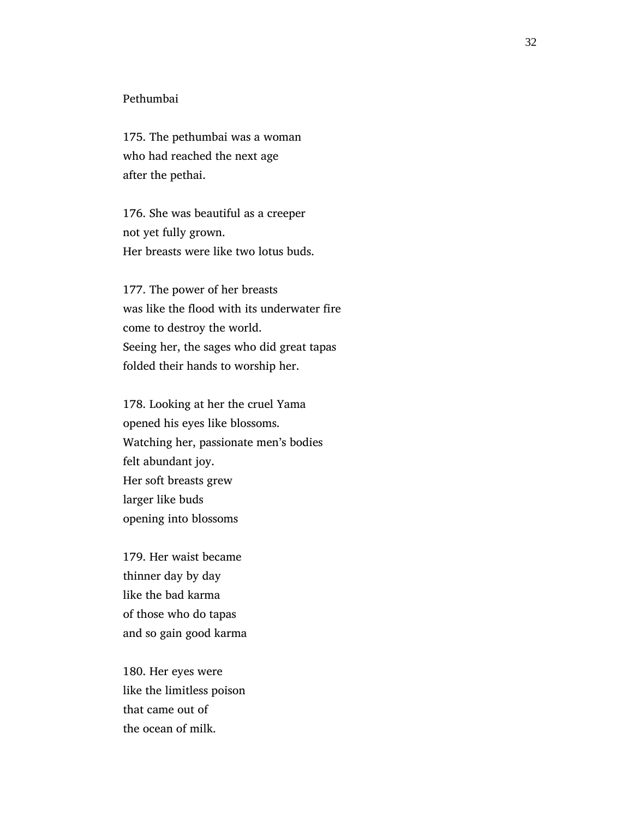### Pethumbai

 175. The pethumbai was a woman who had reached the next age after the pethai.

 176. She was beautiful as a creeper not yet fully grown. Her breasts were like two lotus buds.

 177. The power of her breasts was like the flood with its underwater fire come to destroy the world. Seeing her, the sages who did great tapas folded their hands to worship her.

 178. Looking at her the cruel Yama opened his eyes like blossoms. Watching her, passionate men's bodies felt abundant joy. Her soft breasts grew larger like buds opening into blossoms

 179. Her waist became thinner day by day like the bad karma of those who do tapas and so gain good karma

 180. Her eyes were like the limitless poison that came out of the ocean of milk.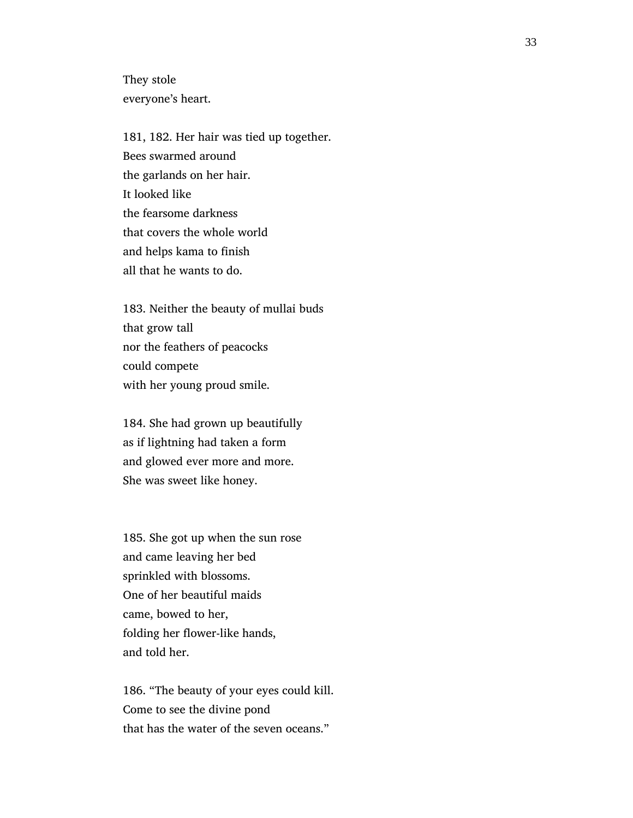They stole everyone's heart.

 181, 182. Her hair was tied up together. Bees swarmed around the garlands on her hair. It looked like the fearsome darkness that covers the whole world and helps kama to finish all that he wants to do.

 183. Neither the beauty of mullai buds that grow tall nor the feathers of peacocks could compete with her young proud smile.

 184. She had grown up beautifully as if lightning had taken a form and glowed ever more and more. She was sweet like honey.

 185. She got up when the sun rose and came leaving her bed sprinkled with blossoms. One of her beautiful maids came, bowed to her, folding her flower-like hands, and told her.

 186. "The beauty of your eyes could kill. Come to see the divine pond that has the water of the seven oceans."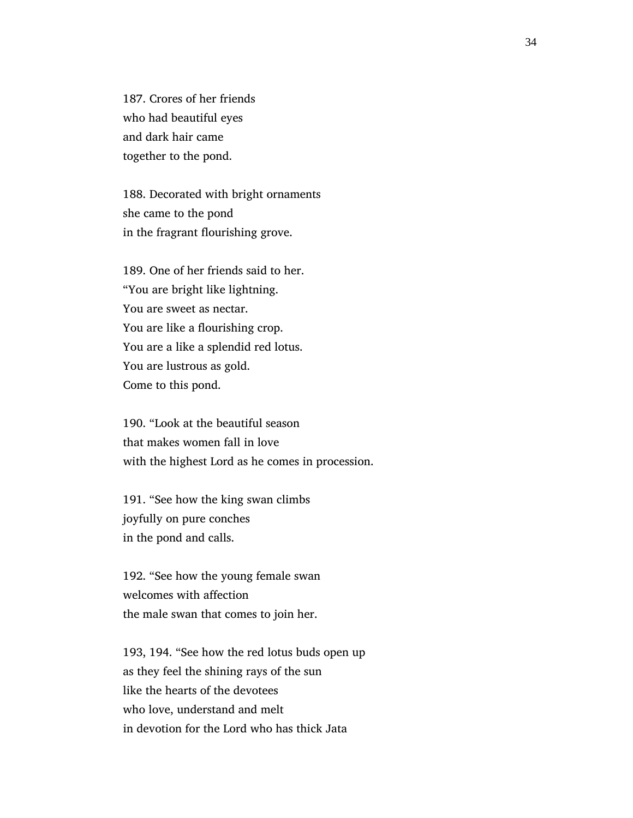187. Crores of her friends who had beautiful eyes and dark hair came together to the pond.

 188. Decorated with bright ornaments she came to the pond in the fragrant flourishing grove.

 189. One of her friends said to her. "You are bright like lightning. You are sweet as nectar. You are like a flourishing crop. You are a like a splendid red lotus. You are lustrous as gold. Come to this pond.

 190. "Look at the beautiful season that makes women fall in love with the highest Lord as he comes in procession.

 191. "See how the king swan climbs joyfully on pure conches in the pond and calls.

 192. "See how the young female swan welcomes with affection the male swan that comes to join her.

 193, 194. "See how the red lotus buds open up as they feel the shining rays of the sun like the hearts of the devotees who love, understand and melt in devotion for the Lord who has thick Jata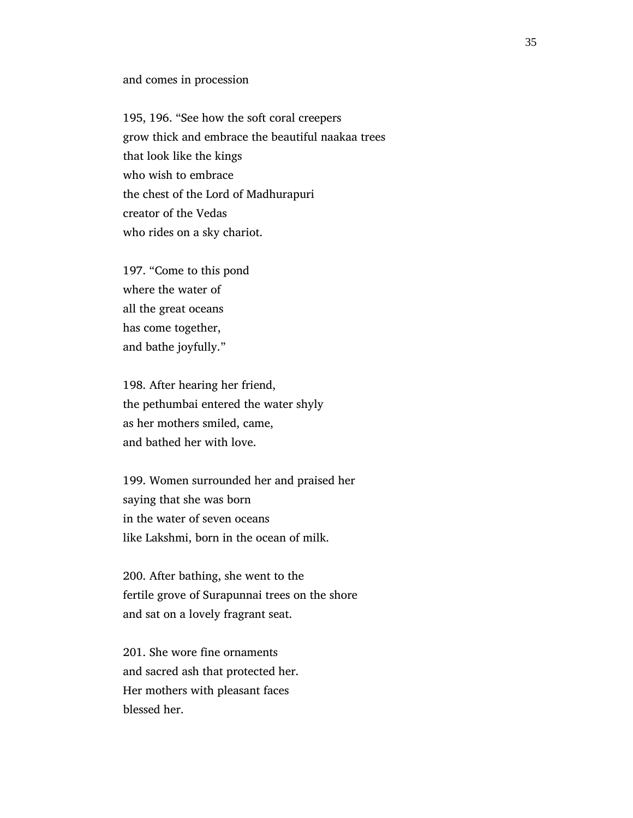#### and comes in procession

 195, 196. "See how the soft coral creepers grow thick and embrace the beautiful naakaa trees that look like the kings who wish to embrace the chest of the Lord of Madhurapuri creator of the Vedas who rides on a sky chariot.

 197. "Come to this pond where the water of all the great oceans has come together, and bathe joyfully."

 198. After hearing her friend, the pethumbai entered the water shyly as her mothers smiled, came, and bathed her with love.

 199. Women surrounded her and praised her saying that she was born in the water of seven oceans like Lakshmi, born in the ocean of milk.

 200. After bathing, she went to the fertile grove of Surapunnai trees on the shore and sat on a lovely fragrant seat.

 201. She wore fine ornaments and sacred ash that protected her. Her mothers with pleasant faces blessed her.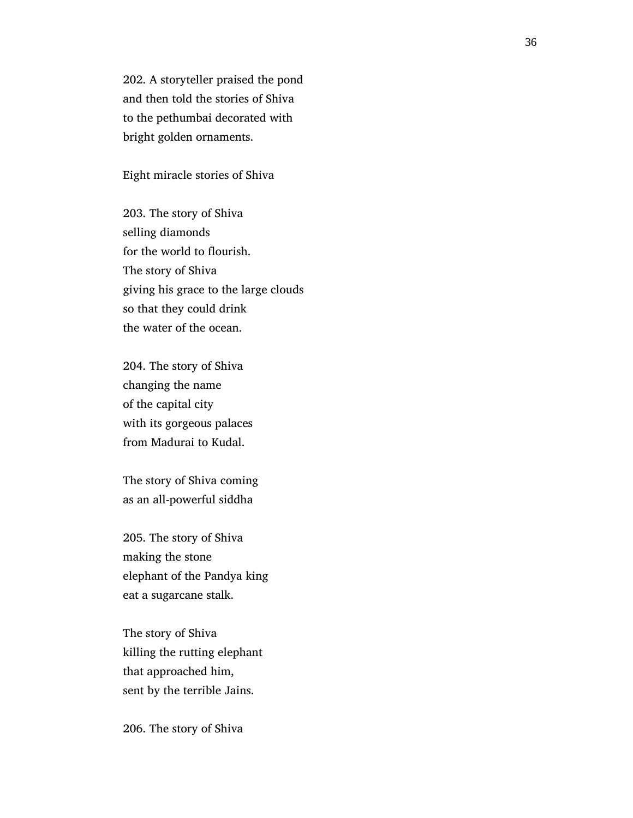202. A storyteller praised the pond and then told the stories of Shiva to the pethumbai decorated with bright golden ornaments.

Eight miracle stories of Shiva

 203. The story of Shiva selling diamonds for the world to flourish. The story of Shiva giving his grace to the large clouds so that they could drink the water of the ocean.

 204. The story of Shiva changing the name of the capital city with its gorgeous palaces from Madurai to Kudal.

 The story of Shiva coming as an all-powerful siddha

 205. The story of Shiva making the stone elephant of the Pandya king eat a sugarcane stalk.

 The story of Shiva killing the rutting elephant that approached him, sent by the terrible Jains.

206. The story of Shiva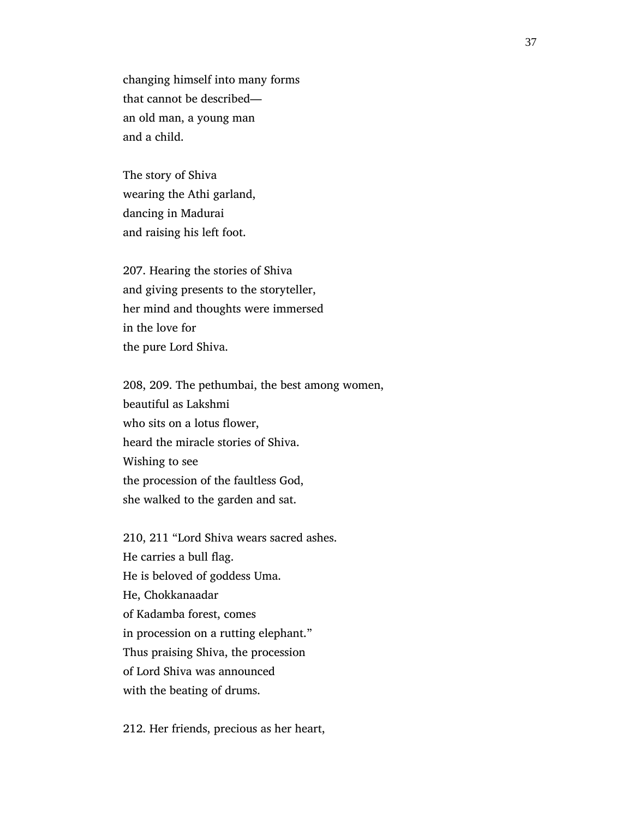changing himself into many forms that cannot be described an old man, a young man and a child.

 The story of Shiva wearing the Athi garland, dancing in Madurai and raising his left foot.

 207. Hearing the stories of Shiva and giving presents to the storyteller, her mind and thoughts were immersed in the love for the pure Lord Shiva.

 208, 209. The pethumbai, the best among women, beautiful as Lakshmi who sits on a lotus flower, heard the miracle stories of Shiva. Wishing to see the procession of the faultless God, she walked to the garden and sat.

 210, 211 "Lord Shiva wears sacred ashes. He carries a bull flag. He is beloved of goddess Uma. He, Chokkanaadar of Kadamba forest, comes in procession on a rutting elephant." Thus praising Shiva, the procession of Lord Shiva was announced with the beating of drums.

212. Her friends, precious as her heart,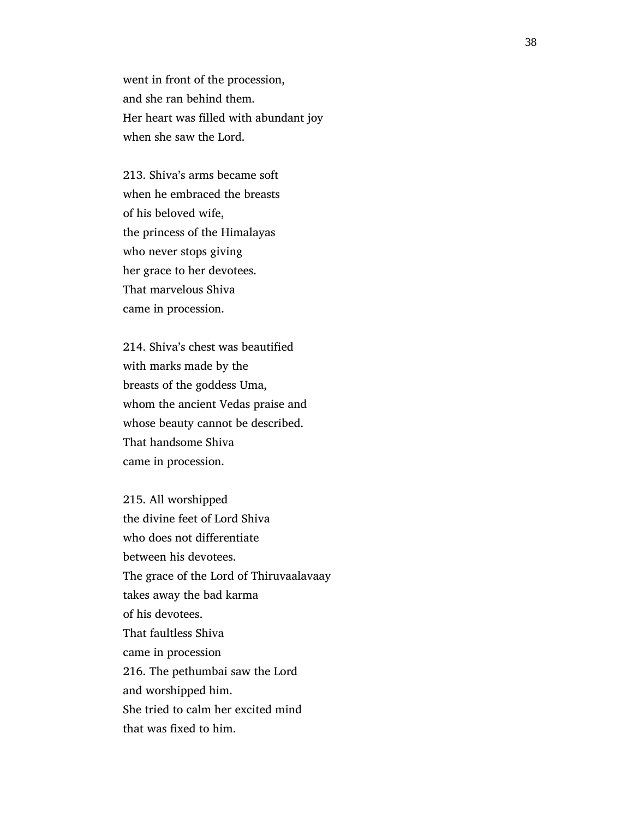went in front of the procession, and she ran behind them. Her heart was filled with abundant joy when she saw the Lord.

 213. Shiva's arms became soft when he embraced the breasts of his beloved wife, the princess of the Himalayas who never stops giving her grace to her devotees. That marvelous Shiva came in procession.

 214. Shiva's chest was beautified with marks made by the breasts of the goddess Uma, whom the ancient Vedas praise and whose beauty cannot be described. That handsome Shiva came in procession.

 215. All worshipped the divine feet of Lord Shiva who does not differentiate between his devotees. The grace of the Lord of Thiruvaalavaay takes away the bad karma of his devotees. That faultless Shiva came in procession 216. The pethumbai saw the Lord and worshipped him. She tried to calm her excited mind that was fixed to him.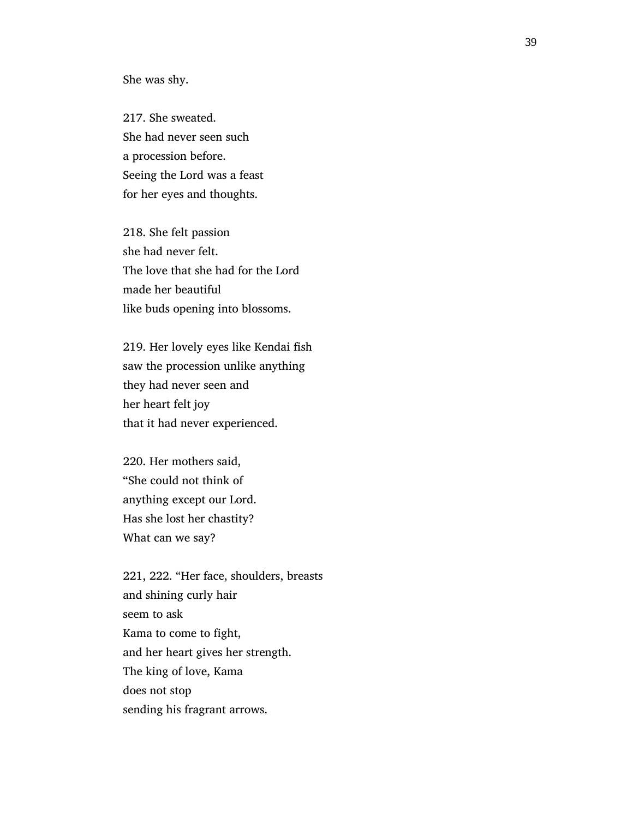She was shy.

 217. She sweated. She had never seen such a procession before. Seeing the Lord was a feast for her eyes and thoughts.

 218. She felt passion she had never felt. The love that she had for the Lord made her beautiful like buds opening into blossoms.

 219. Her lovely eyes like Kendai fish saw the procession unlike anything they had never seen and her heart felt joy that it had never experienced.

 220. Her mothers said, "She could not think of anything except our Lord. Has she lost her chastity? What can we say?

 221, 222. "Her face, shoulders, breasts and shining curly hair seem to ask Kama to come to fight, and her heart gives her strength. The king of love, Kama does not stop sending his fragrant arrows.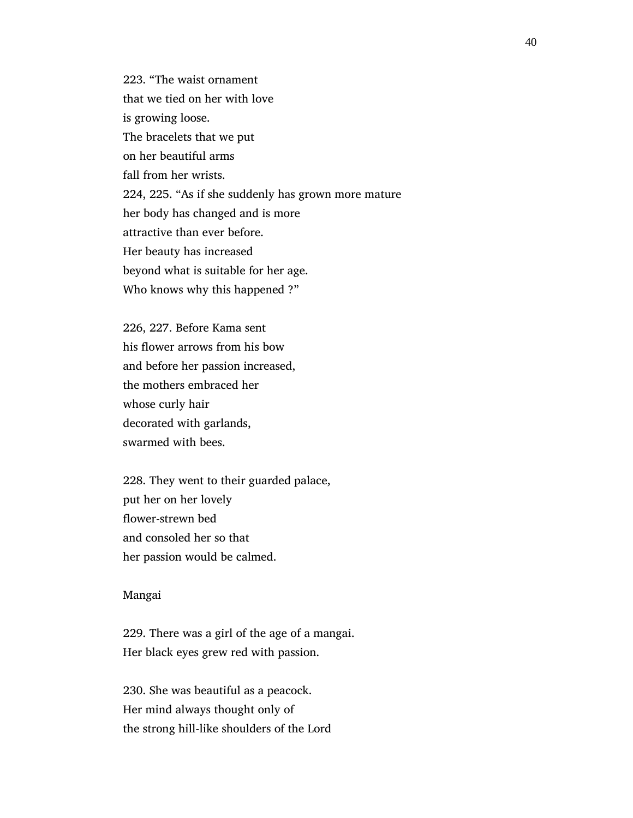223. "The waist ornament that we tied on her with love is growing loose. The bracelets that we put on her beautiful arms fall from her wrists. 224, 225. "As if she suddenly has grown more mature her body has changed and is more attractive than ever before. Her beauty has increased beyond what is suitable for her age. Who knows why this happened ?"

 226, 227. Before Kama sent his flower arrows from his bow and before her passion increased, the mothers embraced her whose curly hair decorated with garlands, swarmed with bees.

 228. They went to their guarded palace, put her on her lovely flower-strewn bed and consoled her so that her passion would be calmed.

## Mangai

 229. There was a girl of the age of a mangai. Her black eyes grew red with passion.

 230. She was beautiful as a peacock. Her mind always thought only of the strong hill-like shoulders of the Lord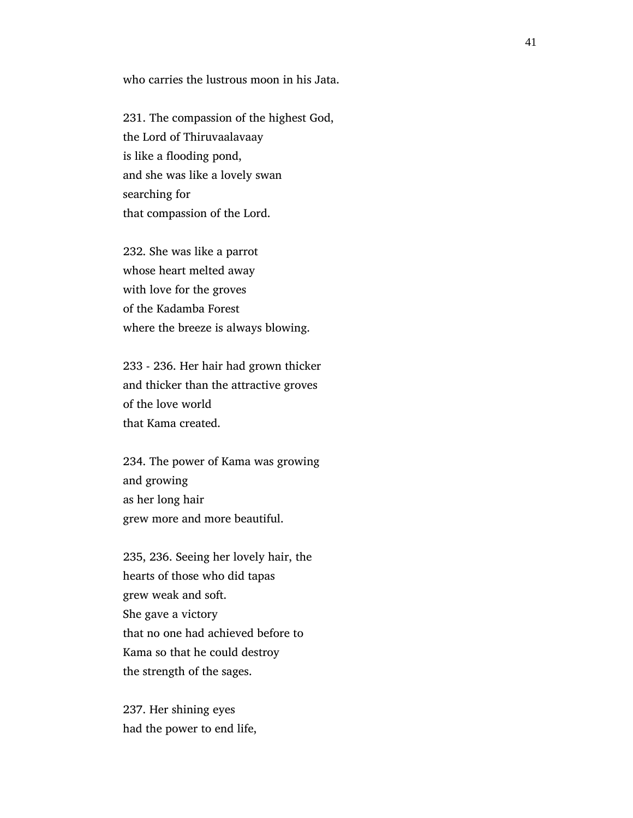who carries the lustrous moon in his Jata.

 231. The compassion of the highest God, the Lord of Thiruvaalavaay is like a flooding pond, and she was like a lovely swan searching for that compassion of the Lord.

 232. She was like a parrot whose heart melted away with love for the groves of the Kadamba Forest where the breeze is always blowing.

 233 - 236. Her hair had grown thicker and thicker than the attractive groves of the love world that Kama created.

 234. The power of Kama was growing and growing as her long hair grew more and more beautiful.

 235, 236. Seeing her lovely hair, the hearts of those who did tapas grew weak and soft. She gave a victory that no one had achieved before to Kama so that he could destroy the strength of the sages.

 237. Her shining eyes had the power to end life,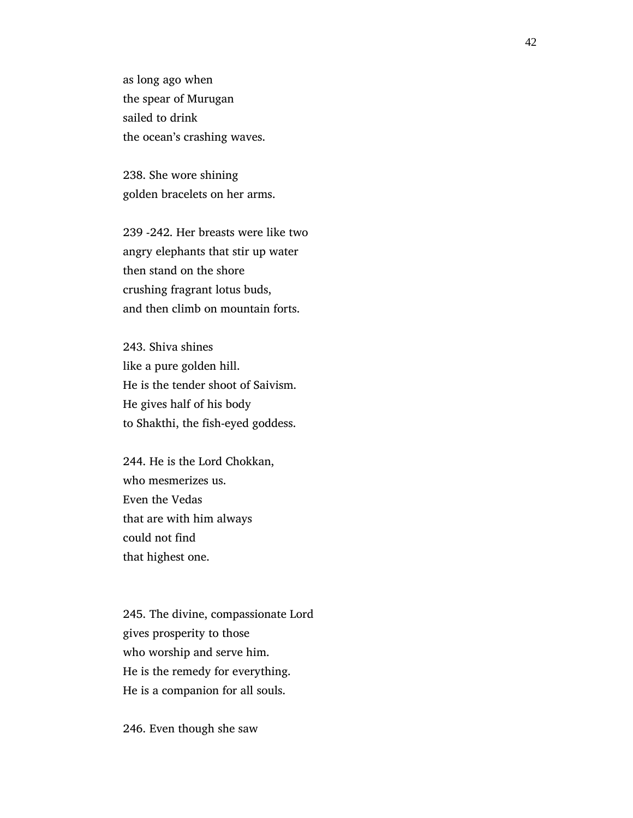as long ago when the spear of Murugan sailed to drink the ocean's crashing waves.

 238. She wore shining golden bracelets on her arms.

 239 -242. Her breasts were like two angry elephants that stir up water then stand on the shore crushing fragrant lotus buds, and then climb on mountain forts.

 243. Shiva shines like a pure golden hill. He is the tender shoot of Saivism. He gives half of his body to Shakthi, the fish-eyed goddess.

 244. He is the Lord Chokkan, who mesmerizes us. Even the Vedas that are with him always could not find that highest one.

 245. The divine, compassionate Lord gives prosperity to those who worship and serve him. He is the remedy for everything. He is a companion for all souls.

246. Even though she saw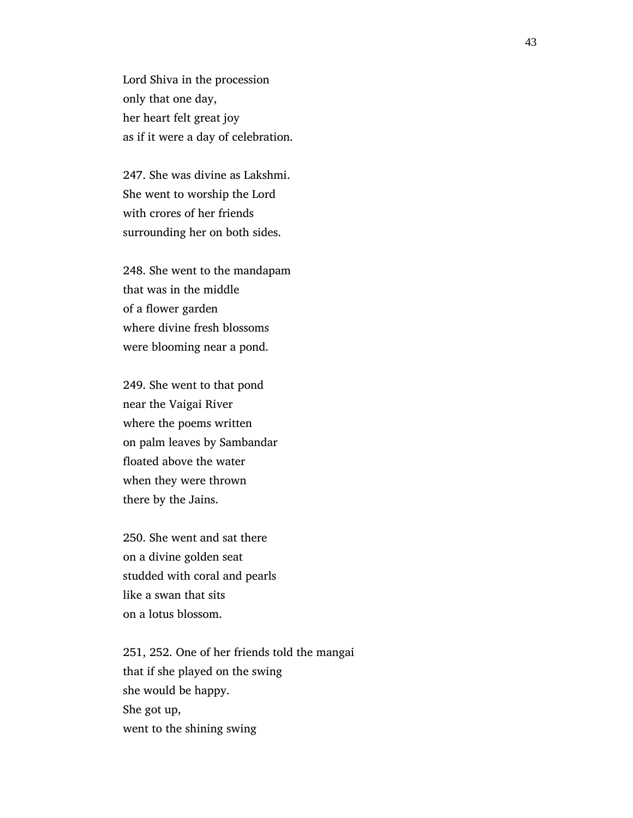Lord Shiva in the procession only that one day, her heart felt great joy as if it were a day of celebration.

 247. She was divine as Lakshmi. She went to worship the Lord with crores of her friends surrounding her on both sides.

 248. She went to the mandapam that was in the middle of a flower garden where divine fresh blossoms were blooming near a pond.

 249. She went to that pond near the Vaigai River where the poems written on palm leaves by Sambandar floated above the water when they were thrown there by the Jains.

 250. She went and sat there on a divine golden seat studded with coral and pearls like a swan that sits on a lotus blossom.

 251, 252. One of her friends told the mangai that if she played on the swing she would be happy. She got up, went to the shining swing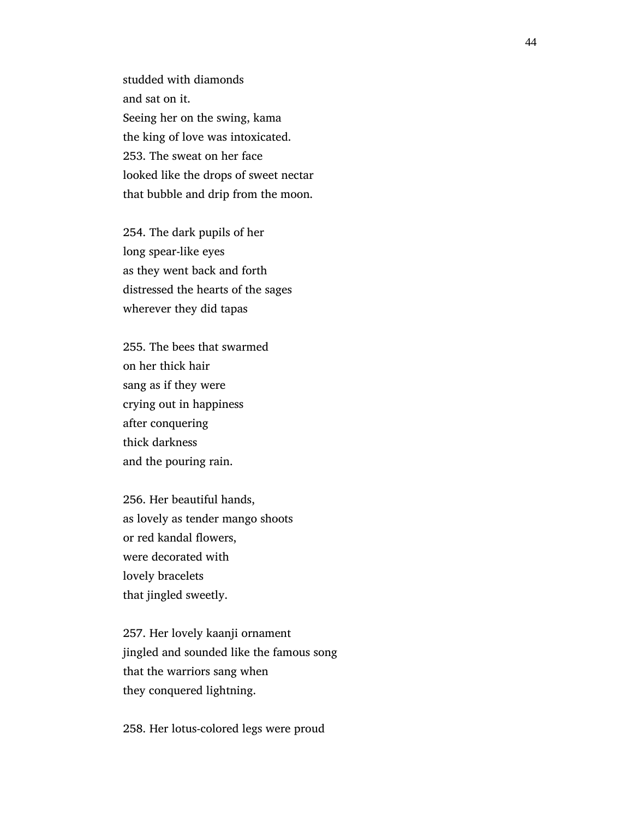studded with diamonds and sat on it. Seeing her on the swing, kama the king of love was intoxicated. 253. The sweat on her face looked like the drops of sweet nectar that bubble and drip from the moon.

 254. The dark pupils of her long spear-like eyes as they went back and forth distressed the hearts of the sages wherever they did tapas

 255. The bees that swarmed on her thick hair sang as if they were crying out in happiness after conquering thick darkness and the pouring rain.

 256. Her beautiful hands, as lovely as tender mango shoots or red kandal flowers, were decorated with lovely bracelets that jingled sweetly.

 257. Her lovely kaanji ornament jingled and sounded like the famous song that the warriors sang when they conquered lightning.

258. Her lotus-colored legs were proud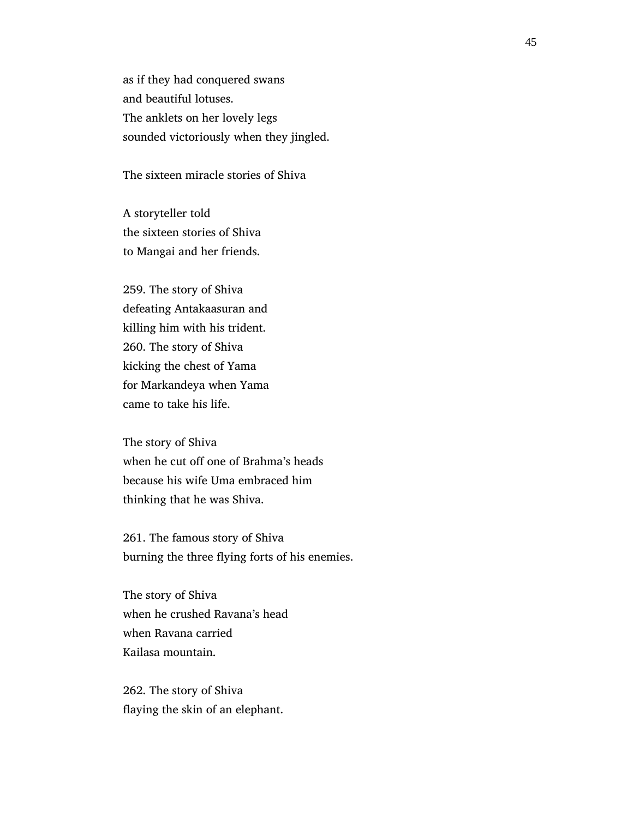as if they had conquered swans and beautiful lotuses. The anklets on her lovely legs sounded victoriously when they jingled.

The sixteen miracle stories of Shiva

 A storyteller told the sixteen stories of Shiva to Mangai and her friends.

 259. The story of Shiva defeating Antakaasuran and killing him with his trident. 260. The story of Shiva kicking the chest of Yama for Markandeya when Yama came to take his life.

 The story of Shiva when he cut off one of Brahma's heads because his wife Uma embraced him thinking that he was Shiva.

 261. The famous story of Shiva burning the three flying forts of his enemies.

 The story of Shiva when he crushed Ravana's head when Ravana carried Kailasa mountain.

 262. The story of Shiva flaying the skin of an elephant.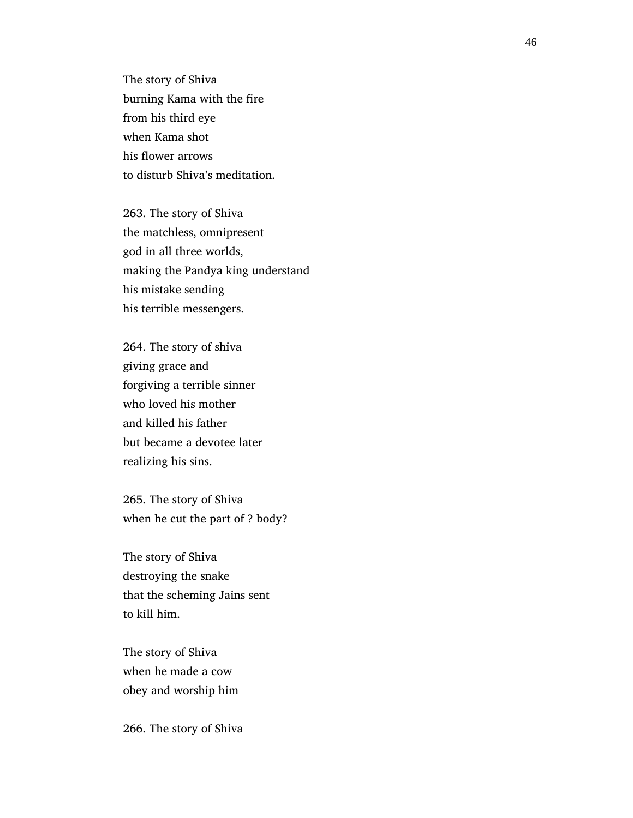The story of Shiva burning Kama with the fire from his third eye when Kama shot his flower arrows to disturb Shiva's meditation.

 263. The story of Shiva the matchless, omnipresent god in all three worlds, making the Pandya king understand his mistake sending his terrible messengers.

 264. The story of shiva giving grace and forgiving a terrible sinner who loved his mother and killed his father but became a devotee later realizing his sins.

 265. The story of Shiva when he cut the part of ? body?

 The story of Shiva destroying the snake that the scheming Jains sent to kill him.

 The story of Shiva when he made a cow obey and worship him

266. The story of Shiva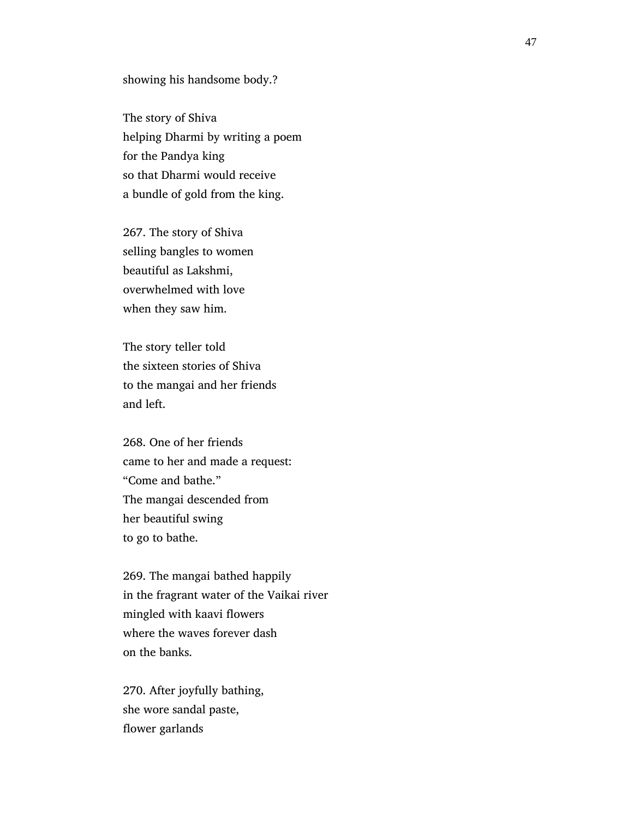showing his handsome body.?

 The story of Shiva helping Dharmi by writing a poem for the Pandya king so that Dharmi would receive a bundle of gold from the king.

 267. The story of Shiva selling bangles to women beautiful as Lakshmi, overwhelmed with love when they saw him.

 The story teller told the sixteen stories of Shiva to the mangai and her friends and left.

 268. One of her friends came to her and made a request: "Come and bathe." The mangai descended from her beautiful swing to go to bathe.

 269. The mangai bathed happily in the fragrant water of the Vaikai river mingled with kaavi flowers where the waves forever dash on the banks.

 270. After joyfully bathing, she wore sandal paste, flower garlands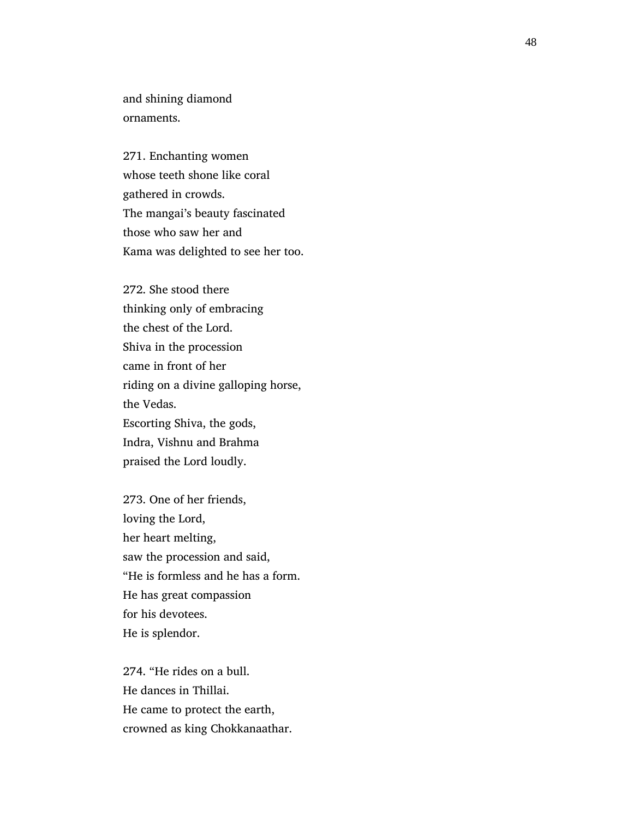and shining diamond ornaments.

 271. Enchanting women whose teeth shone like coral gathered in crowds. The mangai's beauty fascinated those who saw her and Kama was delighted to see her too.

 272. She stood there thinking only of embracing the chest of the Lord. Shiva in the procession came in front of her riding on a divine galloping horse, the Vedas. Escorting Shiva, the gods, Indra, Vishnu and Brahma praised the Lord loudly.

 273. One of her friends, loving the Lord, her heart melting, saw the procession and said, "He is formless and he has a form. He has great compassion for his devotees. He is splendor.

 274. "He rides on a bull. He dances in Thillai. He came to protect the earth, crowned as king Chokkanaathar.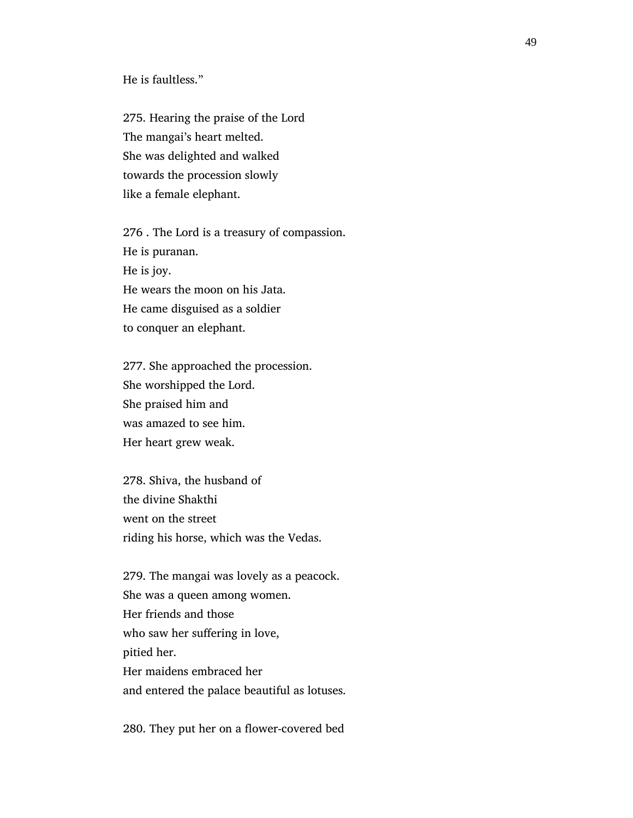He is faultless."

 275. Hearing the praise of the Lord The mangai's heart melted. She was delighted and walked towards the procession slowly like a female elephant.

 276 . The Lord is a treasury of compassion. He is puranan. He is joy. He wears the moon on his Jata. He came disguised as a soldier to conquer an elephant.

 277. She approached the procession. She worshipped the Lord. She praised him and was amazed to see him. Her heart grew weak.

 278. Shiva, the husband of the divine Shakthi went on the street riding his horse, which was the Vedas.

 279. The mangai was lovely as a peacock. She was a queen among women. Her friends and those who saw her suffering in love, pitied her. Her maidens embraced her and entered the palace beautiful as lotuses.

280. They put her on a flower-covered bed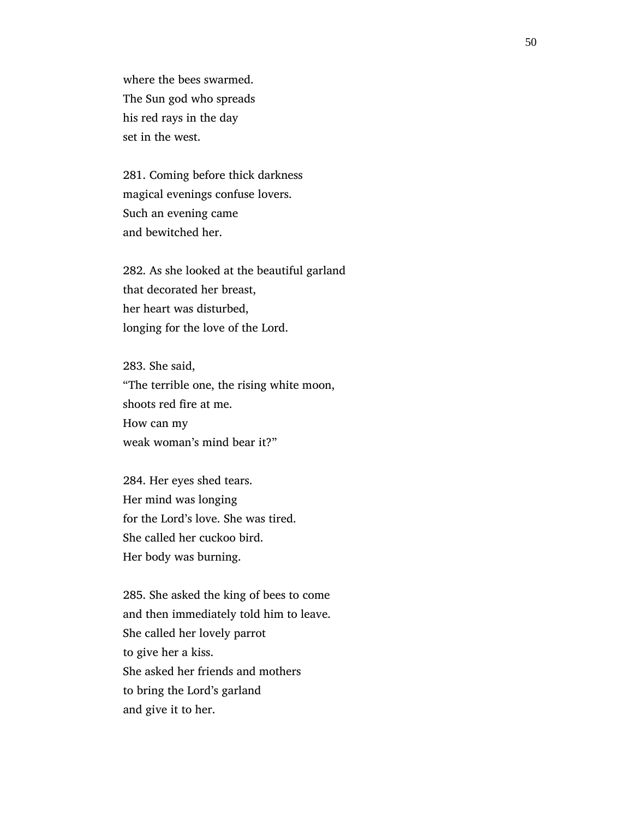where the bees swarmed. The Sun god who spreads his red rays in the day set in the west.

 281. Coming before thick darkness magical evenings confuse lovers. Such an evening came and bewitched her.

 282. As she looked at the beautiful garland that decorated her breast, her heart was disturbed, longing for the love of the Lord.

 283. She said, "The terrible one, the rising white moon, shoots red fire at me. How can my weak woman's mind bear it?"

 284. Her eyes shed tears. Her mind was longing for the Lord's love. She was tired. She called her cuckoo bird. Her body was burning.

 285. She asked the king of bees to come and then immediately told him to leave. She called her lovely parrot to give her a kiss. She asked her friends and mothers to bring the Lord's garland and give it to her.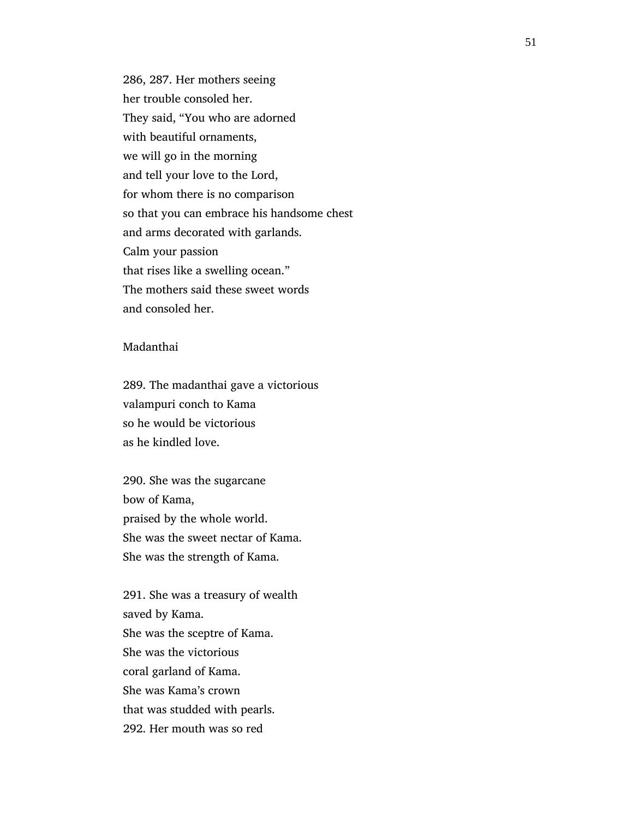286, 287. Her mothers seeing her trouble consoled her. They said, "You who are adorned with beautiful ornaments, we will go in the morning and tell your love to the Lord, for whom there is no comparison so that you can embrace his handsome chest and arms decorated with garlands. Calm your passion that rises like a swelling ocean." The mothers said these sweet words and consoled her.

## Madanthai

 289. The madanthai gave a victorious valampuri conch to Kama so he would be victorious as he kindled love.

 290. She was the sugarcane bow of Kama, praised by the whole world. She was the sweet nectar of Kama. She was the strength of Kama.

 291. She was a treasury of wealth saved by Kama. She was the sceptre of Kama. She was the victorious coral garland of Kama. She was Kama's crown that was studded with pearls. 292. Her mouth was so red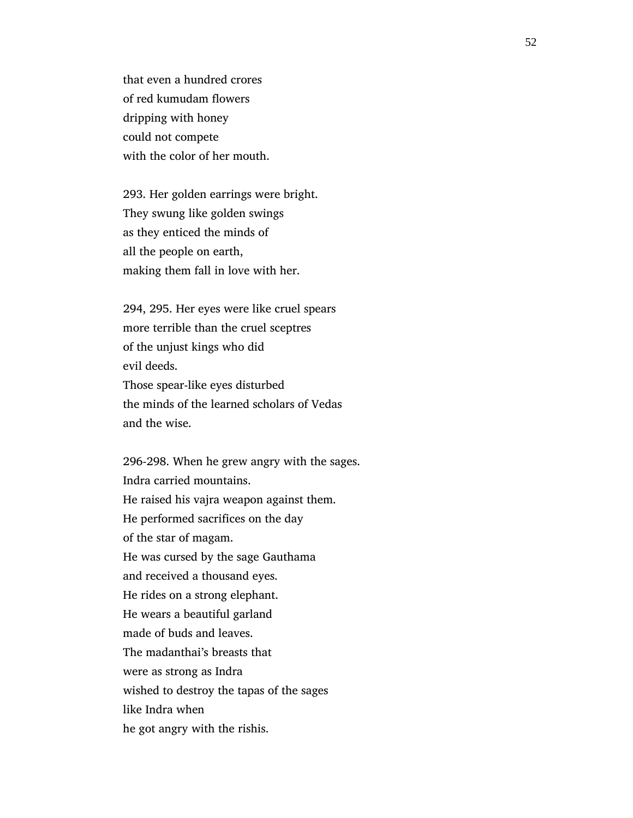that even a hundred crores of red kumudam flowers dripping with honey could not compete with the color of her mouth.

 293. Her golden earrings were bright. They swung like golden swings as they enticed the minds of all the people on earth, making them fall in love with her.

 294, 295. Her eyes were like cruel spears more terrible than the cruel sceptres of the unjust kings who did evil deeds. Those spear-like eyes disturbed the minds of the learned scholars of Vedas and the wise.

 296-298. When he grew angry with the sages. Indra carried mountains. He raised his vajra weapon against them. He performed sacrifices on the day of the star of magam. He was cursed by the sage Gauthama and received a thousand eyes. He rides on a strong elephant. He wears a beautiful garland made of buds and leaves. The madanthai's breasts that were as strong as Indra wished to destroy the tapas of the sages like Indra when he got angry with the rishis.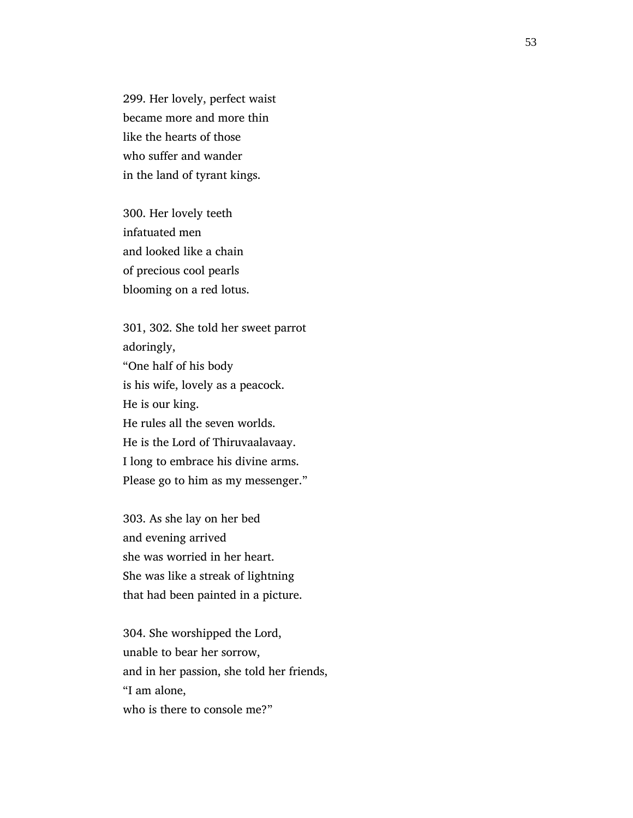299. Her lovely, perfect waist became more and more thin like the hearts of those who suffer and wander in the land of tyrant kings.

 300. Her lovely teeth infatuated men and looked like a chain of precious cool pearls blooming on a red lotus.

 301, 302. She told her sweet parrot adoringly, "One half of his body is his wife, lovely as a peacock. He is our king. He rules all the seven worlds. He is the Lord of Thiruvaalavaay. I long to embrace his divine arms. Please go to him as my messenger."

 303. As she lay on her bed and evening arrived she was worried in her heart. She was like a streak of lightning that had been painted in a picture.

 304. She worshipped the Lord, unable to bear her sorrow, and in her passion, she told her friends, "I am alone, who is there to console me?"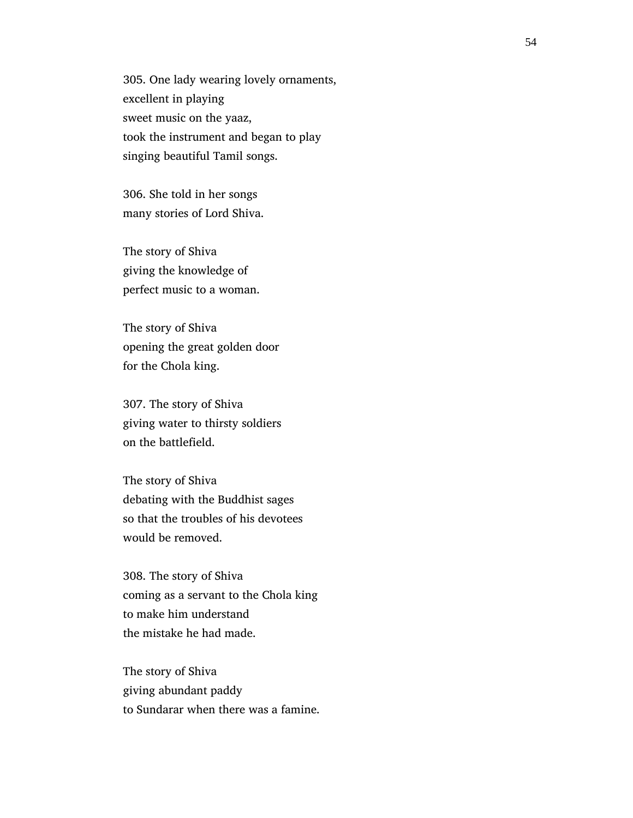305. One lady wearing lovely ornaments, excellent in playing sweet music on the yaaz, took the instrument and began to play singing beautiful Tamil songs.

 306. She told in her songs many stories of Lord Shiva.

 The story of Shiva giving the knowledge of perfect music to a woman.

 The story of Shiva opening the great golden door for the Chola king.

 307. The story of Shiva giving water to thirsty soldiers on the battlefield.

 The story of Shiva debating with the Buddhist sages so that the troubles of his devotees would be removed.

 308. The story of Shiva coming as a servant to the Chola king to make him understand the mistake he had made.

 The story of Shiva giving abundant paddy to Sundarar when there was a famine.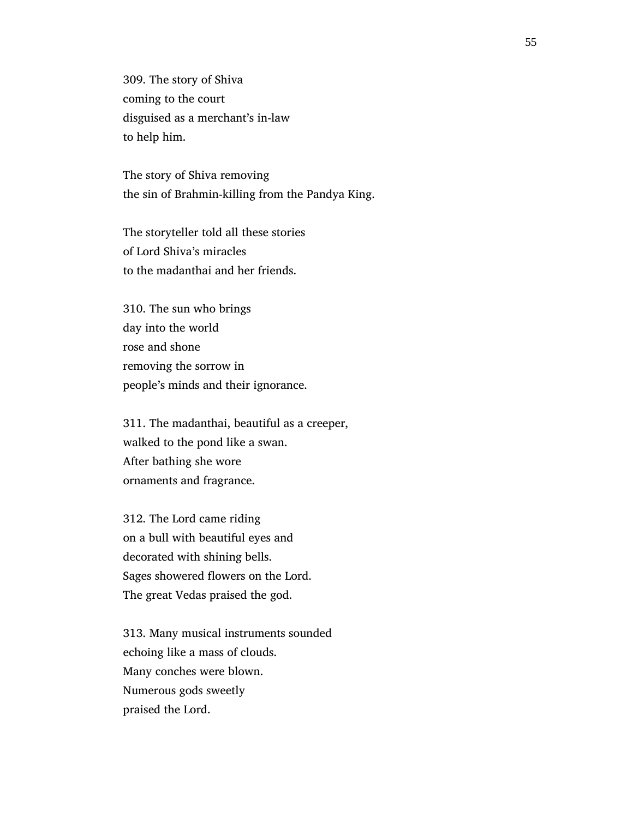309. The story of Shiva coming to the court disguised as a merchant's in-law to help him.

 The story of Shiva removing the sin of Brahmin-killing from the Pandya King.

 The storyteller told all these stories of Lord Shiva's miracles to the madanthai and her friends.

 310. The sun who brings day into the world rose and shone removing the sorrow in people's minds and their ignorance.

 311. The madanthai, beautiful as a creeper, walked to the pond like a swan. After bathing she wore ornaments and fragrance.

 312. The Lord came riding on a bull with beautiful eyes and decorated with shining bells. Sages showered flowers on the Lord. The great Vedas praised the god.

 313. Many musical instruments sounded echoing like a mass of clouds. Many conches were blown. Numerous gods sweetly praised the Lord.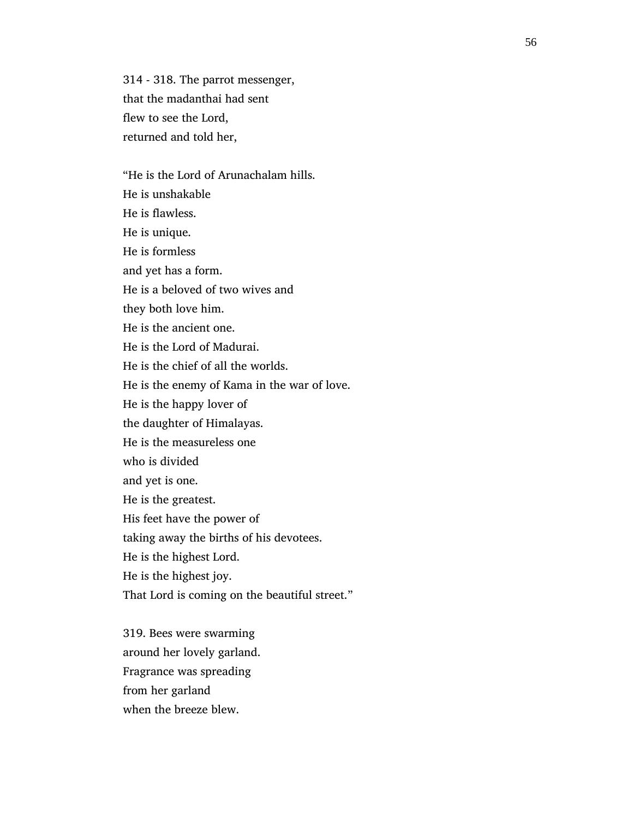314 - 318. The parrot messenger, that the madanthai had sent flew to see the Lord, returned and told her,

 "He is the Lord of Arunachalam hills. He is unshakable He is flawless. He is unique. He is formless and yet has a form. He is a beloved of two wives and they both love him. He is the ancient one. He is the Lord of Madurai. He is the chief of all the worlds. He is the enemy of Kama in the war of love. He is the happy lover of the daughter of Himalayas. He is the measureless one who is divided and yet is one. He is the greatest. His feet have the power of taking away the births of his devotees. He is the highest Lord. He is the highest joy. That Lord is coming on the beautiful street."

 319. Bees were swarming around her lovely garland. Fragrance was spreading from her garland when the breeze blew.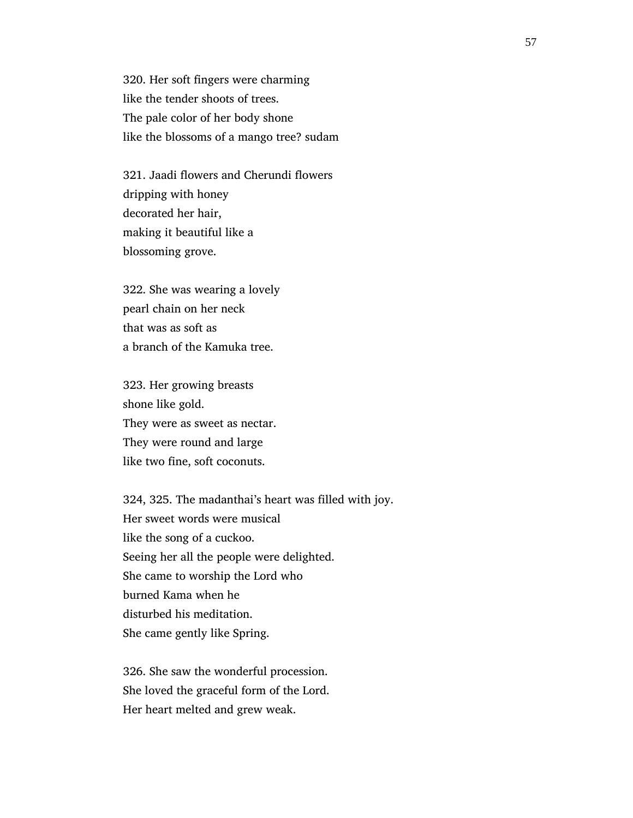320. Her soft fingers were charming like the tender shoots of trees. The pale color of her body shone like the blossoms of a mango tree? sudam

 321. Jaadi flowers and Cherundi flowers dripping with honey decorated her hair, making it beautiful like a blossoming grove.

 322. She was wearing a lovely pearl chain on her neck that was as soft as a branch of the Kamuka tree.

 323. Her growing breasts shone like gold. They were as sweet as nectar. They were round and large like two fine, soft coconuts.

 324, 325. The madanthai's heart was filled with joy. Her sweet words were musical like the song of a cuckoo. Seeing her all the people were delighted. She came to worship the Lord who burned Kama when he disturbed his meditation. She came gently like Spring.

 326. She saw the wonderful procession. She loved the graceful form of the Lord. Her heart melted and grew weak.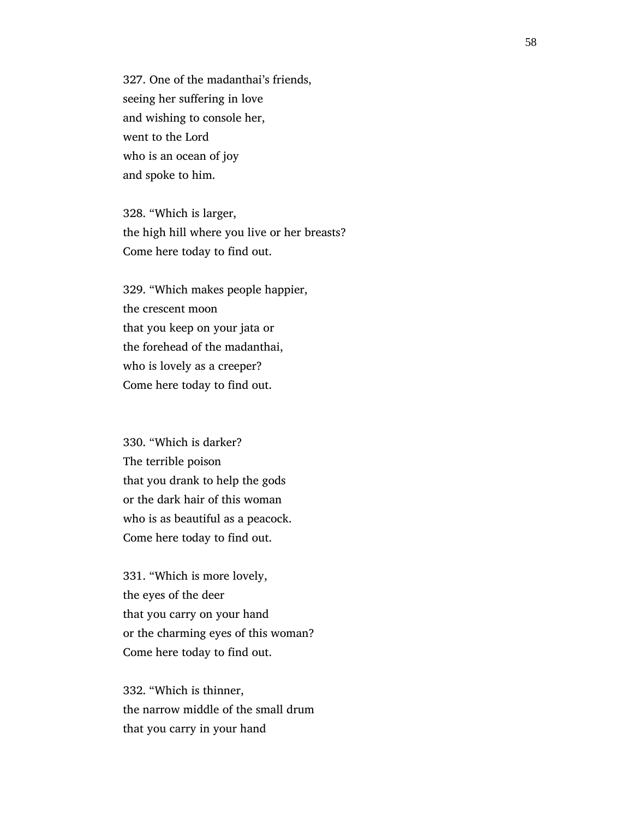327. One of the madanthai's friends, seeing her suffering in love and wishing to console her, went to the Lord who is an ocean of joy and spoke to him.

 328. "Which is larger, the high hill where you live or her breasts? Come here today to find out.

 329. "Which makes people happier, the crescent moon that you keep on your jata or the forehead of the madanthai, who is lovely as a creeper? Come here today to find out.

 330. "Which is darker? The terrible poison that you drank to help the gods or the dark hair of this woman who is as beautiful as a peacock. Come here today to find out.

 331. "Which is more lovely, the eyes of the deer that you carry on your hand or the charming eyes of this woman? Come here today to find out.

 332. "Which is thinner, the narrow middle of the small drum that you carry in your hand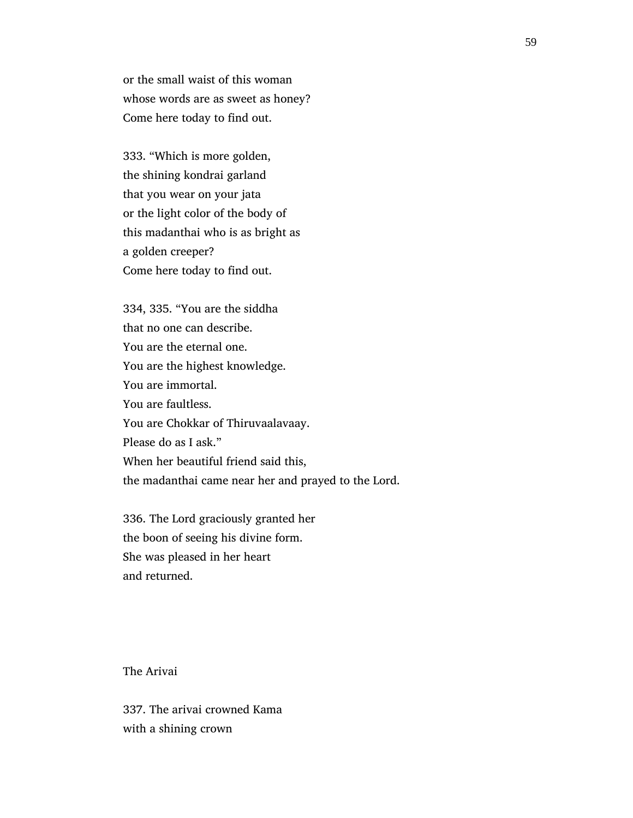or the small waist of this woman whose words are as sweet as honey? Come here today to find out.

 333. "Which is more golden, the shining kondrai garland that you wear on your jata or the light color of the body of this madanthai who is as bright as a golden creeper? Come here today to find out.

 334, 335. "You are the siddha that no one can describe. You are the eternal one. You are the highest knowledge. You are immortal. You are faultless. You are Chokkar of Thiruvaalavaay. Please do as I ask." When her beautiful friend said this, the madanthai came near her and prayed to the Lord.

 336. The Lord graciously granted her the boon of seeing his divine form. She was pleased in her heart and returned.

The Arivai

 337. The arivai crowned Kama with a shining crown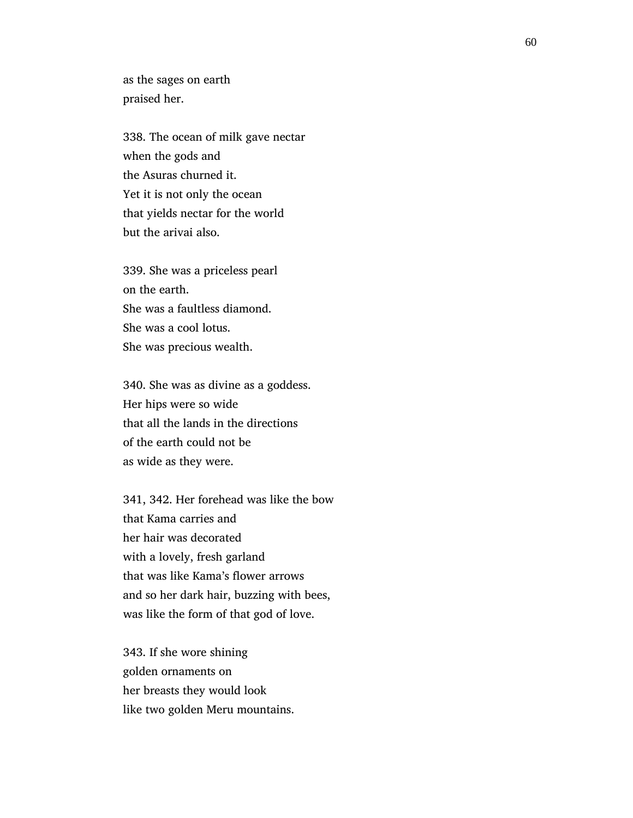as the sages on earth praised her.

 338. The ocean of milk gave nectar when the gods and the Asuras churned it. Yet it is not only the ocean that yields nectar for the world but the arivai also.

 339. She was a priceless pearl on the earth. She was a faultless diamond. She was a cool lotus. She was precious wealth.

 340. She was as divine as a goddess. Her hips were so wide that all the lands in the directions of the earth could not be as wide as they were.

 341, 342. Her forehead was like the bow that Kama carries and her hair was decorated with a lovely, fresh garland that was like Kama's flower arrows and so her dark hair, buzzing with bees, was like the form of that god of love.

 343. If she wore shining golden ornaments on her breasts they would look like two golden Meru mountains.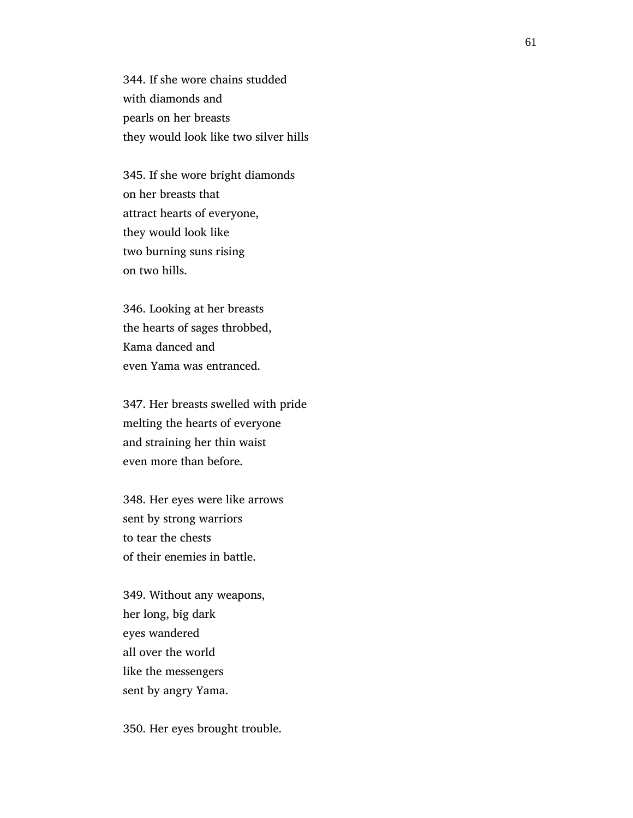344. If she wore chains studded with diamonds and pearls on her breasts they would look like two silver hills

 345. If she wore bright diamonds on her breasts that attract hearts of everyone, they would look like two burning suns rising on two hills.

 346. Looking at her breasts the hearts of sages throbbed, Kama danced and even Yama was entranced.

 347. Her breasts swelled with pride melting the hearts of everyone and straining her thin waist even more than before.

 348. Her eyes were like arrows sent by strong warriors to tear the chests of their enemies in battle.

 349. Without any weapons, her long, big dark eyes wandered all over the world like the messengers sent by angry Yama.

350. Her eyes brought trouble.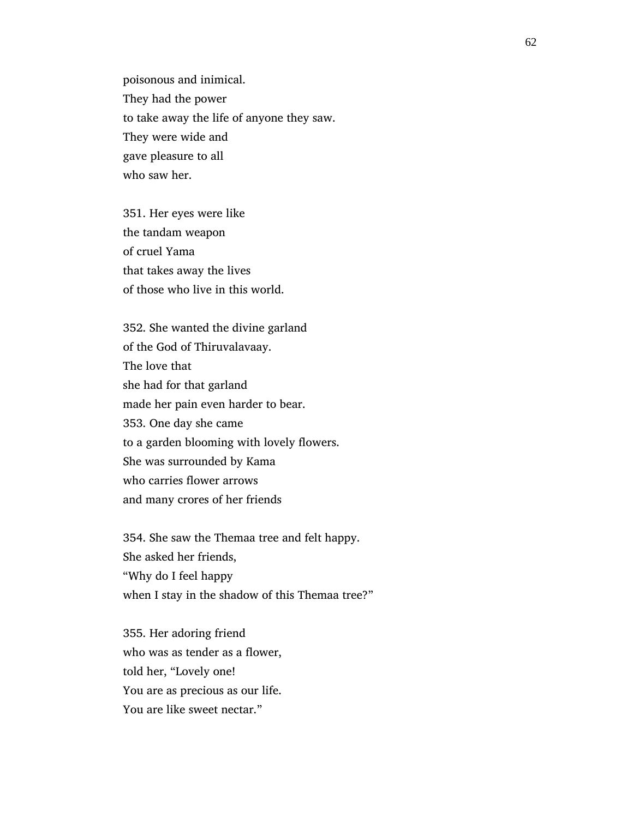poisonous and inimical. They had the power to take away the life of anyone they saw. They were wide and gave pleasure to all who saw her.

 351. Her eyes were like the tandam weapon of cruel Yama that takes away the lives of those who live in this world.

 352. She wanted the divine garland of the God of Thiruvalavaay. The love that she had for that garland made her pain even harder to bear. 353. One day she came to a garden blooming with lovely flowers. She was surrounded by Kama who carries flower arrows and many crores of her friends

 354. She saw the Themaa tree and felt happy. She asked her friends, "Why do I feel happy when I stay in the shadow of this Themaa tree?"

 355. Her adoring friend who was as tender as a flower, told her, "Lovely one! You are as precious as our life. You are like sweet nectar."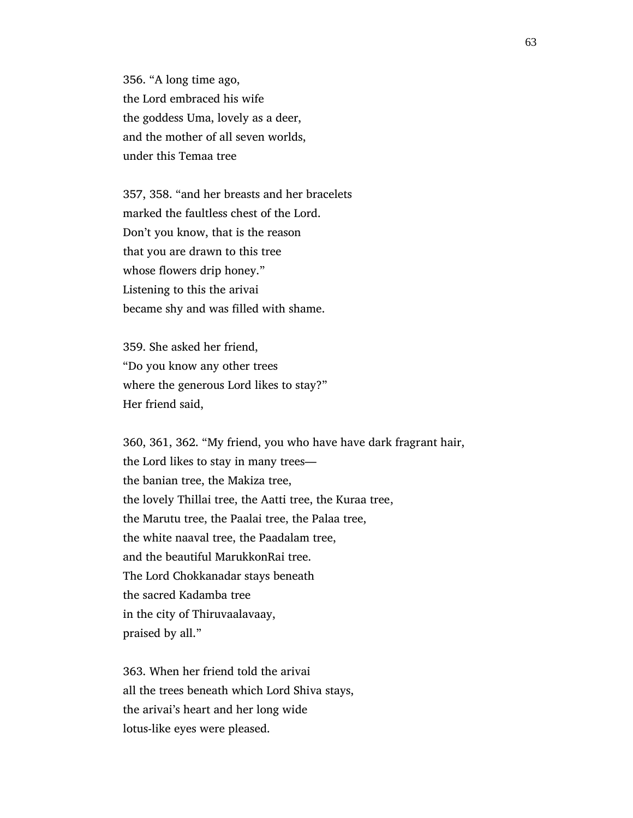356. "A long time ago, the Lord embraced his wife the goddess Uma, lovely as a deer, and the mother of all seven worlds, under this Temaa tree

 357, 358. "and her breasts and her bracelets marked the faultless chest of the Lord. Don't you know, that is the reason that you are drawn to this tree whose flowers drip honey." Listening to this the arivai became shy and was filled with shame.

 359. She asked her friend, "Do you know any other trees where the generous Lord likes to stay?" Her friend said,

 360, 361, 362. "My friend, you who have have dark fragrant hair, the Lord likes to stay in many trees the banian tree, the Makiza tree, the lovely Thillai tree, the Aatti tree, the Kuraa tree, the Marutu tree, the Paalai tree, the Palaa tree, the white naaval tree, the Paadalam tree, and the beautiful MarukkonRai tree. The Lord Chokkanadar stays beneath the sacred Kadamba tree in the city of Thiruvaalavaay, praised by all."

 363. When her friend told the arivai all the trees beneath which Lord Shiva stays, the arivai's heart and her long wide lotus-like eyes were pleased.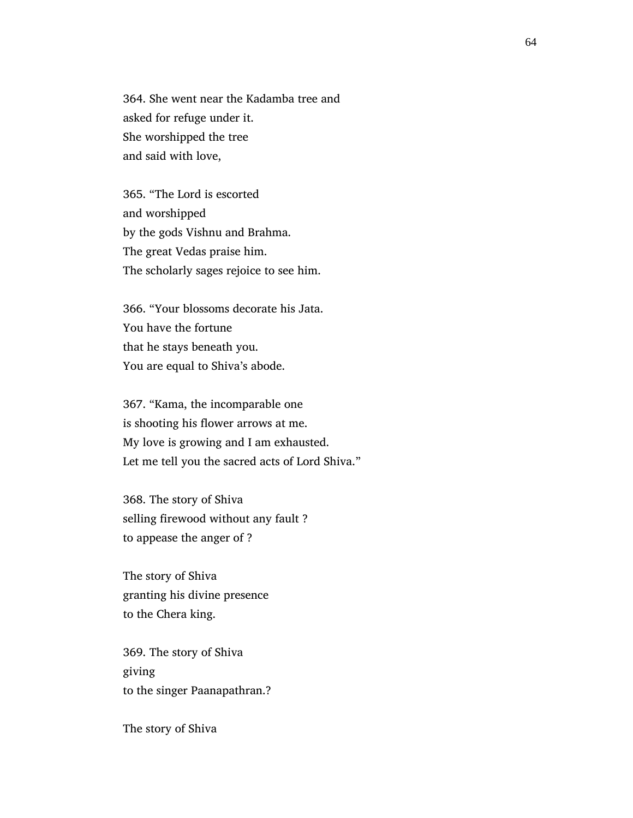364. She went near the Kadamba tree and asked for refuge under it. She worshipped the tree and said with love,

 365. "The Lord is escorted and worshipped by the gods Vishnu and Brahma. The great Vedas praise him. The scholarly sages rejoice to see him.

 366. "Your blossoms decorate his Jata. You have the fortune that he stays beneath you. You are equal to Shiva's abode.

 367. "Kama, the incomparable one is shooting his flower arrows at me. My love is growing and I am exhausted. Let me tell you the sacred acts of Lord Shiva."

 368. The story of Shiva selling firewood without any fault ? to appease the anger of ?

 The story of Shiva granting his divine presence to the Chera king.

 369. The story of Shiva giving to the singer Paanapathran.?

The story of Shiva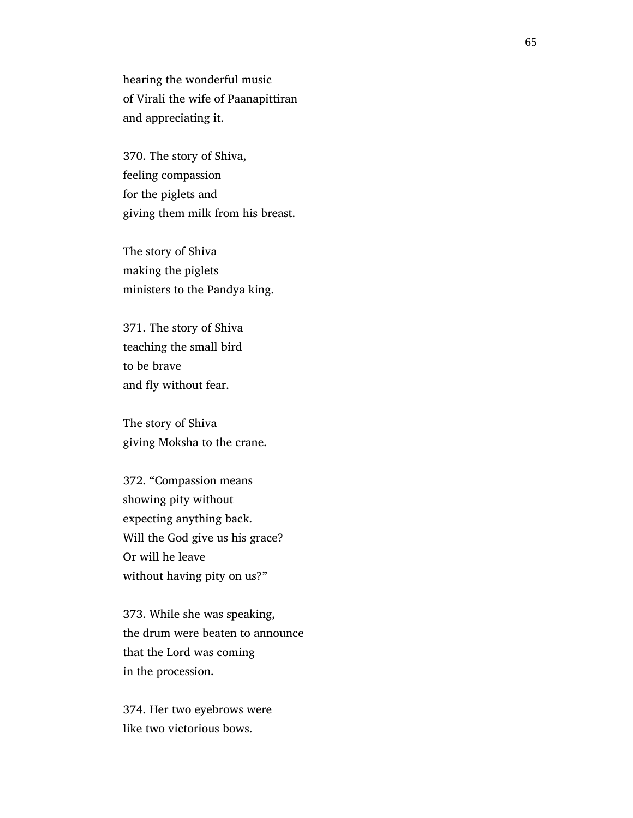hearing the wonderful music of Virali the wife of Paanapittiran and appreciating it.

 370. The story of Shiva, feeling compassion for the piglets and giving them milk from his breast.

 The story of Shiva making the piglets ministers to the Pandya king.

 371. The story of Shiva teaching the small bird to be brave and fly without fear.

 The story of Shiva giving Moksha to the crane.

 372. "Compassion means showing pity without expecting anything back. Will the God give us his grace? Or will he leave without having pity on us?"

 373. While she was speaking, the drum were beaten to announce that the Lord was coming in the procession.

 374. Her two eyebrows were like two victorious bows.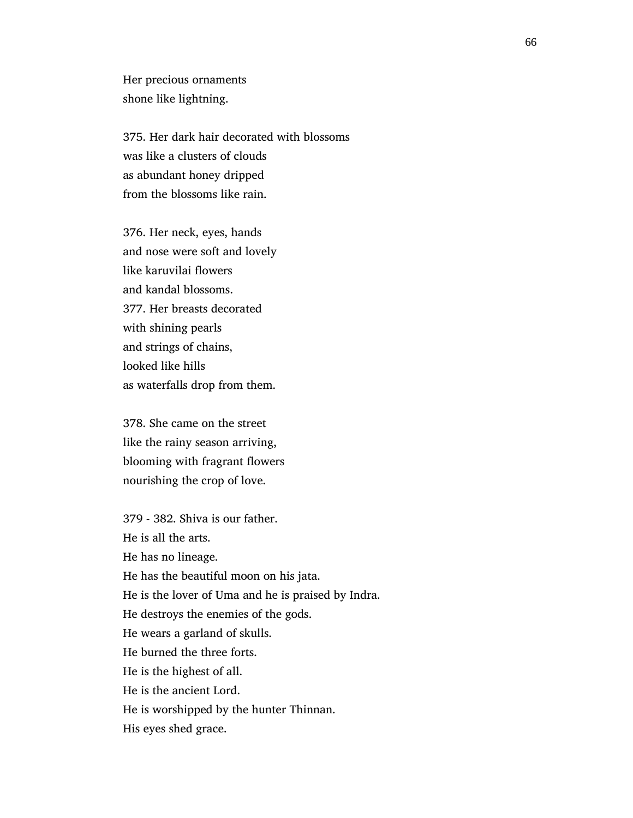Her precious ornaments shone like lightning.

 375. Her dark hair decorated with blossoms was like a clusters of clouds as abundant honey dripped from the blossoms like rain.

 376. Her neck, eyes, hands and nose were soft and lovely like karuvilai flowers and kandal blossoms. 377. Her breasts decorated with shining pearls and strings of chains, looked like hills as waterfalls drop from them.

 378. She came on the street like the rainy season arriving, blooming with fragrant flowers nourishing the crop of love.

 379 - 382. Shiva is our father. He is all the arts. He has no lineage. He has the beautiful moon on his jata. He is the lover of Uma and he is praised by Indra. He destroys the enemies of the gods. He wears a garland of skulls. He burned the three forts. He is the highest of all. He is the ancient Lord. He is worshipped by the hunter Thinnan. His eyes shed grace.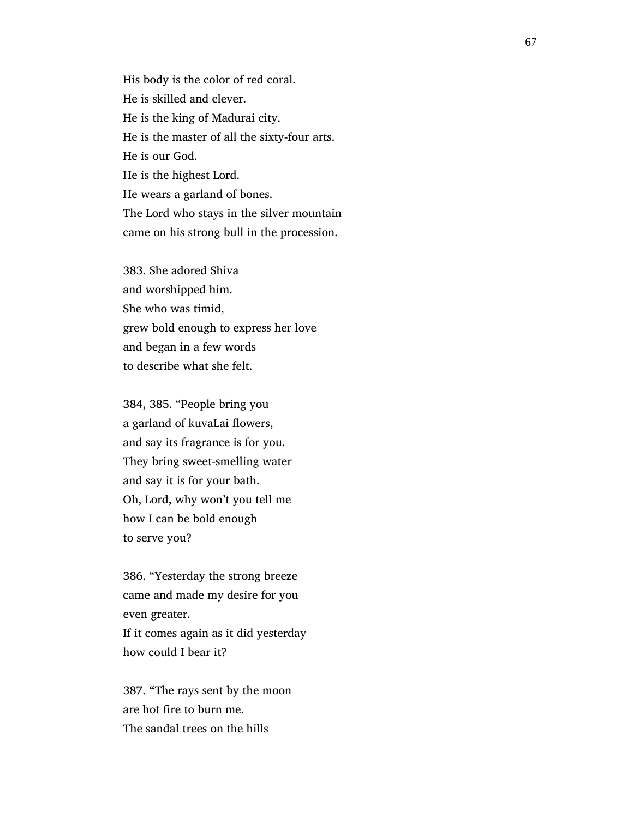His body is the color of red coral. He is skilled and clever. He is the king of Madurai city. He is the master of all the sixty-four arts. He is our God. He is the highest Lord. He wears a garland of bones. The Lord who stays in the silver mountain came on his strong bull in the procession.

 383. She adored Shiva and worshipped him. She who was timid, grew bold enough to express her love and began in a few words to describe what she felt.

 384, 385. "People bring you a garland of kuvaLai flowers, and say its fragrance is for you. They bring sweet-smelling water and say it is for your bath. Oh, Lord, why won't you tell me how I can be bold enough to serve you?

 386. "Yesterday the strong breeze came and made my desire for you even greater. If it comes again as it did yesterday how could I bear it?

 387. "The rays sent by the moon are hot fire to burn me. The sandal trees on the hills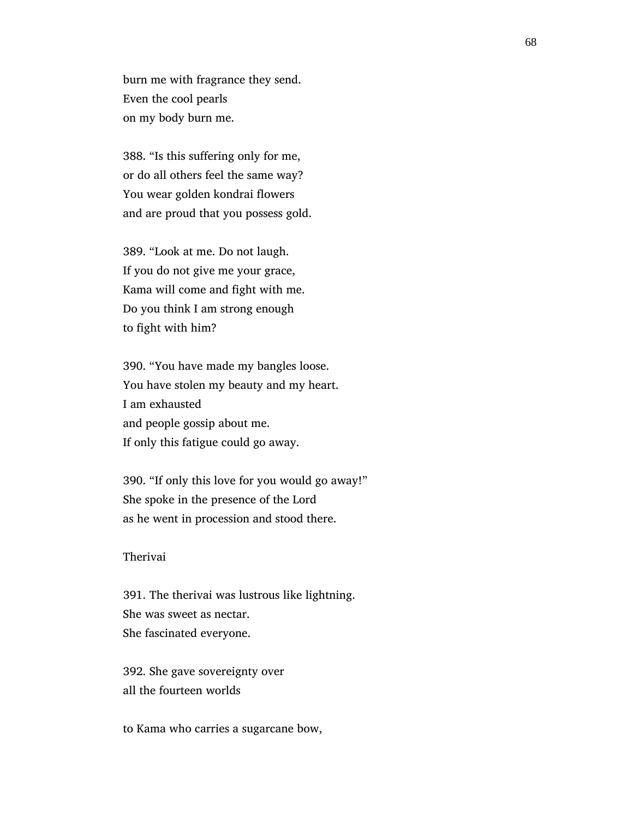burn me with fragrance they send. Even the cool pearls on my body burn me.

 388. "Is this suffering only for me, or do all others feel the same way? You wear golden kondrai flowers and are proud that you possess gold.

 389. "Look at me. Do not laugh. If you do not give me your grace, Kama will come and fight with me. Do you think I am strong enough to fight with him?

 390. "You have made my bangles loose. You have stolen my beauty and my heart. I am exhausted and people gossip about me. If only this fatigue could go away.

 390. "If only this love for you would go away!" She spoke in the presence of the Lord as he went in procession and stood there.

## Therivai

 391. The therivai was lustrous like lightning. She was sweet as nectar. She fascinated everyone.

 392. She gave sovereignty over all the fourteen worlds

to Kama who carries a sugarcane bow,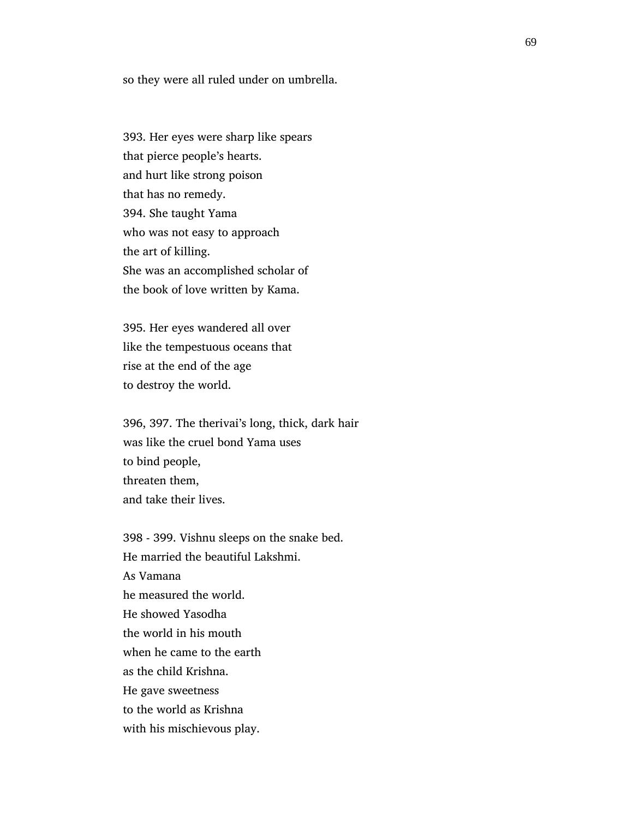so they were all ruled under on umbrella.

 393. Her eyes were sharp like spears that pierce people's hearts. and hurt like strong poison that has no remedy. 394. She taught Yama who was not easy to approach the art of killing. She was an accomplished scholar of the book of love written by Kama.

 395. Her eyes wandered all over like the tempestuous oceans that rise at the end of the age to destroy the world.

 396, 397. The therivai's long, thick, dark hair was like the cruel bond Yama uses to bind people, threaten them, and take their lives.

 398 - 399. Vishnu sleeps on the snake bed. He married the beautiful Lakshmi. As Vamana he measured the world. He showed Yasodha the world in his mouth when he came to the earth as the child Krishna. He gave sweetness to the world as Krishna with his mischievous play.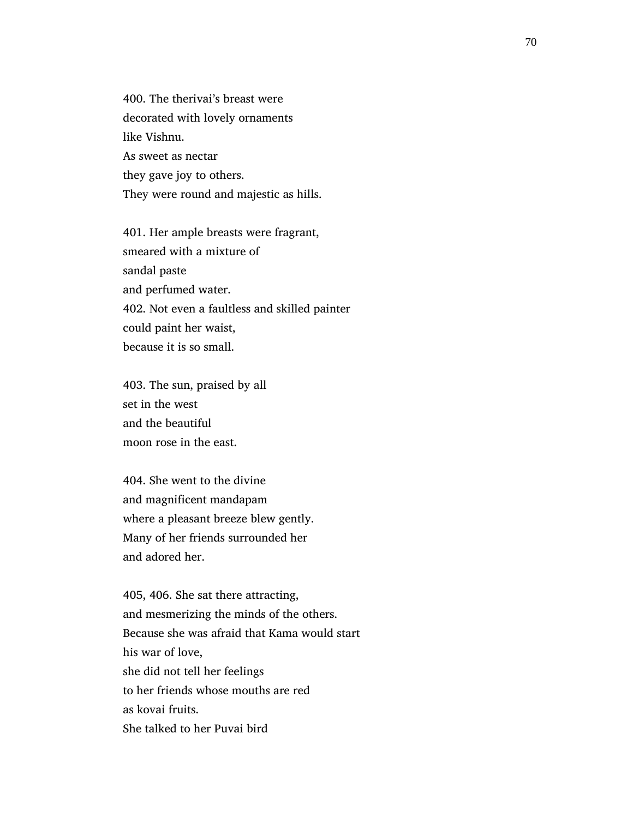400. The therivai's breast were decorated with lovely ornaments like Vishnu. As sweet as nectar they gave joy to others. They were round and majestic as hills.

 401. Her ample breasts were fragrant, smeared with a mixture of sandal paste and perfumed water. 402. Not even a faultless and skilled painter could paint her waist, because it is so small.

 403. The sun, praised by all set in the west and the beautiful moon rose in the east.

 404. She went to the divine and magnificent mandapam where a pleasant breeze blew gently. Many of her friends surrounded her and adored her.

 405, 406. She sat there attracting, and mesmerizing the minds of the others. Because she was afraid that Kama would start his war of love, she did not tell her feelings to her friends whose mouths are red as kovai fruits. She talked to her Puvai bird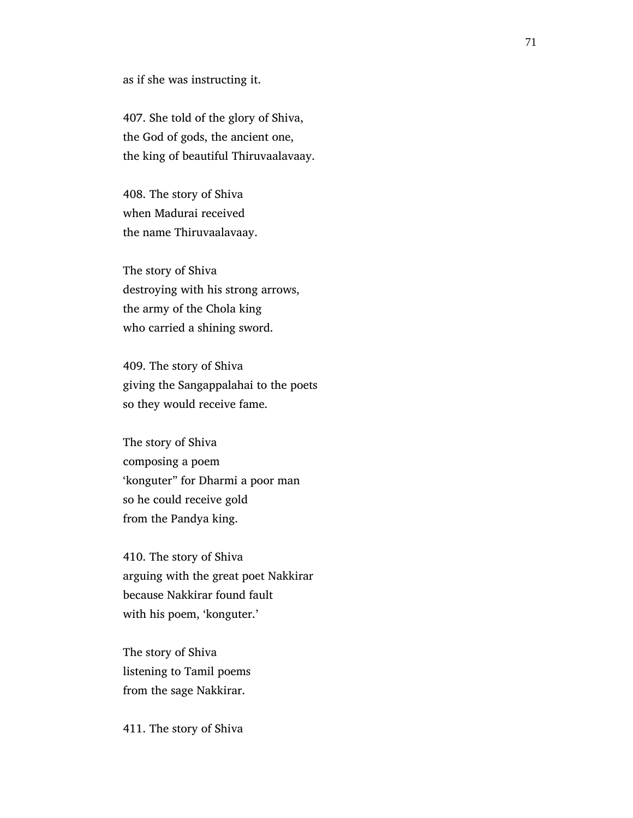as if she was instructing it.

 407. She told of the glory of Shiva, the God of gods, the ancient one, the king of beautiful Thiruvaalavaay.

 408. The story of Shiva when Madurai received the name Thiruvaalavaay.

 The story of Shiva destroying with his strong arrows, the army of the Chola king who carried a shining sword.

 409. The story of Shiva giving the Sangappalahai to the poets so they would receive fame.

 The story of Shiva composing a poem 'konguter" for Dharmi a poor man so he could receive gold from the Pandya king.

 410. The story of Shiva arguing with the great poet Nakkirar because Nakkirar found fault with his poem, 'konguter.'

 The story of Shiva listening to Tamil poems from the sage Nakkirar.

411. The story of Shiva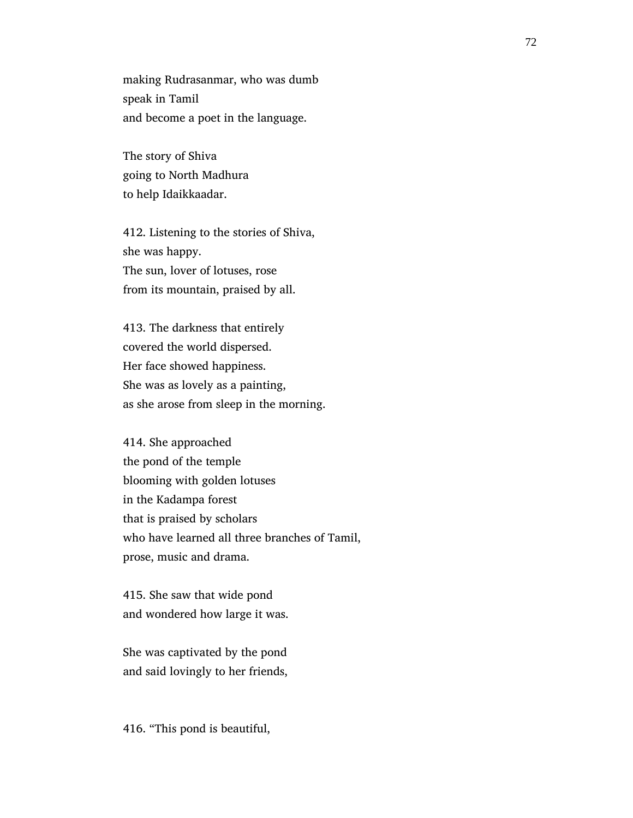making Rudrasanmar, who was dumb speak in Tamil and become a poet in the language.

 The story of Shiva going to North Madhura to help Idaikkaadar.

 412. Listening to the stories of Shiva, she was happy. The sun, lover of lotuses, rose from its mountain, praised by all.

 413. The darkness that entirely covered the world dispersed. Her face showed happiness. She was as lovely as a painting, as she arose from sleep in the morning.

 414. She approached the pond of the temple blooming with golden lotuses in the Kadampa forest that is praised by scholars who have learned all three branches of Tamil, prose, music and drama.

 415. She saw that wide pond and wondered how large it was.

 She was captivated by the pond and said lovingly to her friends,

416. "This pond is beautiful,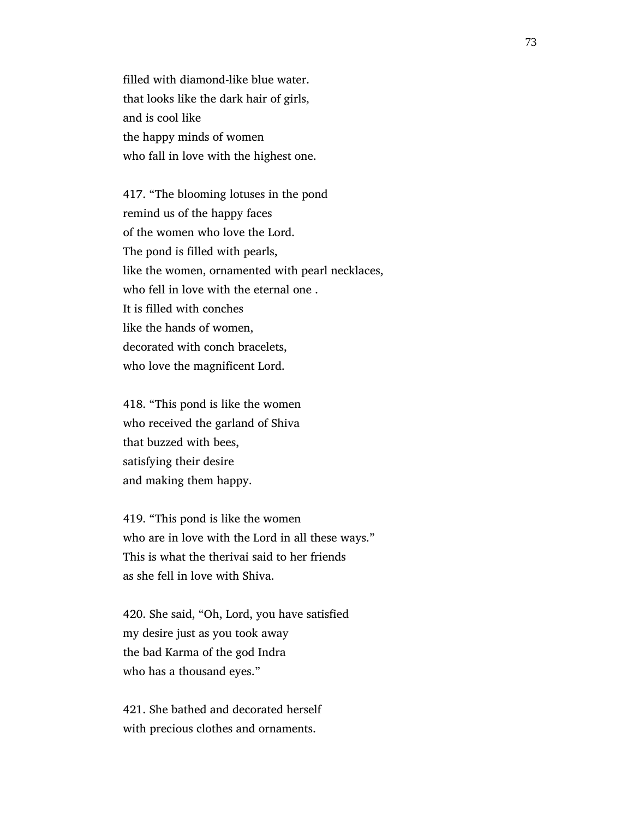filled with diamond-like blue water. that looks like the dark hair of girls, and is cool like the happy minds of women who fall in love with the highest one.

 417. "The blooming lotuses in the pond remind us of the happy faces of the women who love the Lord. The pond is filled with pearls, like the women, ornamented with pearl necklaces, who fell in love with the eternal one . It is filled with conches like the hands of women, decorated with conch bracelets, who love the magnificent Lord.

 418. "This pond is like the women who received the garland of Shiva that buzzed with bees, satisfying their desire and making them happy.

 419. "This pond is like the women who are in love with the Lord in all these ways." This is what the therivai said to her friends as she fell in love with Shiva.

 420. She said, "Oh, Lord, you have satisfied my desire just as you took away the bad Karma of the god Indra who has a thousand eyes."

 421. She bathed and decorated herself with precious clothes and ornaments.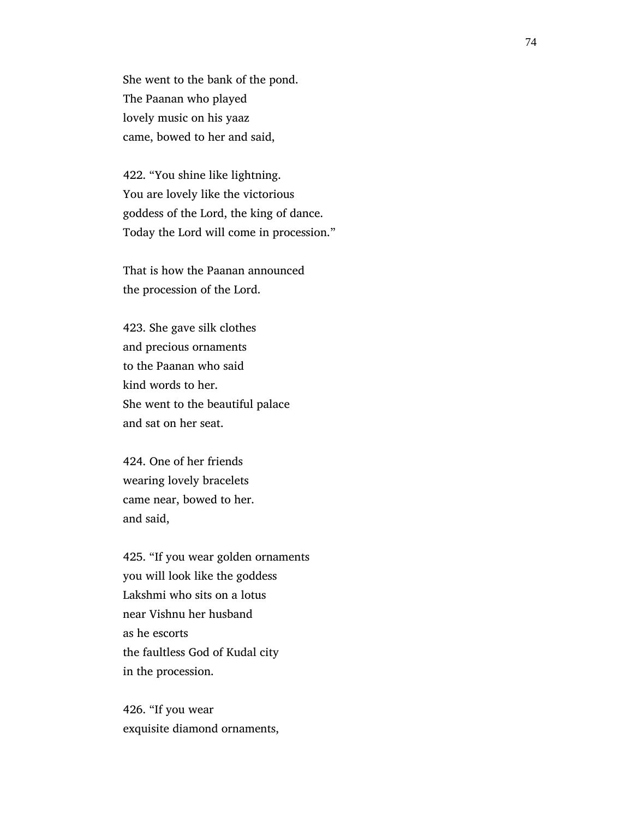She went to the bank of the pond. The Paanan who played lovely music on his yaaz came, bowed to her and said,

 422. "You shine like lightning. You are lovely like the victorious goddess of the Lord, the king of dance. Today the Lord will come in procession."

 That is how the Paanan announced the procession of the Lord.

 423. She gave silk clothes and precious ornaments to the Paanan who said kind words to her. She went to the beautiful palace and sat on her seat.

 424. One of her friends wearing lovely bracelets came near, bowed to her. and said,

 425. "If you wear golden ornaments you will look like the goddess Lakshmi who sits on a lotus near Vishnu her husband as he escorts the faultless God of Kudal city in the procession.

 426. "If you wear exquisite diamond ornaments,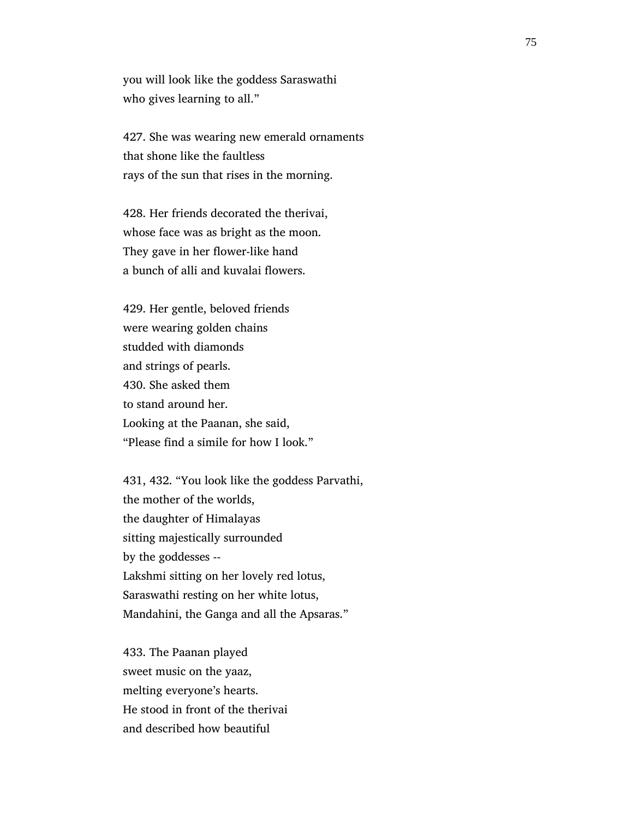you will look like the goddess Saraswathi who gives learning to all."

 427. She was wearing new emerald ornaments that shone like the faultless rays of the sun that rises in the morning.

 428. Her friends decorated the therivai, whose face was as bright as the moon. They gave in her flower-like hand a bunch of alli and kuvalai flowers.

 429. Her gentle, beloved friends were wearing golden chains studded with diamonds and strings of pearls. 430. She asked them to stand around her. Looking at the Paanan, she said, "Please find a simile for how I look."

 431, 432. "You look like the goddess Parvathi, the mother of the worlds, the daughter of Himalayas sitting majestically surrounded by the goddesses -- Lakshmi sitting on her lovely red lotus, Saraswathi resting on her white lotus, Mandahini, the Ganga and all the Apsaras."

 433. The Paanan played sweet music on the yaaz, melting everyone's hearts. He stood in front of the therivai and described how beautiful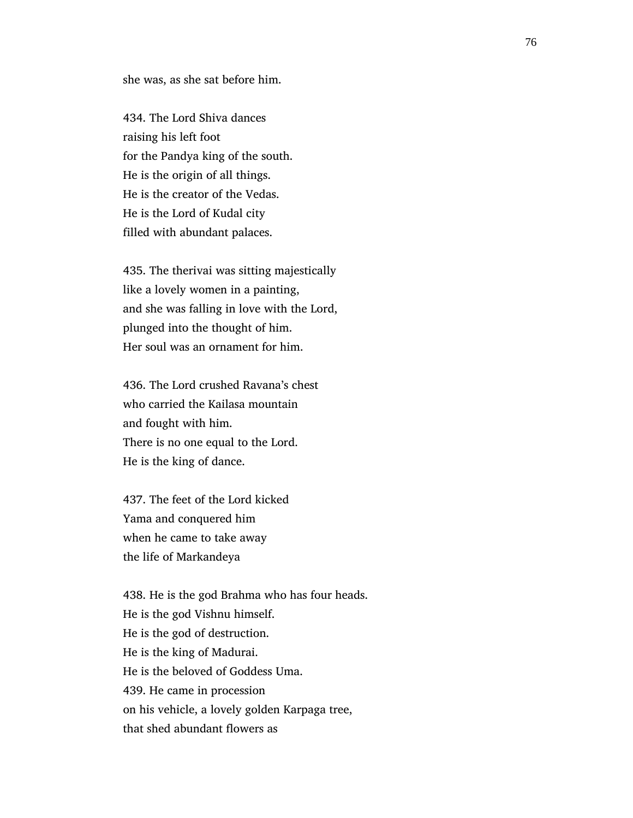she was, as she sat before him.

 434. The Lord Shiva dances raising his left foot for the Pandya king of the south. He is the origin of all things. He is the creator of the Vedas. He is the Lord of Kudal city filled with abundant palaces.

 435. The therivai was sitting majestically like a lovely women in a painting, and she was falling in love with the Lord, plunged into the thought of him. Her soul was an ornament for him.

 436. The Lord crushed Ravana's chest who carried the Kailasa mountain and fought with him. There is no one equal to the Lord. He is the king of dance.

 437. The feet of the Lord kicked Yama and conquered him when he came to take away the life of Markandeya

 438. He is the god Brahma who has four heads. He is the god Vishnu himself. He is the god of destruction. He is the king of Madurai. He is the beloved of Goddess Uma. 439. He came in procession on his vehicle, a lovely golden Karpaga tree, that shed abundant flowers as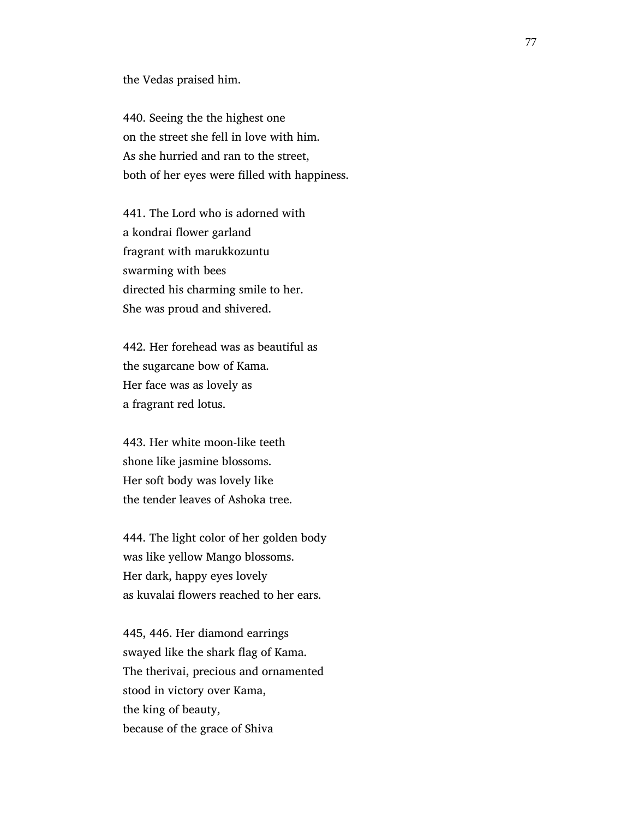the Vedas praised him.

 440. Seeing the the highest one on the street she fell in love with him. As she hurried and ran to the street, both of her eyes were filled with happiness.

 441. The Lord who is adorned with a kondrai flower garland fragrant with marukkozuntu swarming with bees directed his charming smile to her. She was proud and shivered.

 442. Her forehead was as beautiful as the sugarcane bow of Kama. Her face was as lovely as a fragrant red lotus.

 443. Her white moon-like teeth shone like jasmine blossoms. Her soft body was lovely like the tender leaves of Ashoka tree.

 444. The light color of her golden body was like yellow Mango blossoms. Her dark, happy eyes lovely as kuvalai flowers reached to her ears.

 445, 446. Her diamond earrings swayed like the shark flag of Kama. The therivai, precious and ornamented stood in victory over Kama, the king of beauty, because of the grace of Shiva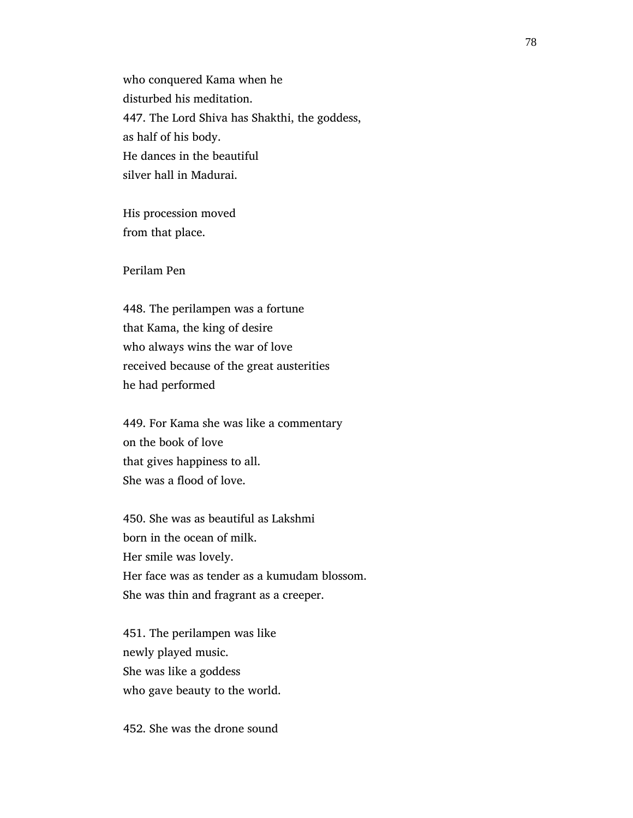who conquered Kama when he disturbed his meditation. 447. The Lord Shiva has Shakthi, the goddess, as half of his body. He dances in the beautiful silver hall in Madurai.

 His procession moved from that place.

Perilam Pen

 448. The perilampen was a fortune that Kama, the king of desire who always wins the war of love received because of the great austerities he had performed

 449. For Kama she was like a commentary on the book of love that gives happiness to all. She was a flood of love.

 450. She was as beautiful as Lakshmi born in the ocean of milk. Her smile was lovely. Her face was as tender as a kumudam blossom. She was thin and fragrant as a creeper.

 451. The perilampen was like newly played music. She was like a goddess who gave beauty to the world.

452. She was the drone sound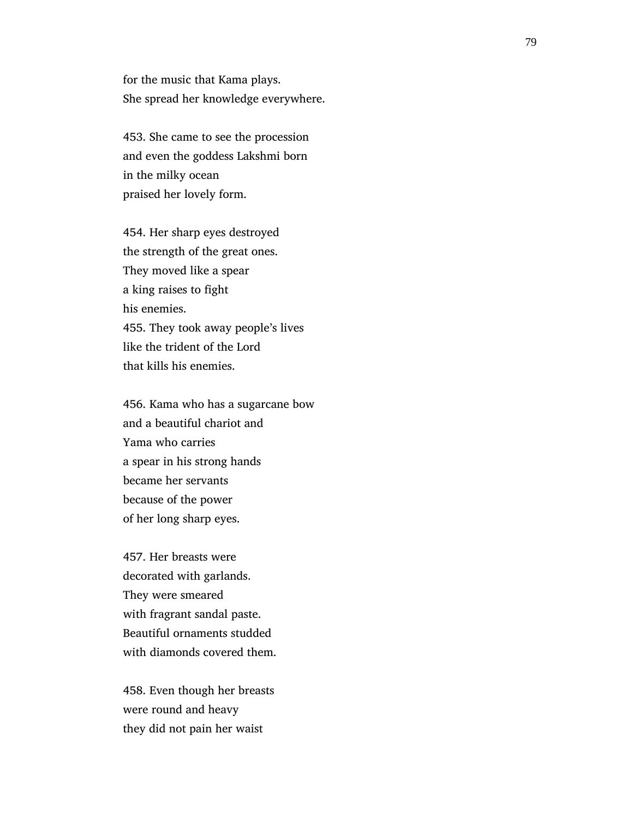for the music that Kama plays. She spread her knowledge everywhere.

 453. She came to see the procession and even the goddess Lakshmi born in the milky ocean praised her lovely form.

 454. Her sharp eyes destroyed the strength of the great ones. They moved like a spear a king raises to fight his enemies. 455. They took away people's lives like the trident of the Lord that kills his enemies.

 456. Kama who has a sugarcane bow and a beautiful chariot and Yama who carries a spear in his strong hands became her servants because of the power of her long sharp eyes.

 457. Her breasts were decorated with garlands. They were smeared with fragrant sandal paste. Beautiful ornaments studded with diamonds covered them.

 458. Even though her breasts were round and heavy they did not pain her waist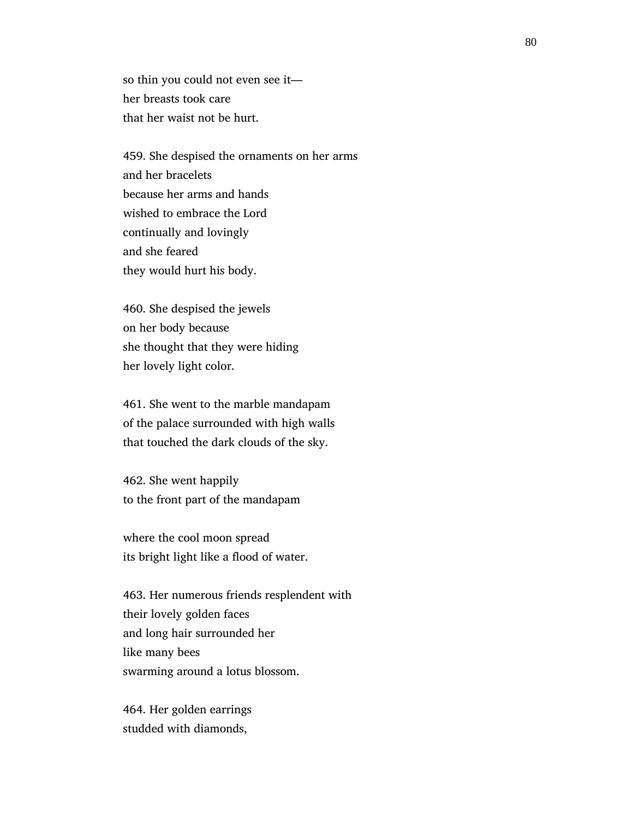so thin you could not even see it her breasts took care that her waist not be hurt.

 459. She despised the ornaments on her arms and her bracelets because her arms and hands wished to embrace the Lord continually and lovingly and she feared they would hurt his body.

 460. She despised the jewels on her body because she thought that they were hiding her lovely light color.

 461. She went to the marble mandapam of the palace surrounded with high walls that touched the dark clouds of the sky.

 462. She went happily to the front part of the mandapam

 where the cool moon spread its bright light like a flood of water.

 463. Her numerous friends resplendent with their lovely golden faces and long hair surrounded her like many bees swarming around a lotus blossom.

 464. Her golden earrings studded with diamonds,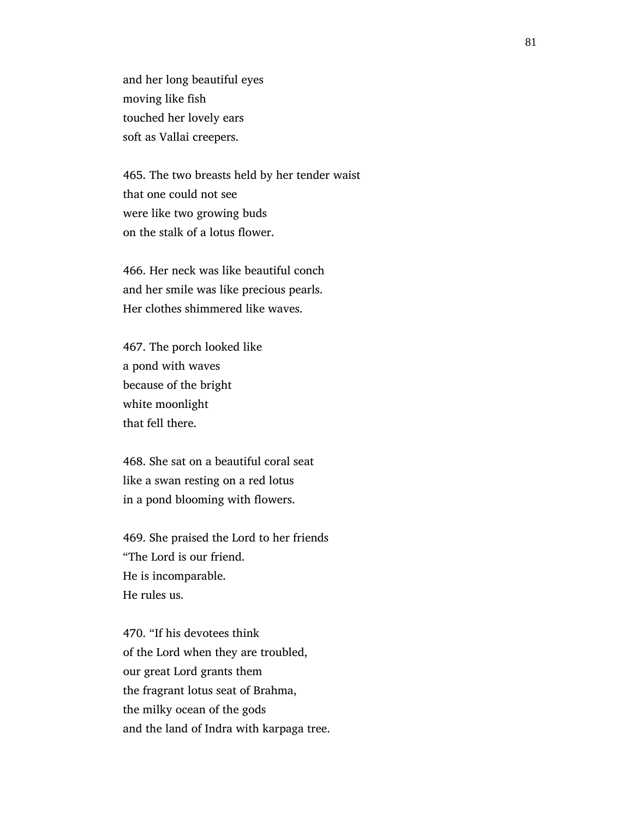and her long beautiful eyes moving like fish touched her lovely ears soft as Vallai creepers.

 465. The two breasts held by her tender waist that one could not see were like two growing buds on the stalk of a lotus flower.

 466. Her neck was like beautiful conch and her smile was like precious pearls. Her clothes shimmered like waves.

 467. The porch looked like a pond with waves because of the bright white moonlight that fell there.

 468. She sat on a beautiful coral seat like a swan resting on a red lotus in a pond blooming with flowers.

 469. She praised the Lord to her friends "The Lord is our friend. He is incomparable. He rules us.

 470. "If his devotees think of the Lord when they are troubled, our great Lord grants them the fragrant lotus seat of Brahma, the milky ocean of the gods and the land of Indra with karpaga tree.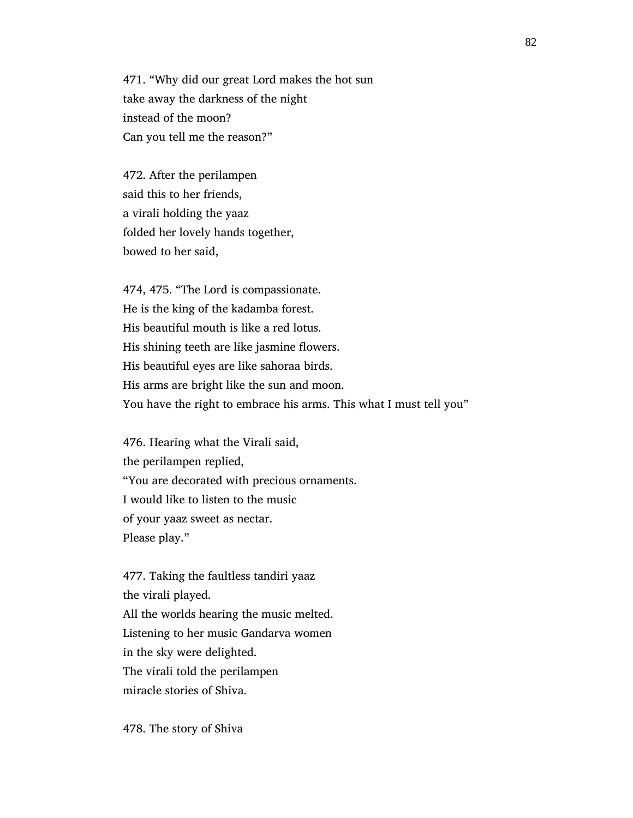471. "Why did our great Lord makes the hot sun take away the darkness of the night instead of the moon? Can you tell me the reason?"

 472. After the perilampen said this to her friends, a virali holding the yaaz folded her lovely hands together, bowed to her said,

 474, 475. "The Lord is compassionate. He is the king of the kadamba forest. His beautiful mouth is like a red lotus. His shining teeth are like jasmine flowers. His beautiful eyes are like sahoraa birds. His arms are bright like the sun and moon. You have the right to embrace his arms. This what I must tell you"

 476. Hearing what the Virali said, the perilampen replied, "You are decorated with precious ornaments. I would like to listen to the music of your yaaz sweet as nectar. Please play."

 477. Taking the faultless tandiri yaaz the virali played. All the worlds hearing the music melted. Listening to her music Gandarva women in the sky were delighted. The virali told the perilampen miracle stories of Shiva.

478. The story of Shiva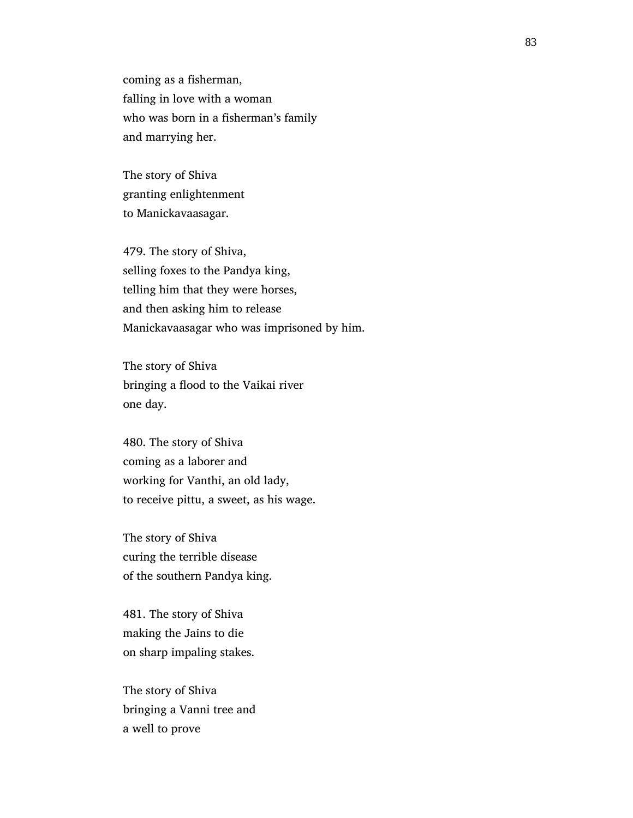coming as a fisherman, falling in love with a woman who was born in a fisherman's family and marrying her.

 The story of Shiva granting enlightenment to Manickavaasagar.

 479. The story of Shiva, selling foxes to the Pandya king, telling him that they were horses, and then asking him to release Manickavaasagar who was imprisoned by him.

 The story of Shiva bringing a flood to the Vaikai river one day.

 480. The story of Shiva coming as a laborer and working for Vanthi, an old lady, to receive pittu, a sweet, as his wage.

 The story of Shiva curing the terrible disease of the southern Pandya king.

 481. The story of Shiva making the Jains to die on sharp impaling stakes.

 The story of Shiva bringing a Vanni tree and a well to prove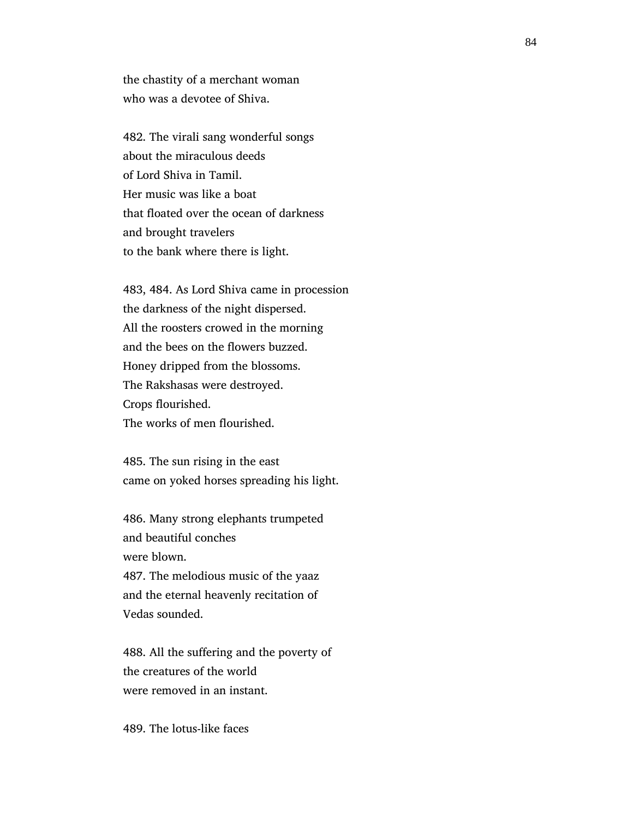the chastity of a merchant woman who was a devotee of Shiva.

 482. The virali sang wonderful songs about the miraculous deeds of Lord Shiva in Tamil. Her music was like a boat that floated over the ocean of darkness and brought travelers to the bank where there is light.

 483, 484. As Lord Shiva came in procession the darkness of the night dispersed. All the roosters crowed in the morning and the bees on the flowers buzzed. Honey dripped from the blossoms. The Rakshasas were destroyed. Crops flourished. The works of men flourished.

 485. The sun rising in the east came on yoked horses spreading his light.

 486. Many strong elephants trumpeted and beautiful conches were blown. 487. The melodious music of the yaaz and the eternal heavenly recitation of Vedas sounded.

 488. All the suffering and the poverty of the creatures of the world were removed in an instant.

489. The lotus-like faces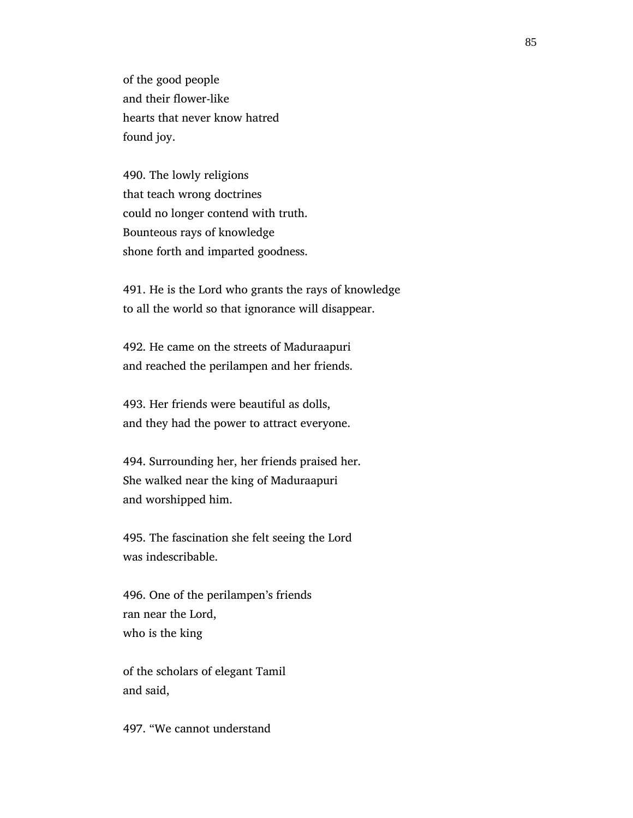of the good people and their flower-like hearts that never know hatred found joy.

 490. The lowly religions that teach wrong doctrines could no longer contend with truth. Bounteous rays of knowledge shone forth and imparted goodness.

 491. He is the Lord who grants the rays of knowledge to all the world so that ignorance will disappear.

 492. He came on the streets of Maduraapuri and reached the perilampen and her friends.

 493. Her friends were beautiful as dolls, and they had the power to attract everyone.

 494. Surrounding her, her friends praised her. She walked near the king of Maduraapuri and worshipped him.

 495. The fascination she felt seeing the Lord was indescribable.

 496. One of the perilampen's friends ran near the Lord, who is the king

 of the scholars of elegant Tamil and said,

497. "We cannot understand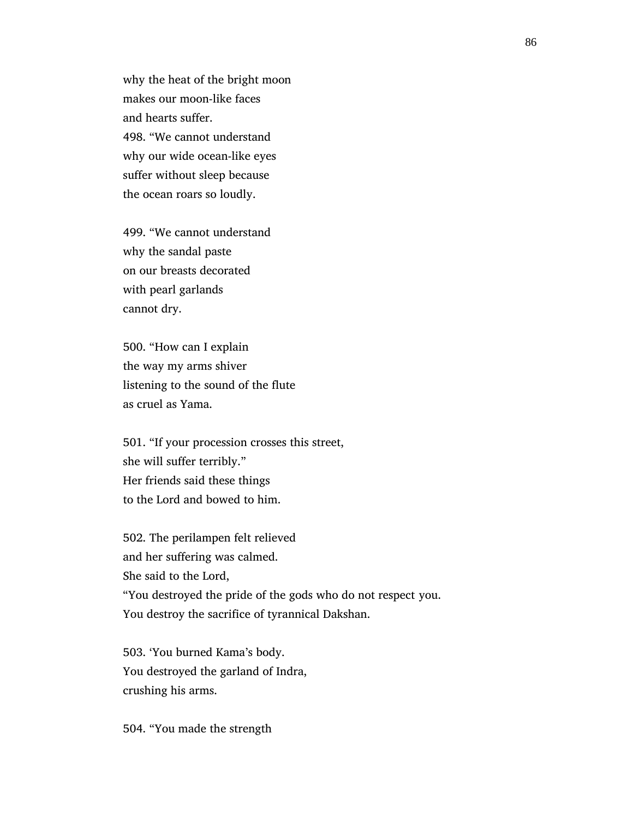why the heat of the bright moon makes our moon-like faces and hearts suffer. 498. "We cannot understand why our wide ocean-like eyes suffer without sleep because the ocean roars so loudly.

 499. "We cannot understand why the sandal paste on our breasts decorated with pearl garlands cannot dry.

 500. "How can I explain the way my arms shiver listening to the sound of the flute as cruel as Yama.

 501. "If your procession crosses this street, she will suffer terribly." Her friends said these things to the Lord and bowed to him.

 502. The perilampen felt relieved and her suffering was calmed. She said to the Lord, "You destroyed the pride of the gods who do not respect you. You destroy the sacrifice of tyrannical Dakshan.

 503. 'You burned Kama's body. You destroyed the garland of Indra, crushing his arms.

504. "You made the strength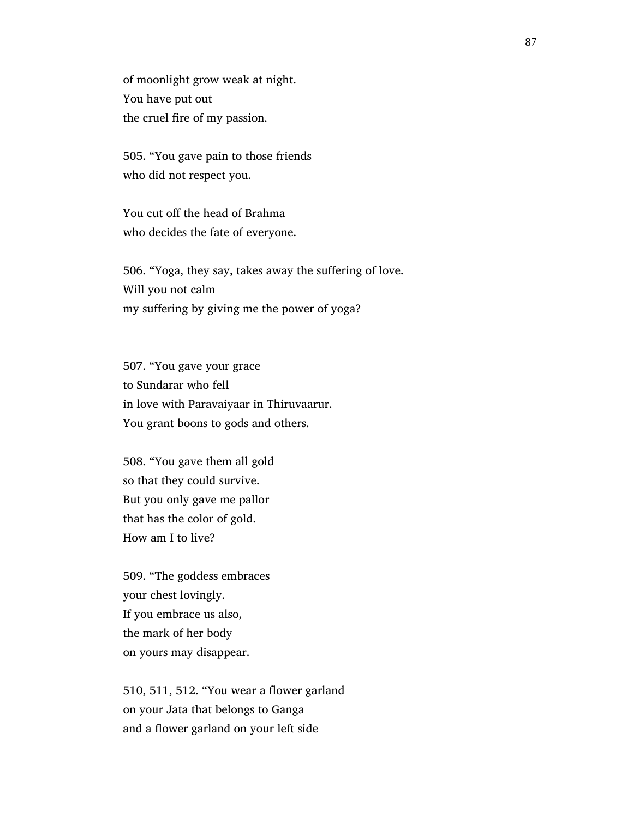of moonlight grow weak at night. You have put out the cruel fire of my passion.

 505. "You gave pain to those friends who did not respect you.

 You cut off the head of Brahma who decides the fate of everyone.

 506. "Yoga, they say, takes away the suffering of love. Will you not calm my suffering by giving me the power of yoga?

 507. "You gave your grace to Sundarar who fell in love with Paravaiyaar in Thiruvaarur. You grant boons to gods and others.

 508. "You gave them all gold so that they could survive. But you only gave me pallor that has the color of gold. How am I to live?

 509. "The goddess embraces your chest lovingly. If you embrace us also, the mark of her body on yours may disappear.

 510, 511, 512. "You wear a flower garland on your Jata that belongs to Ganga and a flower garland on your left side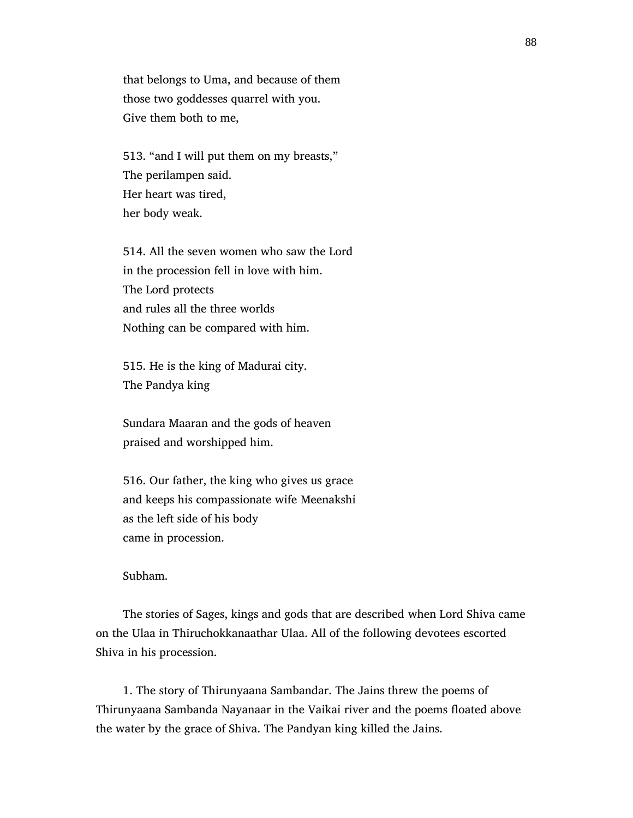that belongs to Uma, and because of them those two goddesses quarrel with you. Give them both to me,

 513. "and I will put them on my breasts," The perilampen said. Her heart was tired, her body weak.

 514. All the seven women who saw the Lord in the procession fell in love with him. The Lord protects and rules all the three worlds Nothing can be compared with him.

 515. He is the king of Madurai city. The Pandya king

 Sundara Maaran and the gods of heaven praised and worshipped him.

 516. Our father, the king who gives us grace and keeps his compassionate wife Meenakshi as the left side of his body came in procession.

Subham.

 The stories of Sages, kings and gods that are described when Lord Shiva came on the Ulaa in Thiruchokkanaathar Ulaa. All of the following devotees escorted Shiva in his procession.

 1. The story of Thirunyaana Sambandar. The Jains threw the poems of Thirunyaana Sambanda Nayanaar in the Vaikai river and the poems floated above the water by the grace of Shiva. The Pandyan king killed the Jains.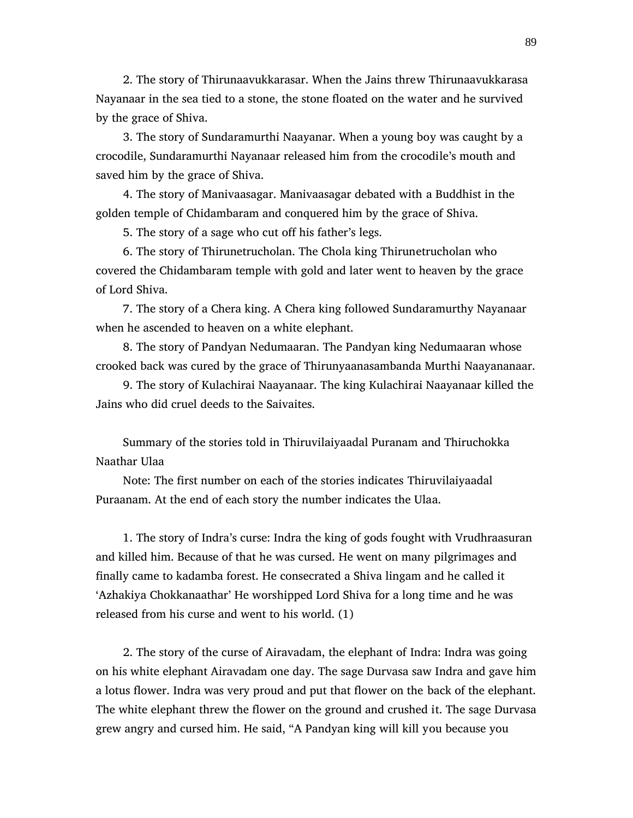2. The story of Thirunaavukkarasar. When the Jains threw Thirunaavukkarasa Nayanaar in the sea tied to a stone, the stone floated on the water and he survived by the grace of Shiva.

 3. The story of Sundaramurthi Naayanar. When a young boy was caught by a crocodile, Sundaramurthi Nayanaar released him from the crocodile's mouth and saved him by the grace of Shiva.

 4. The story of Manivaasagar. Manivaasagar debated with a Buddhist in the golden temple of Chidambaram and conquered him by the grace of Shiva.

5. The story of a sage who cut off his father's legs.

 6. The story of Thirunetrucholan. The Chola king Thirunetrucholan who covered the Chidambaram temple with gold and later went to heaven by the grace of Lord Shiva.

 7. The story of a Chera king. A Chera king followed Sundaramurthy Nayanaar when he ascended to heaven on a white elephant.

 8. The story of Pandyan Nedumaaran. The Pandyan king Nedumaaran whose crooked back was cured by the grace of Thirunyaanasambanda Murthi Naayananaar.

 9. The story of Kulachirai Naayanaar. The king Kulachirai Naayanaar killed the Jains who did cruel deeds to the Saivaites.

 Summary of the stories told in Thiruvilaiyaadal Puranam and Thiruchokka Naathar Ulaa

 Note: The first number on each of the stories indicates Thiruvilaiyaadal Puraanam. At the end of each story the number indicates the Ulaa.

 1. The story of Indra's curse: Indra the king of gods fought with Vrudhraasuran and killed him. Because of that he was cursed. He went on many pilgrimages and finally came to kadamba forest. He consecrated a Shiva lingam and he called it 'Azhakiya Chokkanaathar' He worshipped Lord Shiva for a long time and he was released from his curse and went to his world. (1)

 2. The story of the curse of Airavadam, the elephant of Indra: Indra was going on his white elephant Airavadam one day. The sage Durvasa saw Indra and gave him a lotus flower. Indra was very proud and put that flower on the back of the elephant. The white elephant threw the flower on the ground and crushed it. The sage Durvasa grew angry and cursed him. He said, "A Pandyan king will kill you because you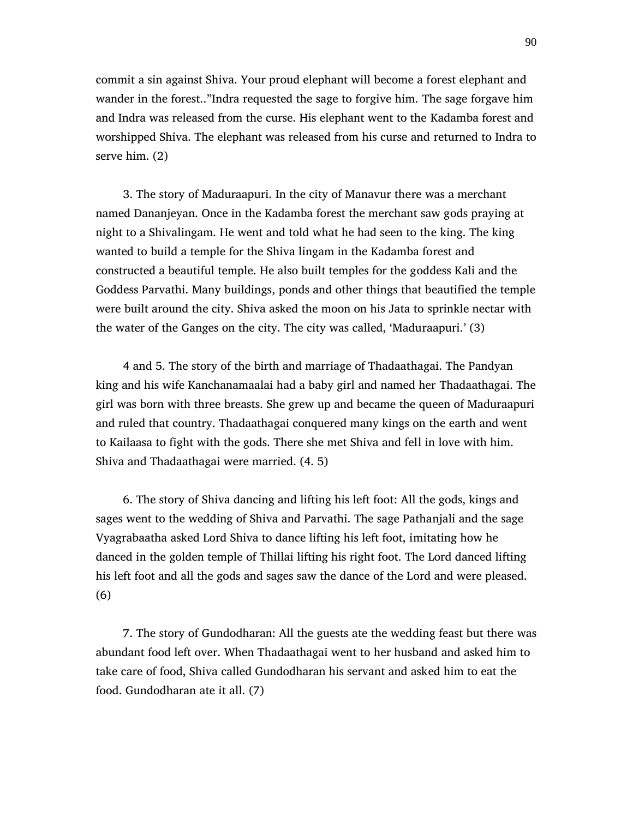commit a sin against Shiva. Your proud elephant will become a forest elephant and wander in the forest.."Indra requested the sage to forgive him. The sage forgave him and Indra was released from the curse. His elephant went to the Kadamba forest and worshipped Shiva. The elephant was released from his curse and returned to Indra to serve him. (2)

 3. The story of Maduraapuri. In the city of Manavur there was a merchant named Dananjeyan. Once in the Kadamba forest the merchant saw gods praying at night to a Shivalingam. He went and told what he had seen to the king. The king wanted to build a temple for the Shiva lingam in the Kadamba forest and constructed a beautiful temple. He also built temples for the goddess Kali and the Goddess Parvathi. Many buildings, ponds and other things that beautified the temple were built around the city. Shiva asked the moon on his Jata to sprinkle nectar with the water of the Ganges on the city. The city was called, 'Maduraapuri.' (3)

 4 and 5. The story of the birth and marriage of Thadaathagai. The Pandyan king and his wife Kanchanamaalai had a baby girl and named her Thadaathagai. The girl was born with three breasts. She grew up and became the queen of Maduraapuri and ruled that country. Thadaathagai conquered many kings on the earth and went to Kailaasa to fight with the gods. There she met Shiva and fell in love with him. Shiva and Thadaathagai were married. (4. 5)

 6. The story of Shiva dancing and lifting his left foot: All the gods, kings and sages went to the wedding of Shiva and Parvathi. The sage Pathanjali and the sage Vyagrabaatha asked Lord Shiva to dance lifting his left foot, imitating how he danced in the golden temple of Thillai lifting his right foot. The Lord danced lifting his left foot and all the gods and sages saw the dance of the Lord and were pleased. (6)

 7. The story of Gundodharan: All the guests ate the wedding feast but there was abundant food left over. When Thadaathagai went to her husband and asked him to take care of food, Shiva called Gundodharan his servant and asked him to eat the food. Gundodharan ate it all. (7)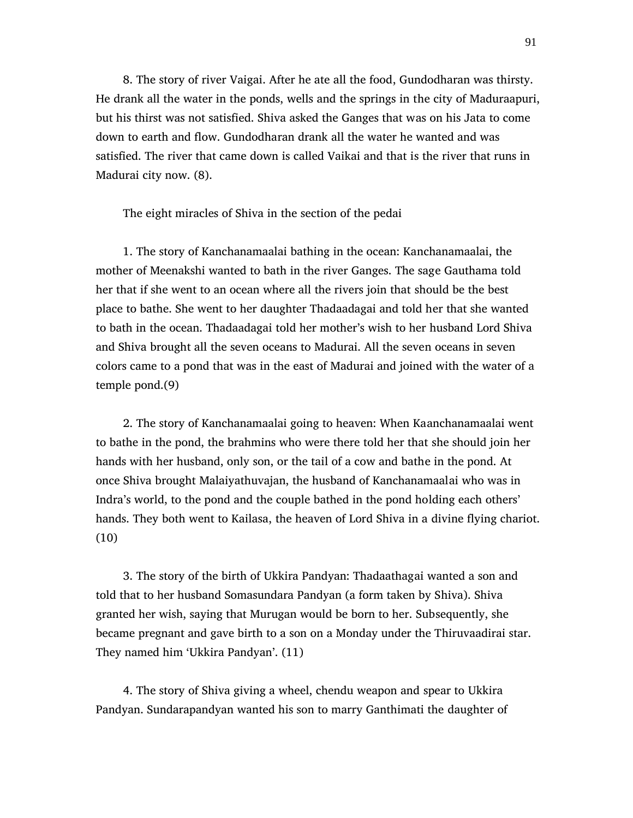8. The story of river Vaigai. After he ate all the food, Gundodharan was thirsty. He drank all the water in the ponds, wells and the springs in the city of Maduraapuri, but his thirst was not satisfied. Shiva asked the Ganges that was on his Jata to come down to earth and flow. Gundodharan drank all the water he wanted and was satisfied. The river that came down is called Vaikai and that is the river that runs in Madurai city now. (8).

The eight miracles of Shiva in the section of the pedai

 1. The story of Kanchanamaalai bathing in the ocean: Kanchanamaalai, the mother of Meenakshi wanted to bath in the river Ganges. The sage Gauthama told her that if she went to an ocean where all the rivers join that should be the best place to bathe. She went to her daughter Thadaadagai and told her that she wanted to bath in the ocean. Thadaadagai told her mother's wish to her husband Lord Shiva and Shiva brought all the seven oceans to Madurai. All the seven oceans in seven colors came to a pond that was in the east of Madurai and joined with the water of a temple pond.(9)

 2. The story of Kanchanamaalai going to heaven: When Kaanchanamaalai went to bathe in the pond, the brahmins who were there told her that she should join her hands with her husband, only son, or the tail of a cow and bathe in the pond. At once Shiva brought Malaiyathuvajan, the husband of Kanchanamaalai who was in Indra's world, to the pond and the couple bathed in the pond holding each others' hands. They both went to Kailasa, the heaven of Lord Shiva in a divine flying chariot. (10)

 3. The story of the birth of Ukkira Pandyan: Thadaathagai wanted a son and told that to her husband Somasundara Pandyan (a form taken by Shiva). Shiva granted her wish, saying that Murugan would be born to her. Subsequently, she became pregnant and gave birth to a son on a Monday under the Thiruvaadirai star. They named him 'Ukkira Pandyan'. (11)

 4. The story of Shiva giving a wheel, chendu weapon and spear to Ukkira Pandyan. Sundarapandyan wanted his son to marry Ganthimati the daughter of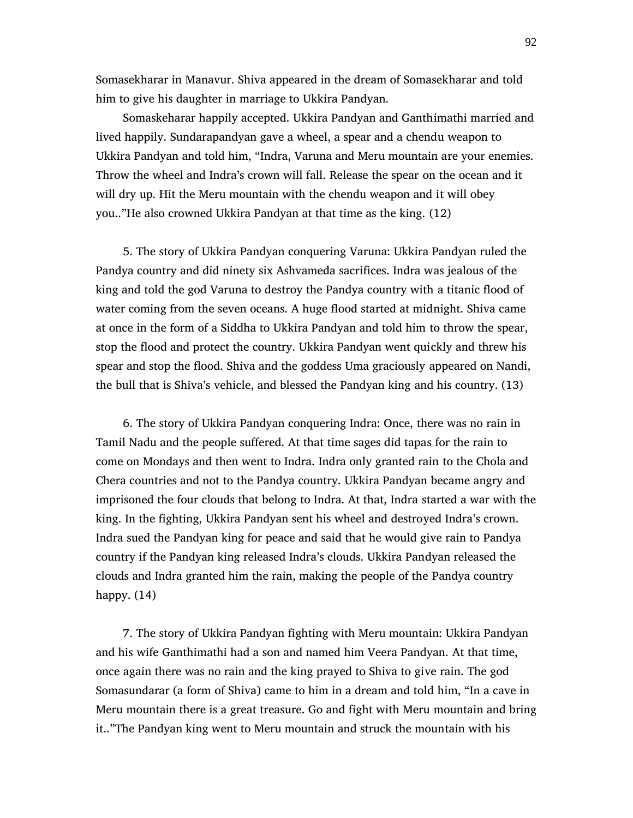Somasekharar in Manavur. Shiva appeared in the dream of Somasekharar and told him to give his daughter in marriage to Ukkira Pandyan.

 Somaskeharar happily accepted. Ukkira Pandyan and Ganthimathi married and lived happily. Sundarapandyan gave a wheel, a spear and a chendu weapon to Ukkira Pandyan and told him, "Indra, Varuna and Meru mountain are your enemies. Throw the wheel and Indra's crown will fall. Release the spear on the ocean and it will dry up. Hit the Meru mountain with the chendu weapon and it will obey you.."He also crowned Ukkira Pandyan at that time as the king. (12)

 5. The story of Ukkira Pandyan conquering Varuna: Ukkira Pandyan ruled the Pandya country and did ninety six Ashvameda sacrifices. Indra was jealous of the king and told the god Varuna to destroy the Pandya country with a titanic flood of water coming from the seven oceans. A huge flood started at midnight. Shiva came at once in the form of a Siddha to Ukkira Pandyan and told him to throw the spear, stop the flood and protect the country. Ukkira Pandyan went quickly and threw his spear and stop the flood. Shiva and the goddess Uma graciously appeared on Nandi, the bull that is Shiva's vehicle, and blessed the Pandyan king and his country. (13)

 6. The story of Ukkira Pandyan conquering Indra: Once, there was no rain in Tamil Nadu and the people suffered. At that time sages did tapas for the rain to come on Mondays and then went to Indra. Indra only granted rain to the Chola and Chera countries and not to the Pandya country. Ukkira Pandyan became angry and imprisoned the four clouds that belong to Indra. At that, Indra started a war with the king. In the fighting, Ukkira Pandyan sent his wheel and destroyed Indra's crown. Indra sued the Pandyan king for peace and said that he would give rain to Pandya country if the Pandyan king released Indra's clouds. Ukkira Pandyan released the clouds and Indra granted him the rain, making the people of the Pandya country happy. (14)

 7. The story of Ukkira Pandyan fighting with Meru mountain: Ukkira Pandyan and his wife Ganthimathi had a son and named him Veera Pandyan. At that time, once again there was no rain and the king prayed to Shiva to give rain. The god Somasundarar (a form of Shiva) came to him in a dream and told him, "In a cave in Meru mountain there is a great treasure. Go and fight with Meru mountain and bring it.."The Pandyan king went to Meru mountain and struck the mountain with his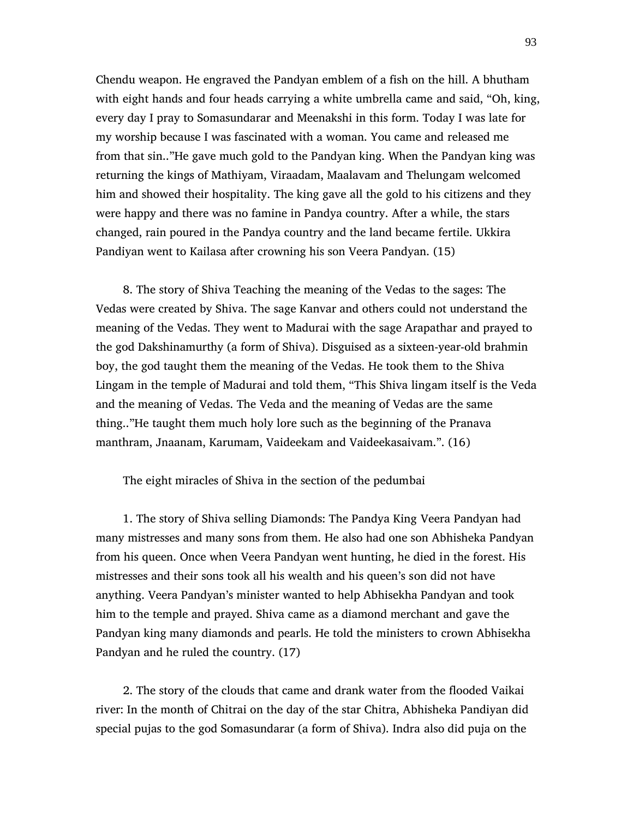Chendu weapon. He engraved the Pandyan emblem of a fish on the hill. A bhutham with eight hands and four heads carrying a white umbrella came and said, "Oh, king, every day I pray to Somasundarar and Meenakshi in this form. Today I was late for my worship because I was fascinated with a woman. You came and released me from that sin.."He gave much gold to the Pandyan king. When the Pandyan king was returning the kings of Mathiyam, Viraadam, Maalavam and Thelungam welcomed him and showed their hospitality. The king gave all the gold to his citizens and they were happy and there was no famine in Pandya country. After a while, the stars changed, rain poured in the Pandya country and the land became fertile. Ukkira Pandiyan went to Kailasa after crowning his son Veera Pandyan. (15)

 8. The story of Shiva Teaching the meaning of the Vedas to the sages: The Vedas were created by Shiva. The sage Kanvar and others could not understand the meaning of the Vedas. They went to Madurai with the sage Arapathar and prayed to the god Dakshinamurthy (a form of Shiva). Disguised as a sixteen-year-old brahmin boy, the god taught them the meaning of the Vedas. He took them to the Shiva Lingam in the temple of Madurai and told them, "This Shiva lingam itself is the Veda and the meaning of Vedas. The Veda and the meaning of Vedas are the same thing.."He taught them much holy lore such as the beginning of the Pranava manthram, Jnaanam, Karumam, Vaideekam and Vaideekasaivam.". (16)

The eight miracles of Shiva in the section of the pedumbai

 1. The story of Shiva selling Diamonds: The Pandya King Veera Pandyan had many mistresses and many sons from them. He also had one son Abhisheka Pandyan from his queen. Once when Veera Pandyan went hunting, he died in the forest. His mistresses and their sons took all his wealth and his queen's son did not have anything. Veera Pandyan's minister wanted to help Abhisekha Pandyan and took him to the temple and prayed. Shiva came as a diamond merchant and gave the Pandyan king many diamonds and pearls. He told the ministers to crown Abhisekha Pandyan and he ruled the country. (17)

 2. The story of the clouds that came and drank water from the flooded Vaikai river: In the month of Chitrai on the day of the star Chitra, Abhisheka Pandiyan did special pujas to the god Somasundarar (a form of Shiva). Indra also did puja on the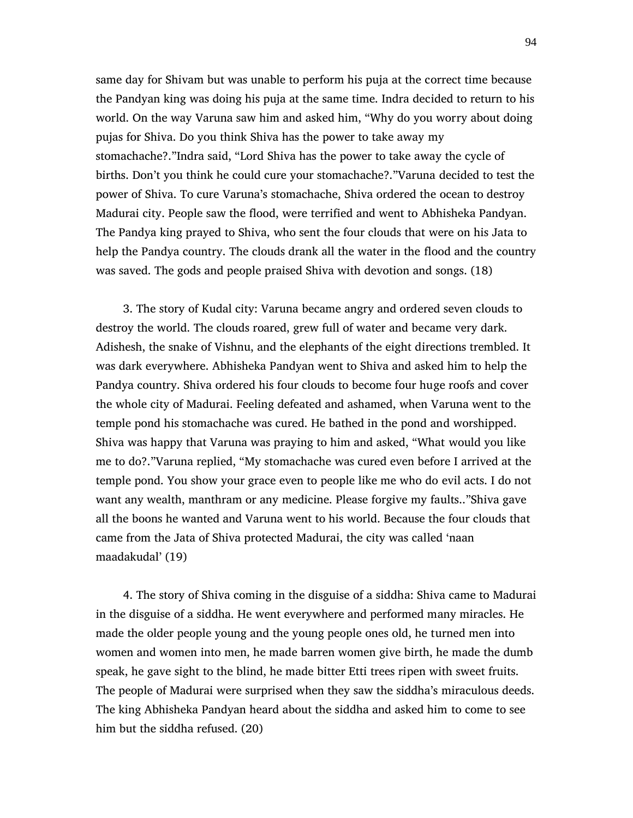same day for Shivam but was unable to perform his puja at the correct time because the Pandyan king was doing his puja at the same time. Indra decided to return to his world. On the way Varuna saw him and asked him, "Why do you worry about doing pujas for Shiva. Do you think Shiva has the power to take away my stomachache?."Indra said, "Lord Shiva has the power to take away the cycle of births. Don't you think he could cure your stomachache?."Varuna decided to test the power of Shiva. To cure Varuna's stomachache, Shiva ordered the ocean to destroy Madurai city. People saw the flood, were terrified and went to Abhisheka Pandyan. The Pandya king prayed to Shiva, who sent the four clouds that were on his Jata to help the Pandya country. The clouds drank all the water in the flood and the country was saved. The gods and people praised Shiva with devotion and songs. (18)

 3. The story of Kudal city: Varuna became angry and ordered seven clouds to destroy the world. The clouds roared, grew full of water and became very dark. Adishesh, the snake of Vishnu, and the elephants of the eight directions trembled. It was dark everywhere. Abhisheka Pandyan went to Shiva and asked him to help the Pandya country. Shiva ordered his four clouds to become four huge roofs and cover the whole city of Madurai. Feeling defeated and ashamed, when Varuna went to the temple pond his stomachache was cured. He bathed in the pond and worshipped. Shiva was happy that Varuna was praying to him and asked, "What would you like me to do?."Varuna replied, "My stomachache was cured even before I arrived at the temple pond. You show your grace even to people like me who do evil acts. I do not want any wealth, manthram or any medicine. Please forgive my faults.."Shiva gave all the boons he wanted and Varuna went to his world. Because the four clouds that came from the Jata of Shiva protected Madurai, the city was called 'naan maadakudal' (19)

 4. The story of Shiva coming in the disguise of a siddha: Shiva came to Madurai in the disguise of a siddha. He went everywhere and performed many miracles. He made the older people young and the young people ones old, he turned men into women and women into men, he made barren women give birth, he made the dumb speak, he gave sight to the blind, he made bitter Etti trees ripen with sweet fruits. The people of Madurai were surprised when they saw the siddha's miraculous deeds. The king Abhisheka Pandyan heard about the siddha and asked him to come to see him but the siddha refused. (20)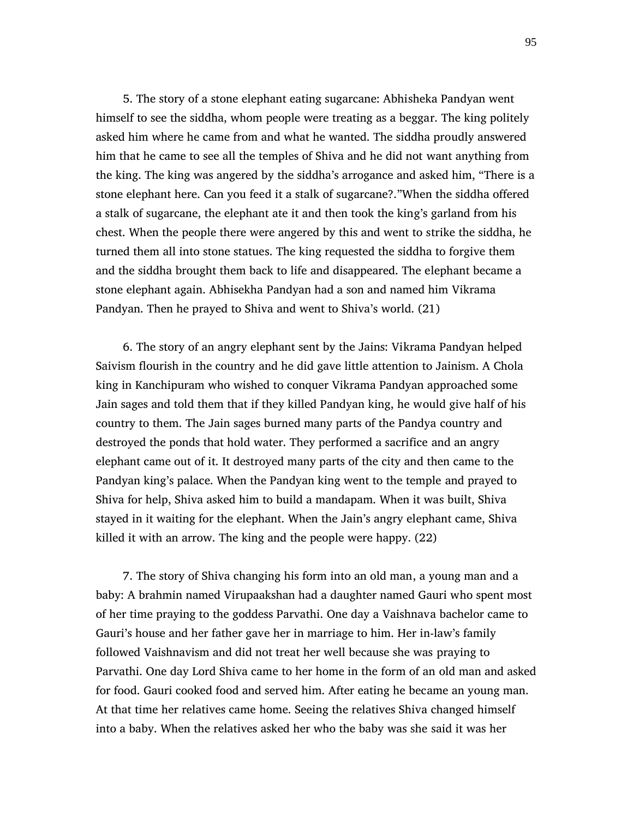5. The story of a stone elephant eating sugarcane: Abhisheka Pandyan went himself to see the siddha, whom people were treating as a beggar. The king politely asked him where he came from and what he wanted. The siddha proudly answered him that he came to see all the temples of Shiva and he did not want anything from the king. The king was angered by the siddha's arrogance and asked him, "There is a stone elephant here. Can you feed it a stalk of sugarcane?."When the siddha offered a stalk of sugarcane, the elephant ate it and then took the king's garland from his chest. When the people there were angered by this and went to strike the siddha, he turned them all into stone statues. The king requested the siddha to forgive them and the siddha brought them back to life and disappeared. The elephant became a stone elephant again. Abhisekha Pandyan had a son and named him Vikrama Pandyan. Then he prayed to Shiva and went to Shiva's world. (21)

 6. The story of an angry elephant sent by the Jains: Vikrama Pandyan helped Saivism flourish in the country and he did gave little attention to Jainism. A Chola king in Kanchipuram who wished to conquer Vikrama Pandyan approached some Jain sages and told them that if they killed Pandyan king, he would give half of his country to them. The Jain sages burned many parts of the Pandya country and destroyed the ponds that hold water. They performed a sacrifice and an angry elephant came out of it. It destroyed many parts of the city and then came to the Pandyan king's palace. When the Pandyan king went to the temple and prayed to Shiva for help, Shiva asked him to build a mandapam. When it was built, Shiva stayed in it waiting for the elephant. When the Jain's angry elephant came, Shiva killed it with an arrow. The king and the people were happy. (22)

 7. The story of Shiva changing his form into an old man, a young man and a baby: A brahmin named Virupaakshan had a daughter named Gauri who spent most of her time praying to the goddess Parvathi. One day a Vaishnava bachelor came to Gauri's house and her father gave her in marriage to him. Her in-law's family followed Vaishnavism and did not treat her well because she was praying to Parvathi. One day Lord Shiva came to her home in the form of an old man and asked for food. Gauri cooked food and served him. After eating he became an young man. At that time her relatives came home. Seeing the relatives Shiva changed himself into a baby. When the relatives asked her who the baby was she said it was her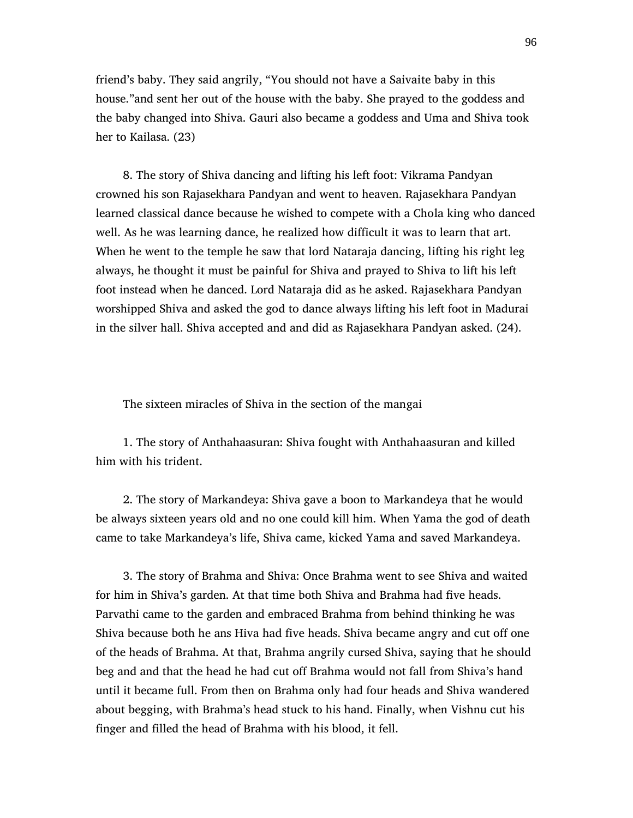friend's baby. They said angrily, "You should not have a Saivaite baby in this house."and sent her out of the house with the baby. She prayed to the goddess and the baby changed into Shiva. Gauri also became a goddess and Uma and Shiva took her to Kailasa. (23)

 8. The story of Shiva dancing and lifting his left foot: Vikrama Pandyan crowned his son Rajasekhara Pandyan and went to heaven. Rajasekhara Pandyan learned classical dance because he wished to compete with a Chola king who danced well. As he was learning dance, he realized how difficult it was to learn that art. When he went to the temple he saw that lord Nataraja dancing, lifting his right leg always, he thought it must be painful for Shiva and prayed to Shiva to lift his left foot instead when he danced. Lord Nataraja did as he asked. Rajasekhara Pandyan worshipped Shiva and asked the god to dance always lifting his left foot in Madurai in the silver hall. Shiva accepted and and did as Rajasekhara Pandyan asked. (24).

The sixteen miracles of Shiva in the section of the mangai

 1. The story of Anthahaasuran: Shiva fought with Anthahaasuran and killed him with his trident.

 2. The story of Markandeya: Shiva gave a boon to Markandeya that he would be always sixteen years old and no one could kill him. When Yama the god of death came to take Markandeya's life, Shiva came, kicked Yama and saved Markandeya.

 3. The story of Brahma and Shiva: Once Brahma went to see Shiva and waited for him in Shiva's garden. At that time both Shiva and Brahma had five heads. Parvathi came to the garden and embraced Brahma from behind thinking he was Shiva because both he ans Hiva had five heads. Shiva became angry and cut off one of the heads of Brahma. At that, Brahma angrily cursed Shiva, saying that he should beg and and that the head he had cut off Brahma would not fall from Shiva's hand until it became full. From then on Brahma only had four heads and Shiva wandered about begging, with Brahma's head stuck to his hand. Finally, when Vishnu cut his finger and filled the head of Brahma with his blood, it fell.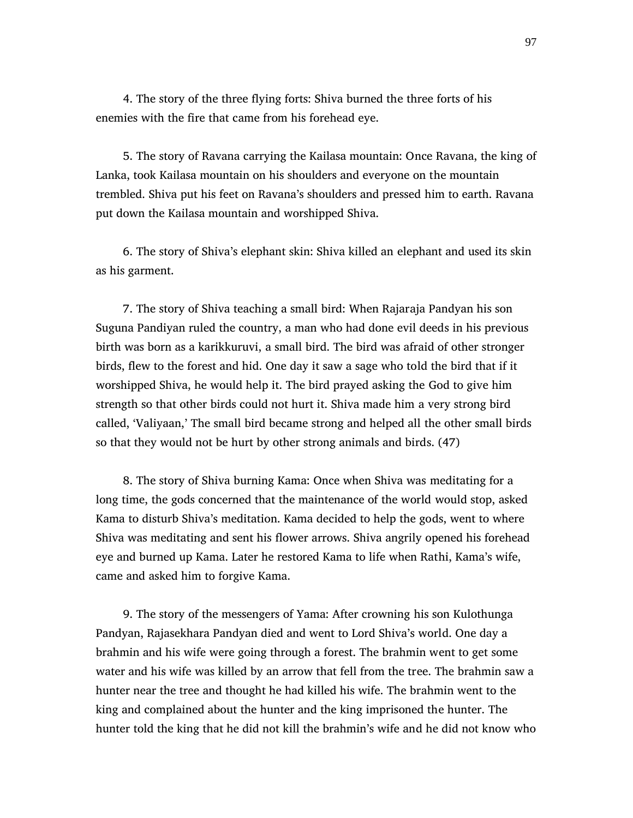4. The story of the three flying forts: Shiva burned the three forts of his enemies with the fire that came from his forehead eye.

 5. The story of Ravana carrying the Kailasa mountain: Once Ravana, the king of Lanka, took Kailasa mountain on his shoulders and everyone on the mountain trembled. Shiva put his feet on Ravana's shoulders and pressed him to earth. Ravana put down the Kailasa mountain and worshipped Shiva.

 6. The story of Shiva's elephant skin: Shiva killed an elephant and used its skin as his garment.

 7. The story of Shiva teaching a small bird: When Rajaraja Pandyan his son Suguna Pandiyan ruled the country, a man who had done evil deeds in his previous birth was born as a karikkuruvi, a small bird. The bird was afraid of other stronger birds, flew to the forest and hid. One day it saw a sage who told the bird that if it worshipped Shiva, he would help it. The bird prayed asking the God to give him strength so that other birds could not hurt it. Shiva made him a very strong bird called, 'Valiyaan,' The small bird became strong and helped all the other small birds so that they would not be hurt by other strong animals and birds. (47)

 8. The story of Shiva burning Kama: Once when Shiva was meditating for a long time, the gods concerned that the maintenance of the world would stop, asked Kama to disturb Shiva's meditation. Kama decided to help the gods, went to where Shiva was meditating and sent his flower arrows. Shiva angrily opened his forehead eye and burned up Kama. Later he restored Kama to life when Rathi, Kama's wife, came and asked him to forgive Kama.

 9. The story of the messengers of Yama: After crowning his son Kulothunga Pandyan, Rajasekhara Pandyan died and went to Lord Shiva's world. One day a brahmin and his wife were going through a forest. The brahmin went to get some water and his wife was killed by an arrow that fell from the tree. The brahmin saw a hunter near the tree and thought he had killed his wife. The brahmin went to the king and complained about the hunter and the king imprisoned the hunter. The hunter told the king that he did not kill the brahmin's wife and he did not know who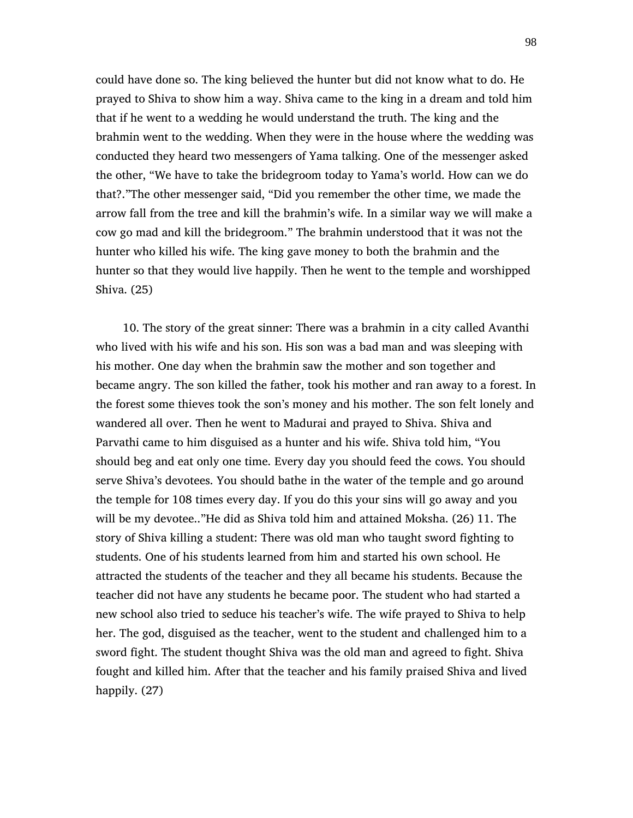could have done so. The king believed the hunter but did not know what to do. He prayed to Shiva to show him a way. Shiva came to the king in a dream and told him that if he went to a wedding he would understand the truth. The king and the brahmin went to the wedding. When they were in the house where the wedding was conducted they heard two messengers of Yama talking. One of the messenger asked the other, "We have to take the bridegroom today to Yama's world. How can we do that?."The other messenger said, "Did you remember the other time, we made the arrow fall from the tree and kill the brahmin's wife. In a similar way we will make a cow go mad and kill the bridegroom." The brahmin understood that it was not the hunter who killed his wife. The king gave money to both the brahmin and the hunter so that they would live happily. Then he went to the temple and worshipped Shiva. (25)

 10. The story of the great sinner: There was a brahmin in a city called Avanthi who lived with his wife and his son. His son was a bad man and was sleeping with his mother. One day when the brahmin saw the mother and son together and became angry. The son killed the father, took his mother and ran away to a forest. In the forest some thieves took the son's money and his mother. The son felt lonely and wandered all over. Then he went to Madurai and prayed to Shiva. Shiva and Parvathi came to him disguised as a hunter and his wife. Shiva told him, "You should beg and eat only one time. Every day you should feed the cows. You should serve Shiva's devotees. You should bathe in the water of the temple and go around the temple for 108 times every day. If you do this your sins will go away and you will be my devotee.."He did as Shiva told him and attained Moksha. (26) 11. The story of Shiva killing a student: There was old man who taught sword fighting to students. One of his students learned from him and started his own school. He attracted the students of the teacher and they all became his students. Because the teacher did not have any students he became poor. The student who had started a new school also tried to seduce his teacher's wife. The wife prayed to Shiva to help her. The god, disguised as the teacher, went to the student and challenged him to a sword fight. The student thought Shiva was the old man and agreed to fight. Shiva fought and killed him. After that the teacher and his family praised Shiva and lived happily. (27)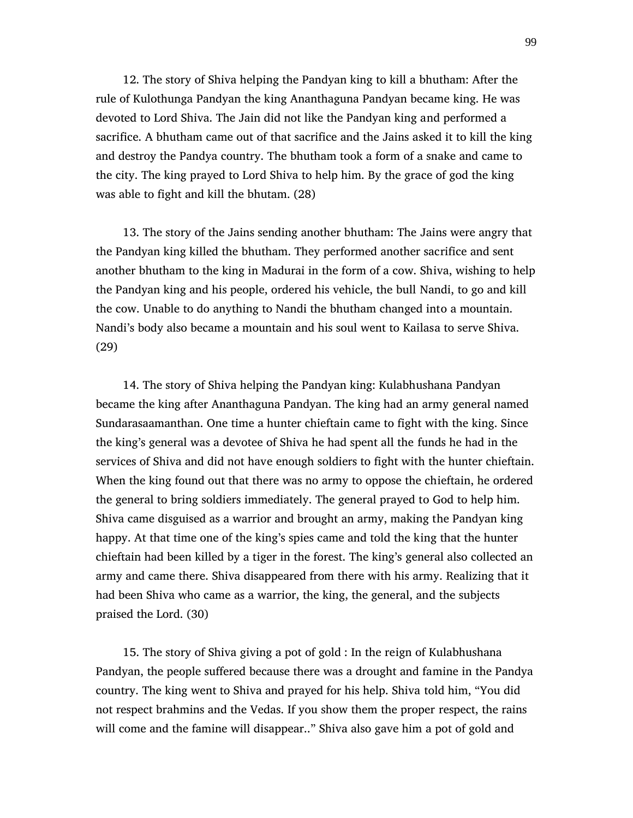12. The story of Shiva helping the Pandyan king to kill a bhutham: After the rule of Kulothunga Pandyan the king Ananthaguna Pandyan became king. He was devoted to Lord Shiva. The Jain did not like the Pandyan king and performed a sacrifice. A bhutham came out of that sacrifice and the Jains asked it to kill the king and destroy the Pandya country. The bhutham took a form of a snake and came to the city. The king prayed to Lord Shiva to help him. By the grace of god the king was able to fight and kill the bhutam. (28)

 13. The story of the Jains sending another bhutham: The Jains were angry that the Pandyan king killed the bhutham. They performed another sacrifice and sent another bhutham to the king in Madurai in the form of a cow. Shiva, wishing to help the Pandyan king and his people, ordered his vehicle, the bull Nandi, to go and kill the cow. Unable to do anything to Nandi the bhutham changed into a mountain. Nandi's body also became a mountain and his soul went to Kailasa to serve Shiva. (29)

 14. The story of Shiva helping the Pandyan king: Kulabhushana Pandyan became the king after Ananthaguna Pandyan. The king had an army general named Sundarasaamanthan. One time a hunter chieftain came to fight with the king. Since the king's general was a devotee of Shiva he had spent all the funds he had in the services of Shiva and did not have enough soldiers to fight with the hunter chieftain. When the king found out that there was no army to oppose the chieftain, he ordered the general to bring soldiers immediately. The general prayed to God to help him. Shiva came disguised as a warrior and brought an army, making the Pandyan king happy. At that time one of the king's spies came and told the king that the hunter chieftain had been killed by a tiger in the forest. The king's general also collected an army and came there. Shiva disappeared from there with his army. Realizing that it had been Shiva who came as a warrior, the king, the general, and the subjects praised the Lord. (30)

 15. The story of Shiva giving a pot of gold : In the reign of Kulabhushana Pandyan, the people suffered because there was a drought and famine in the Pandya country. The king went to Shiva and prayed for his help. Shiva told him, "You did not respect brahmins and the Vedas. If you show them the proper respect, the rains will come and the famine will disappear.." Shiva also gave him a pot of gold and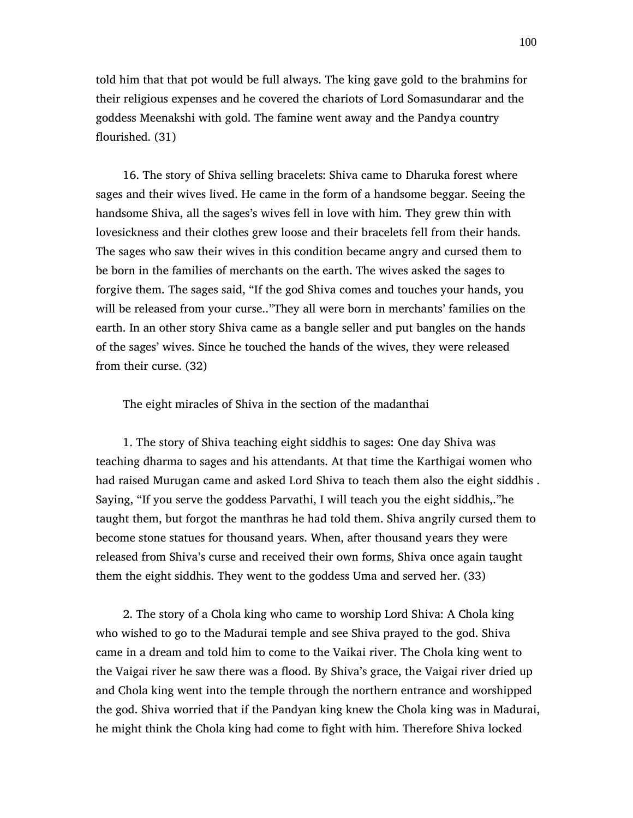told him that that pot would be full always. The king gave gold to the brahmins for their religious expenses and he covered the chariots of Lord Somasundarar and the goddess Meenakshi with gold. The famine went away and the Pandya country flourished. (31)

 16. The story of Shiva selling bracelets: Shiva came to Dharuka forest where sages and their wives lived. He came in the form of a handsome beggar. Seeing the handsome Shiva, all the sages's wives fell in love with him. They grew thin with lovesickness and their clothes grew loose and their bracelets fell from their hands. The sages who saw their wives in this condition became angry and cursed them to be born in the families of merchants on the earth. The wives asked the sages to forgive them. The sages said, "If the god Shiva comes and touches your hands, you will be released from your curse.."They all were born in merchants' families on the earth. In an other story Shiva came as a bangle seller and put bangles on the hands of the sages' wives. Since he touched the hands of the wives, they were released from their curse. (32)

The eight miracles of Shiva in the section of the madanthai

 1. The story of Shiva teaching eight siddhis to sages: One day Shiva was teaching dharma to sages and his attendants. At that time the Karthigai women who had raised Murugan came and asked Lord Shiva to teach them also the eight siddhis . Saying, "If you serve the goddess Parvathi, I will teach you the eight siddhis,."he taught them, but forgot the manthras he had told them. Shiva angrily cursed them to become stone statues for thousand years. When, after thousand years they were released from Shiva's curse and received their own forms, Shiva once again taught them the eight siddhis. They went to the goddess Uma and served her. (33)

 2. The story of a Chola king who came to worship Lord Shiva: A Chola king who wished to go to the Madurai temple and see Shiva prayed to the god. Shiva came in a dream and told him to come to the Vaikai river. The Chola king went to the Vaigai river he saw there was a flood. By Shiva's grace, the Vaigai river dried up and Chola king went into the temple through the northern entrance and worshipped the god. Shiva worried that if the Pandyan king knew the Chola king was in Madurai, he might think the Chola king had come to fight with him. Therefore Shiva locked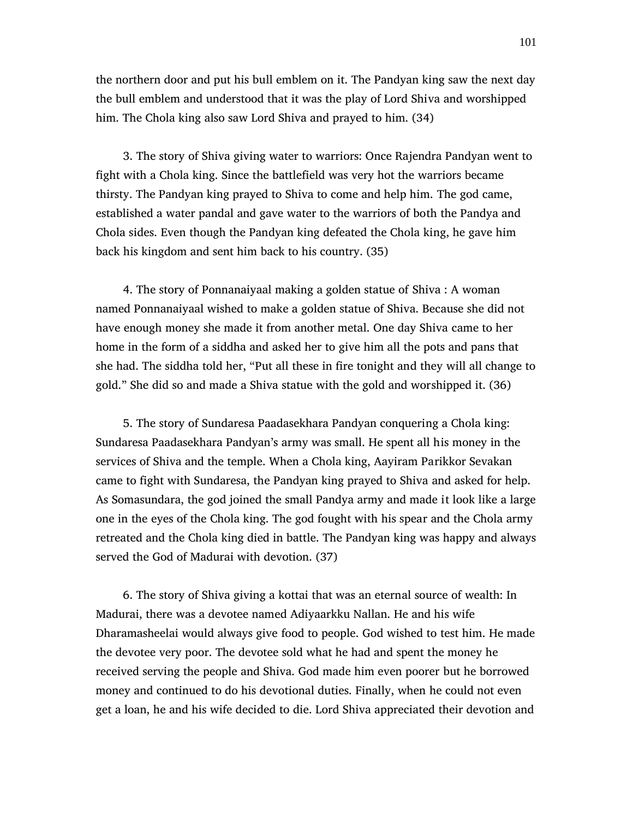the northern door and put his bull emblem on it. The Pandyan king saw the next day the bull emblem and understood that it was the play of Lord Shiva and worshipped him. The Chola king also saw Lord Shiva and prayed to him. (34)

 3. The story of Shiva giving water to warriors: Once Rajendra Pandyan went to fight with a Chola king. Since the battlefield was very hot the warriors became thirsty. The Pandyan king prayed to Shiva to come and help him. The god came, established a water pandal and gave water to the warriors of both the Pandya and Chola sides. Even though the Pandyan king defeated the Chola king, he gave him back his kingdom and sent him back to his country. (35)

 4. The story of Ponnanaiyaal making a golden statue of Shiva : A woman named Ponnanaiyaal wished to make a golden statue of Shiva. Because she did not have enough money she made it from another metal. One day Shiva came to her home in the form of a siddha and asked her to give him all the pots and pans that she had. The siddha told her, "Put all these in fire tonight and they will all change to gold." She did so and made a Shiva statue with the gold and worshipped it. (36)

 5. The story of Sundaresa Paadasekhara Pandyan conquering a Chola king: Sundaresa Paadasekhara Pandyan's army was small. He spent all his money in the services of Shiva and the temple. When a Chola king, Aayiram Parikkor Sevakan came to fight with Sundaresa, the Pandyan king prayed to Shiva and asked for help. As Somasundara, the god joined the small Pandya army and made it look like a large one in the eyes of the Chola king. The god fought with his spear and the Chola army retreated and the Chola king died in battle. The Pandyan king was happy and always served the God of Madurai with devotion. (37)

 6. The story of Shiva giving a kottai that was an eternal source of wealth: In Madurai, there was a devotee named Adiyaarkku Nallan. He and his wife Dharamasheelai would always give food to people. God wished to test him. He made the devotee very poor. The devotee sold what he had and spent the money he received serving the people and Shiva. God made him even poorer but he borrowed money and continued to do his devotional duties. Finally, when he could not even get a loan, he and his wife decided to die. Lord Shiva appreciated their devotion and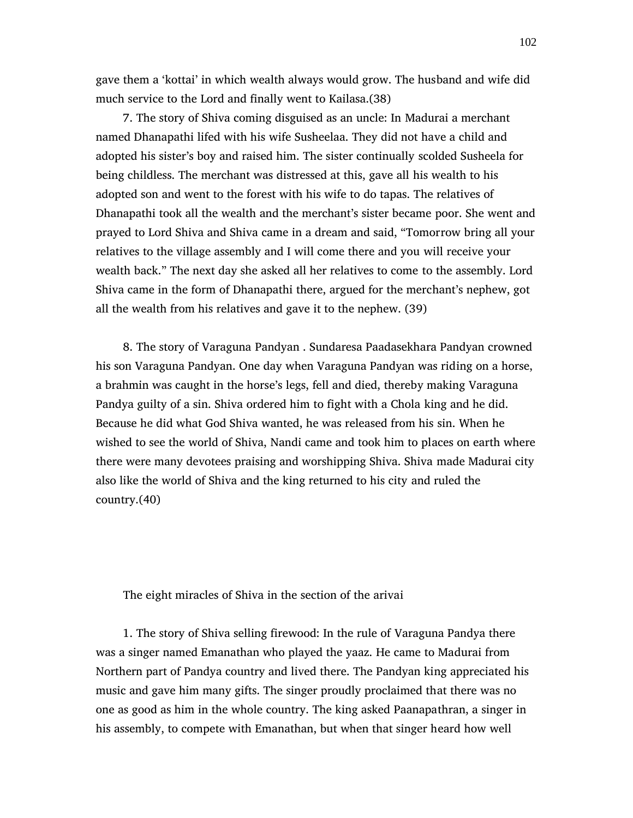gave them a 'kottai' in which wealth always would grow. The husband and wife did much service to the Lord and finally went to Kailasa.(38)

 7. The story of Shiva coming disguised as an uncle: In Madurai a merchant named Dhanapathi lifed with his wife Susheelaa. They did not have a child and adopted his sister's boy and raised him. The sister continually scolded Susheela for being childless. The merchant was distressed at this, gave all his wealth to his adopted son and went to the forest with his wife to do tapas. The relatives of Dhanapathi took all the wealth and the merchant's sister became poor. She went and prayed to Lord Shiva and Shiva came in a dream and said, "Tomorrow bring all your relatives to the village assembly and I will come there and you will receive your wealth back." The next day she asked all her relatives to come to the assembly. Lord Shiva came in the form of Dhanapathi there, argued for the merchant's nephew, got all the wealth from his relatives and gave it to the nephew. (39)

 8. The story of Varaguna Pandyan . Sundaresa Paadasekhara Pandyan crowned his son Varaguna Pandyan. One day when Varaguna Pandyan was riding on a horse, a brahmin was caught in the horse's legs, fell and died, thereby making Varaguna Pandya guilty of a sin. Shiva ordered him to fight with a Chola king and he did. Because he did what God Shiva wanted, he was released from his sin. When he wished to see the world of Shiva, Nandi came and took him to places on earth where there were many devotees praising and worshipping Shiva. Shiva made Madurai city also like the world of Shiva and the king returned to his city and ruled the country.(40)

The eight miracles of Shiva in the section of the arivai

 1. The story of Shiva selling firewood: In the rule of Varaguna Pandya there was a singer named Emanathan who played the yaaz. He came to Madurai from Northern part of Pandya country and lived there. The Pandyan king appreciated his music and gave him many gifts. The singer proudly proclaimed that there was no one as good as him in the whole country. The king asked Paanapathran, a singer in his assembly, to compete with Emanathan, but when that singer heard how well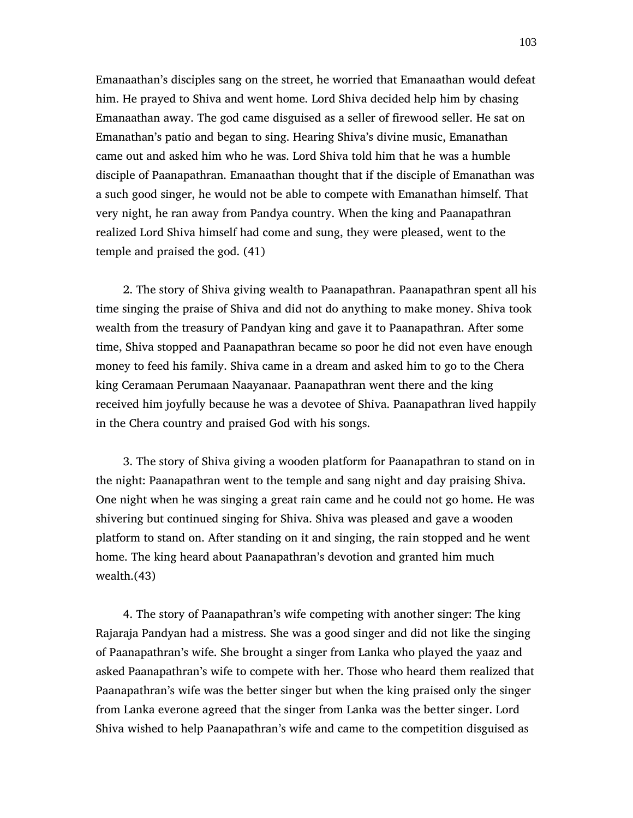Emanaathan's disciples sang on the street, he worried that Emanaathan would defeat him. He prayed to Shiva and went home. Lord Shiva decided help him by chasing Emanaathan away. The god came disguised as a seller of firewood seller. He sat on Emanathan's patio and began to sing. Hearing Shiva's divine music, Emanathan came out and asked him who he was. Lord Shiva told him that he was a humble disciple of Paanapathran. Emanaathan thought that if the disciple of Emanathan was a such good singer, he would not be able to compete with Emanathan himself. That very night, he ran away from Pandya country. When the king and Paanapathran realized Lord Shiva himself had come and sung, they were pleased, went to the temple and praised the god. (41)

 2. The story of Shiva giving wealth to Paanapathran. Paanapathran spent all his time singing the praise of Shiva and did not do anything to make money. Shiva took wealth from the treasury of Pandyan king and gave it to Paanapathran. After some time, Shiva stopped and Paanapathran became so poor he did not even have enough money to feed his family. Shiva came in a dream and asked him to go to the Chera king Ceramaan Perumaan Naayanaar. Paanapathran went there and the king received him joyfully because he was a devotee of Shiva. Paanapathran lived happily in the Chera country and praised God with his songs.

 3. The story of Shiva giving a wooden platform for Paanapathran to stand on in the night: Paanapathran went to the temple and sang night and day praising Shiva. One night when he was singing a great rain came and he could not go home. He was shivering but continued singing for Shiva. Shiva was pleased and gave a wooden platform to stand on. After standing on it and singing, the rain stopped and he went home. The king heard about Paanapathran's devotion and granted him much wealth.(43)

 4. The story of Paanapathran's wife competing with another singer: The king Rajaraja Pandyan had a mistress. She was a good singer and did not like the singing of Paanapathran's wife. She brought a singer from Lanka who played the yaaz and asked Paanapathran's wife to compete with her. Those who heard them realized that Paanapathran's wife was the better singer but when the king praised only the singer from Lanka everone agreed that the singer from Lanka was the better singer. Lord Shiva wished to help Paanapathran's wife and came to the competition disguised as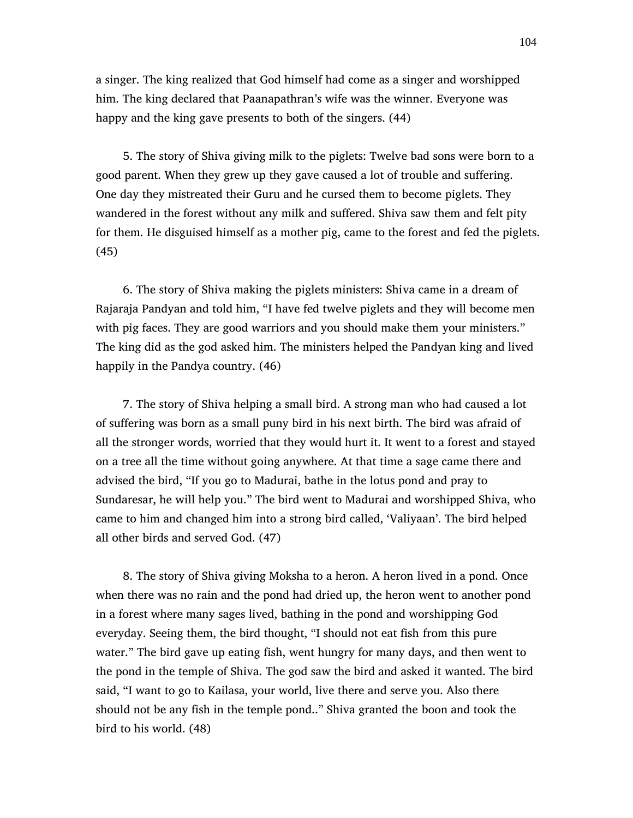a singer. The king realized that God himself had come as a singer and worshipped him. The king declared that Paanapathran's wife was the winner. Everyone was happy and the king gave presents to both of the singers. (44)

 5. The story of Shiva giving milk to the piglets: Twelve bad sons were born to a good parent. When they grew up they gave caused a lot of trouble and suffering. One day they mistreated their Guru and he cursed them to become piglets. They wandered in the forest without any milk and suffered. Shiva saw them and felt pity for them. He disguised himself as a mother pig, came to the forest and fed the piglets. (45)

 6. The story of Shiva making the piglets ministers: Shiva came in a dream of Rajaraja Pandyan and told him, "I have fed twelve piglets and they will become men with pig faces. They are good warriors and you should make them your ministers." The king did as the god asked him. The ministers helped the Pandyan king and lived happily in the Pandya country. (46)

 7. The story of Shiva helping a small bird. A strong man who had caused a lot of suffering was born as a small puny bird in his next birth. The bird was afraid of all the stronger words, worried that they would hurt it. It went to a forest and stayed on a tree all the time without going anywhere. At that time a sage came there and advised the bird, "If you go to Madurai, bathe in the lotus pond and pray to Sundaresar, he will help you." The bird went to Madurai and worshipped Shiva, who came to him and changed him into a strong bird called, 'Valiyaan'. The bird helped all other birds and served God. (47)

 8. The story of Shiva giving Moksha to a heron. A heron lived in a pond. Once when there was no rain and the pond had dried up, the heron went to another pond in a forest where many sages lived, bathing in the pond and worshipping God everyday. Seeing them, the bird thought, "I should not eat fish from this pure water." The bird gave up eating fish, went hungry for many days, and then went to the pond in the temple of Shiva. The god saw the bird and asked it wanted. The bird said, "I want to go to Kailasa, your world, live there and serve you. Also there should not be any fish in the temple pond.." Shiva granted the boon and took the bird to his world. (48)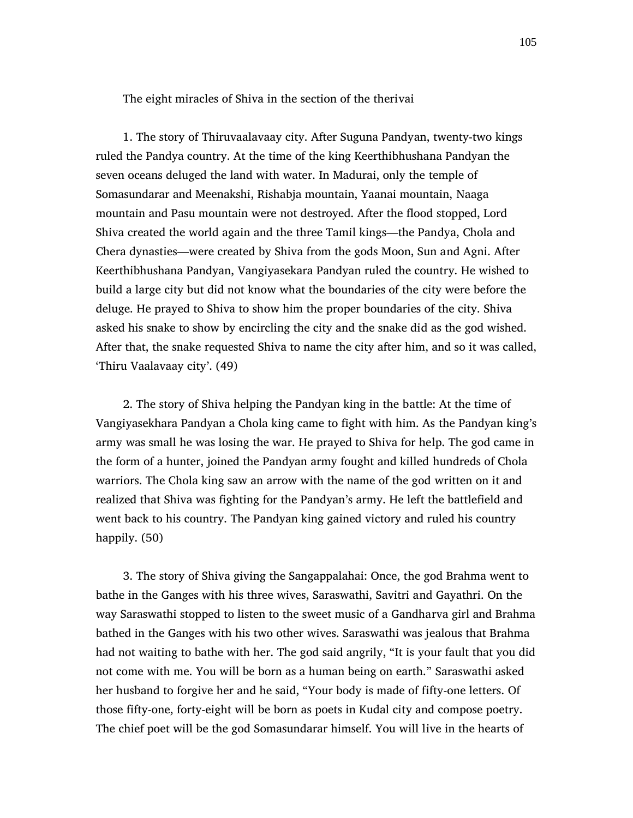The eight miracles of Shiva in the section of the therivai

 1. The story of Thiruvaalavaay city. After Suguna Pandyan, twenty-two kings ruled the Pandya country. At the time of the king Keerthibhushana Pandyan the seven oceans deluged the land with water. In Madurai, only the temple of Somasundarar and Meenakshi, Rishabja mountain, Yaanai mountain, Naaga mountain and Pasu mountain were not destroyed. After the flood stopped, Lord Shiva created the world again and the three Tamil kings—the Pandya, Chola and Chera dynasties—were created by Shiva from the gods Moon, Sun and Agni. After Keerthibhushana Pandyan, Vangiyasekara Pandyan ruled the country. He wished to build a large city but did not know what the boundaries of the city were before the deluge. He prayed to Shiva to show him the proper boundaries of the city. Shiva asked his snake to show by encircling the city and the snake did as the god wished. After that, the snake requested Shiva to name the city after him, and so it was called, 'Thiru Vaalavaay city'. (49)

 2. The story of Shiva helping the Pandyan king in the battle: At the time of Vangiyasekhara Pandyan a Chola king came to fight with him. As the Pandyan king's army was small he was losing the war. He prayed to Shiva for help. The god came in the form of a hunter, joined the Pandyan army fought and killed hundreds of Chola warriors. The Chola king saw an arrow with the name of the god written on it and realized that Shiva was fighting for the Pandyan's army. He left the battlefield and went back to his country. The Pandyan king gained victory and ruled his country happily. (50)

 3. The story of Shiva giving the Sangappalahai: Once, the god Brahma went to bathe in the Ganges with his three wives, Saraswathi, Savitri and Gayathri. On the way Saraswathi stopped to listen to the sweet music of a Gandharva girl and Brahma bathed in the Ganges with his two other wives. Saraswathi was jealous that Brahma had not waiting to bathe with her. The god said angrily, "It is your fault that you did not come with me. You will be born as a human being on earth." Saraswathi asked her husband to forgive her and he said, "Your body is made of fifty-one letters. Of those fifty-one, forty-eight will be born as poets in Kudal city and compose poetry. The chief poet will be the god Somasundarar himself. You will live in the hearts of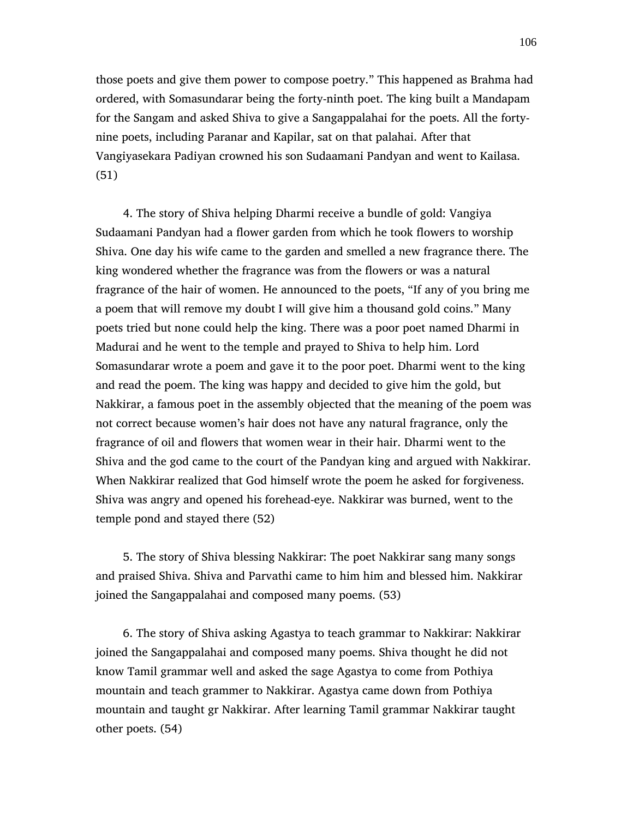those poets and give them power to compose poetry." This happened as Brahma had ordered, with Somasundarar being the forty-ninth poet. The king built a Mandapam for the Sangam and asked Shiva to give a Sangappalahai for the poets. All the fortynine poets, including Paranar and Kapilar, sat on that palahai. After that Vangiyasekara Padiyan crowned his son Sudaamani Pandyan and went to Kailasa. (51)

 4. The story of Shiva helping Dharmi receive a bundle of gold: Vangiya Sudaamani Pandyan had a flower garden from which he took flowers to worship Shiva. One day his wife came to the garden and smelled a new fragrance there. The king wondered whether the fragrance was from the flowers or was a natural fragrance of the hair of women. He announced to the poets, "If any of you bring me a poem that will remove my doubt I will give him a thousand gold coins." Many poets tried but none could help the king. There was a poor poet named Dharmi in Madurai and he went to the temple and prayed to Shiva to help him. Lord Somasundarar wrote a poem and gave it to the poor poet. Dharmi went to the king and read the poem. The king was happy and decided to give him the gold, but Nakkirar, a famous poet in the assembly objected that the meaning of the poem was not correct because women's hair does not have any natural fragrance, only the fragrance of oil and flowers that women wear in their hair. Dharmi went to the Shiva and the god came to the court of the Pandyan king and argued with Nakkirar. When Nakkirar realized that God himself wrote the poem he asked for forgiveness. Shiva was angry and opened his forehead-eye. Nakkirar was burned, went to the temple pond and stayed there (52)

 5. The story of Shiva blessing Nakkirar: The poet Nakkirar sang many songs and praised Shiva. Shiva and Parvathi came to him him and blessed him. Nakkirar joined the Sangappalahai and composed many poems. (53)

 6. The story of Shiva asking Agastya to teach grammar to Nakkirar: Nakkirar joined the Sangappalahai and composed many poems. Shiva thought he did not know Tamil grammar well and asked the sage Agastya to come from Pothiya mountain and teach grammer to Nakkirar. Agastya came down from Pothiya mountain and taught gr Nakkirar. After learning Tamil grammar Nakkirar taught other poets. (54)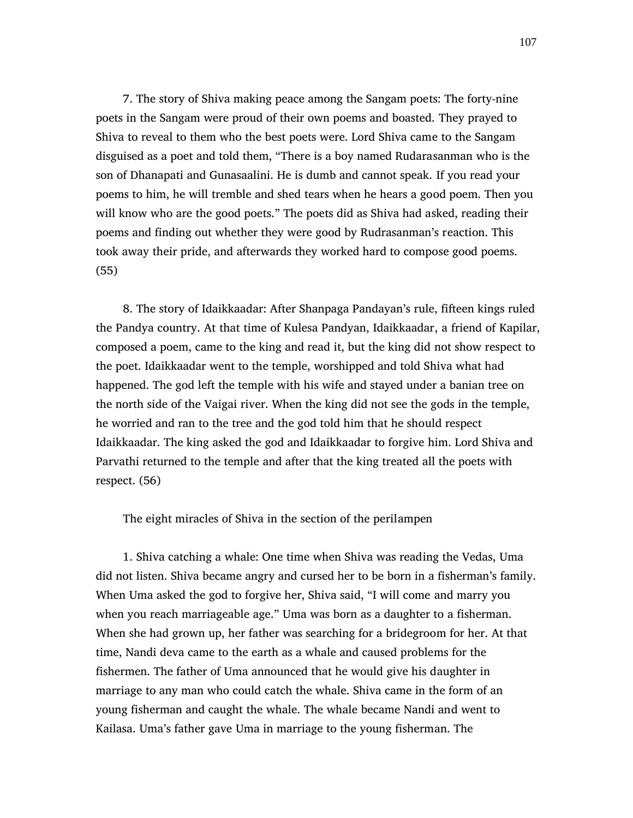7. The story of Shiva making peace among the Sangam poets: The forty-nine poets in the Sangam were proud of their own poems and boasted. They prayed to Shiva to reveal to them who the best poets were. Lord Shiva came to the Sangam disguised as a poet and told them, "There is a boy named Rudarasanman who is the son of Dhanapati and Gunasaalini. He is dumb and cannot speak. If you read your poems to him, he will tremble and shed tears when he hears a good poem. Then you will know who are the good poets." The poets did as Shiva had asked, reading their poems and finding out whether they were good by Rudrasanman's reaction. This took away their pride, and afterwards they worked hard to compose good poems. (55)

 8. The story of Idaikkaadar: After Shanpaga Pandayan's rule, fifteen kings ruled the Pandya country. At that time of Kulesa Pandyan, Idaikkaadar, a friend of Kapilar, composed a poem, came to the king and read it, but the king did not show respect to the poet. Idaikkaadar went to the temple, worshipped and told Shiva what had happened. The god left the temple with his wife and stayed under a banian tree on the north side of the Vaigai river. When the king did not see the gods in the temple, he worried and ran to the tree and the god told him that he should respect Idaikkaadar. The king asked the god and Idaikkaadar to forgive him. Lord Shiva and Parvathi returned to the temple and after that the king treated all the poets with respect. (56)

The eight miracles of Shiva in the section of the perilampen

 1. Shiva catching a whale: One time when Shiva was reading the Vedas, Uma did not listen. Shiva became angry and cursed her to be born in a fisherman's family. When Uma asked the god to forgive her, Shiva said, "I will come and marry you when you reach marriageable age." Uma was born as a daughter to a fisherman. When she had grown up, her father was searching for a bridegroom for her. At that time, Nandi deva came to the earth as a whale and caused problems for the fishermen. The father of Uma announced that he would give his daughter in marriage to any man who could catch the whale. Shiva came in the form of an young fisherman and caught the whale. The whale became Nandi and went to Kailasa. Uma's father gave Uma in marriage to the young fisherman. The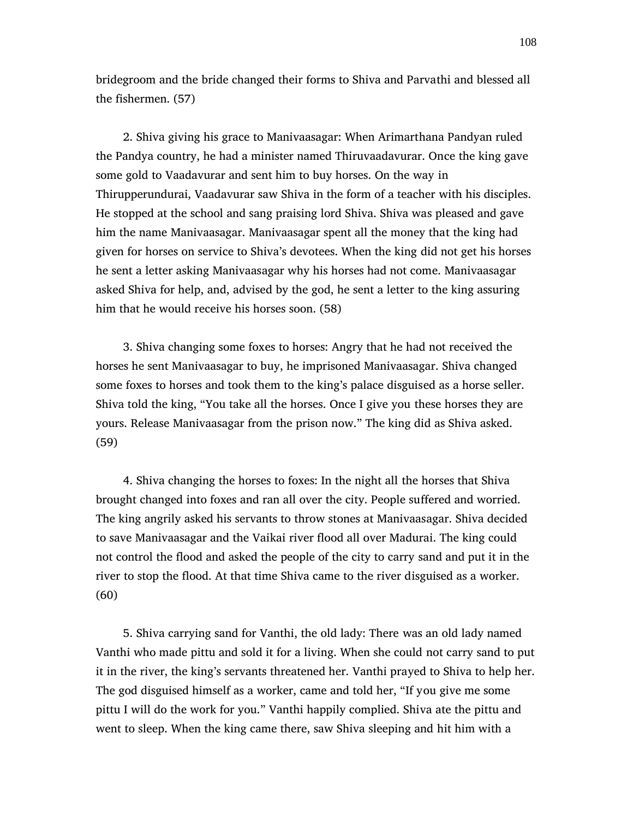bridegroom and the bride changed their forms to Shiva and Parvathi and blessed all the fishermen. (57)

 2. Shiva giving his grace to Manivaasagar: When Arimarthana Pandyan ruled the Pandya country, he had a minister named Thiruvaadavurar. Once the king gave some gold to Vaadavurar and sent him to buy horses. On the way in Thirupperundurai, Vaadavurar saw Shiva in the form of a teacher with his disciples. He stopped at the school and sang praising lord Shiva. Shiva was pleased and gave him the name Manivaasagar. Manivaasagar spent all the money that the king had given for horses on service to Shiva's devotees. When the king did not get his horses he sent a letter asking Manivaasagar why his horses had not come. Manivaasagar asked Shiva for help, and, advised by the god, he sent a letter to the king assuring him that he would receive his horses soon. (58)

 3. Shiva changing some foxes to horses: Angry that he had not received the horses he sent Manivaasagar to buy, he imprisoned Manivaasagar. Shiva changed some foxes to horses and took them to the king's palace disguised as a horse seller. Shiva told the king, "You take all the horses. Once I give you these horses they are yours. Release Manivaasagar from the prison now." The king did as Shiva asked. (59)

 4. Shiva changing the horses to foxes: In the night all the horses that Shiva brought changed into foxes and ran all over the city. People suffered and worried. The king angrily asked his servants to throw stones at Manivaasagar. Shiva decided to save Manivaasagar and the Vaikai river flood all over Madurai. The king could not control the flood and asked the people of the city to carry sand and put it in the river to stop the flood. At that time Shiva came to the river disguised as a worker. (60)

 5. Shiva carrying sand for Vanthi, the old lady: There was an old lady named Vanthi who made pittu and sold it for a living. When she could not carry sand to put it in the river, the king's servants threatened her. Vanthi prayed to Shiva to help her. The god disguised himself as a worker, came and told her, "If you give me some pittu I will do the work for you." Vanthi happily complied. Shiva ate the pittu and went to sleep. When the king came there, saw Shiva sleeping and hit him with a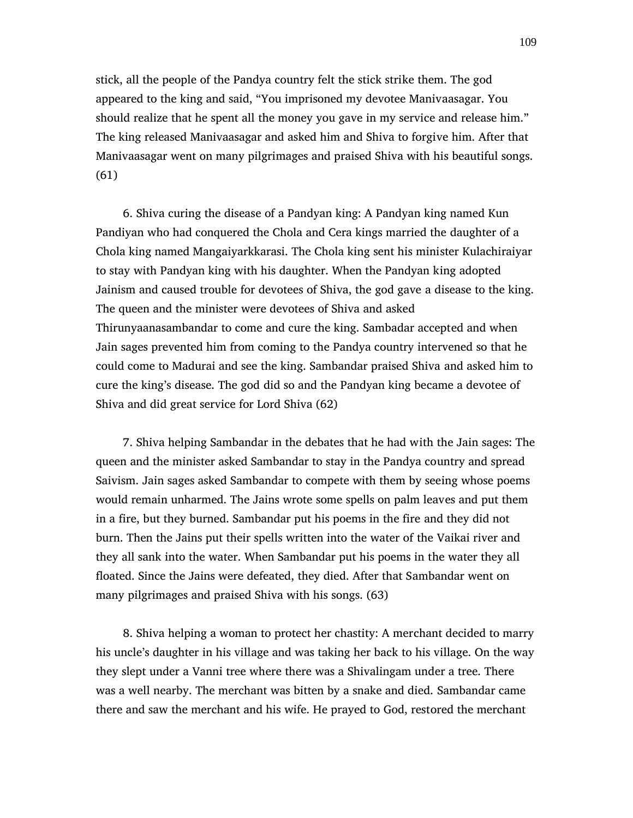stick, all the people of the Pandya country felt the stick strike them. The god appeared to the king and said, "You imprisoned my devotee Manivaasagar. You should realize that he spent all the money you gave in my service and release him." The king released Manivaasagar and asked him and Shiva to forgive him. After that Manivaasagar went on many pilgrimages and praised Shiva with his beautiful songs. (61)

 6. Shiva curing the disease of a Pandyan king: A Pandyan king named Kun Pandiyan who had conquered the Chola and Cera kings married the daughter of a Chola king named Mangaiyarkkarasi. The Chola king sent his minister Kulachiraiyar to stay with Pandyan king with his daughter. When the Pandyan king adopted Jainism and caused trouble for devotees of Shiva, the god gave a disease to the king. The queen and the minister were devotees of Shiva and asked Thirunyaanasambandar to come and cure the king. Sambadar accepted and when Jain sages prevented him from coming to the Pandya country intervened so that he could come to Madurai and see the king. Sambandar praised Shiva and asked him to cure the king's disease. The god did so and the Pandyan king became a devotee of Shiva and did great service for Lord Shiva (62)

 7. Shiva helping Sambandar in the debates that he had with the Jain sages: The queen and the minister asked Sambandar to stay in the Pandya country and spread Saivism. Jain sages asked Sambandar to compete with them by seeing whose poems would remain unharmed. The Jains wrote some spells on palm leaves and put them in a fire, but they burned. Sambandar put his poems in the fire and they did not burn. Then the Jains put their spells written into the water of the Vaikai river and they all sank into the water. When Sambandar put his poems in the water they all floated. Since the Jains were defeated, they died. After that Sambandar went on many pilgrimages and praised Shiva with his songs. (63)

 8. Shiva helping a woman to protect her chastity: A merchant decided to marry his uncle's daughter in his village and was taking her back to his village. On the way they slept under a Vanni tree where there was a Shivalingam under a tree. There was a well nearby. The merchant was bitten by a snake and died. Sambandar came there and saw the merchant and his wife. He prayed to God, restored the merchant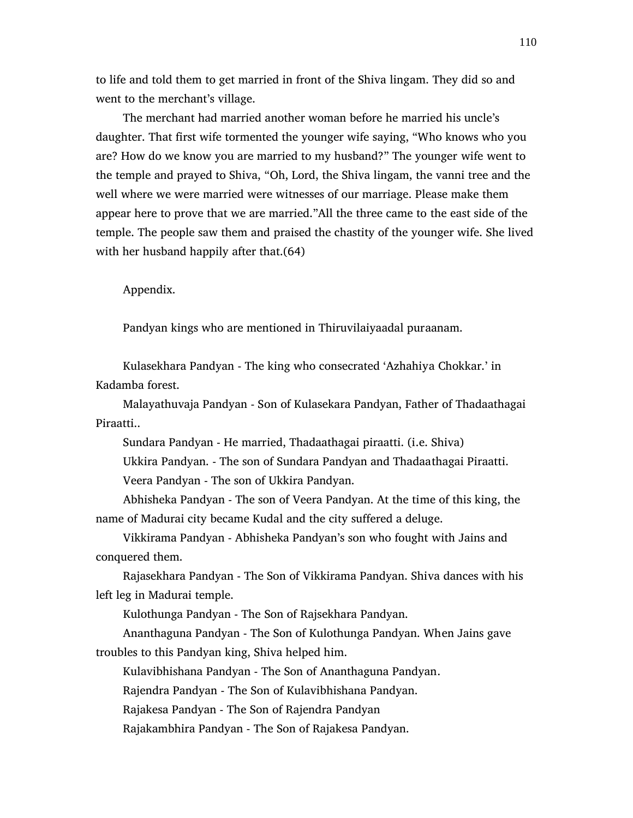to life and told them to get married in front of the Shiva lingam. They did so and went to the merchant's village.

 The merchant had married another woman before he married his uncle's daughter. That first wife tormented the younger wife saying, "Who knows who you are? How do we know you are married to my husband?" The younger wife went to the temple and prayed to Shiva, "Oh, Lord, the Shiva lingam, the vanni tree and the well where we were married were witnesses of our marriage. Please make them appear here to prove that we are married."All the three came to the east side of the temple. The people saw them and praised the chastity of the younger wife. She lived with her husband happily after that.  $(64)$ 

### Appendix.

Pandyan kings who are mentioned in Thiruvilaiyaadal puraanam.

 Kulasekhara Pandyan - The king who consecrated 'Azhahiya Chokkar.' in Kadamba forest.

 Malayathuvaja Pandyan - Son of Kulasekara Pandyan, Father of Thadaathagai Piraatti..

Sundara Pandyan - He married, Thadaathagai piraatti. (i.e. Shiva)

 Ukkira Pandyan. - The son of Sundara Pandyan and Thadaathagai Piraatti. Veera Pandyan - The son of Ukkira Pandyan.

 Abhisheka Pandyan - The son of Veera Pandyan. At the time of this king, the name of Madurai city became Kudal and the city suffered a deluge.

 Vikkirama Pandyan - Abhisheka Pandyan's son who fought with Jains and conquered them.

 Rajasekhara Pandyan - The Son of Vikkirama Pandyan. Shiva dances with his left leg in Madurai temple.

Kulothunga Pandyan - The Son of Rajsekhara Pandyan.

 Ananthaguna Pandyan - The Son of Kulothunga Pandyan. When Jains gave troubles to this Pandyan king, Shiva helped him.

Kulavibhishana Pandyan - The Son of Ananthaguna Pandyan.

Rajendra Pandyan - The Son of Kulavibhishana Pandyan.

Rajakesa Pandyan - The Son of Rajendra Pandyan

Rajakambhira Pandyan - The Son of Rajakesa Pandyan.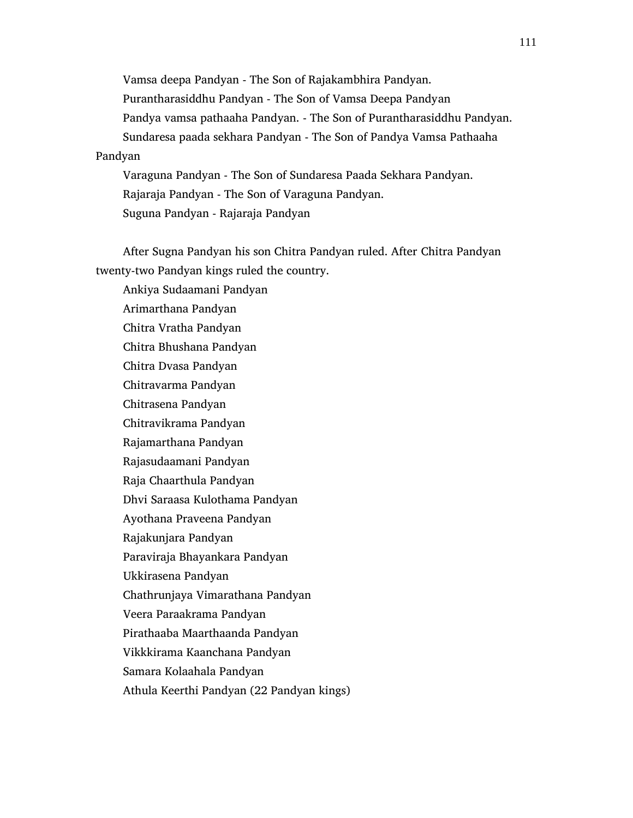Vamsa deepa Pandyan - The Son of Rajakambhira Pandyan. Purantharasiddhu Pandyan - The Son of Vamsa Deepa Pandyan Pandya vamsa pathaaha Pandyan. - The Son of Purantharasiddhu Pandyan. Sundaresa paada sekhara Pandyan - The Son of Pandya Vamsa Pathaaha Pandyan Varaguna Pandyan - The Son of Sundaresa Paada Sekhara Pandyan. Rajaraja Pandyan - The Son of Varaguna Pandyan.

Suguna Pandyan - Rajaraja Pandyan

 After Sugna Pandyan his son Chitra Pandyan ruled. After Chitra Pandyan twenty-two Pandyan kings ruled the country.

 Ankiya Sudaamani Pandyan Arimarthana Pandyan Chitra Vratha Pandyan Chitra Bhushana Pandyan Chitra Dvasa Pandyan Chitravarma Pandyan Chitrasena Pandyan Chitravikrama Pandyan Rajamarthana Pandyan Rajasudaamani Pandyan Raja Chaarthula Pandyan Dhvi Saraasa Kulothama Pandyan Ayothana Praveena Pandyan Rajakunjara Pandyan Paraviraja Bhayankara Pandyan Ukkirasena Pandyan Chathrunjaya Vimarathana Pandyan Veera Paraakrama Pandyan Pirathaaba Maarthaanda Pandyan Vikkkirama Kaanchana Pandyan Samara Kolaahala Pandyan Athula Keerthi Pandyan (22 Pandyan kings)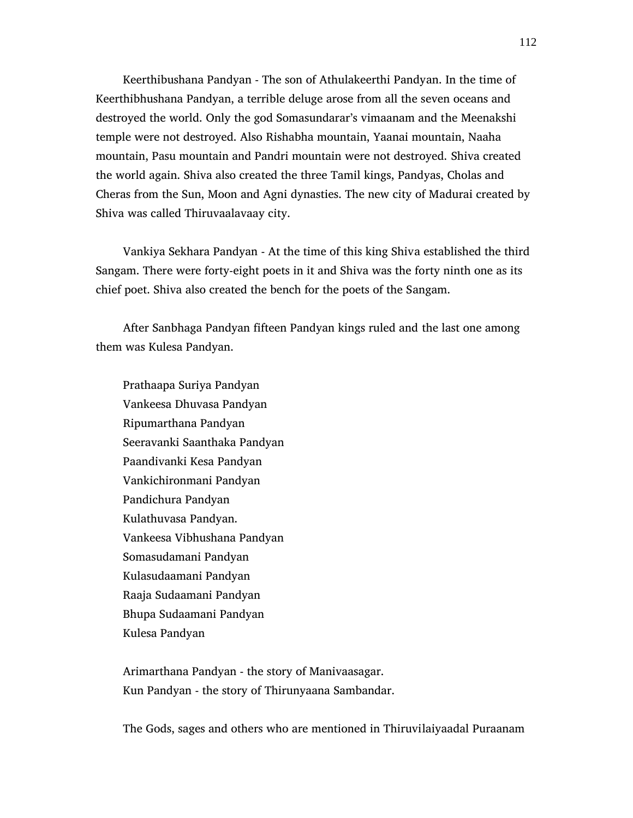Keerthibushana Pandyan - The son of Athulakeerthi Pandyan. In the time of Keerthibhushana Pandyan, a terrible deluge arose from all the seven oceans and destroyed the world. Only the god Somasundarar's vimaanam and the Meenakshi temple were not destroyed. Also Rishabha mountain, Yaanai mountain, Naaha mountain, Pasu mountain and Pandri mountain were not destroyed. Shiva created the world again. Shiva also created the three Tamil kings, Pandyas, Cholas and Cheras from the Sun, Moon and Agni dynasties. The new city of Madurai created by Shiva was called Thiruvaalavaay city.

 Vankiya Sekhara Pandyan - At the time of this king Shiva established the third Sangam. There were forty-eight poets in it and Shiva was the forty ninth one as its chief poet. Shiva also created the bench for the poets of the Sangam.

 After Sanbhaga Pandyan fifteen Pandyan kings ruled and the last one among them was Kulesa Pandyan.

 Prathaapa Suriya Pandyan Vankeesa Dhuvasa Pandyan Ripumarthana Pandyan Seeravanki Saanthaka Pandyan Paandivanki Kesa Pandyan Vankichironmani Pandyan Pandichura Pandyan Kulathuvasa Pandyan. Vankeesa Vibhushana Pandyan Somasudamani Pandyan Kulasudaamani Pandyan Raaja Sudaamani Pandyan Bhupa Sudaamani Pandyan Kulesa Pandyan

 Arimarthana Pandyan - the story of Manivaasagar. Kun Pandyan - the story of Thirunyaana Sambandar.

The Gods, sages and others who are mentioned in Thiruvilaiyaadal Puraanam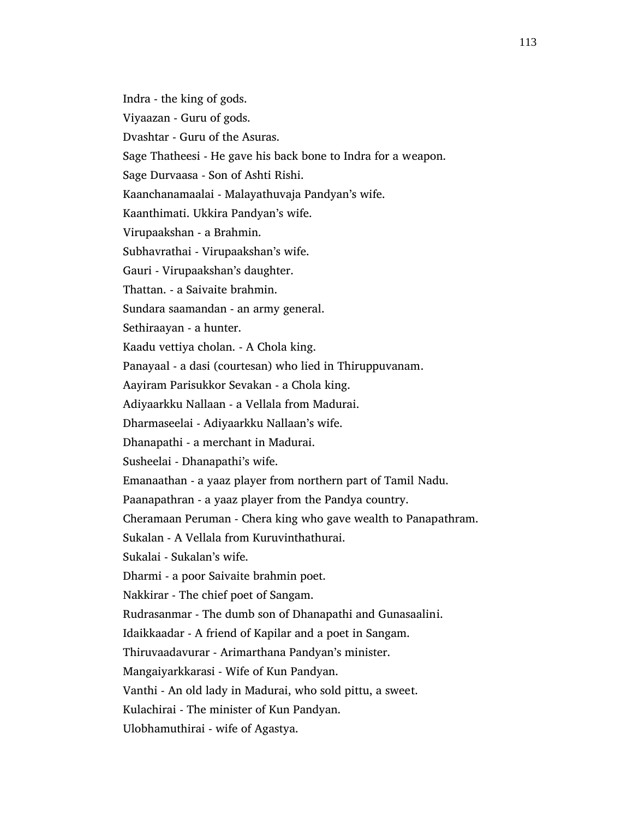Indra - the king of gods.

Viyaazan - Guru of gods.

Dvashtar - Guru of the Asuras.

Sage Thatheesi - He gave his back bone to Indra for a weapon.

Sage Durvaasa - Son of Ashti Rishi.

Kaanchanamaalai - Malayathuvaja Pandyan's wife.

Kaanthimati. Ukkira Pandyan's wife.

Virupaakshan - a Brahmin.

Subhavrathai - Virupaakshan's wife.

Gauri - Virupaakshan's daughter.

Thattan. - a Saivaite brahmin.

Sundara saamandan - an army general.

Sethiraayan - a hunter.

Kaadu vettiya cholan. - A Chola king.

Panayaal - a dasi (courtesan) who lied in Thiruppuvanam.

Aayiram Parisukkor Sevakan - a Chola king.

Adiyaarkku Nallaan - a Vellala from Madurai.

Dharmaseelai - Adiyaarkku Nallaan's wife.

Dhanapathi - a merchant in Madurai.

Susheelai - Dhanapathi's wife.

Emanaathan - a yaaz player from northern part of Tamil Nadu.

Paanapathran - a yaaz player from the Pandya country.

Cheramaan Peruman - Chera king who gave wealth to Panapathram.

Sukalan - A Vellala from Kuruvinthathurai.

Sukalai - Sukalan's wife.

Dharmi - a poor Saivaite brahmin poet.

Nakkirar - The chief poet of Sangam.

Rudrasanmar - The dumb son of Dhanapathi and Gunasaalini.

Idaikkaadar - A friend of Kapilar and a poet in Sangam.

Thiruvaadavurar - Arimarthana Pandyan's minister.

Mangaiyarkkarasi - Wife of Kun Pandyan.

Vanthi - An old lady in Madurai, who sold pittu, a sweet.

Kulachirai - The minister of Kun Pandyan.

Ulobhamuthirai - wife of Agastya.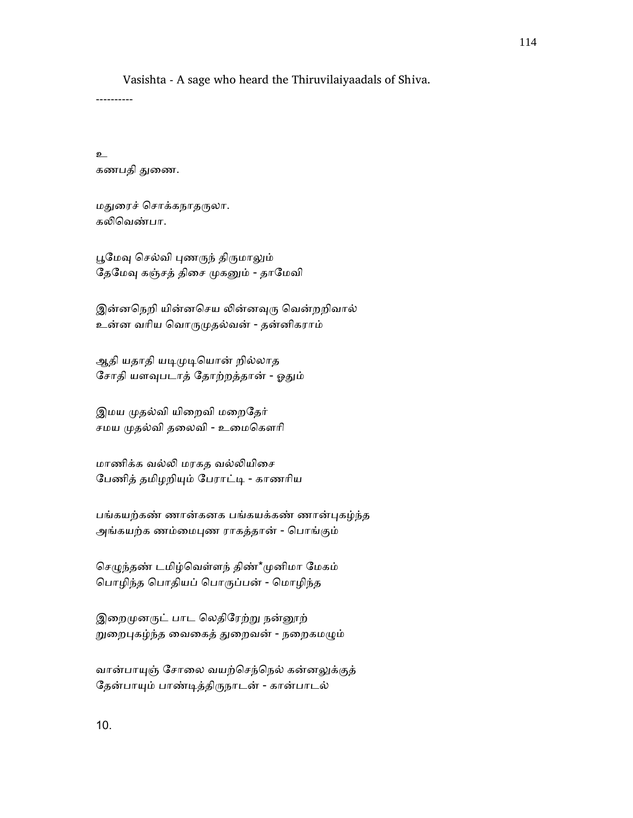Vasishta - A sage who heard the Thiruvilaiyaadals of Shiva.

----------

உ கணபதி துணை.

மதுரைச் சொக்கநாதருலா. கலிவெண்பா.

பூமேவு செல்வி புணருந் திருமாலும் தேமேவு கஞ்சத் திசை முகனும் - தாமேவி

இன்னநெறி யின்னசெய லின்னவுரு வென்றறிவால் உன்ன வாிய ெவாᾞᾙதல்வன் - தன்னிகராம்

ஆதி யதாதி யடிமுடியொன் றில்லாத சோதி யளவுபடாத் தோற்றத்தான் - ஓதும்

இமய முதல்வி யிறைவி மறைதேர் சமய ᾙதல்வி தைலவி - உைமெகௗாி

மாணிக்க வல்லி மரகத வல்லியிசை ேபணித் தமிழறிᾜம் ேபராட்ᾊ - காணாிய

பங்கயற்கண் ணான்கனக பங்கயக்கண் ணான்ᾗகழ்ந்த அங்கயற்க ணம்மைபுண ராகத்தான் - பொங்கும்

செழுந்தண் டமிழ்வெள்ளந் திண்\*முனிமா மேகம் ெபாழிந்த ெபாதியப் ெபாᾞப்பன் - ெமாழிந்த

இறைமுனருட் பாட லெதிரேற்று நன்னூற் றுறைபுகழ்ந்த வைகைத் துறைவன் - நறைகமழும்

வான்பாயுஞ் சோலை வயற்செந்நெல் கன்னலுக்குத் ேதன்பாᾜம் பாண்ᾊத்திᾞநாடன் - கான்பாடல்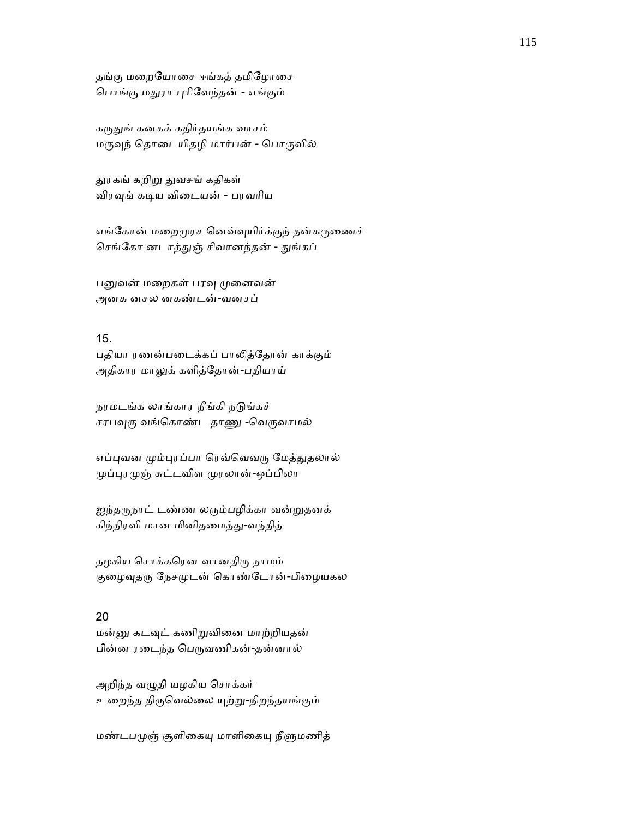தங்கு மறையோசை ஈங்கத் தமிழோசை ெபாங்கு மᾐரா ᾗாிேவந்தன் - எங்கும்

கருதுங் கனகக் கதிர்தயங்க வாசம் மருவுந் தொடையிதழி மார்பன் - பொருவில்

துரகங் கறிறு துவசங் கதிகள் விரவுங் கடிய விடையன் - பரவரிய

எங்கோன் மறைமுரச னெவ்வுயிர்க்குந் தன்கருணைச் செங்கோ னடாத்துஞ் சிவானந்தன் - துங்கப்

பனுவன் மறைகள் பரவு முனைவன் அனக னசல னகண்டன்-வனசப்

## 15.

பதியா ரணன்படைக்கப் பாலித்தோன் காக்கும் அதிகார மாலுக் களித்தோன்-பதியாய்

நரமடங்க லாங்கார நீங்கி நடுங்கச் சரபவுரு வங்கொண்ட தாணு -வெருவாமல்

எப்புவன மும்புரப்பா ரெவ்வெவரு மேத்துதலால் முப்புரமுஞ் சுட்டவிள முரலான்-ஒப்பிலா

ஐந்தருநாட் டண்ண லரும்பழிக்கா வன்றுதனக் கிந்திரவி மான மினிதமைத்து-வந்தித்

தழகிய சொக்கரென வானதிரு நாமம் குழைவுதரு நேசமுடன் கொண்டோன்-பிழையகல

# 20

மன்னு கடவுட் கணிறுவினை மாற்றியதன் பின்ன ரடைந்த பெருவணிகன்-தன்னால்

அறிந்த வழுதி யழகிய சொக்கர் உறைந்த திருவெல்லை யுற்று-நிறந்தயங்கும்

மண்டபமுஞ் சூளிகையு மாளிகையு நீளுமணித்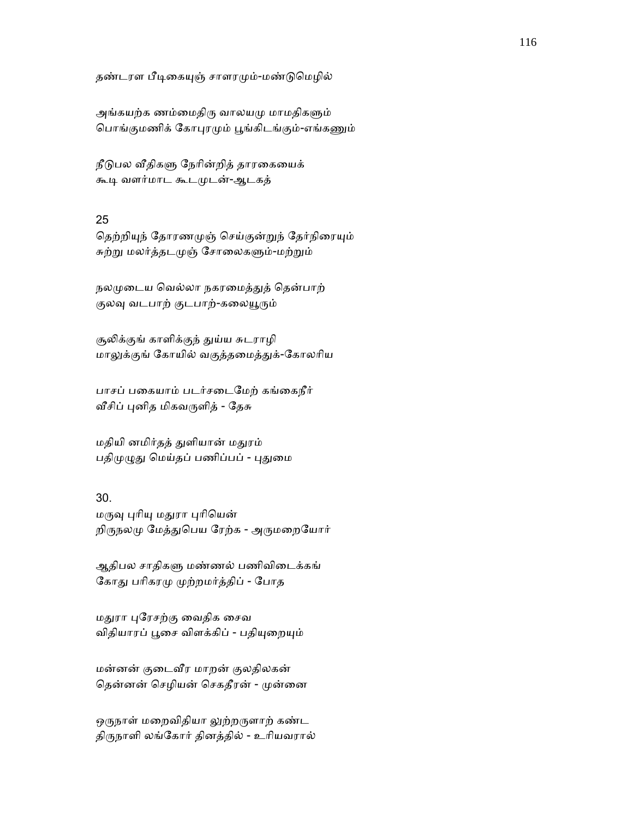தண்டரள பீடிகையுஞ் சாளரமும்-மண்டுமெழில்

அங்கயற்க ணம்மைதிரு வாலயமு மாமதிகளும் பொங்குமணிக் கோபுரமும் பூங்கிடங்கும்-எங்கணும்

நீடுபல வீதிகளு நேரின்றித் தாரகையைக் கூடி வளர்மாட கூடமுடன்-ஆடகத்

#### 25

தெற்றியுந் தோரணமுஞ் செய்குன்றுந் தேர்நிரையும் சுற்று மலர்த்தடமுஞ் சோலைகளும்-மற்றும்

நலமுடைய வெல்லா நகரமைத்துத் தென்பாற் குலவு வடபாற் குடபாற்-கலையூரும்

சூலிக்குங் காளிக்குந் துய்ய சுடராழி மாலுக்குங் கோயில் வகுத்தமைத்துக்-கோலரிய

பாசப் பகையாம் படர்சடைமேற் கங்கைநீர் வீசிப் புனித மிகவருளித் - தேசு

மதியி னமிர்தத் ᾐளியான் மᾐரம் பதிமுழுது மெய்தப் பணிப்பப் - புதுமை

# 30.

மருவு புரியு மதுரா புரியென் றிருநலமு மேத்துபெய ரேற்க - அருமறையோர்

ஆதிபல சாதிகᾦ மண்ணல் பணிவிைடக்கங் கோது பரிகரமு முற்றமர்த்திப் - போத

மதுரா புரேசற்கு வைதிக சைவ விதியாரப் பூசை விளக்கிப் - பதியுறையும்

மன்னன் குைடᾪர மாறன் குலதிலகன் தென்னன் செழியன் செகதீரன் - முன்னை

ஒருநாள் மறைவிதியா லுற்றருளாற் கண்ட திᾞநாளி லங்ேகார் தினத்தில் - உாியவரால்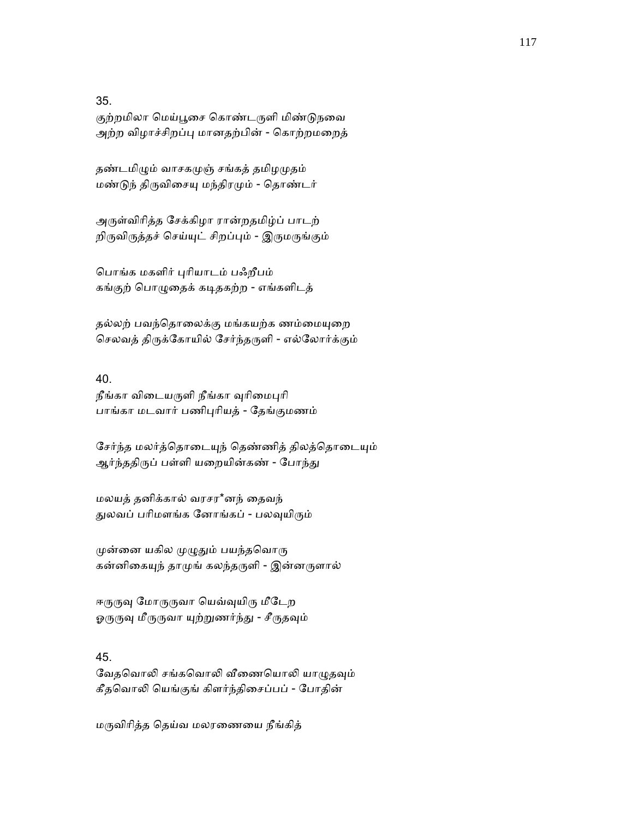35.

குற்றமிலா மெய்பூசை கொண்டருளி மிண்டுநவை அற்ற விழாச்சிறப்பு மானதற்பின் - கொற்றமறைத்

தண்டமிழும் வாசகமுஞ் சங்கத் தமிழமுதம் மண்ᾌந் திᾞவிைசᾜ மந்திரᾙம் - ெதாண்டர்

அᾞள்விாித்த ேசக்கிழா ரான்றதமிழ்ப் பாடற் றிருவிருத்தச் செய்யுட் சிறப்பும் - இருமருங்கும்

ெபாங்க மகளிர் ᾗாியாடம் பஃறீபம் கங்குற் ெபாᾨைதக் கᾊதகற்ற - எங்களிடத்

தல்லற் பவந்தொலைக்கு மங்கயற்க ணம்மையுறை செலவத் திருக்கோயில் சேர்ந்தருளி - எல்லோர்க்கும்

### 40.

நீங்கா விடையருளி நீங்கா வுரிமைபுரி பாங்கா மடவார் பணிᾗாியத் - ேதங்குமணம்

சேர்ந்த மலர்த்தொடையுந் தெண்ணித் திலத்தொடையும் ஆர்ந்ததிருப் பள்ளி யறையின்கண் - போந்து

மலயத் தனிக்கால் வரசர\*னந் ைதவந் துலவப் பரிமளங்க னோங்கப் - பலவுயிரும்

முன்னை யகில முழுதும் பயந்தவொரு கன்னிகையுந் தாமுங் கலந்தருளி - இன்னருளால்

ஈருருவு மோருருவா யெவ்வுயிரு மீடேற ஓருருவு மீருருவா யுற்றுணர்ந்து - சீருதவும்

# 45.

வேதவொலி சங்கவொலி வீணையொலி யாழுதவும் கீதெவாᾢ ெயங்குங் கிளர்ந்திைசப்பப் - ேபாதின்

மᾞவிாித்த ெதய்வ மலரைணைய நீங்கித்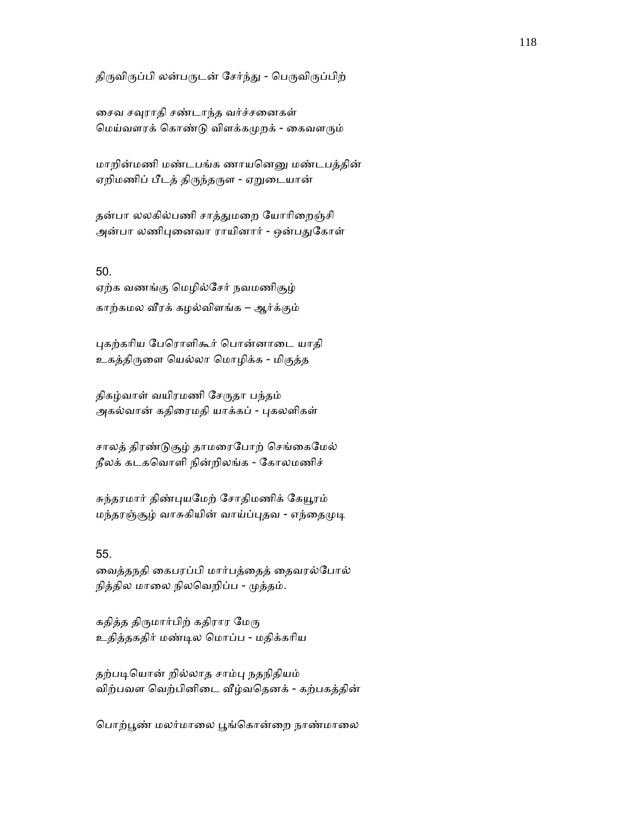திருவிருப்பி லன்பருடன் சேர்ந்து - பெருவிருப்பிற்

சைவ சவுராதி சண்டாந்த வர்ச்சனைகள் மெய்வளரக் கொண்டு விளக்கமுறக் - கைவளரும்

மாறின்மணி மண்டபங்க ணாயனெனு மண்டபத்தின் ஏறிமணிப் பீடத் திருந்தருள - ஏறுடையான்

தன்பா லலகில்பணி சாத்துமறை யோரிறைஞ்சி அன்பா லணிபுனைவா ராயினார் - ஒன்பதுகோள்

#### 50.

ஏற்க வணங்கு ெமழில்ேசர் நவமணிசூழ் காற்கமல ᾪரக் கழல்விளங்க – ஆர்க்கும்

ᾗகற்காிய ேபெராளிகூர் ெபான்னாைட யாதி உகத்திᾞைள ெயல்லா ெமாழிக்க - மிகுத்த

திகழ்வாள் வயிரமணி சேருதா பந்தம் அகல்வான் கதிரைமதி யாக்கப் - புகலளிகள்

சாலத் திரண்டுசூழ் தாமரைபோற் செங்கைமேல் நீலக் கடகெவாளி நின்றிலங்க - ேகாலமணிச்

சுந்தரமார் திண்புயமேற் சோதிமணிக் கேயூரம் மந்தரஞ்சூழ் வாசுகியின் வாய்ப்புதவ - எந்தைமுடி

### 55.

ைவத்தநதி ைகபரப்பி மார்பத்ைதத் ைதவரல்ேபால் நித்தில மாலை நிலவெறிப்ப - முத்தம்.

கதித்த திருமார்பிற் கதிரார மேரு உதித்தகதிர் மண்ᾊல ெமாப்ப - மதிக்காிய

தற்படியொன் றில்லாத சாம்பு நதநிதியம் விற்பவள வெற்பினிடை வீழ்வதெனக் - கற்பகத்தின்

பொற்பூண் மலர்மாலை பூங்கொன்றை நாண்மாலை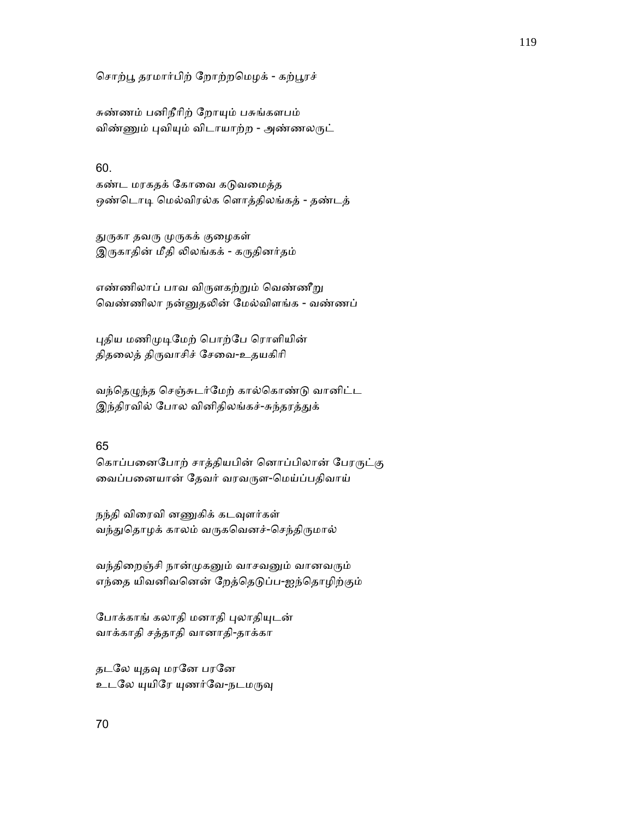சொற்பூ தரமார்பிற் றோற்றமெழக் - கற்பூரச்

சுண்ணம் பனிநீாிற் ேறாᾜம் பசுங்களபம் விண்ணும் புவியும் விடாயாற்ற - அண்ணலருட்

# 60.

கண்ட மரகதக் கோவை கடுவமைத்த ஒண்டொடி மெல்விரல்க ளொத்திலங்கத் - தண்டத்

துருகா தவரு முருகக் குழைகள் இருகாதின் மீதி லிலங்கக் - கருதினர்தம்

எண்ணிலாப் பாவ விருளகற்றும் வெண்ணீறு வெண்ணிலா நன்னுதலின் மேல்விளங்க - வண்ணப்

புதிய மணிமுடிமேற் பொற்பே ரொளியின் திதைலத் திᾞவாசிச் ேசைவ-உதயகிாி

வந்தெழுந்த செஞ்சுடர்மேற் கால்கொண்டு வானிட்ட இந்திரவில் போல வினிதிலங்கச்-சுந்தரத்துக்

# 65

கொப்பனைபோற் சாத்தியபின் னொப்பிலான் பேரருட்கு வைப்பனையான் தேவர் வரவருள-மெய்ப்பதிவாய்

நந்தி விரைவி னணுகிக் கடவுளர்கள் வந்துதொழக் காலம் வருகவெனச்-செந்திருமால்

வந்திறைஞ்சி நான்முகனும் வாசவனும் வானவரும் எந்தை யிவனிவனென் றேத்தெடுப்ப-ஐந்தொழிற்கும்

போக்காங் கலாதி மனாதி புலாதியுடன் வாக்காதி சத்தாதி வானாதி-தாக்கா

தடலே யுதவு மரனே பரனே உடலே யுயிரே யுணர்வே-நடமருவு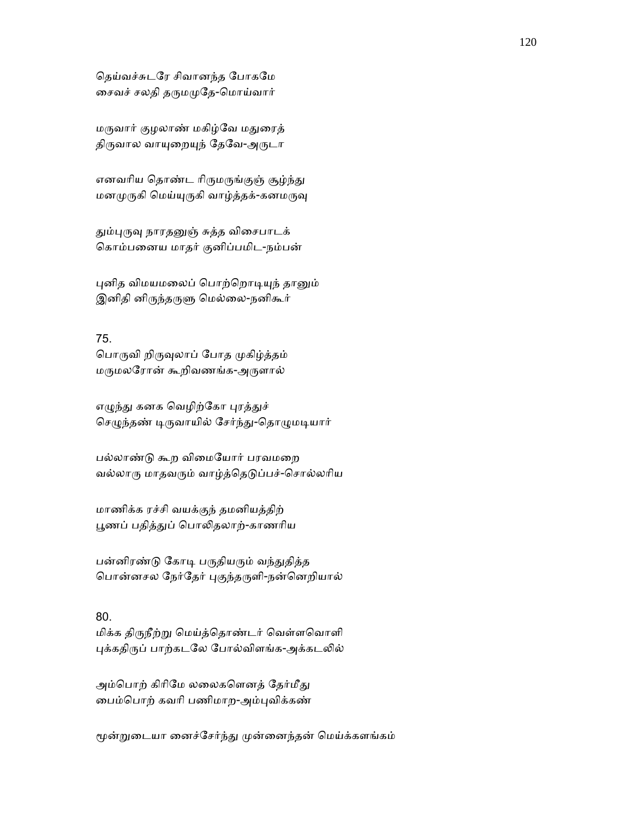ெதய்வச்சுடேர சிவானந்த ேபாகேம ைசவச் சலதி தᾞமᾙேத-ெமாய்வார்

மᾞவார் குழலாண் மகிழ்ேவ மᾐைரத் திருவால வாயுறையுந் தேவே-அருடா

எனவரிய தொண்ட ரிருமருங்குஞ் சூழ்ந்து மனமுருகி மெய்யுருகி வாழ்த்தக்-கனமருவு

தும்புருவு நாரதனுஞ் சுத்த விசைபாடக் ெகாம்பைனய மாதர் குனிப்பமிட-நம்பன்

புனித விமயமலைப் பொற்றொடியுந் தானும் இனிதி னிருந்தருளு மெல்லை-நனிகூர்

# 75.

பொருவி றிருவுலாப் போத முகிழ்த்தம் மᾞமலேரான் கூறிவணங்க-அᾞளால்

எழுந்து கனக வெழிற்கோ புரத்துச் செழுந்தண் டிருவாயில் சேர்ந்து-தொழுமடியார்

பல்லாண்ᾌ கூற விைமேயார் பரவமைற வல்லாரு மாதவரும் வாழ்த்தெடுப்பச்-சொல்லரிய

மாணிக்க ரச்சி வயக்குந் தமனியத்திற் பூணப் பதித்துப் பொலிதலாற்-காணரிய

பன்னிரண்டு கோடி பருதியரும் வந்துதித்த பொன்னசல நேர்தேர் புகுந்தருளி-நன்னெறியால்

# 80.

மிக்க திருநீற்று மெய்த்தொண்டர் வெள்ளவொளி புக்கதிருப் பாற்கடலே போல்விளங்க-அக்கடலில்

அம்பொற் கிரிமே லலைகளெனத் தேர்மீது ைபம்ெபாற் கவாி பணிமாற-அம்ᾗவிக்கண்

மூன்றுடையா னைச்சேர்ந்து முன்னைந்தன் மெய்க்களங்கம்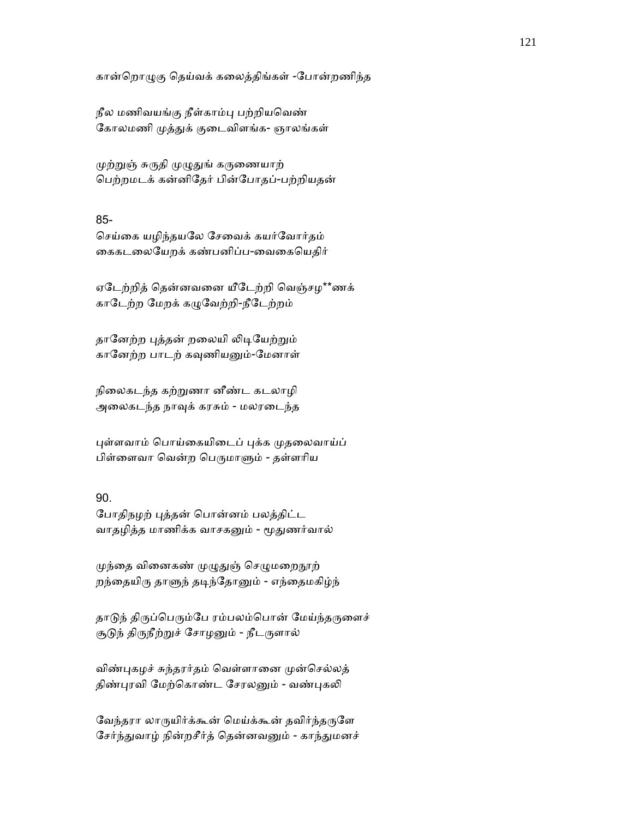கான்ெறாᾨகு ெதய்வக் கைலத்திங்கள் -ேபான்றணிந்த

நீல மணிவயங்கு நீள்காம்ᾗ பற்றியெவண் கோலமணி முத்துக் குடைவிளங்க- ஞாலங்கள்

முற்றுஞ் சுருதி முழுதுங் கருணையாற் ெபற்றமடக் கன்னிேதர் பின்ேபாதப்-பற்றியதன்

#### 85-

ெசய்ைக யழிந்தயேல ேசைவக் கயர்ேவார்தம் கைகடலையேறக் கண்பனிப்ப-வைகையெதிர்

ஏேடற்றித் ெதன்னவைன யீேடற்றி ெவஞ்சழ\*\*ணக் காடேற்ற மேறக் கழுவேற்றி-நீடேற்றம்

தானேற்ற புத்தன் றலையி லிடியேற்றும் கானேற்ற பாடற் கவுணியனும்-மேனாள்

நிைலகடந்த கற்ᾠணா னீண்ட கடலாழி அைலகடந்த நாᾫக் கரசும் - மலரைடந்த

புள்ளவாம் பொய்கையிடைப் புக்க முதலைவாய்ப் பிள்ளைவா வென்ற பெருமாளும் - தள்ளரிய

# 90.

ேபாதிநழற் ᾗத்தன் ெபான்னம் பலத்திட்ட வாதழித்த மாணிக்க வாசகனும் - மூதுணர்வால்

முந்தை வினைகண் முழுதுஞ் செழுமறைநூற் றந்தையிரு தாளுந் தடிந்தோனும் - எந்தைமகிழ்ந்

தாடுந் திருப்பெரும்பே ரம்பலம்பொன் மேய்ந்தருளைச் சூடுந் திருநீற்றுச் சோழனும் - நீடருளால்

விண்புகழச் சுந்தரர்தம் வெள்ளானை முன்செல்லத் திண்புரவி மேற்கொண்ட சேரலனும் - வண்புகலி

வேந்தரா லாருயிர்க்கூன் மெய்க்கூன் தவிர்ந்தருளே சேர்ந்துவாழ் நின்றசீர்த் தென்னவனும் - காந்துமனச்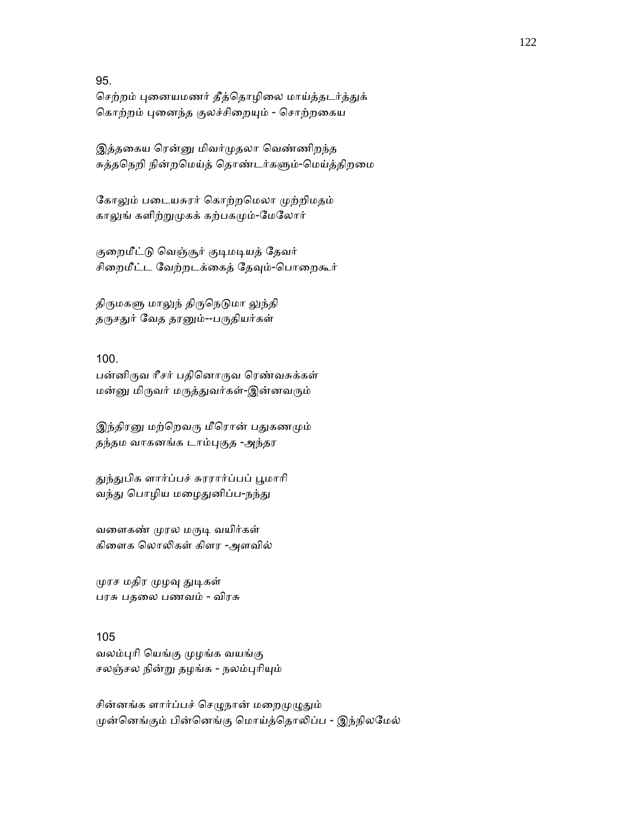95.

செற்றம் புனையமணர் தீத்தொழிலை மாய்த்தடர்த்துக் கொற்றம் புனைந்த குலச்சிறையும் - சொற்றகைய

இத்தகைய ரென்னு மிவர்முதலா வெண்ணிறந்த சுத்தநெறி நின்றமெய்த் தொண்டர்களும்-மெய்த்திறமை

கோலும் படையசுரர் கொற்றமெலா முற்றிமதம் காலுங் களிற்றுமுகக் கற்பகமும்-மேலோர்

குறைமீட்டு வெஞ்சூர் குடிமடியத் தேவர் சிறைமீட்ட வேற்றடக்கைத் தேவும்-பொறைகூர்

திருமகளு மாலுந் திருநெடுமா லுந்தி தருசதுர் வேத தரனும்--பருதியர்கள்

# 100.

பன்னிᾞவ ாீசர் பதிெனாᾞவ ெரண்வசுக்கள் மன்னு மிருவர் மருத்துவர்கள்-இன்னவரும்

இந்திரனு மற்றெவரு மீரொன் பதுகணமும் தந்தம வாகனங்க டாம்புகுத -அந்தர

துந்துபிக ளார்ப்பச் சுரரார்ப்பப் பூமாரி வந்து பொழிய மழைதுனிப்ப-நந்து

வளைகண் முரல மருடி வயிர்கள் கிைளக ெலாᾢகள் கிளர -அளவில்

முரச மதிர முழவு துடிகள் பரசு பதைல பணவம் - விரசு

# 105

வலம்ᾗாி ெயங்கு ᾙழங்க வயங்கு சலஞ்சல நின்று தழங்க - நலம்புரியும்

சின்னங்க ளார்ப்பச் செழுநான் மறைமுழுதும் முன்னெங்கும் பின்னெங்கு மொய்த்தொலிப்ப - இந்நிலமேல்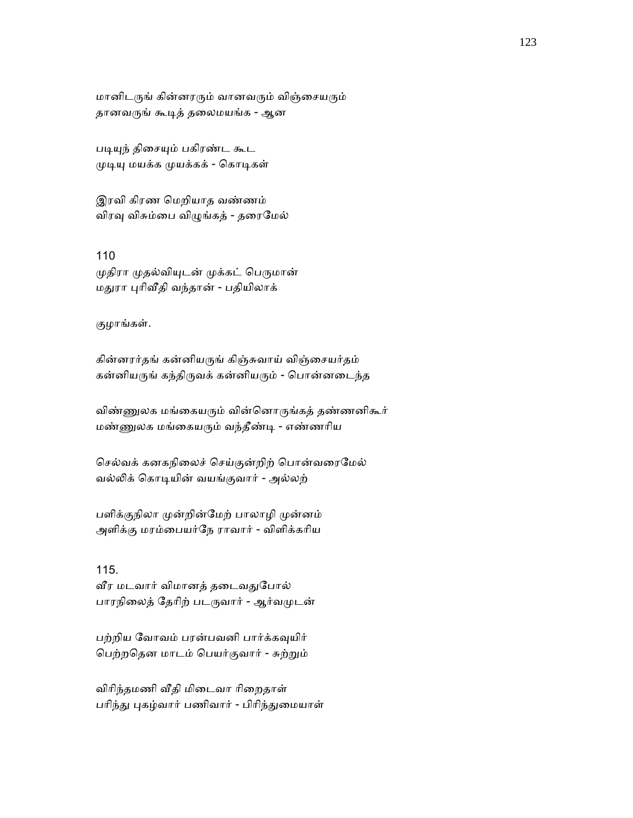மானிடருங் கின்னரரும் வானவரும் விஞ்சையரும் தானவருங் கூடித் தலைமயங்க - ஆன

படியுந் திசையும் பகிரண்ட கூட முடியு மயக்க முயக்கக் - கொடிகள்

இரவி கிரண ெமறியாத வண்ணம் விரவு விசும்பை விழுங்கத் - தரைமேல்

110 முதிரா முதல்வியுடன் முக்கட் பெருமான் மதுரா புரிவீதி வந்தான் - பதியிலாக்

குழாங்கள்.

கின்னரர்தங் கன்னியருங் கிஞ்சுவாய் விஞ்சையர்தம் கன்னியருங் கந்திருவக் கன்னியரும் - பொன்னடைந்த

விண்ணுலக மங்கையரும் வின்னொருங்கத் தண்ணனிகூர் மண்ᾎலக மங்ைகயᾞம் வந்தீண்ᾊ - எண்ணாிய

செல்வக் கனகநிலைச் செய்குன்றிற் பொன்வரைமேல் வல்லிக் கொடியின் வயங்குவார் - அல்லற்

பளிக்குநிலா முன்றின்மேற் பாலாழி முன்னம் அளிக்கு மரம்ைபயர்ேந ராவார் - விளிக்காிய

115. வீர மடவார் விமானத் தடைவதுபோல் பாரநிலைத் தேரிற் படருவார் - ஆர்வமுடன்

பற்றிய வோவம் பரன்பவனி பார்க்கவுயிர் ெபற்றெதன மாடம் ெபயர்குவார் - சுற்ᾠம்

விரிந்தமணி வீதி மிடைவா ரிறைதாள் பரிந்து புகழ்வார் பணிவார் - பிரிந்துமையாள்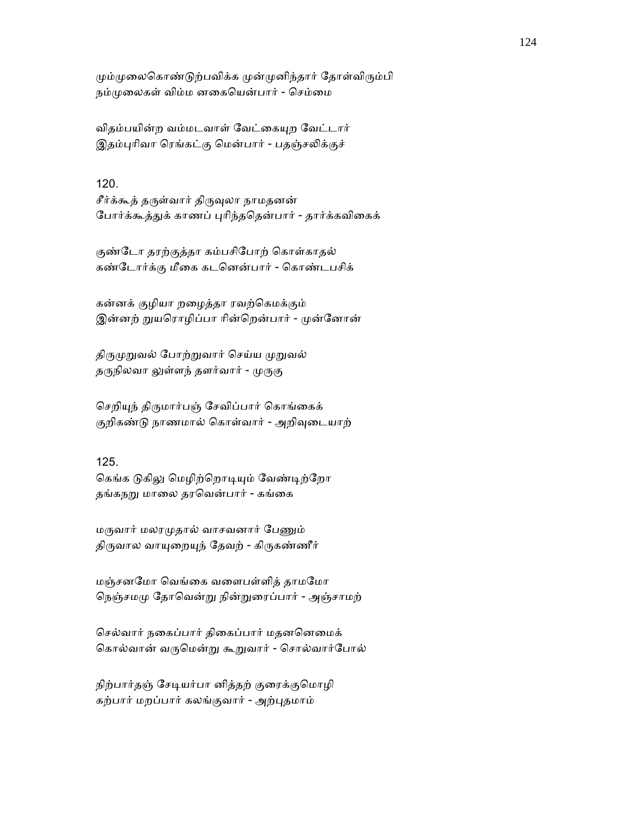மும்முலைகொண்டுற்பவிக்க முன்முனிந்தார் தோள்விரும்பி நம்முலைகள் விம்ம னகையென்பார் - செம்மை

விதம்பயின்ற வம்மடவாள் வேட்கையுற வேட்டார் இதம்புரிவா ரெங்கட்கு மென்பார் - பதஞ்சலிக்குச்

# 120.

சீர்க்கூத் தருள்வார் திருவுலா நாமதனன் போர்க்கூத்துக் காணப் புரிந்ததென்பார் - தார்க்கவிகைக்

குண்டோ தரற்குத்தா கம்பசிபோற் கொள்காதல் கண்ேடார்க்கு மீைக கடெனன்பார் - ெகாண்டபசிக்

கன்னக் குழியா றைழத்தா ரவற்ெகமக்கும் இன்னற் றுயரொழிப்பா ரின்றென்பார் - முன்னோன்

திருமுறுவல் போற்றுவார் செய்ய முறுவல் தருநிலவா லுள்ளந் தளர்வார் - முருகு

செறியுந் திருமார்பஞ் சேவிப்பார் கொங்கைக் குறிகண்டு நாணமால் கொள்வார் - அறிவுடையாற்

# 125.

கெங்க டுகிலு மெழிற்றொடியும் வேண்டிற்றோ தங்கநறு மாலை தரவென்பார் - கங்கை

மருவார் மலரமுதால் வாசவனார் பேணும் திருவால வாயுறையுந் தேவற் - கிருகண்ணீர்

மஞ்சனேமா ெவங்ைக வைளபள்ளித் தாமேமா நெஞ்சமமு தோவென்று நின்றுரைப்பார் - அஞ்சாமற்

ெசல்வார் நைகப்பார் திைகப்பார் மதனெனைமக் கொல்வான் வருமென்று கூறுவார் - சொல்வார்போல்

நிற்பார்தஞ் சேடியர்பா னித்தற் குரைக்குமொழி கற்பார் மறப்பார் கலங்குவார் - அற்ᾗதமாம்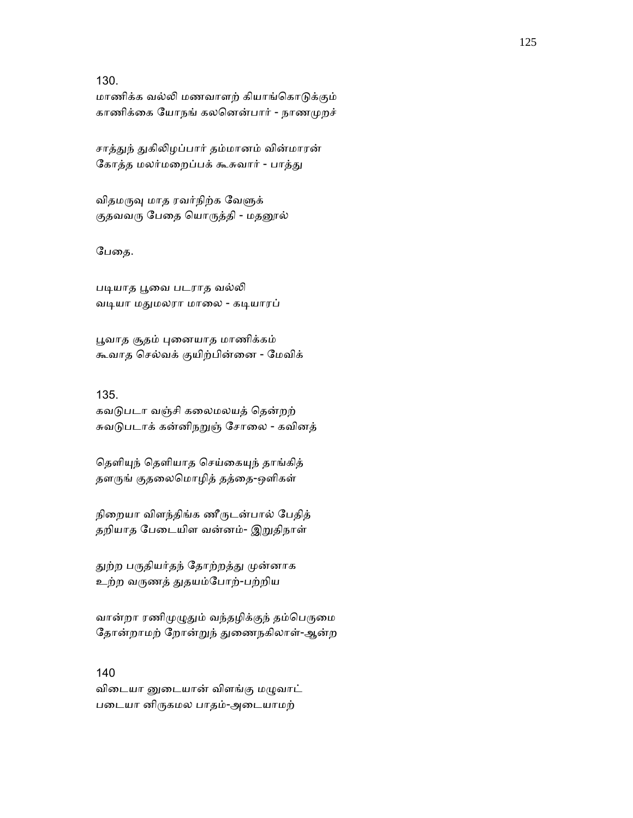130.

மாணிக்க வல்லி மணவாளற் கியாங்கொடுக்கும் காணிக்கை யோநங் கலனென்பார் - நாணமுறச்

சாத்துந் துகிலிழப்பார் தம்மானம் வின்மாரன் கோத்த மலர்மறைப்பக் கூசுவார் - பாத்து

விதமருவு மாத ரவர்நிற்க வேளுக் குதவவரு பேதை யொருத்தி - மதனூல்

பேதை.

படியாத பூவை படராத வல்லி வடியா மதுமலரா மாலை - கடியாரப்

பூவாத சூதம் புனையாத மாணிக்கம் கூவாத ெசல்வக் குயிற்பின்ைன - ேமவிக்

# 135.

கவடுபடா வஞ்சி கலைமலயத் தென்றற் சுவடுபடாக் கன்னிநறுஞ் சோலை - கவினத்

தெளியுந் தெளியாத செய்கையுந் தாங்கித் தளருங் குதலைமொழித் தத்தை-ஒளிகள்

நிறையா விளந்திங்க ணீருடன்பால் பேதித் தறியாத பேடையிள வன்னம்- இறுதிநாள்

துற்ற பருதியர்தந் தோற்றத்து முன்னாக உற்ற வᾞணத் ᾐதயம்ேபாற்-பற்றிய

வான்றா ரணிமுழுதும் வந்தழிக்குந் தம்பெருமை தோன்றாமற் றோன்றுந் துணைநகிலாள்-ஆன்ற

### 140

விடையா னுடையான் விளங்கு மழுவாட் பைடயா னிᾞகமல பாதம்-அைடயாமற்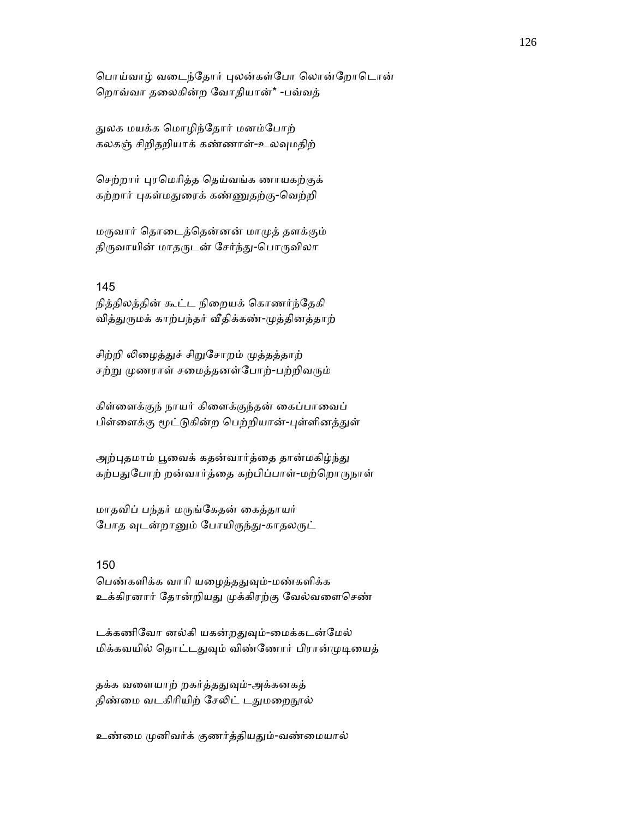பொய்வாழ் வடைந்தோர் புலன்கள்போ லொன்றோடொன் ெறாவ்வா தைலகின்ற ேவாதியான்\* -பவ்வத்

ᾐலக மயக்க ெமாழிந்ேதார் மனம்ேபாற் கலகஞ் சிறிதறியாக் கண்ணாள்-உலᾫமதிற்

செற்றார் புரமெரித்த தெய்வங்க ணாயகற்குக் கற்றார் புகள்மதுரைக் கண்ணுதற்கு-வெற்றி

மᾞவார் ெதாைடத்ெதன்னன் மாᾙத் தளக்கும் திருவாயின் மாதருடன் சேர்ந்து-பொருவிலா

# 145

நித்திலத்தின் கூட்ட நிைறயக் ெகாணர்ந்ேதகி வித்துருமக் காற்பந்தர் வீதிக்கண்-முத்தினத்தாற்

சிற்றி லிழைத்துச் சிறுசோறம் முத்தத்தாற் சற்று முணராள் சமைத்தனள்போற்-பற்றிவரும்

கிள்ளைக்குந் நாயர் கிளைக்குந்தன் கைப்பாவைப் பிள்ளைக்கு மூட்டுகின்ற பெற்றியான்-புள்ளினத்துள்

அற்புதமாம் பூவைக் கதன்வார்த்தை தான்மகிழ்ந்து கற்பதுபோற் றன்வார்த்தை கற்பிப்பாள்-மற்றொருநாள்

மாதவிப் பந்தர் மᾞங்ேகதன் ைகத்தாயர் போத வுடன்றானும் போயிருந்து-காதலருட்

## 150

பெண்களிக்க வாரி யழைத்ததுவும்-மண்களிக்க உக்கிரனார் தோன்றியது முக்கிரற்கு வேல்வளைசெண்

டக்கணிவோ னல்கி யகன்றதுவும்-மைக்கடன்மேல் மிக்கவயில் தொட்டதுவும் விண்ணோர் பிரான்முடியைத்

தக்க வளையாற் றகர்த்ததுவும்-அக்கனகத் திண்மை வடகிரியிற் சேலிட் டதுமறைநூல்

உண்மை முனிவர்க் குணர்த்தியதும்-வண்மையால்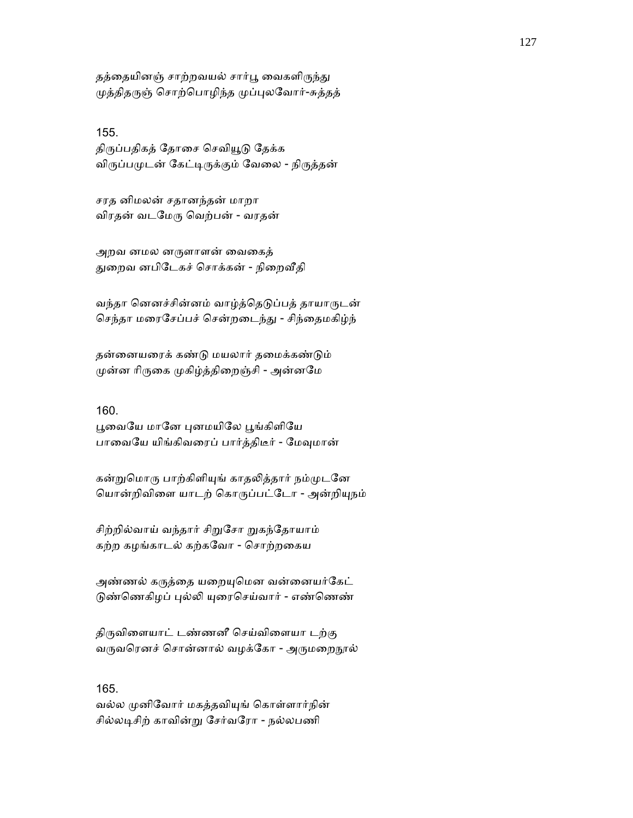தத்தையினஞ் சாற்றவயல் சார்பூ வைகளிருந்து முத்திதருஞ் சொற்பொழிந்த முப்புலவோர்-சுத்தத்

155.

திருப்பதிகத் தோசை செவியூடு தேக்க விருப்பமுடன் கேட்டிருக்கும் வேலை - நிருத்தன்

சரத னிமலன் சதானந்தன் மாறா விரதன் வடேமᾞ ெவற்பன் - வரதன்

அறவ னமல னருளாளன் வைகைத் துறைவ னபிடேகச் சொக்கன் - நிறைவீதி

வந்தா னெனச்சின்னம் வாழ்த்தெடுப்பத் தாயாருடன் செந்தா மரைசேப்பச் சென்றடைந்து - சிந்தைமகிழ்ந்

தன்ைனயைரக் கண்ᾌ மயலார் தைமக்கண்ᾌம் முன்ன ரிருகை முகிழ்த்திறைஞ்சி - அன்னமே

## 160.

பூவையே மானே புனமயிலே பூங்கிளியே பாவையே யிங்கிவரைப் பார்த்திடீர் - மேவுமான்

கன்றுமொரு பாற்கிளியுங் காதலித்தார் நம்முடனே ெயான்றிவிைள யாடற் ெகாᾞப்பட்ேடா - அன்றிᾜநம்

சிற்றில்வாய் வந்தார் சிறுசோ றுகந்தோயாம் கற்ற கழங்காடல் கற்கேவா - ெசாற்றைகய

அண்ணல் கருத்தை யறையுமென வன்னையர்கேட் டுண்ணெகிழப் புல்லி யுரைசெய்வார் - எண்ணெண்

திருவிளையாட் டண்ணனீ செய்விளையா டற்கு வருவரெனச் சொன்னால் வழக்கோ - அருமறைநூல்

## 165.

வல்ல முனிவோர் மகத்தவியுங் கொள்ளார்நின் சில்லடிசிற் காவின்று சேர்வரோ - நல்லபணி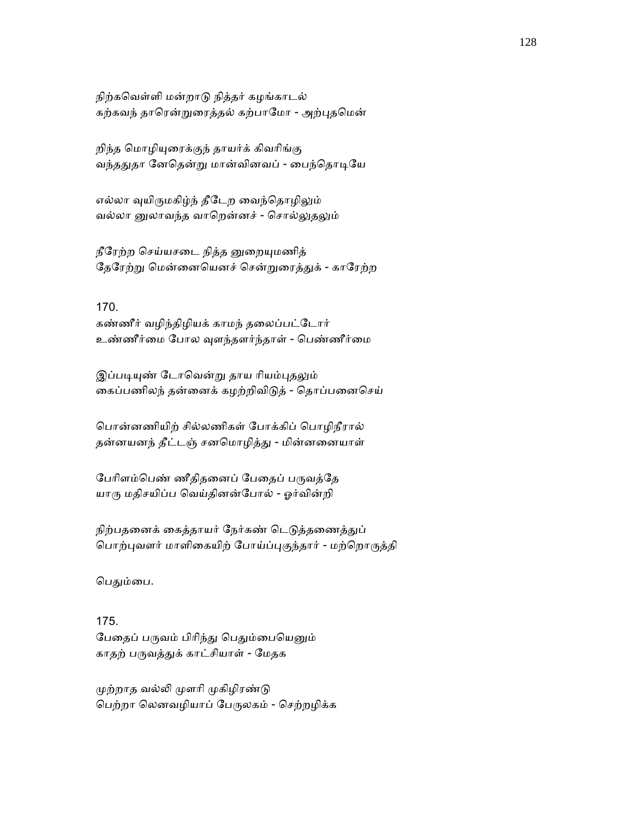நிற்கெவள்ளி மன்றாᾌ நித்தர் கழங்காடல் கற்கவந் தாரென்றுரைத்தல் கற்பாமோ - அற்புதமென்

றிந்த மொழியுரைக்குந் தாயர்க் கிவரிங்கு வந்ததுதா னேதென்று மான்வினவப் - பைந்தொடியே

எல்லா வுயிருமகிழ்ந் தீடேற வைந்தொழிலும் வல்லா னுலாவந்த வாறென்னச் - சொல்லுதலும்

நீரேற்ற செய்யசடை நித்த னுறையுமணித் தேரேற்று மென்னையெனச் சென்றுரைத்துக் - காரேற்ற

170. கண்ணீர் வழிந்திழியக் காமந் தைலப்பட்ேடார் உண்ணீர்ைம ேபால ᾫளந்தளர்ந்தாள் - ெபண்ணீர்ைம

இப்படியுண் டோவென்று தாய ரியம்புதலும் ைகப்பணிலந் தன்ைனக் கழற்றிவிᾌத் - ெதாப்பைனெசய்

ெபான்னணியிற் சில்லணிகள் ேபாக்கிப் ெபாழிநீரால் தன்னயனந் தீட்டஞ் சனமொழித்து - மின்னனையாள்

பேரிளம்பெண் ணீதிதனைப் பேதைப் பருவத்தே யாᾞ மதிசயிப்ப ெவய்தினன்ேபால் - ஓர்வின்றி

நிற்பதனைக் கைத்தாயர் நேர்கண் டெடுத்தணைத்துப் பொற்புவளர் மாளிகையிற் போய்ப்புகுந்தார் - மற்றொருத்தி

பெதும்பை.

175. பேதைப் பருவம் பிரிந்து பெதும்பையெனும் காதற் பருவத்துக் காட்சியாள் - மேதக

முற்றாத வல்லி முளரி முகிழிரண்டு ெபற்றா ெலனவழியாப் ேபᾞலகம் - ெசற்றழிக்க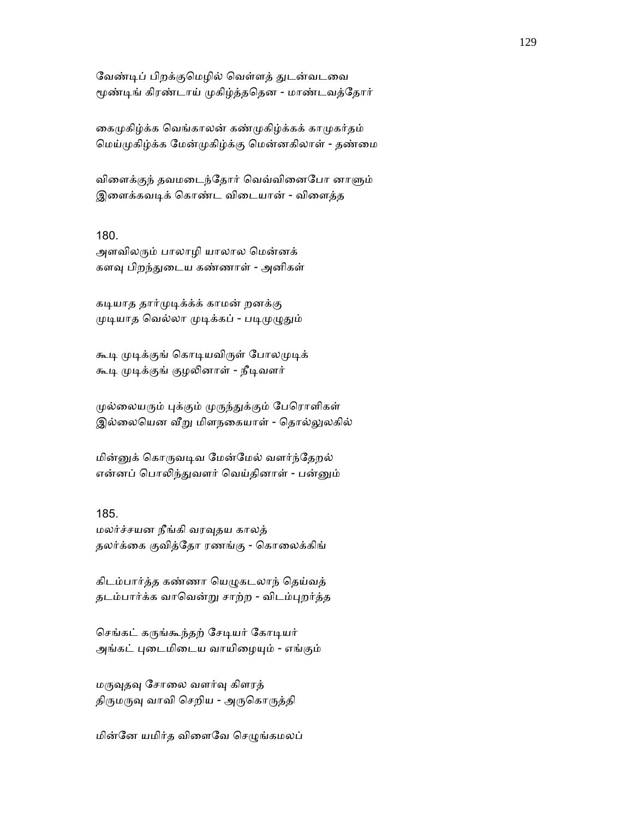வேண்டிப் பிறக்குமெழில் வெள்ளத் துடன்வடவை மூண்டிங் கிரண்டாய் முகிழ்த்ததென - மாண்டவத்தோர்

கைமுகிழ்க்க வெங்காலன் கண்முகிழ்க்கக் காமுகர்தம் மெய்முகிழ்க்க மேன்முகிழ்க்கு மென்னகிலாள் - தண்மை

விளைக்குந் தவமடைந்தோர் வெவ்வினைபோ னாளும் இளைக்கவடிக் கொண்ட விடையான் - விளைத்த

### 180.

அளவிலᾞம் பாலாழி யாலால ெமன்னக் களவு பிறந்துடைய கண்ணாள் - அனிகள்

கடியாத தார்முடிக்க்க் காமன் றனக்கு முடியாத வெல்லா முடிக்கப் - படிமுழுதும்

கூடி முடிக்குங் கொடியவிருள் போலமுடிக் கூடி முடிக்குங் குழலினாள் - நீடிவளர்

முல்லையரும் புக்கும் முருந்துக்கும் பேரொளிகள் இல்லையென வீறு மிளநகையாள் - தொல்லுலகில்

மின்னுக் கொருவடிவ மேன்மேல் வளர்ந்தேறல் என்னப் பொலிந்துவளர் வெய்தினாள் - பன்னும்

### 185.

மலர்ச்சயன நீங்கி வரᾫதய காலத் தலர்க்கை குவித்தோ ரணங்கு - கொலைக்கிங்

கிடம்பார்த்த கண்ணா யெழுகடலாந் தெய்வத் தடம்பார்க்க வாவென்று சாற்ற - விடம்புறர்த்த

செங்கட் கருங்கூந்தற் சேடியர் கோடியர் அங்கட் புடைமிடைய வாயிழையும் - எங்கும்

மᾞᾫதᾫ ேசாைல வளர்ᾫ கிளரத் திருமருவு வாவி செறிய - அருகொருத்தி

மின்னே யமிர்த விளைவே செழுங்கமலப்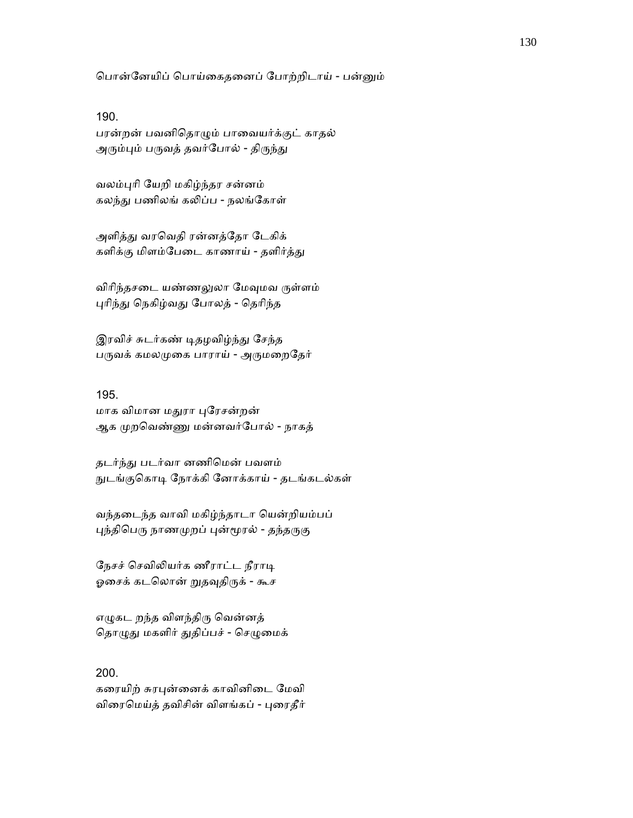ெபான்ேனயிப் ெபாய்ைகதைனப் ேபாற்றிடாய் - பன்ᾔம்

#### 190.

பரன்றன் பவனிெதாᾨம் பாைவயர்க்குட் காதல் அரும்பும் பருவத் தவர்போல் - திருந்து

வலம்ᾗாி ேயறி மகிழ்ந்தர சன்னம் கலந்து பணிலங் கலிப்ப - நலங்கோள்

அளித்து வரவெதி ரன்னத்தோ டேகிக் களிக்கு மிளம்பேடை காணாய் - தளிர்த்து

விரிந்தசடை யண்ணலுலா மேவுமவ ருள்ளம் புரிந்து நெகிழ்வது போலத் - தெரிந்த

இரவிச் சுடர்கண் டிதழவிழ்ந்து சேந்த பருவக் கமலமுகை பாராய் - அருமறைதேர்

# 195.

மாக விமான மᾐரா ᾗேரசன்றன் ஆக முறவெண்ணு மன்னவர்போல் - நாகத்

தடர்ந்ᾐ படர்வா னணிெமன் பவளம் நுடங்குகொடி நோக்கி னோக்காய் - தடங்கடல்கள்

வந்தைடந்த வாவி மகிழ்ந்தாடா ெயன்றியம்பப் புந்திபெரு நாணமுறப் புன்மூரல் - தந்தருகு

நேசச் செவிலியர்க ணீராட்ட நீராடி ஓசைக் கடலொன் றுதவுதிருக் - கூச

எழுகட றந்த விளந்திரு வென்னத் தொழுது மகளிர் துதிப்பச் - செழுமைக்

# 200.

கரையிற் சுரபுன்னைக் காவினிடை மேவி விரைமெய்த் தவிசின் விளங்கப் - புரைதீர்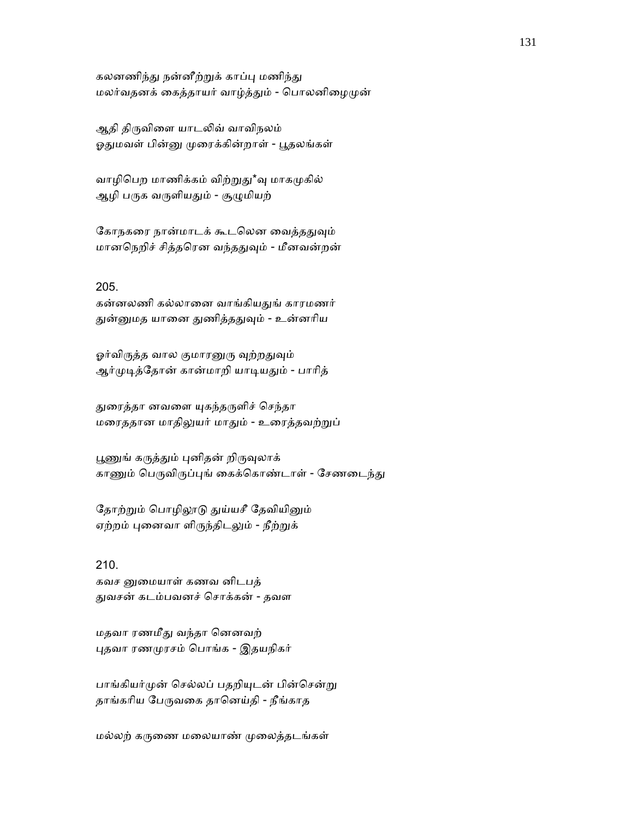கலனணிந்து நன்னீற்றுக் காப்பு மணிந்து மலர்வதனக் கைத்தாயர் வாழ்த்தும் - பொலனிழைமுன்

ஆதி திருவிளை யாடலிவ் வாவிநலம் ஓதுமவள் பின்னு முரைக்கின்றாள் - பூதலங்கள்

வாழிபெற மாணிக்கம் விற்றுது\*வு மாகமுகில் ஆழி பருக வருளியதும் - சூழுமியற்

கோநகரை நான்மாடக் கூடலென வைத்ததுவும் மானநெறிச் சித்தரென வந்ததுவும் - மீனவன்றன்

### 205.

கன்னலணி கல்லானை வாங்கியதுங் காரமணர் துன்னுமத யானை துணித்ததுவும் - உன்னரிய

ஓர்விருத்த வால குமாரனுரு வுற்றதுவும் ஆர்முடித்தோன் கான்மாறி யாடியதும் - பாரித்

துரைத்தா னவளை யுகந்தருளிச் செந்தா மைரததான மாதிᾤயர் மாᾐம் - உைரத்தவற்ᾠப்

பூணுங் கருத்தும் புனிதன் றிருவுலாக் காணும் பெருவிருப்புங் கைக்கொண்டாள் - சேணடைந்து

தோற்றும் பொழிலூடு துய்யசீ தேவியினும் ஏற்றம் புனைவா ளிருந்திடலும் - நீற்றுக்

210. கவச னுமையாள் கணவ னிடபத் ᾐவசன் கடம்பவனச் ெசாக்கன் - தவள

மதவா ரணமீᾐ வந்தா ெனனவற் ᾗதவா ரணᾙரசம் ெபாங்க - இதயநிகர்

பாங்கியர்முன் செல்லப் பதறியுடன் பின்சென்று தாங்கரிய பேருவகை தானெய்தி - நீங்காத

மல்லற் கருணை மலையாண் முலைத்தடங்கள்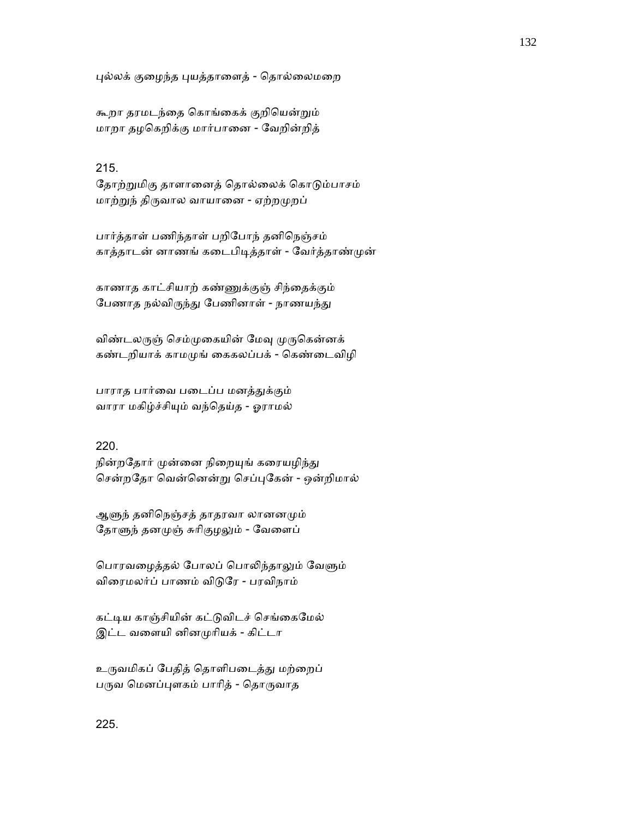புல்லக் குழைந்த புயத்தாளைத் - தொல்லைமறை

கூறா தரமடந்ைத ெகாங்ைகக் குறிெயன்ᾠம் மாறா தழெகறிக்கு மார்பாைன - ேவறின்றித்

# 215.

தோற்றுமிகு தாளானைத் தொல்லைக் கொடும்பாசம் மாற்றுந் திருவால வாயானை - ஏற்றமுறப்

பார்த்தாள் பணிந்தாள் பறிேபாந் தனிெநஞ்சம் காத்தாடன் னாணங் கடைபிடித்தாள் - வேர்த்தாண்முன்

காணாத காட்சியாற் கண்ᾎக்குஞ் சிந்ைதக்கும் பேணாத நல்விருந்து பேணினாள் - நாணயந்து

விண்டலருஞ் செம்முகையின் மேவு முருகென்னக் கண்டறியாக் காமᾙங் ைககலப்பக் - ெகண்ைடவிழி

பாராத பார்வை படைப்ப மனத்துக்கும் வாரா மகிழ்ச்சிᾜம் வந்ெதய்த - ஓராமல்

## 220.

நின்றதோர் முன்னை நிறையுங் கரையழிந்து சென்றதோ வென்னென்று செப்புகேன் - ஒன்றிமால்

ஆளுந் தனிநெஞ்சத் தாதரவா லானனமும் தோளுந் தனமுஞ் சுரிகுழலும் - வேளைப்

பொரவழைத்தல் போலப் பொலிந்தாலும் வேளும் விைரமலர்ப் பாணம் விᾌேர - பரவிநாம்

கட்டிய காஞ்சியின் கட்டுவிடச் செங்கைமேல் இட்ட வளையி னினமுரியக் - கிட்டா

உருவமிகப் பேதித் தொளிபடைத்து மற்றைப் பருவ மெனப்புளகம் பாரித் - தொருவாத

# 225.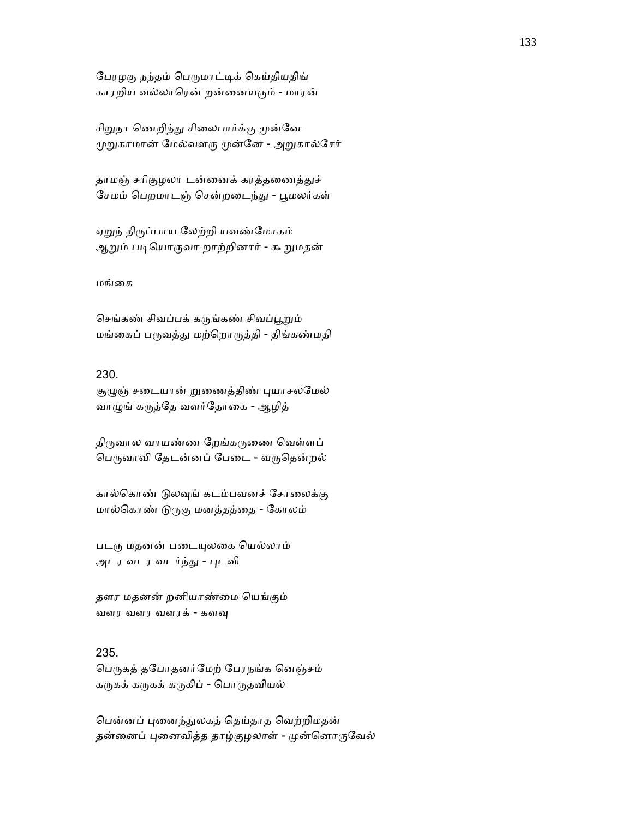ேபரழகு நந்தம் ெபᾞமாட்ᾊக் ெகய்தியதிங் காரறிய வல்லாெரன் றன்ைனயᾞம் - மாரன்

சிறுநா ணெறிந்து சிலைபார்க்கு முன்னே முறுகாமான் மேல்வளரு முன்னே - அறுகால்சேர்

தாமஞ் சரிகுழலா டன்னைக் கரத்தணைத்துச் சேமம் பெறமாடஞ் சென்றடைந்து - பூமலர்கள்

ஏறுந் திருப்பாய லேற்றி யவண்மோகம் ஆறும் படியொருவா றாற்றினார் - கூறுமதன்

மங்ைக

செங்கண் சிவப்பக் கருங்கண் சிவப்பூறும் மங்ைகப் பᾞவத்ᾐ மற்ெறாᾞத்தி - திங்கண்மதி

## 230.

சூழுஞ் சடையான் றுணைத்திண் புயாசலமேல் வாழுங் கருத்தே வளர்தோகை - ஆழித்

திருவால வாயண்ண றேங்கருணை வெள்ளப் பெருவாவி தேடன்னப் பேடை - வருதென்றல்

கால்கொண் டுலவுங் கடம்பவனச் சோலைக்கு மால்கொண் டுருகு மனத்தத்தை - கோலம்

படரு மதனன் படையுலகை யெல்லாம் அடர வடர வடர்ந்ᾐ - ᾗடவி

தளர மதனன் றனியாண்ைம ெயங்கும் வளர வளர வளரக் - களᾫ

### 235.

பெருகத் தபோதனர்மேற் பேரநங்க னெஞ்சம் கருகக் கருகக் கருகிப் - பொருதவியல்

ெபன்னப் ᾗைனந்ᾐலகத் ெதய்தாத ெவற்றிமதன் தன்னைப் புனைவித்த தாழ்குழலாள் - முன்னொருவேல்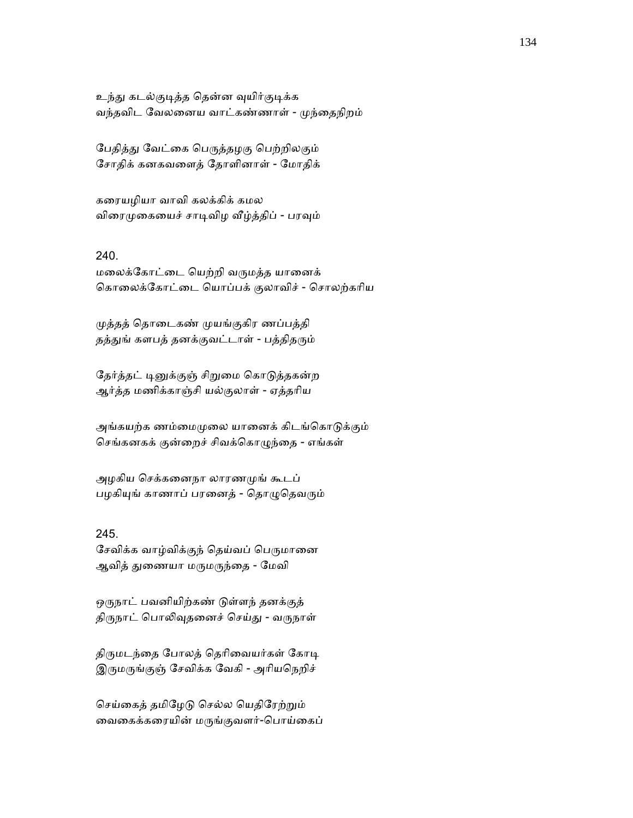உந்து கடல்குடித்த தென்ன வுயிர்குடிக்க வந்தவிட ேவலைனய வாட்கண்ணாள் - ᾙந்ைதநிறம்

பேதித்து வேட்கை பெருத்தழகு பெற்றிலகும் ேசாதிக் கனகவைளத் ேதாளினாள் - ேமாதிக்

கைரயழியா வாவி கலக்கிக் கமல விரைமுகையைச் சாடிவிழ வீழ்த்திப் - பரவும்

# 240.

மைலக்ேகாட்ைட ெயற்றி வᾞமத்த யாைனக் ெகாைலக்ேகாட்ைட ெயாப்பக் குலாவிச் - ெசாலற்காிய

ᾙத்தத் ெதாைடகண் ᾙயங்குகிர ணப்பத்தி தத்துங் களபத் தனக்குவட்டாள் - பத்திதரும்

தேர்த்தட் டினுக்குஞ் சிறுமை கொடுத்தகன்ற ஆர்த்த மணிக்காஞ்சி யல்குலாள் - ஏத்தாிய

அங்கயற்க ணம்மைமுலை யானைக் கிடங்கொடுக்கும் ெசங்கனகக் குன்ைறச் சிவக்ெகாᾨந்ைத - எங்கள்

அழகிய ெசக்கைனநா லாரணᾙங் கூடப் பழகியுங் காணாப் பரனைத் - தொழுதெவரும்

### 245.

சேவிக்க வாழ்விக்குந் தெய்வப் பெருமானை ஆவித் துணையா மருமருந்தை - மேவி

ஒருநாட் பவனியிற்கண் டுள்ளந் தனக்குத் திருநாட் பொலிவுதனைச் செய்து - வருநாள்

திருமடந்தை போலத் தெரிவையர்கள் கோடி இருமருங்குஞ் சேவிக்க வேகி - அரியநெறிச்

செய்கைத் தமிழேடு செல்ல யெதிரேற்றும் ைவைகக்கைரயின் மᾞங்குவளர்-ெபாய்ைகப்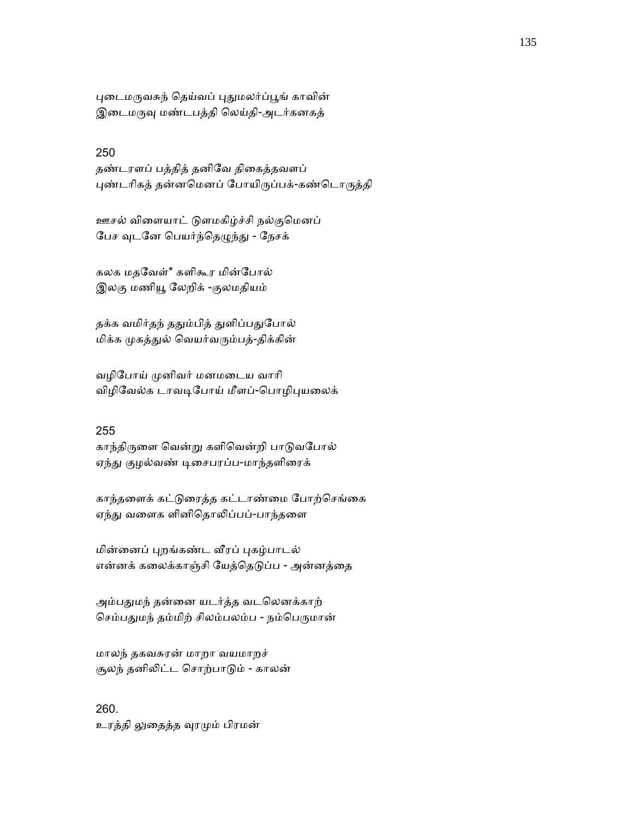புடைமருவசுந் தெய்வப் புதுமலர்ப்பூங் காவின் இடைமருவு மண்டபத்தி லெய்தி-அடர்கனகத்

## 250

தண்டரளப் பத்தித் தனிேவ திைகத்தவளப் புண்டரிகத் தன்னமெனப் போயிருப்பக்-கண்டொருத்தி

ஊசல் விளையாட் டுளமகிழ்ச்சி நல்குமெனப் பேச வுடனே பெயர்ந்தெழுந்து - நேசக்

கலக மதேவள்\* களிகூர மின்ேபால் இலகு மணிᾝ ேலறிக் -குலமதியம்

தக்க வமிர்தந் ததும்பித் துளிப்பதுபோல் மிக்க முகத்துல் வெயர்வரும்பத்-திக்கின்

வழிேபாய் ᾙனிவர் மனமைடய வாாி விழிவேல்க டாவடிபோய் மீளப்-பொழிபுயலைக்

# 255

காந்திருளை வென்று களிவென்றி பாடுவபோல் ஏந்து குழல்வண் டிசைபரப்ப-மாந்தளிரைக்

காந்தளைக் கட்டுரைத்த கட்டாண்மை போற்செங்கை ஏந்து வளைக ளினிதொலிப்பப்-பாந்தளை

மின்ைனப் ᾗறங்கண்ட ᾪரப் ᾗகழ்பாடல் என்னக் கலைக்காஞ்சி யேத்தெடுப்ப - அன்னத்தை

அம்பதுமந் தன்னை யடர்த்த வடலெனக்காற் செம்பதுமந் தம்மிற் சிலம்பலம்ப - நம்பெருமான்

மாலந் தகவசுரன் மாறா வயமாறச் சூலந் தனிᾢட்ட ெசாற்பாᾌம் - காலன்

260. உரத்தி லுதைத்த வுரமும் பிரமன்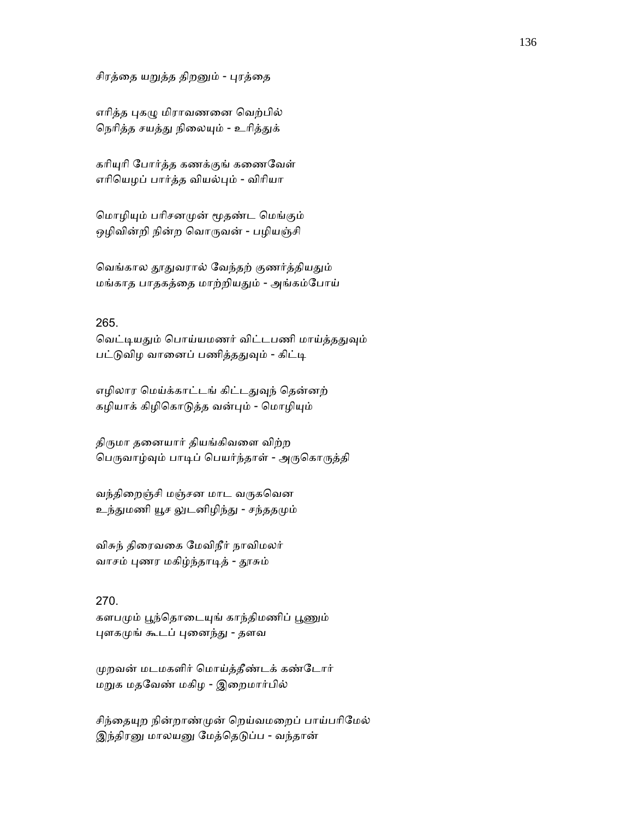சிரத்தை யறுத்த திறனும் - புரத்தை

எரித்த புகழு மிராவணனை வெற்பில் நெரித்த சயத்து நிலையும் - உரித்துக்

கரியுரி போர்த்த கணக்குங் கணைவேள் எாிெயழப் பார்த்த வியல்ᾗம் - விாியா

மொழியும் பரிசனமுன் மூதண்ட மெங்கும் ஒழிவின்றி நின்ற வொருவன் - பழியஞ்சி

வெங்கால தூதுவரால் வேந்தற் குணர்த்தியதும் மங்காத பாதகத்ைத மாற்றியᾐம் - அங்கம்ேபாய்

### 265.

வெட்டியதும் பொய்யமணர் விட்டபணி மாய்த்ததுவும் பட்டுவிழ வானைப் பணித்ததுவும் - கிட்டி

எழிலார மெய்க்காட்டங் கிட்டதுவுந் தென்னற் கழியாக் கிழிகொடுத்த வன்பும் - மொழியும்

திருமா தனையார் தியங்கிவளை விற்ற பெருவாழ்வும் பாடிப் பெயர்ந்தாள் - அருகொருத்தி

வந்திறைஞ்சி மஞ்சன மாட வருகவென உந்துமணி யூச லுடனிழிந்து - சந்ததமும்

விசுந் திைரவைக ேமவிநீர் நாவிமலர் வாசம் புணர மகிழ்ந்தாடித் - தூசும்

### 270.

களபமும் பூந்தொடையுங் காந்திமணிப் பூணும் புளகமுங் கூடப் புனைந்து - தளவ

ᾙறவன் மடமகளிர் ெமாய்த்தீண்டக் கண்ேடார் மᾠக மதேவண் மகிழ - இைறமார்பில்

சிந்தையுற நின்றாண்முன் றெய்வமறைப் பாய்பரிமேல் இந்திரனு மாலயனு மேத்தெடுப்ப - வந்தான்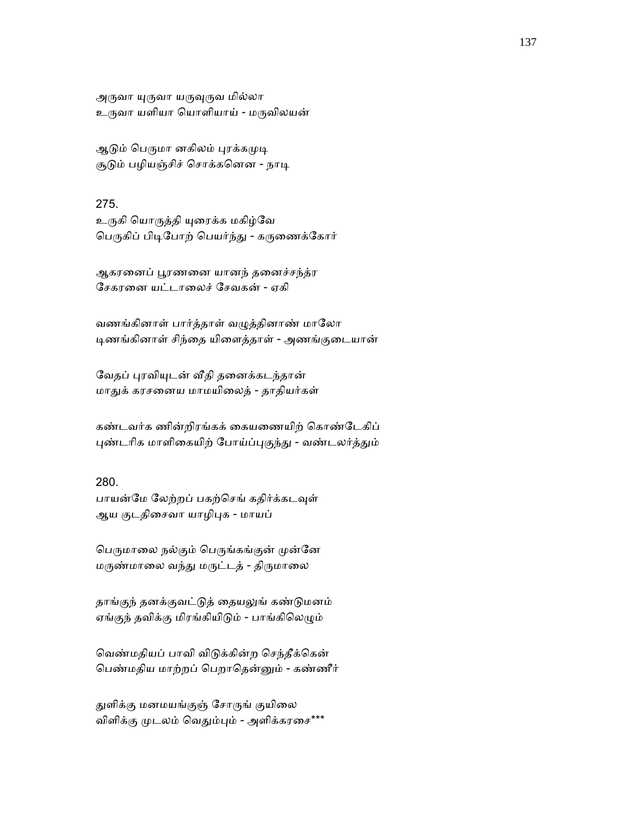அருவா யுருவா யருவுருவ மில்லா உருவா யளியா யொளியாய் - மருவிலயன்

ஆடும் பெருமா னகிலம் புரக்கமுடி சூடும் பழியஞ்சிச் சொக்கனென - நாடி

275.

உருகி யொருத்தி யுரைக்க மகிழ்வே பெருகிப் பிடிபோற் பெயர்ந்து - கருணைக்கோர்

ஆகரனைப் பூரணனை யானந் தனைச்சந்த்ர ேசகரைன யட்டாைலச் ேசவகன் - ஏகி

வணங்கினாள் பார்த்தாள் வழுத்தினாண் மாலோ ᾊணங்கினாள் சிந்ைத யிைளத்தாள் - அணங்குைடயான்

வேதப் புரவியுடன் வீதி தனைக்கடந்தான் மாᾐக் கரசைனய மாமயிைலத் - தாதியர்கள்

கண்டவர்க ணின்றிரங்கக் கையணையிற் கொண்டேகிப் புண்டரிக மாளிகையிற் போய்ப்புகுந்து - வண்டலர்த்தும்

280.

பாயன்மே லேற்றப் பகற்செங் கதிர்க்கடவுள் ஆய குடதிசைவா யாழிபுக - மாயப்

பெருமாலை நல்கும் பெருங்கங்குன் முன்னே மருண்மாலை வந்து மருட்டத் - திருமாலை

தாங்குந் தனக்குவட்டுத் தையலுங் கண்டுமனம் ஏங்குந் தவிக்கு மிரங்கியிடும் - பாங்கிலெழும்

ெவண்மதியப் பாவி விᾌக்கின்ற ெசந்தீக்ெகன் ெபண்மதிய மாற்றப் ெபறாெதன்ᾔம் - கண்ணீர்

துளிக்கு மனமயங்குஞ் சோருங் குயிலை விளிக்கு முடலம் வெதும்பும் - அளிக்கரசை\*\*\*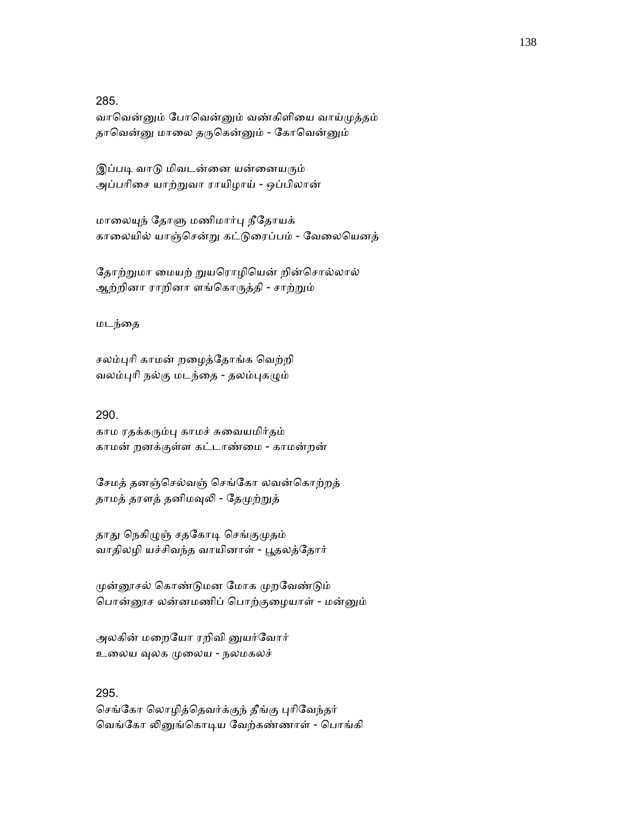285.

வாவென்னும் போவென்னும் வண்கிளியை வாய்முத்தம் தாவென்னு மாலை தருகென்னும் - கோவென்னும்

இப்படி வாடு மிவடன்னை யன்னையரும் அப்பாிைச யாற்ᾠவா ராயிழாய் - ஒப்பிலான்

மாலையுந் தோளு மணிமார்பு நீதோயக் காைலயில் யாஞ்ெசன்ᾠ கட்ᾌைரப்பம் - ேவைலெயனத்

தோற்றுமா மையற் றுயரொழியென் றின்சொல்லால் ஆற்றினா ராறினா ளங்கொருத்தி - சாற்றும்

மடந்ைத

சலம்புரி காமன் றழைத்தோங்க வெற்றி வலம்புரி நல்கு மடந்தை - தலம்புகழும்

# 290.

காம ரதக்கᾞம்ᾗ காமச் சுைவயமிர்தம் காமன் றனக்குள்ள கட்டாண்ைம - காமன்றன்

ேசமத் தனஞ்ெசல்வஞ் ெசங்ேகா லவன்ெகாற்றத் தாமத் தரளத் தனிமவுலி - தேமுற்றுத்

தாது நெகிழுஞ் சதகோடி செங்குமுதம் வாதிலழி யச்சிவந்த வாயினாள் - பூதலத்தோர்

முன்னூசல் கொண்டுமன மோக முறவேண்டும் ெபான்ᾕச லன்னமணிப் ெபாற்குைழயாள் - மன்ᾔம்

அலகின் மறையோ ரறிவி னுயர்வோர் உலைய வுலக முலைய - நலமகலச்

## 295.

செங்கோ லொழித்தெவர்க்குந் தீங்கு புரிவேந்தர் வெங்கோ லினுங்கொடிய வேற்கண்ணாள் - பொங்கி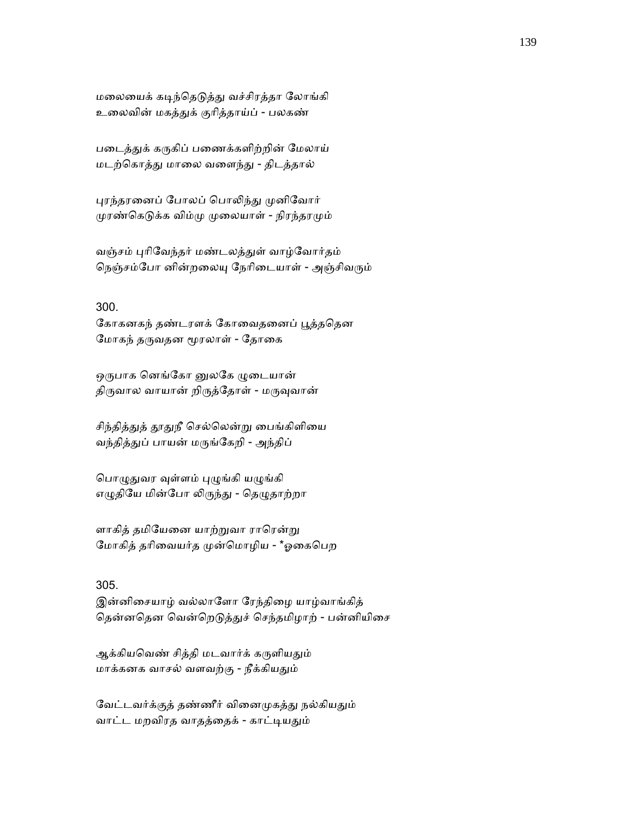மலையைக் கடிந்தெடுத்து வச்சிரத்தா லோங்கி உைலவின் மகத்ᾐக் குாித்தாய்ப் - பலகண்

படைத்துக் கருகிப் பணைக்களிற்றின் மேலாய் மடற்ெகாத்ᾐ மாைல வைளந்ᾐ - திடத்தால்

புரந்தரனைப் போலப் பொலிந்து முனிவோர் முரண்கெடுக்க விம்மு முலையாள் - நிரந்தரமும்

வஞ்சம் ᾗாிேவந்தர் மண்டலத்ᾐள் வாழ்ேவார்தம் நெஞ்சம்போ னின்றலையு நேரிடையாள் - அஞ்சிவரும்

### 300.

கோகனகந் தண்டரளக் கோவைதனைப் பூத்ததென மோகந் தருவதன மூரலாள் - தோகை

ஒருபாக னெங்கோ னுலகே ழுடையான் திருவால வாயான் றிருத்தோள் - மருவுவான்

சிந்தித்துத் தூதுநீ செல்லென்று பைங்கிளியை வந்தித்துப் பாயன் மருங்கேறி - அந்திப்

பொழுதுவர வுள்ளம் புழுங்கி யழுங்கி எழுதியே மின்போ லிருந்து - தெழுதாற்றா

ளாகித் தமியேனை யாற்றுவா ராரென்று மோகித் தரிவையர்த முன்மொழிய - \*ஓகைபெற

# 305.

இன்னிைசயாழ் வல்லாேளா ேரந்திைழ யாழ்வாங்கித் தென்னதென வென்றெடுத்துச் செந்தமிழாற் - பன்னியிசை

ஆக்கியவெண் சித்தி மடவார்க் கருளியதும் மாக்கனக வாசல் வளவற்கு - நீக்கியᾐம்

வேட்டவர்க்குத் தண்ணீர் வினைமுகத்து நல்கியதும் வாட்ட மறவிரத வாதத்தைக் - காட்டியதும்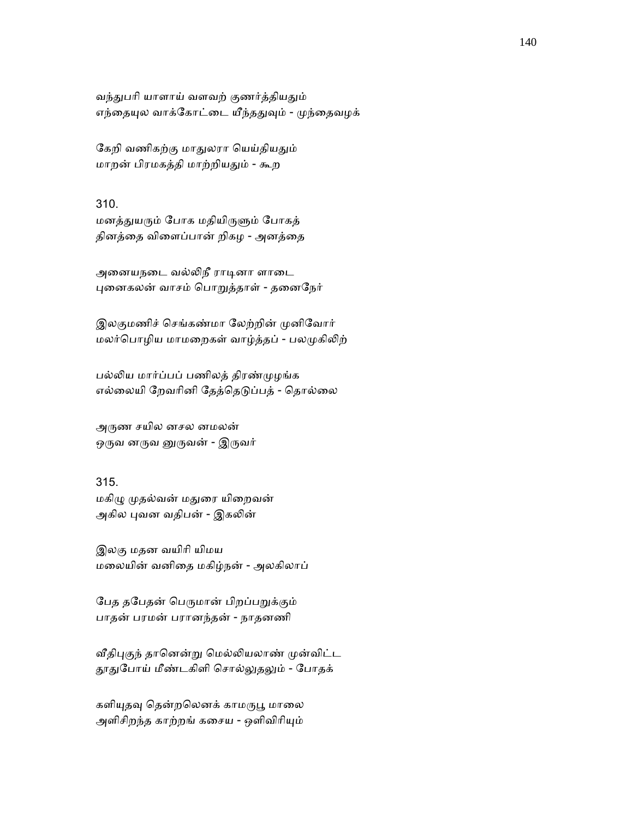வந்துபரி யாளாய் வளவற் குணர்த்தியதும் எந்தையுல வாக்கோட்டை யீந்ததுவும் - முந்தைவழக்

கேறி வணிகற்கு மாதுலரா யெய்தியதும் மாறன் பிரமகத்தி மாற்றியᾐம் - கூற

310.

மனத்துயரும் போக மதியிருளும் போகத் தினத்ைத விைளப்பான் றிகழ - அனத்ைத

அனையநடை வல்லிநீ ராடினா ளாடை ᾗைனகலன் வாசம் ெபாᾠத்தாள் - தைனேநர்

இலகுமணிச் செங்கண்மா லேற்றின் முனிவோர் மலர்பொழிய மாமறைகள் வாழ்த்தப் - பலமுகிலிற்

பல்லிய மார்ப்பப் பணிலத் திரண்முழங்க எல்லையி றேவரினி தேத்தெடுப்பத் - தொல்லை

அருண சயில னசல னமலன் ஒருவ னருவ னுருவன் - இருவர்

315.

மகிழு முதல்வன் மதுரை யிறைவன் அகில புவன வதிபன் - இகலின்

இலகு மதன வயிாி யிமய மைலயின் வனிைத மகிழ்நன் - அலகிலாப்

பேத தபேதன் பெருமான் பிறப்பறுக்கும் பாதன் பரமன் பரானந்தன் - நாதனணி

வீதிபுகுந் தானென்று மெல்லியலாண் முன்விட்ட தூதுபோய் மீண்டகிளி சொல்லுதலும் - போதக்

களியுதவு தென்றலெனக் காமருபூ மாலை அளிசிறந்த காற்றங் கசைய - ஒளிவிரியும்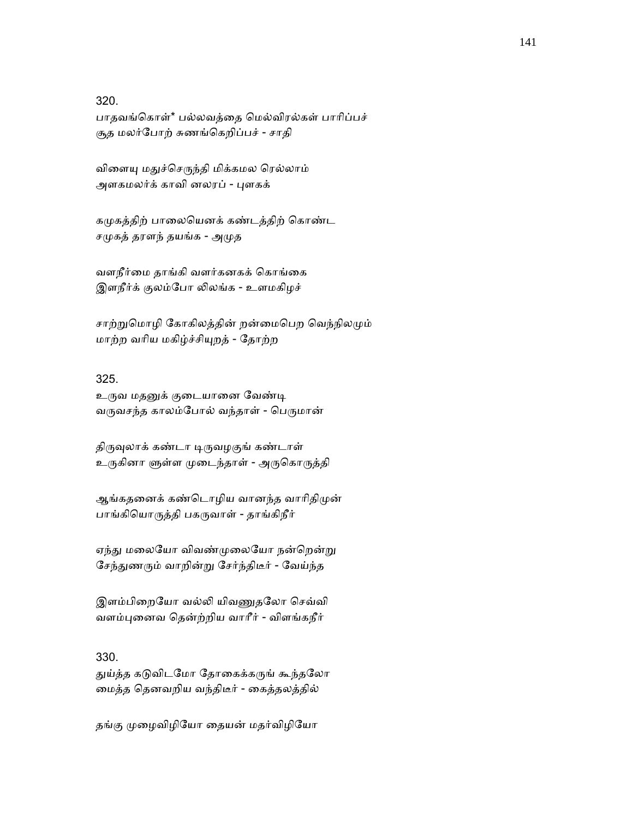320.

பாதவங்ெகாள்\* பல்லவத்ைத ெமல்விரல்கள் பாாிப்பச் சூத மலர்ேபாற் சுணங்ெகறிப்பச் - சாதி

விளையு மதுச்செருந்தி மிக்கமல ரெல்லாம் அளகமலர்க் காவி னலரப் - புளகக்

கமுகத்திற் பாலையெனக் கண்டத்திற் கொண்ட சமுகத் தரளந் தயங்க - அமுத

வளநீர்ைம தாங்கி வளர்கனகக் ெகாங்ைக இளநீர்க் குலம்போ லிலங்க - உளமகிழச்

சாற்றுமொழி கோகிலத்தின் றன்மைபெற வெந்நிலமும் மாற்ற வாிய மகிழ்ச்சிᾜறத் - ேதாற்ற

## 325.

உருவ மதனுக் குடையானை வேண்டி வருவசந்த காலம்போல் வந்தாள் - பெருமான்

திருவுலாக் கண்டா டிருவழகுங் கண்டாள் உருகினா ளுள்ள முடைந்தாள் - அருகொருத்தி

ஆங்கதனைக் கண்டொழிய வானந்த வாரிதிமுன் பாங்கியொருத்தி பகருவாள் - தாங்கிநீர்

ஏந்து மலையோ விவண்முலையோ நன்றென்று சேந்துணரும் வாறின்று சேர்ந்திடீர் - வேய்ந்த

இளம்பிறையோ வல்லி யிவணுதலோ செவ்வி வளம்ᾗைனவ ெதன்ற்றிய வாாீர் - விளங்கநீர்

# 330.

துய்த்த கடுவிடமோ தோகைக்கருங் கூந்தலோ ைமத்த ெதனவறிய வந்திடீர் - ைகத்தலத்தில்

தங்கு முழைவிழியோ தையன் மதர்விழியோ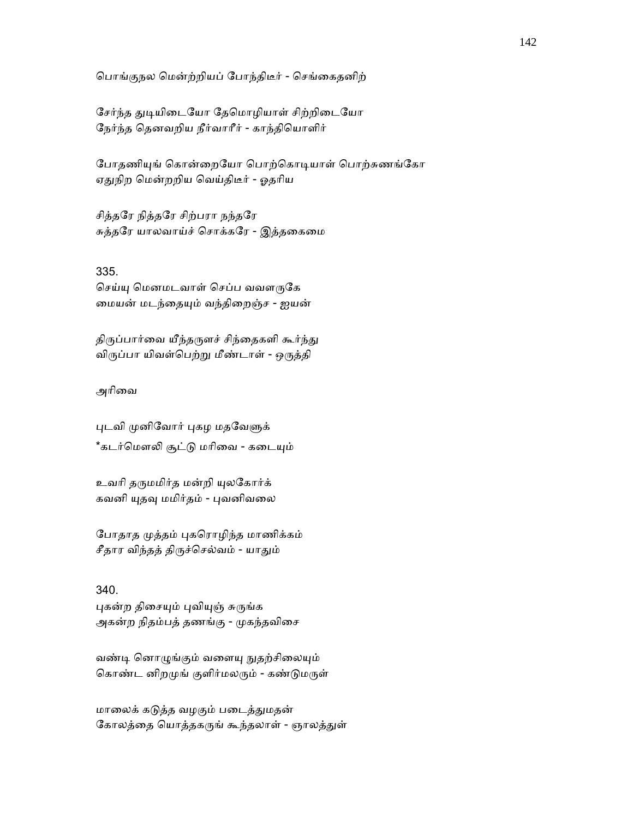ெபாங்குநல ெமன்ற்றியப் ேபாந்திடீர் - ெசங்ைகதனிற்

சேர்ந்த துடியிடையோ தேமொழியாள் சிற்றிடையோ ேநர்ந்த ெதனவறிய நீர்வாாீர் - காந்திெயாளிர்

போதணியுங் கொன்றையோ பொற்கொடியாள் பொற்சுணங்கோ ஏதுநிற மென்றறிய வெய்திடீர் - ஓதரிய

சித்தேர நித்தேர சிற்பரா நந்தேர சுத்தேர யாலவாய்ச் ெசாக்கேர - இத்தைகைம

### 335.

செய்யு மெனமடவாள் செப்ப வவளருகே மையன் மடந்தையும் வந்திறைஞ்ச - ஐயன்

திருப்பார்வை யீந்தருளச் சிந்தைகளி கூர்ந்து விருப்பா யிவள்பெற்று மீண்டாள் - ஒருத்தி

### அரிவை

புடவி முனிவோர் புகழ மதவேளுக் \*கடர்மௌலி சூட்டு மரிவை - கடையும்

உவரி தருமமிர்த மன்றி யுலகோர்க் கவனி யுதவு மமிர்தம் - புவனிவலை

போதாத முத்தம் புகரொழிந்த மாணிக்கம் சீதார விந்தத் திருச்செல்வம் - யாதும்

### 340.

புகன்ற திசையும் புவியுஞ் சுருங்க அகன்ற நிதம்பத் தணங்கு - முகந்தவிசை

வண்டி னொழுங்கும் வளையு நுதற்சிலையும் கொண்ட னிறமுங் குளிர்மலரும் - கண்டுமருள்

மாலைக் கடுத்த வழகும் படைத்துமதன் கோலத்தை யொத்தகருங் கூந்தலாள் - ஞாலத்துள்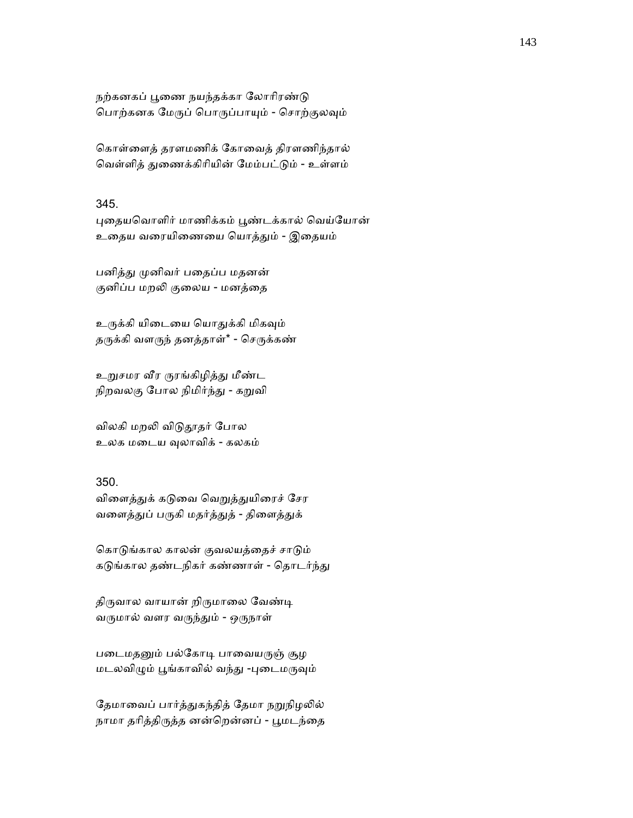நற்கனகப் பூணை நயந்தக்கா லோரிரண்டு பொற்கனக மேருப் பொருப்பாயும் - சொற்குலவும்

ெகாள்ைளத் தரளமணிக் ேகாைவத் திரளணிந்தால் வெள்ளித் துணைக்கிரியின் மேம்பட்டும் - உள்ளம்

# 345.

புதையவொளிர் மாணிக்கம் பூண்டக்கால் வெய்யோன் உைதய வைரயிைணைய ெயாத்ᾐம் - இைதயம்

பனித்து முனிவர் பதைப்ப மதனன் குனிப்ப மறலி குலைய - மனத்தை

உருக்கி யிடையை யொதுக்கி மிகவும் தருக்கி வளருந் தனத்தாள்\* - செருக்கண்

உறுசமர வீர ருரங்கிழித்து மீண்ட நிறவலகு போல நிமிர்ந்து - கறுவி

விலகி மறலி விடுதூதர் போல உலக மைடய ᾫலாவிக் - கலகம்

# 350.

விளைத்துக் கடுவை வெறுத்துயிரைச் சேர வளைத்துப் பருகி மதர்த்துத் - திளைத்துக்

கொடுங்கால காலன் குவலயத்தைச் சாடும் கடுங்கால தண்டநிகர் கண்ணாள் - தொடர்ந்து

திருவால வாயான் றிருமாலை வேண்டி வருமால் வளர வருந்தும் - ஒருநாள்

படைமதனும் பல்கோடி பாவையருஞ் சூழ மடலவிழும் பூங்காவில் வந்து -புடைமருவும்

தேமாவைப் பார்த்துகந்தித் தேமா நறுநிழலில் நாமா தரித்திருத்த னன்றென்னப் - பூமடந்தை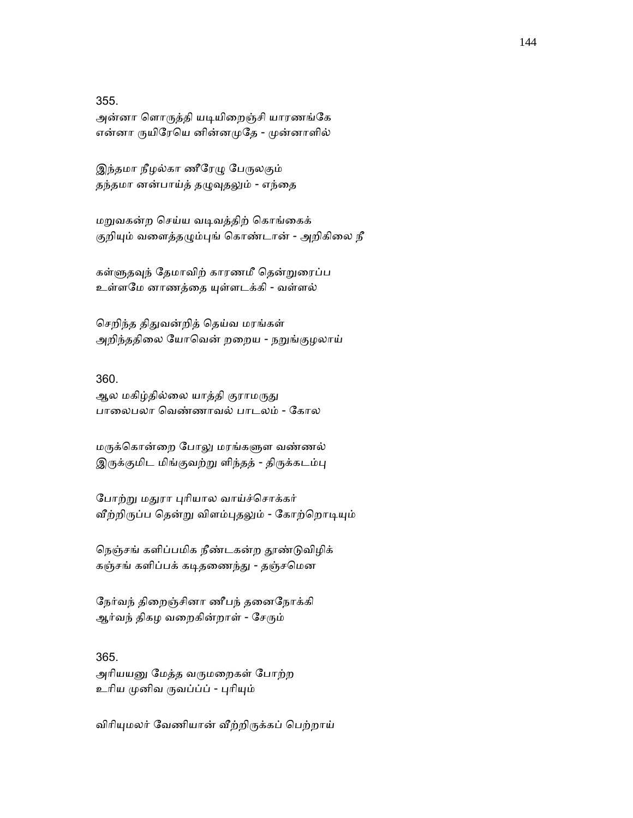355.

அன்னா ளொருத்தி யடியிறைஞ்சி யாரணங்கே என்னா ருயிரேயெ னின்னமுதே - முன்னாளில்

இந்தமா நீழல்கா ணீரேழு பேருலகும் தந்தமா னன்பாய்த் தழுவுதலும் - எந்தை

மᾠவகன்ற ெசய்ய வᾊவத்திற் ெகாங்ைகக் குறியும் வளைத்தழும்புங் கொண்டான் - அறிகிலை நீ

கள்ளுதவுந் தேமாவிற் காரணமீ தென்றுரைப்ப உள்ளமே னாணத்தை யுள்ளடக்கி - வள்ளல்

ெசறிந்த திᾐவன்றித் ெதய்வ மரங்கள் அறிந்ததிலை யோவென் றறைய - நறுங்குழலாய்

# 360.

ஆல மகிழ்தில்லை யாத்தி குராமருது பாைலபலா ெவண்ணாவல் பாடலம் - ேகால

மருக்கொன்றை போலு மரங்களுள வண்ணல் இருக்குமிட மிங்குவற்று ளிந்தத் - திருக்கடம்பு

போற்று மதுரா புரியால வாய்ச்சொக்கர் வீற்றிருப்ப தென்று விளம்புதலும் - கோற்றொடியும்

நெஞ்சங் களிப்பமிக நீண்டகன்ற தூண்டுவிழிக் கஞ்சங் களிப்பக் கடிதணைந்து - தஞ்சமென

ேநர்வந் திைறஞ்சினா ணீபந் தைனேநாக்கி ஆர்வந் திகழ வறைகின்றாள் - சேரும்

# 365.

அரியயனு மேத்த வருமறைகள் போற்ற உரிய முனிவ ருவப்ப்ப் - புரியும்

விரியுமலர் வேணியான் வீற்றிருக்கப் பெற்றாய்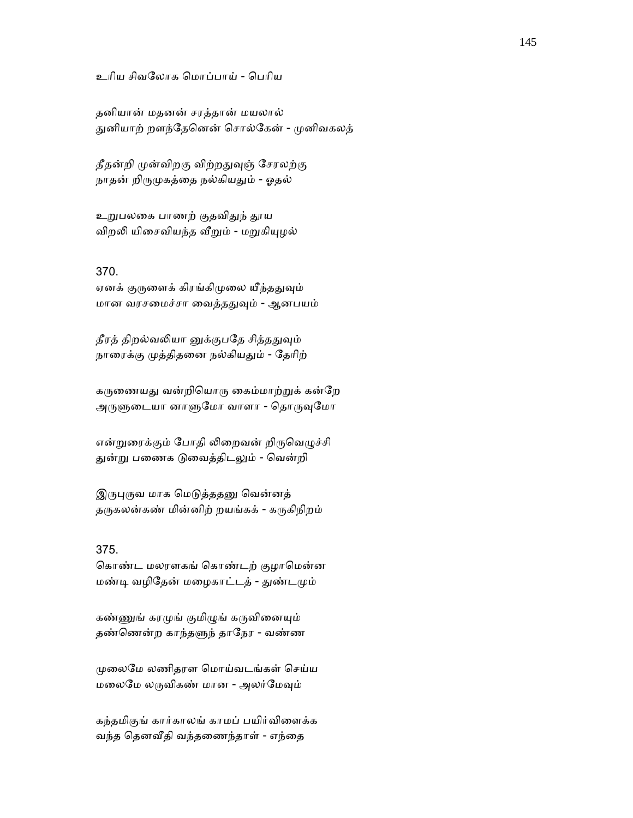உரிய சிவலோக மொப்பாய் - பெரிய

தனியான் மதனன் சரத்தான் மயலால் துனியாற் றளந்தேனென் சொல்கேன் - முனிவகலத்

தீதன்றி முன்விறகு விற்றதுவுஞ் சேரலற்கு நாதன் றிருமுகத்தை நல்கியதும் - ஓதல்

உறுபலகை பாணற் குதவிதுந் தூய விறலி யிசைவியந்த வீறும் - மறுகியுழல்

### 370.

ஏனக் குருளைக் கிரங்கிமுலை யீந்ததுவும் மான வரசமைச்சா வைத்ததுவும் - ஆனபயம்

தீரத் திறல்வலியா னுக்குபதே சித்ததுவும் நாரைக்கு முத்திதனை நல்கியதும் - தேரிற்

கருணையது வன்றியொரு கைம்மாற்றுக் கன்றே அருளுடையா னாளுமோ வாளா - தொருவுமோ

என்றுரைக்கும் போதி லிறைவன் றிருவெழுச்சி துன்று பணைக டுவைத்திடலும் - வென்றி

இருபுருவ மாக மெடுத்ததனு வென்னத் தருகலன்கண் மின்னிற் றயங்கக் - கருகிநிறம்

### 375.

கொண்ட மலரளகங் கொண்டற் குழாமென்ன மண்டி வழிதேன் மழைகாட்டத் - துண்டமும்

கண்ணுங் கரமுங் குமிழுங் கருவினையும் தண்ணென்ற காந்தளுந் தாநேர - வண்ண

ᾙைலேம லணிதரள ெமாய்வடங்கள் ெசய்ய மலைமே லருவிகண் மான - அலர்மேவும்

கந்தமிகுங் கார்காலங் காமப் பயிர்விைளக்க வந்த ெதனᾪதி வந்தைணந்தாள் - எந்ைத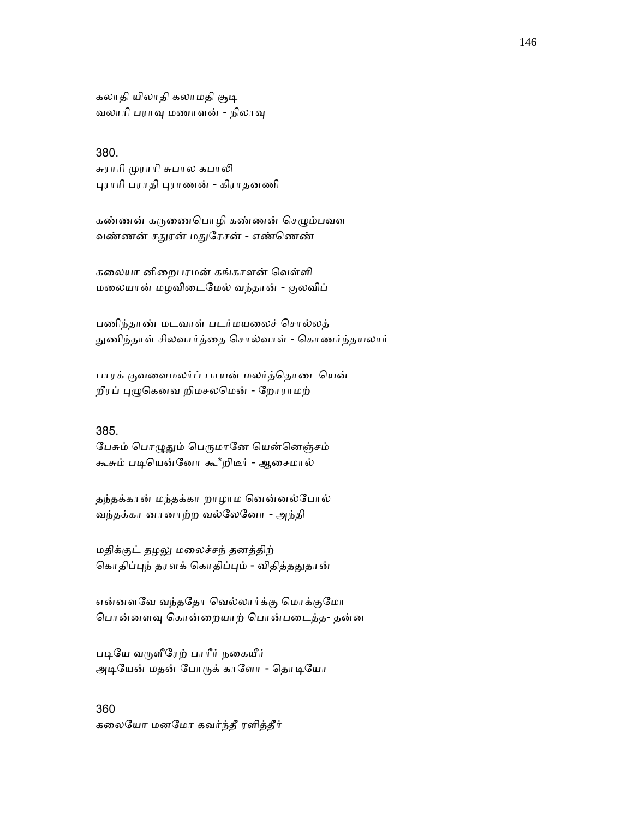கலாதி யிலாதி கலாமதி சூடி வலாரி பராவு மணாளன் - நிலாவு

#### 380.

சுராரி முராரி சுபால கபாலி ᾗராாி பராதி ᾗராணன் - கிராதனணி

கண்ணன் கருணைபொழி கண்ணன் செழும்பவள வண்ணன் சதுரன் மதுரேசன் - எண்ணெண்

கலையா னிறைபரமன் கங்காளன் வெள்ளி மைலயான் மழவிைடேமல் வந்தான் - குலவிப்

பணிந்தாண் மடவாள் படர்மயைலச் ெசால்லத் ᾐணிந்தாள் சிலவார்த்ைத ெசால்வாள் - ெகாணர்ந்தயலார்

பாரக் குவளைமலர்ப் பாயன் மலர்த்தொடையென் றீரப் ᾗᾨெகனவ றிமசலெமன் - ேறாராமற்

#### 385.

பேசும் பொழுதும் பெருமானே யென்னெஞ்சம் கூசும் படியென்னோ கூ\*றிடீர் - ஆசைமால்

தந்தக்கான் மந்தக்கா றாழாம ெனன்னல்ேபால் வந்தக்கா னானாற்ற வல்ேலேனா - அந்தி

மதிக்குட் தழᾤ மைலச்சந் தனத்திற் கொதிப்புந் தரளக் கொதிப்பும் - விதித்ததுதான்

என்னளவே வந்ததோ வெல்லார்க்கு மொக்குமோ ெபான்னளᾫ ெகான்ைறயாற் ெபான்பைடத்த- தன்ன

படியே வருளீரேற் பாரீர் நகையீர் அடியேன் மதன் போருக் காளோ - தொடியோ

360 கைலேயா மனேமா கவர்ந்தீ ரளித்தீர்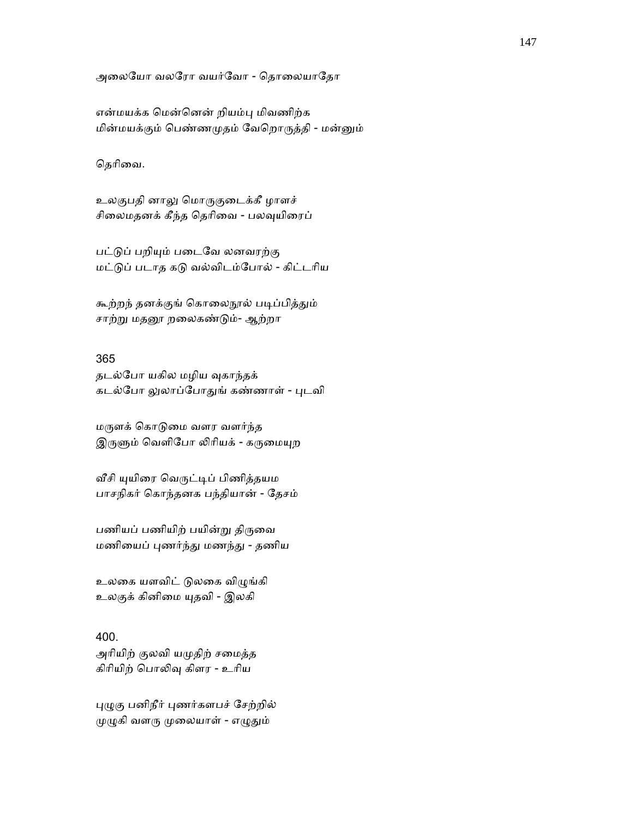அலையோ வலரோ வயர்வோ - தொலையாதோ

என்மயக்க ெமன்ெனன் றியம்ᾗ மிவணிற்க மின்மயக்கும் ெபண்ணᾙதம் ேவெறாᾞத்தி - மன்ᾔம்

தெரிவை.

உலகுபதி னாலு மொருகுடைக்கீ ழாளச் சிலைமதனக் கீந்த தெரிவை - பலவுயிரைப்

பட்டுப் பறியும் படைவே லனவரற்கு மட்ᾌப் படாத கᾌ வல்விடம்ேபால் - கிட்டாிய

கூற்றந் தனக்குங் கொலைநூல் படிப்பித்தும் சாற்று மதனூ றலைகண்டும்- ஆற்றா

### 365

தடல்போ யகில மழிய வுகாந்தக் கடல்போ லுலாப்போதுங் கண்ணாள் - புடவி

மᾞளக் ெகாᾌைம வளர வளர்ந்த இருளும் வெளிபோ லிரியக் - கருமையுற

வீசி யுயிரை வெருட்டிப் பிணித்தயம பாசநிகர் ெகாந்தனக பந்தியான் - ேதசம்

பணியப் பணியிற் பயின்று திருவை மணிையப் ᾗணர்ந்ᾐ மணந்ᾐ - தணிய

உலகை யளவிட் டுலகை விழுங்கி உலகுக் கினிமை யுதவி - இலகி

# 400.

அரியிற் குலவி யமுதிற் சமைத்த கிரியிற் பொலிவு கிளர - உரிய

ᾗᾨகு பனிநீர் ᾗணர்களபச் ேசற்றில் முழுகி வளரு முலையாள் - எழுதும்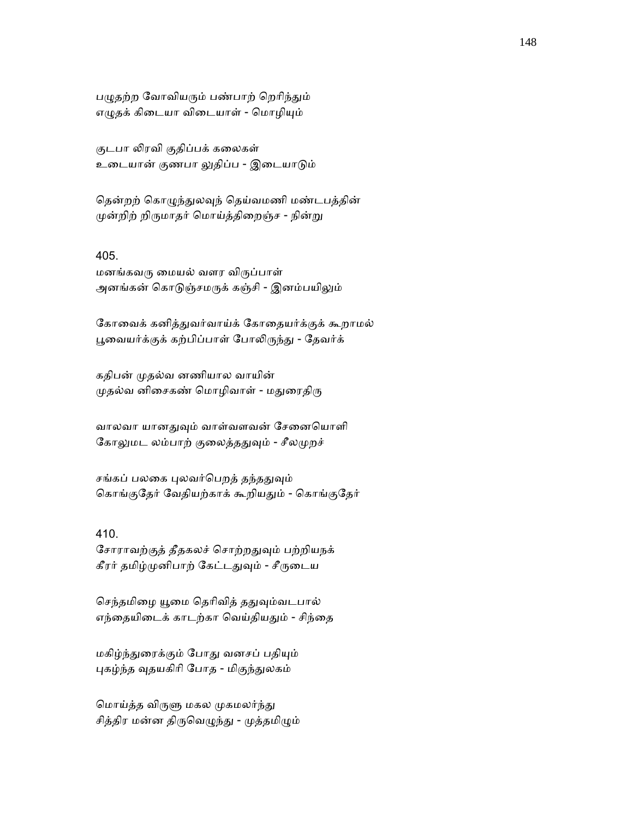பழுதற்ற வோவியரும் பண்பாற் றெரிந்தும் எழுதக் கிடையா விடையாள் - மொழியும்

குடபா லிரவி குதிப்பக் கலைகள் உைடயான் குணபா ᾤதிப்ப - இைடயாᾌம்

தென்றற் கொழுந்துலவுந் தெய்வமணி மண்டபத்தின் முன்றிற் றிருமாதர் மொய்த்திறைஞ்ச - நின்று

# 405.

மனங்கவᾞ ைமயல் வளர விᾞப்பாள் அனங்கன் கொடுஞ்சமருக் கஞ்சி - இனம்பயிலும்

கோவைக் கனித்துவர்வாய்க் கோதையர்க்குக் கூறாமல் பூவையர்க்குக் கற்பிப்பாள் போலிருந்து - தேவர்க்

கதிபன் ᾙதல்வ னணியால வாயின் முதல்வ னிசைகண் மொழிவாள் - மதுரைதிரு

வாலவா யானதுவும் வாள்வளவன் சேனையொளி கோலுமட லம்பாற் குலைத்ததுவும் - சீலமுறச்

சங்கப் பலகை புலவர்பெறத் தந்ததுவும் கொங்குதேர் வேதியற்காக் கூறியதும் - கொங்குதேர்

### 410.

சோராவற்குத் தீதகலச் சொற்றதுவும் பற்றியநக் கீரர் தமிழ்முனிபாற் கேட்டதுவும் - சீருடைய

செந்தமிழை யூமை தெரிவித் ததுவும்வடபால் எந்தையிடைக் காடற்கா வெய்தியதும் - சிந்தை

மகிழ்ந்துரைக்கும் போது வனசப் பதியும் புகழ்ந்த வுதயகிரி போத - மிகுந்துலகம்

மொய்த்த விருளு மகல முகமலர்ந்து சித்திர மன்ன திருவெழுந்து - முத்தமிழும்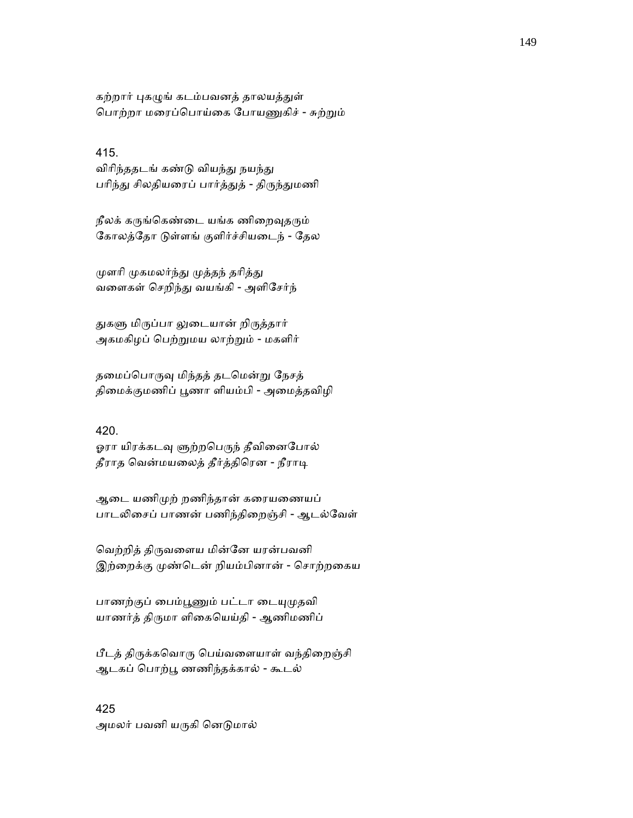கற்றார் புகழுங் கடம்பவனத் தாலயத்துள் பொற்றா மரைப்பொய்கை போயணுகிச் - சுற்றும்

### 415.

விரிந்ததடங் கண்டு வியந்து நயந்து பரிந்து சிலதியரைப் பார்த்துத் - திருந்துமணி

நீலக் கருங்கெண்டை யங்க ணிறைவுதரும் கோலத்தோ டுள்ளங் குளிர்ச்சியடைந் - தேல

முளரி முகமலர்ந்து முத்தந் தரித்து வைளகள் ெசறிந்ᾐ வயங்கி - அளிேசர்ந்

துகளு மிருப்பா லுடையான் றிருத்தார் அகமகிழப் ெபற்ᾠமய லாற்ᾠம் - மகளிர்

தமைப்பொருவு மிந்தத் தடமென்று நேசத் திமைக்குமணிப் பூணா ளியம்பி - அமைத்தவிழி

### 420.

ஓரா யிரக்கடவு ளுற்றபெருந் தீவினைபோல் தீராத வென்மயலைத் தீர்த்திரென - நீராடி

ஆைட யணிᾙற் றணிந்தான் கைரயைணயப் பாடலிசைப் பாணன் பணிந்திறைஞ்சி - ஆடல்வேள்

ெவற்றித் திᾞவைளய மின்ேன யரன்பவனி இற்றைக்கு முண்டென் றியம்பினான் - சொற்றகைய

பாணற்குப் பைம்பூணும் பட்டா டையுமுதவி யாணர்த் திருமா ளிகையெய்தி - ஆணிமணிப்

பீடத் திᾞக்கெவாᾞ ெபய்வைளயாள் வந்திைறஞ்சி ஆடகப் ெபாற்ᾘ ணணிந்தக்கால் - கூடல்

425 அமலர் பவனி யருகி னெடுமால்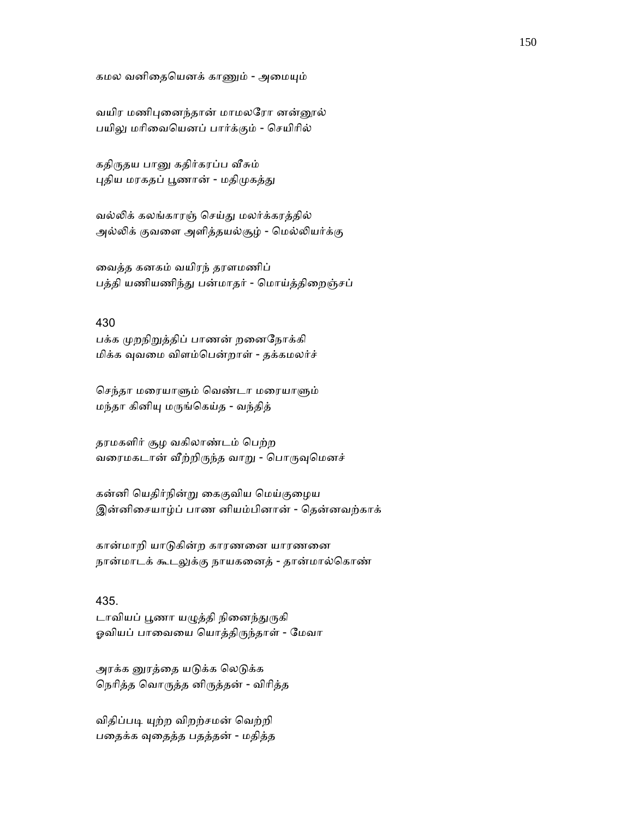#### கமல வனிதையெனக் காணும் - அமையும்

வயிர மணிபுனைந்தான் மாமலரோ னன்னூல் பயிலு மரிவையெனப் பார்க்கும் - செயிரில்

கதிருதய பானு கதிர்கரப்ப வீசும் புதிய மரகதப் பூணான் - மதிமுகத்து

வல்ᾢக் கலங்காரஞ் ெசய்ᾐ மலர்க்கரத்தில் அல்லிக் குவளை அளித்தயல்சூழ் - மெல்லியர்க்கு

ைவத்த கனகம் வயிரந் தரளமணிப் பத்தி யணியணிந்து பன்மாதர் - மொய்த்திறைஞ்சப்

#### 430

பக்க முறநிறுத்திப் பாணன் றனைநோக்கி மிக்க ᾫவைம விளம்ெபன்றாள் - தக்கமலர்ச்

செந்தா மரையாளும் வெண்டா மரையாளும் மந்தா கினிᾜ மᾞங்ெகய்த - வந்தித்

தரமகளிர் சூழ வகிலாண்டம் பெற்ற வரைமகடான் வீற்றிருந்த வாறு - பொருவுமெனச்

கன்னி ெயதிர்நின்ᾠ ைககுவிய ெமய்குைழய இன்னிைசயாழ்ப் பாண னியம்பினான் - ெதன்னவற்காக்

கான்மாறி யாᾌகின்ற காரணைன யாரணைன நான்மாடக் கூடலுக்கு நாயகனைத் - தான்மால்கொண்

435. டாவியப் பூணா யழுத்தி நினைந்துருகி ஓவியப் பாவையை யொத்திருந்தாள் - மேவா

அரக்க னூத்தை யடுக்க லெடுக்க நெரித்த வொருத்த னிருத்தன் - விரித்த

விதிப்படி யுற்ற விறற்சமன் வெற்றி பைதக்க ᾫைதத்த பதத்தன் - மதித்த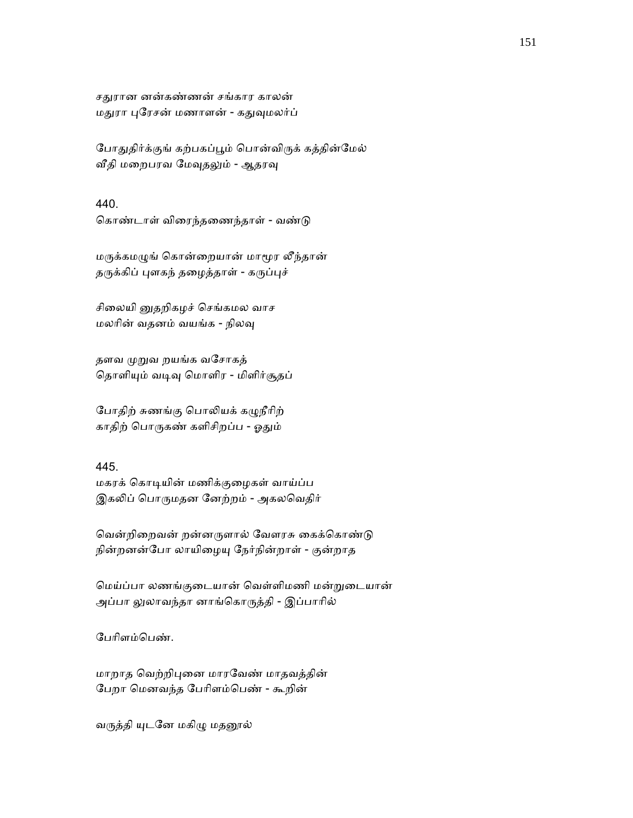சதுரான னன்கண்ணன் சங்கார காலன் மதுரா புரேசன் மணாளன் - கதுவுமலர்ப்

போதுதிர்க்குங் கற்பகப்பூம் பொன்விருக் கத்தின்மேல் வீதி மறைபரவ மேவுதலும் - ஆதரவு

### 440.

கொண்டாள் விரைந்தணைந்தாள் - வண்டு

மருக்கமழுங் கொன்றையான் மாமூர லீந்தான் தருக்கிப் புளகந் தழைத்தாள் - கருப்புச்

சிலையி னுகறிகழச் செங்கமல வாச மலாின் வதனம் வயங்க - நிலᾫ

தளவ முறுவ றயங்க வசோகத் தொளியும் வடிவு மொளிர - மிளிர்சூதப்

போதிற் சுணங்கு பொலியக் கழுநீரிற் காதிற் பொருகண் களிசிறப்ப - ஓதும்

# 445.

மகரக் ெகாᾊயின் மணிக்குைழகள் வாய்ப்ப இகலிப் பொருமதன னேற்றம் - அகலவெதிர்

வென்றிறைவன் றன்னருளால் வேளரசு கைக்கொண்டு நின்றனன்போ லாயிழையு நேர்நின்றாள் - குன்றாத

ெமய்ப்பா லணங்குைடயான் ெவள்ளிமணி மன்ᾠைடயான் அப்பா லுலாவந்தா னாங்கொருத்தி - இப்பாரில்

ேபாிளம்ெபண்.

மாறாத வெற்றிபுனை மாரவேண் மாதவத்தின் ேபறா ெமனவந்த ேபாிளம்ெபண் - கூறின்

வருத்தி யுடனே மகிழு மதனூல்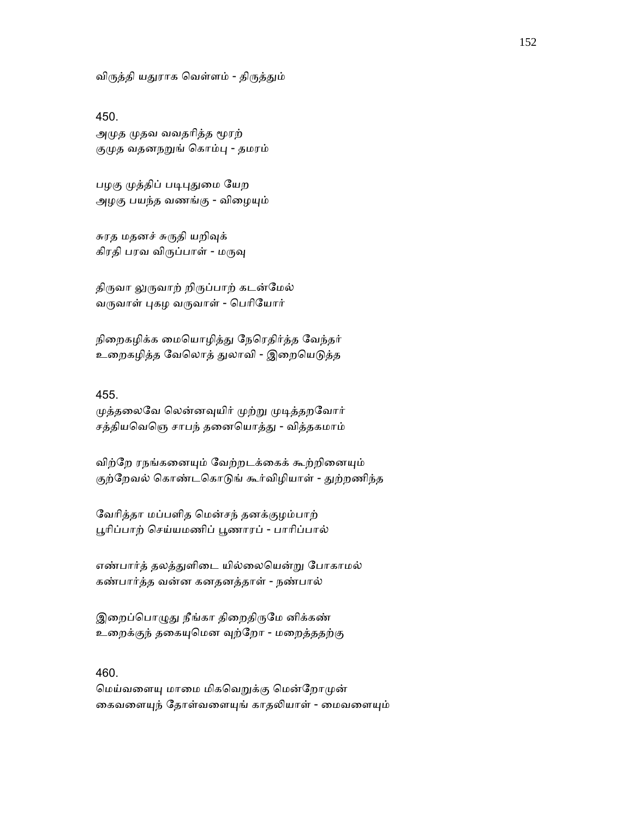விருத்தி யதுராக வெள்ளம் - திருத்தும்

#### 450.

அமுத முதவ வவதரித்த மூரற் குமுத வதனநறுங் கொம்பு - தமரம்

பழகு முத்திப் படிபுதுமை யேற அழகு பயந்த வணங்கு - விழையும்

சுரத மதனச் சுருதி யறிவுக் கிரதி பரவ விருப்பாள் - மருவு

திருவா லுருவாற் றிருப்பாற் கடன்மேல் வருவாள் புகழ வருவாள் - பெரியோர்

நிறைகழிக்க மையொழித்து நேரெதிர்த்த வேந்தர் உறைகழித்த வேலொத் துலாவி - இறையெடுத்த

### 455.

முத்தலைவே லென்னவுயிர் முற்று முடித்தறவோர் சத்தியவெஞெ சாபந் தனையொத்து - வித்தகமாம்

விற்றே ரநங்கனையும் வேற்றடக்கைக் கூற்றினையும் குற்றேவல் கொண்டகொடுங் கூர்விழியாள் - துற்றணிந்த

ேவாித்தா மப்பளித ெமன்சந் தனக்குழம்பாற் பூரிப்பாற் செய்யமணிப் பூணாரப் - பாரிப்பால்

எண்பார்த் தலத்துளிடை யில்லையென்று போகாமல் கண்பார்த்த வன்ன கனதனத்தாள் - நண்பால்

இறைப்பொழுது நீங்கா திறைதிருமே னிக்கண் உறைக்குந் தகையுமென வுற்றோ - மறைத்ததற்கு

# 460.

மெய்வளையு மாமை மிகவெறுக்கு மென்றோமுன் கைவளையுந் தோள்வளையுங் காதலியாள் - மைவளையும்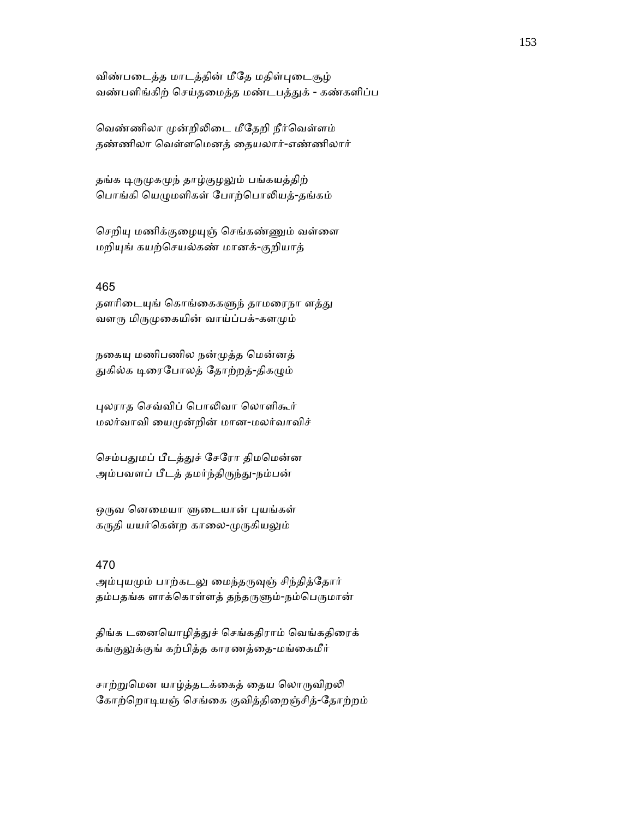விண்படைத்த மாடத்தின் மீதே மதிள்புடைசூழ் வண்பளிங்கிற் செய்தமைத்த மண்டபத்துக் - கண்களிப்ப

வெண்ணிலா முன்றிலிடை மீதேறி நீர்வெள்ளம் தண்ணிலா ெவள்ளெமனத் ைதயலார்-எண்ணிலார்

தங்க டிருமுகமுந் தாழ்குழலும் பங்கயத்திற் பொங்கி யெழுமளிகள் போற்பொலியத்-தங்கம்

செறியு மணிக்குழையுஞ் செங்கண்ணும் வள்ளை மறிᾜங் கயற்ெசயல்கண் மானக்-குறியாத்

#### 465

தளரிடையுங் கொங்கைகளுந் தாமரைநா ளத்து வளரு மிருமுகையின் வாய்ப்பக்-களமும்

நகையு மணிபணில நன்முத்த மென்னத் துகில்க டிரைபோலத் தோற்றத்-திகழும்

ᾗலராத ெசவ்விப் ெபாᾢவா ெலாளிகூர் மலர்வாவி ையᾙன்றின் மான-மலர்வாவிச்

செம்பதுமப் பீடத்துச் சேரோ திமமென்ன அம்பவளப் பீடத் தமர்ந்திருந்து-நம்பன்

ஒருவ னெமையா ளுடையான் புயங்கள் கருதி யயர்கென்ற காலை-முருகியலும்

# 470

அம்புயமும் பாற்கடலு மைந்தருவுஞ் சிந்தித்தோர் தம்பதங்க ளாக்கொள்ளத் தந்தருளும்-நம்பெருமான்

திங்க டனையொழித்துச் செங்கதிராம் வெங்கதிரைக் கங்குலுக்குங் கற்பித்த காரணத்தை-மங்கைமீர்

சாற்றுமென யாழ்த்தடக்கைத் தைய லொருவிறலி கோற்றொடியஞ் செங்கை குவித்திறைஞ்சித்-தோற்றம்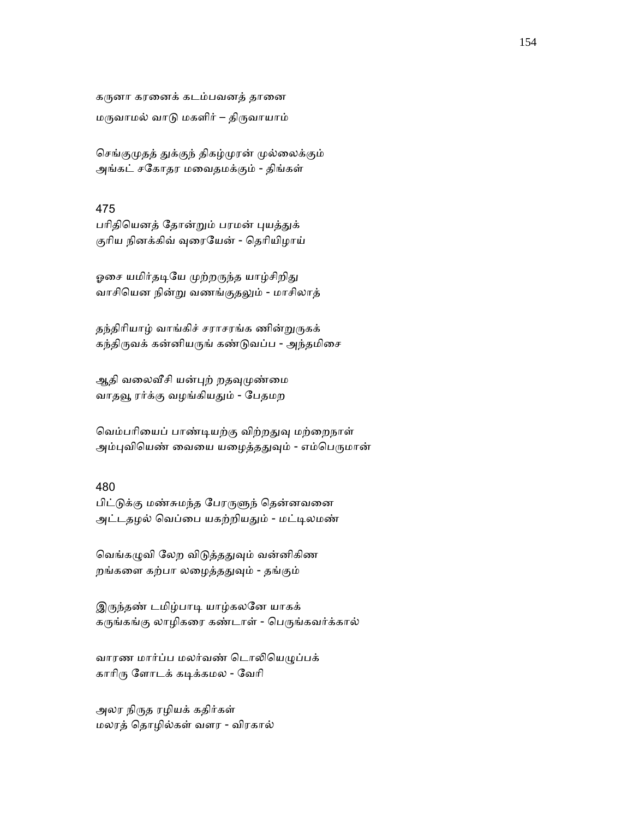கருனா கரனைக் கடம்பவனத் தானை மருவாமல் வாடு மகளிர் – திருவாயாம்

செங்குமுதத் துக்குந் திகழ்முரன் முல்லைக்கும் அங்கட் சேகாதர மைவதமக்கும் - திங்கள்

### 475

பரிதியெனத் தோன்றும் பரமன் புயத்துக் குரிய நினக்கிவ் வுரையேன் - தெரியிழாய்

ஓசை யமிர்தடியே முற்றருந்த யாழ்சிறிது வாசியென நின்று வணங்குதலும் - மாசிலாத்

தந்திரியாழ் வாங்கிச் சராசரங்க ணின்றுருகக் கந்திருவக் கன்னியருங் கண்டுவப்ப - அந்தமிசை

ஆதி வலைவீசி யன்புற் றதவுமுண்மை வாதவூ ரர்க்கு வழங்கியதும் - பேதமற

வெம்பரியைப் பாண்டியற்கு விற்றதுவு மற்றைநாள் அம்புவியெண் வையை யழைத்ததுவும் - எம்பெருமான்

# 480

பிட்டுக்கு மண்சுமந்த பேரருளுந் தென்னவனை அட்டதழல் வெப்பை யகற்றியதும் - மட்டிலமண்

வெங்கழுவி லேற விடுத்ததுவும் வன்னிகிண றங்களை கற்பா லழைத்ததுவும் - தங்கும்

இருந்தண் டமிழ்பாடி யாழ்கலனே யாகக் கருங்கங்கு லாழிகரை கண்டாள் - பெருங்கவர்க்கால்

வாரண மார்ப்ப மலர்வண் டொலியெழுப்பக் காாிᾞ ேளாடக் கᾊக்கமல - ேவாி

அலர நிருத ரழியக் கதிர்கள் மலரத் ெதாழில்கள் வளர - விரகால்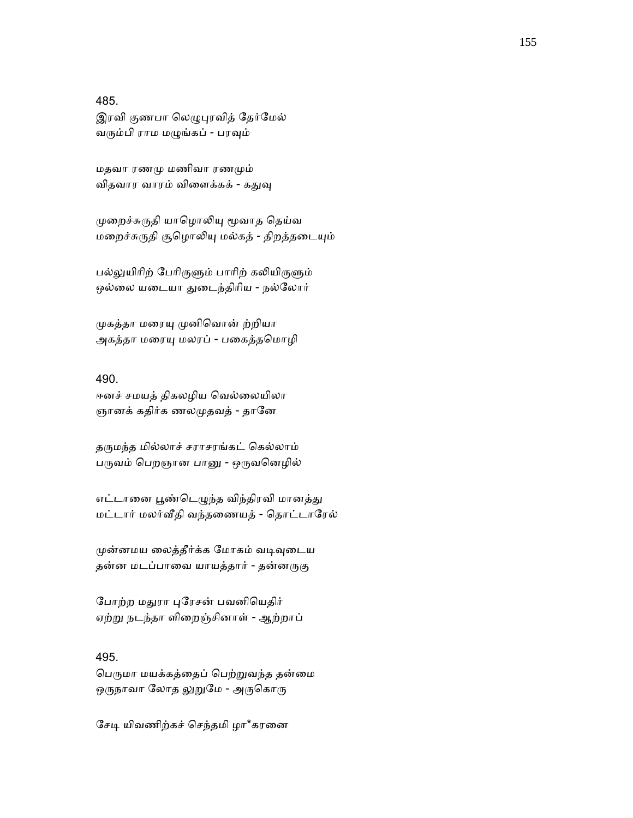#### 485.

இரவி குணபா லெழுபுரவித் தேர்மேல் வரும்பி ராம மழுங்கப் - பரவும்

மதவா ரணᾙ மணிவா ரணᾙம் விதவார வாரம் விளைக்கக் - கதுவு

முறைச்சுருதி யாழொலியு மூவாத தெய்வ மறைச்சுருதி சூழொலியு மல்கத் - திறத்தடையும்

பல்லுயிரிற் பேரிருளும் பாரிற் கலியிருளும் ஒல்லை யடையா துடைந்திரிய - நல்லோர்

முகத்தா மரையு முனிவொன் ற்றியா அகத்தா மரையு மலரப் - பகைத்தமொழி

#### 490.

ஈனச் சமயத் திகலழிய வெல்லையிலா ஞானக் கதிர்க ணலமுதவத் - தானே

தருமந்த மில்லாச் சராசரங்கட் கெல்லாம் பருவம் பெறஞான பானு - ஒருவனெழில்

எட்டானை பூண்டெழுந்த விந்திரவி மானத்து மட்டார் மலர்ᾪதி வந்தைணயத் - ெதாட்டாேரல்

முன்னமய லைத்தீர்க்க மோகம் வடிவுடைய தன்ன மடப்பாவை யாயத்தார் - தன்னருகு

போற்ற மதுரா புரேசன் பவனியெதிர் ஏற்ᾠ நடந்தா ளிைறஞ்சினாள் - ஆற்றாப்

#### 495.

பெருமா மயக்கத்தைப் பெற்றுவந்த தன்மை ஒருநாவா லோத லுறுமே - அருகொரு

சேடி யிவணிற்கச் செந்தமி ழா\*கரனை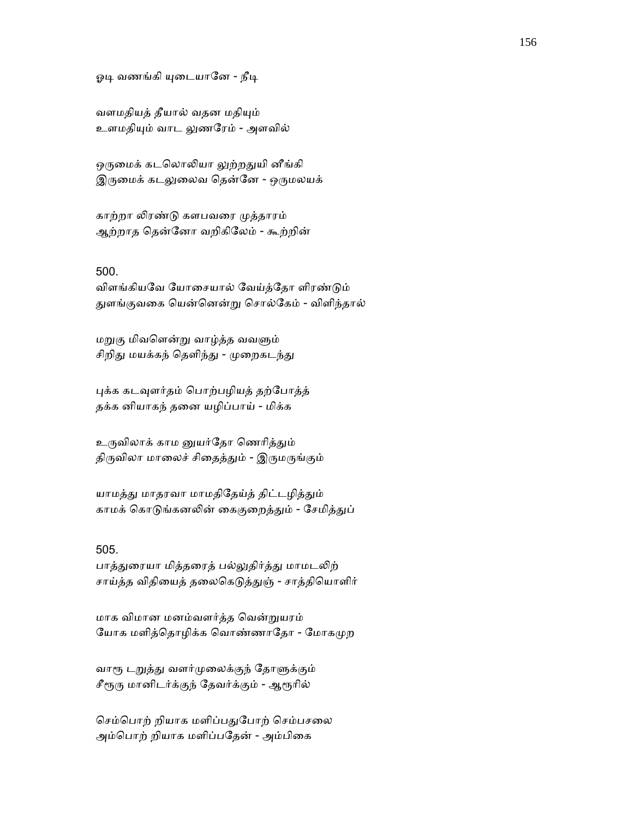ஓடி வணங்கி யுடையானே - நீடி

வளமதியத் தீயால் வதன மதியும் உளமதியும் வாட லுணரேம் - அளவில்

ஒருமைக் கடலொலியா லுற்றதுயி னீங்கி இருமைக் கடலுலைவ தென்னே - ஒருமலயக்

காற்றா லிரண்டு களபவரை முத்தாரம் ஆற்றாத ெதன்ேனா வறிகிேலம் - கூற்றின்

#### 500.

விளங்கியவே யோசையால் வேய்த்தோ ளிரண்டும் ᾐளங்குவைக ெயன்ெனன்ᾠ ெசால்ேகம் - விளிந்தால்

மறுகு மிவளென்று வாழ்த்த வவளும் சிறிது மயக்கந் தெளிந்து - முறைகடந்து

புக்க கடவுளர்தம் பொற்பழியத் தற்போத்த் தக்க னியாகந் தைன யழிப்பாய் - மிக்க

உருவிலாக் காம னுயர்தோ ணெரித்தும் திருவிலா மாலைச் சிதைத்தும் - இருமருங்கும்

யாமத்து மாதரவா மாமதிதேய்த் திட்டழித்தும் காமக் கொடுங்கனலின் கைகுறைத்தும் - சேமித்துப்

### 505.

பாத்துரையா மித்தரைத் பல்லுதிர்த்து மாமடலிற் சாய்த்த விதியைத் தலைகெடுத்துஞ் - சாத்தியொளிர்

மாக விமான மனம்வளர்த்த ெவன்ᾠயரம் யோக மளித்தொழிக்க வொண்ணாதோ - மோகமுற

வாரூ டறுத்து வளர்முலைக்குந் தோளுக்கும் சீரூரு மானிடர்க்குந் தேவர்க்கும் - ஆரூரில்

செம்பொற் றியாக மளிப்பதுபோற் செம்பசலை அம்பொற் றியாக மளிப்பதேன் - அம்பிகை